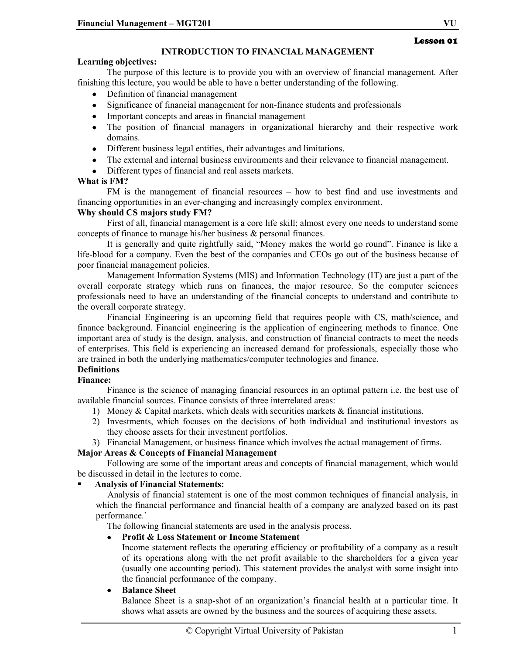## **INTRODUCTION TO FINANCIAL MANAGEMENT**

#### **Learning objectives:**

The purpose of this lecture is to provide you with an overview of financial management. After finishing this lecture, you would be able to have a better understanding of the following.

- Definition of financial management
- Significance of financial management for non-finance students and professionals
- Important concepts and areas in financial management
- The position of financial managers in organizational hierarchy and their respective work domains.
- Different business legal entities, their advantages and limitations.
- The external and internal business environments and their relevance to financial management.
- Different types of financial and real assets markets.

#### **What is FM?**

FM is the management of financial resources – how to best find and use investments and financing opportunities in an ever-changing and increasingly complex environment.

#### **Why should CS majors study FM?**

First of all, financial management is a core life skill; almost every one needs to understand some concepts of finance to manage his/her business & personal finances.

It is generally and quite rightfully said, "Money makes the world go round". Finance is like a life-blood for a company. Even the best of the companies and CEOs go out of the business because of poor financial management policies.

Management Information Systems (MIS) and Information Technology (IT) are just a part of the overall corporate strategy which runs on finances, the major resource. So the computer sciences professionals need to have an understanding of the financial concepts to understand and contribute to the overall corporate strategy.

Financial Engineering is an upcoming field that requires people with CS, math/science, and finance background. Financial engineering is the application of engineering methods to finance. One important area of study is the design, analysis, and construction of financial contracts to meet the needs of enterprises. This field is experiencing an increased demand for professionals, especially those who are trained in both the underlying mathematics/computer technologies and finance.

## **Definitions**

## **Finance:**

Finance is the science of managing financial resources in an optimal pattern i.e. the best use of available financial sources. Finance consists of three interrelated areas:

- 1) Money & Capital markets, which deals with securities markets & financial institutions.
- 2) Investments, which focuses on the decisions of both individual and institutional investors as they choose assets for their investment portfolios.
- 3) Financial Management, or business finance which involves the actual management of firms.

## **Major Areas & Concepts of Financial Management**

Following are some of the important areas and concepts of financial management, which would be discussed in detail in the lectures to come.

## **Analysis of Financial Statements:**

Analysis of financial statement is one of the most common techniques of financial analysis, in which the financial performance and financial health of a company are analyzed based on its past performance.`

The following financial statements are used in the analysis process.

## • **Profit & Loss Statement or Income Statement**

Income statement reflects the operating efficiency or profitability of a company as a result of its operations along with the net profit available to the shareholders for a given year (usually one accounting period). This statement provides the analyst with some insight into the financial performance of the company.

## • **Balance Sheet**

Balance Sheet is a snap-shot of an organization's financial health at a particular time. It shows what assets are owned by the business and the sources of acquiring these assets.

## Lesson 01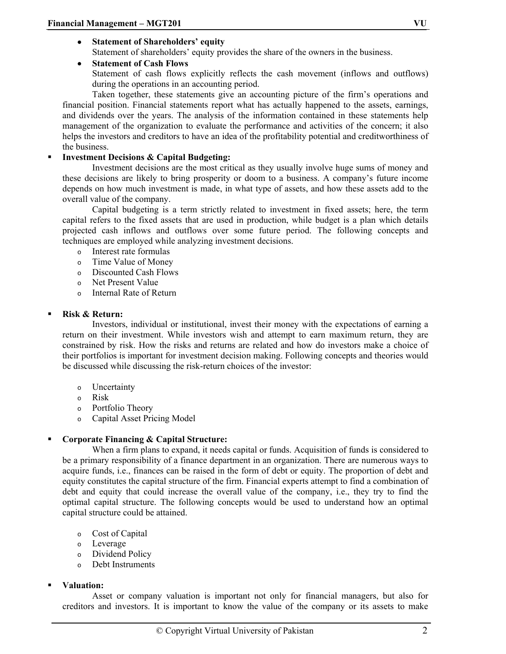• **Statement of Shareholders' equity**  Statement of shareholders' equity provides the share of the owners in the business.

## • **Statement of Cash Flows**

Statement of cash flows explicitly reflects the cash movement (inflows and outflows) during the operations in an accounting period.

Taken together, these statements give an accounting picture of the firm's operations and financial position. Financial statements report what has actually happened to the assets, earnings, and dividends over the years. The analysis of the information contained in these statements help management of the organization to evaluate the performance and activities of the concern; it also helps the investors and creditors to have an idea of the profitability potential and creditworthiness of the business.

## **Investment Decisions & Capital Budgeting:**

Investment decisions are the most critical as they usually involve huge sums of money and these decisions are likely to bring prosperity or doom to a business. A company's future income depends on how much investment is made, in what type of assets, and how these assets add to the overall value of the company.

Capital budgeting is a term strictly related to investment in fixed assets; here, the term capital refers to the fixed assets that are used in production, while budget is a plan which details projected cash inflows and outflows over some future period. The following concepts and techniques are employed while analyzing investment decisions.

- o Interest rate formulas
- o Time Value of Money
- o Discounted Cash Flows
- o Net Present Value
- o Internal Rate of Return

#### **Risk & Return:**

Investors, individual or institutional, invest their money with the expectations of earning a return on their investment. While investors wish and attempt to earn maximum return, they are constrained by risk. How the risks and returns are related and how do investors make a choice of their portfolios is important for investment decision making. Following concepts and theories would be discussed while discussing the risk-return choices of the investor:

- o Uncertainty
- o Risk
- o Portfolio Theory
- o Capital Asset Pricing Model

## **Corporate Financing & Capital Structure:**

When a firm plans to expand, it needs capital or funds. Acquisition of funds is considered to be a primary responsibility of a finance department in an organization. There are numerous ways to acquire funds, i.e., finances can be raised in the form of debt or equity. The proportion of debt and equity constitutes the capital structure of the firm. Financial experts attempt to find a combination of debt and equity that could increase the overall value of the company, i.e., they try to find the optimal capital structure. The following concepts would be used to understand how an optimal capital structure could be attained.

- o Cost of Capital
- o Leverage
- o Dividend Policy
- o Debt Instruments

#### **Valuation:**

Asset or company valuation is important not only for financial managers, but also for creditors and investors. It is important to know the value of the company or its assets to make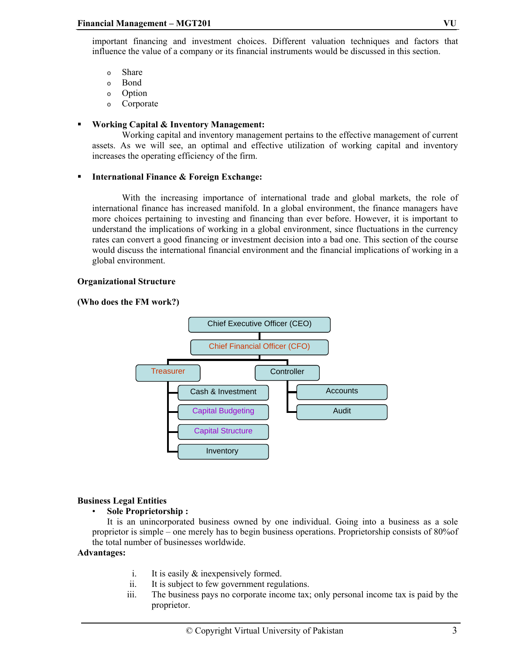important financing and investment choices. Different valuation techniques and factors that influence the value of a company or its financial instruments would be discussed in this section.

- o Share
- o Bond
- o Option
- o Corporate

#### **Working Capital & Inventory Management:**

Working capital and inventory management pertains to the effective management of current assets. As we will see, an optimal and effective utilization of working capital and inventory increases the operating efficiency of the firm.

#### **International Finance & Foreign Exchange:**

With the increasing importance of international trade and global markets, the role of international finance has increased manifold. In a global environment, the finance managers have more choices pertaining to investing and financing than ever before. However, it is important to understand the implications of working in a global environment, since fluctuations in the currency rates can convert a good financing or investment decision into a bad one. This section of the course would discuss the international financial environment and the financial implications of working in a global environment.

#### **Organizational Structure**

#### **(Who does the FM work?)**



#### **Business Legal Entities**

#### • **Sole Proprietorship :**

It is an unincorporated business owned by one individual. Going into a business as a sole proprietor is simple – one merely has to begin business operations. Proprietorship consists of 80%of the total number of businesses worldwide.

#### **Advantages:**

- i. It is easily & inexpensively formed.
- ii. It is subject to few government regulations.
- iii. The business pays no corporate income tax; only personal income tax is paid by the proprietor.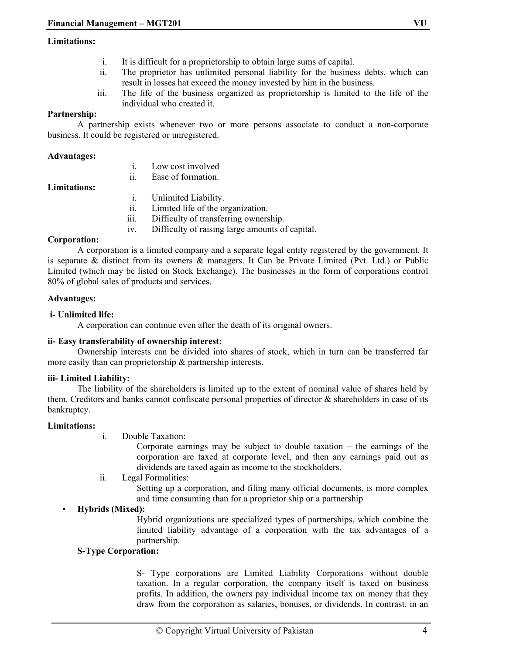#### **Limitations:**

- i. It is difficult for a proprietorship to obtain large sums of capital.
- ii. The proprietor has unlimited personal liability for the business debts, which can result in losses hat exceed the money invested by him in the business.
- iii. The life of the business organized as proprietorship is limited to the life of the individual who created it.

## **Partnership:**

A partnership exists whenever two or more persons associate to conduct a non-corporate business. It could be registered or unregistered.

#### **Advantages:**

| Low cost involved |
|-------------------|
| Ease of formation |

## **Limitations:**

- i. Unlimited Liability.
- ii. Limited life of the organization.
- iii. Difficulty of transferring ownership.
- iv. Difficulty of raising large amounts of capital.

#### **Corporation:**

A corporation is a limited company and a separate legal entity registered by the government. It is separate & distinct from its owners  $\&$  managers. It Can be Private Limited (Pvt. Ltd.) or Public Limited (which may be listed on Stock Exchange). The businesses in the form of corporations control 80% of global sales of products and services.

#### **Advantages:**

#### **i- Unlimited life:**

A corporation can continue even after the death of its original owners.

## **ii- Easy transferability of ownership interest:**

Ownership interests can be divided into shares of stock, which in turn can be transferred far more easily than can proprietorship & partnership interests.

#### **iii- Limited Liability:**

The liability of the shareholders is limited up to the extent of nominal value of shares held by them. Creditors and banks cannot confiscate personal properties of director & shareholders in case of its bankruptcy.

#### **Limitations:**

i. Double Taxation:

Corporate earnings may be subject to double taxation  $-$  the earnings of the corporation are taxed at corporate level, and then any earnings paid out as dividends are taxed again as income to the stockholders.

ii. Legal Formalities:

Setting up a corporation, and filing many official documents, is more complex and time consuming than for a proprietor ship or a partnership

## • **Hybrids (Mixed):**

Hybrid organizations are specialized types of partnerships, which combine the limited liability advantage of a corporation with the tax advantages of a partnership.

## **S-Type Corporation:**

S- Type corporations are Limited Liability Corporations without double taxation. In a regular corporation, the company itself is taxed on business profits. In addition, the owners pay individual income tax on money that they draw from the corporation as salaries, bonuses, or dividends. In contrast, in an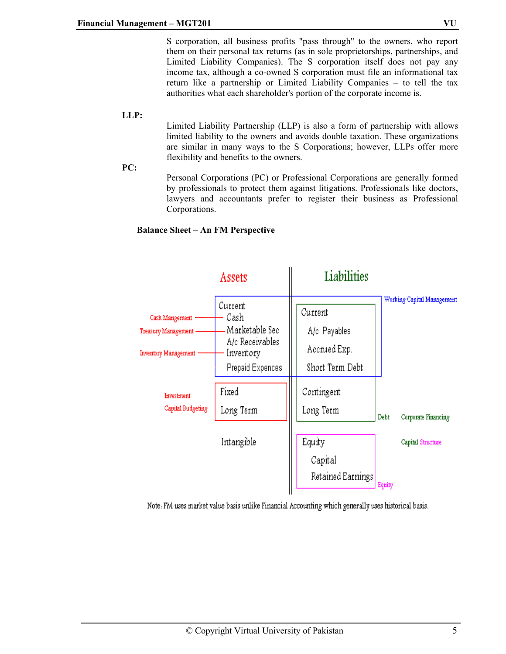S corporation, all business profits "pass through" to the owners, who report them on their personal tax returns (as in sole proprietorships, partnerships, and Limited Liability Companies). The S corporation itself does not pay any income tax, although a co-owned S corporation must file an informational tax return like a partnership or Limited Liability Companies – to tell the tax authorities what each shareholder's portion of the corporate income is.

## Limited Liability Partnership (LLP) is also a form of partnership with allows limited liability to the owners and avoids double taxation. These organizations are similar in many ways to the S Corporations; however, LLPs offer more flexibility and benefits to the owners.

**PC:** 

**LLP:** 

Personal Corporations (PC) or Professional Corporations are generally formed by professionals to protect them against litigations. Professionals like doctors, lawyers and accountants prefer to register their business as Professional Corporations.





Note. FM uses market value basis unlike Financial Accounting which generally uses historical basis.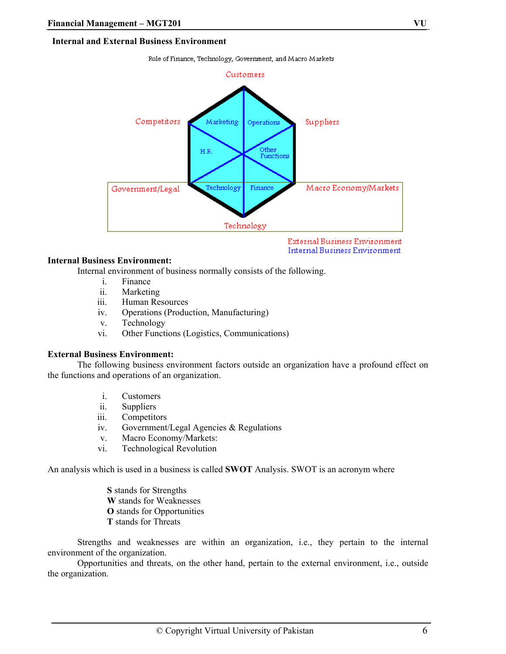Role of Finance, Technology, Government, and Macro Markets



External Business Environment **Internal Business Environment** 

#### **Internal Business Environment:**

Internal environment of business normally consists of the following.

- i. Finance
- ii. Marketing
- iii. Human Resources
- iv. Operations (Production, Manufacturing)
- v. Technology
- vi. Other Functions (Logistics, Communications)

#### **External Business Environment:**

The following business environment factors outside an organization have a profound effect on the functions and operations of an organization.

- i. Customers
- ii. Suppliers
- iii. Competitors
- iv. Government/Legal Agencies & Regulations
- v. Macro Economy/Markets:
- vi. Technological Revolution

An analysis which is used in a business is called **SWOT** Analysis. SWOT is an acronym where

**S** stands for Strengths **W** stands for Weaknesses **O** stands for Opportunities **T** stands for Threats

Strengths and weaknesses are within an organization, i.e., they pertain to the internal environment of the organization.

Opportunities and threats, on the other hand, pertain to the external environment, i.e., outside the organization.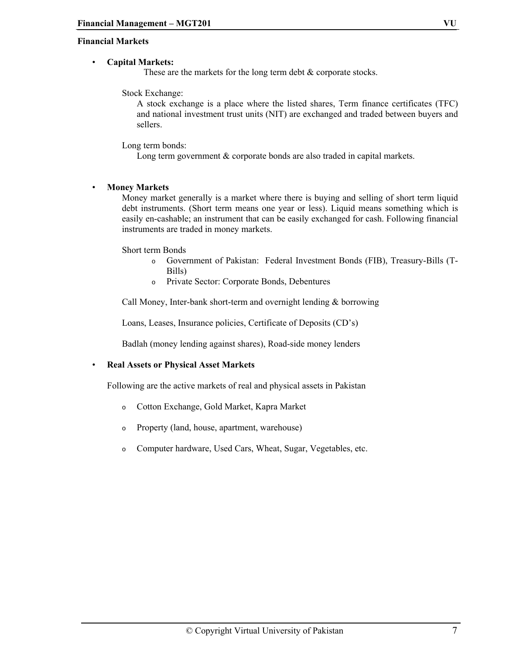#### **Financial Markets**

#### • **Capital Markets:**

These are the markets for the long term debt & corporate stocks.

Stock Exchange:

A stock exchange is a place where the listed shares, Term finance certificates (TFC) and national investment trust units (NIT) are exchanged and traded between buyers and sellers.

Long term bonds:

Long term government & corporate bonds are also traded in capital markets.

#### • **Money Markets**

Money market generally is a market where there is buying and selling of short term liquid debt instruments. (Short term means one year or less). Liquid means something which is easily en-cashable; an instrument that can be easily exchanged for cash. Following financial instruments are traded in money markets.

Short term Bonds

- o Government of Pakistan: Federal Investment Bonds (FIB), Treasury-Bills (T-Bills)
- o Private Sector: Corporate Bonds, Debentures

Call Money, Inter-bank short-term and overnight lending & borrowing

Loans, Leases, Insurance policies, Certificate of Deposits (CD's)

Badlah (money lending against shares), Road-side money lenders

• **Real Assets or Physical Asset Markets** 

Following are the active markets of real and physical assets in Pakistan

- o Cotton Exchange, Gold Market, Kapra Market
- o Property (land, house, apartment, warehouse)
- o Computer hardware, Used Cars, Wheat, Sugar, Vegetables, etc.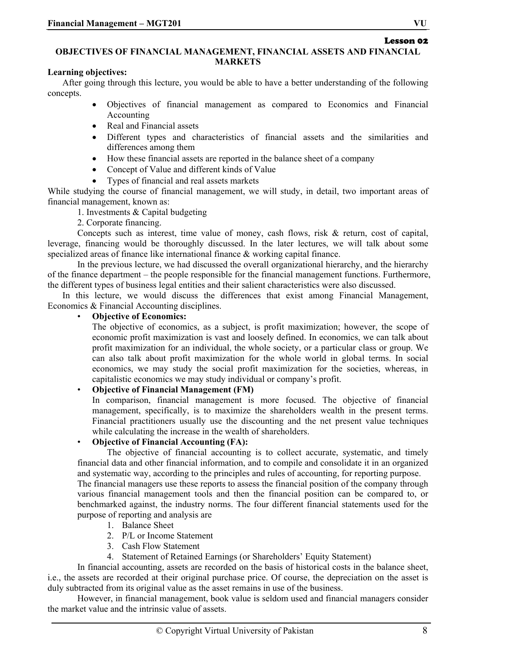# Lesson 02

#### **OBJECTIVES OF FINANCIAL MANAGEMENT, FINANCIAL ASSETS AND FINANCIAL MARKETS**

## **Learning objectives:**

After going through this lecture, you would be able to have a better understanding of the following concepts.

- Objectives of financial management as compared to Economics and Financial Accounting
- Real and Financial assets
- Different types and characteristics of financial assets and the similarities and differences among them
- How these financial assets are reported in the balance sheet of a company
- Concept of Value and different kinds of Value
- Types of financial and real assets markets

While studying the course of financial management, we will study, in detail, two important areas of financial management, known as:

1. Investments & Capital budgeting

2. Corporate financing.

Concepts such as interest, time value of money, cash flows, risk & return, cost of capital, leverage, financing would be thoroughly discussed. In the later lectures, we will talk about some specialized areas of finance like international finance & working capital finance.

In the previous lecture, we had discussed the overall organizational hierarchy, and the hierarchy of the finance department – the people responsible for the financial management functions. Furthermore, the different types of business legal entities and their salient characteristics were also discussed.

In this lecture, we would discuss the differences that exist among Financial Management, Economics & Financial Accounting disciplines.

## • **Objective of Economics:**

The objective of economics, as a subject, is profit maximization; however, the scope of economic profit maximization is vast and loosely defined. In economics, we can talk about profit maximization for an individual, the whole society, or a particular class or group. We can also talk about profit maximization for the whole world in global terms. In social economics, we may study the social profit maximization for the societies, whereas, in capitalistic economics we may study individual or company's profit.

## • **Objective of Financial Management (FM)**

In comparison, financial management is more focused. The objective of financial management, specifically, is to maximize the shareholders wealth in the present terms. Financial practitioners usually use the discounting and the net present value techniques while calculating the increase in the wealth of shareholders.

## • **Objective of Financial Accounting (FA):**

The objective of financial accounting is to collect accurate, systematic, and timely financial data and other financial information, and to compile and consolidate it in an organized and systematic way, according to the principles and rules of accounting, for reporting purpose.

The financial managers use these reports to assess the financial position of the company through various financial management tools and then the financial position can be compared to, or benchmarked against, the industry norms. The four different financial statements used for the purpose of reporting and analysis are

- 1. Balance Sheet
- 2. P/L or Income Statement
- 3. Cash Flow Statement
- 4. Statement of Retained Earnings (or Shareholders' Equity Statement)

In financial accounting, assets are recorded on the basis of historical costs in the balance sheet, i.e., the assets are recorded at their original purchase price. Of course, the depreciation on the asset is duly subtracted from its original value as the asset remains in use of the business.

However, in financial management, book value is seldom used and financial managers consider the market value and the intrinsic value of assets.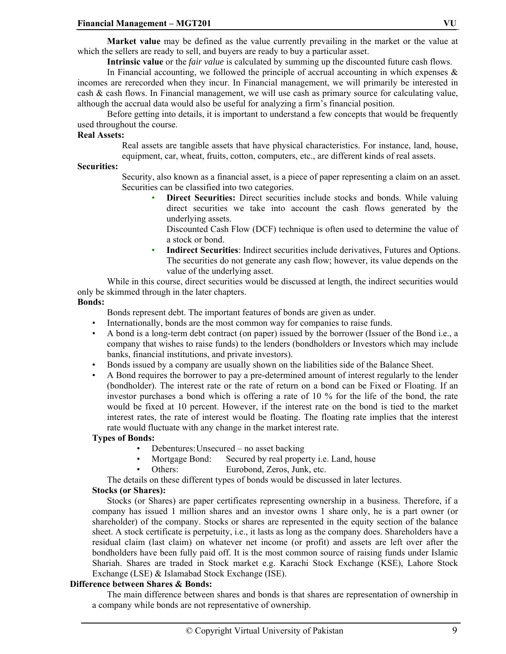**Market value** may be defined as the value currently prevailing in the market or the value at which the sellers are ready to sell, and buyers are ready to buy a particular asset.

**Intrinsic value** or the *fair value* is calculated by summing up the discounted future cash flows.

In Financial accounting, we followed the principle of accrual accounting in which expenses  $\&$ incomes are rerecorded when they incur. In Financial management, we will primarily be interested in cash & cash flows. In Financial management, we will use cash as primary source for calculating value, although the accrual data would also be useful for analyzing a firm's financial position.

Before getting into details, it is important to understand a few concepts that would be frequently used throughout the course.

#### **Real Assets:**

Real assets are tangible assets that have physical characteristics. For instance, land, house, equipment, car, wheat, fruits, cotton, computers, etc., are different kinds of real assets.

#### **Securities:**

Security, also known as a financial asset, is a piece of paper representing a claim on an asset. Securities can be classified into two categories.

• **Direct Securities:** Direct securities include stocks and bonds. While valuing direct securities we take into account the cash flows generated by the underlying assets.

Discounted Cash Flow (DCF) technique is often used to determine the value of a stock or bond.

• **Indirect Securities**: Indirect securities include derivatives, Futures and Options. The securities do not generate any cash flow; however, its value depends on the value of the underlying asset.

While in this course, direct securities would be discussed at length, the indirect securities would only be skimmed through in the later chapters.

#### **Bonds:**

- Bonds represent debt. The important features of bonds are given as under.
- Internationally, bonds are the most common way for companies to raise funds.
- A bond is a long-term debt contract (on paper) issued by the borrower (Issuer of the Bond i.e., a company that wishes to raise funds) to the lenders (bondholders or Investors which may include banks, financial institutions, and private investors).
- Bonds issued by a company are usually shown on the liabilities side of the Balance Sheet.
- A Bond requires the borrower to pay a pre-determined amount of interest regularly to the lender (bondholder). The interest rate or the rate of return on a bond can be Fixed or Floating. If an investor purchases a bond which is offering a rate of 10 % for the life of the bond, the rate would be fixed at 10 percent. However, if the interest rate on the bond is tied to the market interest rates, the rate of interest would be floating. The floating rate implies that the interest rate would fluctuate with any change in the market interest rate.

## **Types of Bonds:**

- Debentures: Unsecured no asset backing
- Mortgage Bond: Secured by real property i.e. Land, house
- Others: Eurobond, Zeros, Junk, etc.

The details on these different types of bonds would be discussed in later lectures.

## **Stocks (or Shares):**

Stocks (or Shares) are paper certificates representing ownership in a business. Therefore, if a company has issued 1 million shares and an investor owns 1 share only, he is a part owner (or shareholder) of the company. Stocks or shares are represented in the equity section of the balance sheet. A stock certificate is perpetuity, i.e., it lasts as long as the company does. Shareholders have a residual claim (last claim) on whatever net income (or profit) and assets are left over after the bondholders have been fully paid off. It is the most common source of raising funds under Islamic Shariah. Shares are traded in Stock market e.g. Karachi Stock Exchange (KSE), Lahore Stock Exchange (LSE) & Islamabad Stock Exchange (ISE).

## **Difference between Shares & Bonds:**

The main difference between shares and bonds is that shares are representation of ownership in a company while bonds are not representative of ownership.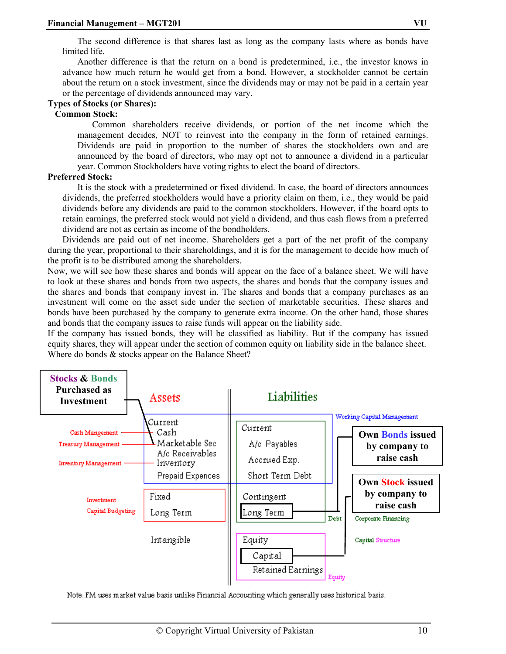The second difference is that shares last as long as the company lasts where as bonds have limited life.

Another difference is that the return on a bond is predetermined, i.e., the investor knows in advance how much return he would get from a bond. However, a stockholder cannot be certain about the return on a stock investment, since the dividends may or may not be paid in a certain year or the percentage of dividends announced may vary.

#### **Types of Stocks (or Shares):**

## **Common Stock:**

Common shareholders receive dividends, or portion of the net income which the management decides, NOT to reinvest into the company in the form of retained earnings. Dividends are paid in proportion to the number of shares the stockholders own and are announced by the board of directors, who may opt not to announce a dividend in a particular year. Common Stockholders have voting rights to elect the board of directors.

#### **Preferred Stock:**

 It is the stock with a predetermined or fixed dividend. In case, the board of directors announces dividends, the preferred stockholders would have a priority claim on them, i.e., they would be paid dividends before any dividends are paid to the common stockholders. However, if the board opts to retain earnings, the preferred stock would not yield a dividend, and thus cash flows from a preferred dividend are not as certain as income of the bondholders.

Dividends are paid out of net income. Shareholders get a part of the net profit of the company during the year, proportional to their shareholdings, and it is for the management to decide how much of the profit is to be distributed among the shareholders.

Now, we will see how these shares and bonds will appear on the face of a balance sheet. We will have to look at these shares and bonds from two aspects, the shares and bonds that the company issues and the shares and bonds that company invest in. The shares and bonds that a company purchases as an investment will come on the asset side under the section of marketable securities. These shares and bonds have been purchased by the company to generate extra income. On the other hand, those shares and bonds that the company issues to raise funds will appear on the liability side.

If the company has issued bonds, they will be classified as liability. But if the company has issued equity shares, they will appear under the section of common equity on liability side in the balance sheet. Where do bonds  $&$  stocks appear on the Balance Sheet?



Note. FM uses market value basis unlike Financial Accounting which generally uses historical basis.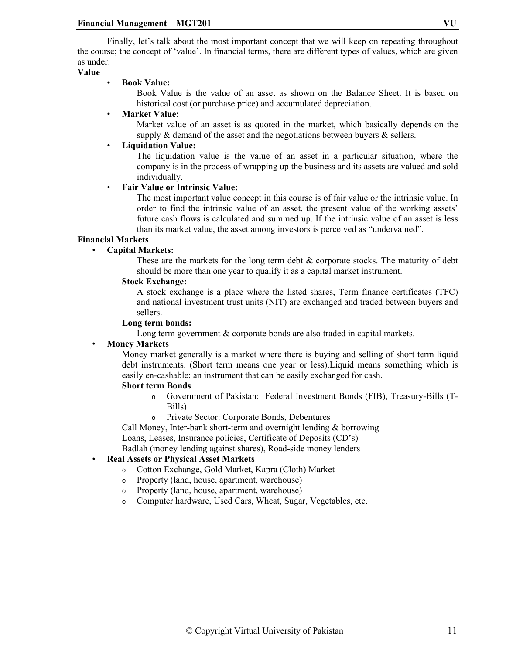Finally, let's talk about the most important concept that we will keep on repeating throughout the course; the concept of 'value'. In financial terms, there are different types of values, which are given as under.

## **Value**

#### • **Book Value:**

Book Value is the value of an asset as shown on the Balance Sheet. It is based on historical cost (or purchase price) and accumulated depreciation.

## • **Market Value:**

Market value of an asset is as quoted in the market, which basically depends on the supply  $\&$  demand of the asset and the negotiations between buyers  $\&$  sellers.

## • **Liquidation Value:**

The liquidation value is the value of an asset in a particular situation, where the company is in the process of wrapping up the business and its assets are valued and sold individually.

#### • **Fair Value or Intrinsic Value:**

The most important value concept in this course is of fair value or the intrinsic value. In order to find the intrinsic value of an asset, the present value of the working assets' future cash flows is calculated and summed up. If the intrinsic value of an asset is less than its market value, the asset among investors is perceived as "undervalued".

#### **Financial Markets**

#### • **Capital Markets:**

These are the markets for the long term debt  $\&$  corporate stocks. The maturity of debt should be more than one year to qualify it as a capital market instrument.

#### **Stock Exchange:**

A stock exchange is a place where the listed shares, Term finance certificates (TFC) and national investment trust units (NIT) are exchanged and traded between buyers and sellers.

#### **Long term bonds:**

Long term government & corporate bonds are also traded in capital markets.

#### • **Money Markets**

Money market generally is a market where there is buying and selling of short term liquid debt instruments. (Short term means one year or less).Liquid means something which is easily en-cashable; an instrument that can be easily exchanged for cash.

#### **Short term Bonds**

- o Government of Pakistan: Federal Investment Bonds (FIB), Treasury-Bills (T-Bills)
- o Private Sector: Corporate Bonds, Debentures

Call Money, Inter-bank short-term and overnight lending & borrowing Loans, Leases, Insurance policies, Certificate of Deposits (CD's) Badlah (money lending against shares), Road-side money lenders

## • **Real Assets or Physical Asset Markets**

- o Cotton Exchange, Gold Market, Kapra (Cloth) Market
- o Property (land, house, apartment, warehouse)
- o Property (land, house, apartment, warehouse)
- o Computer hardware, Used Cars, Wheat, Sugar, Vegetables, etc.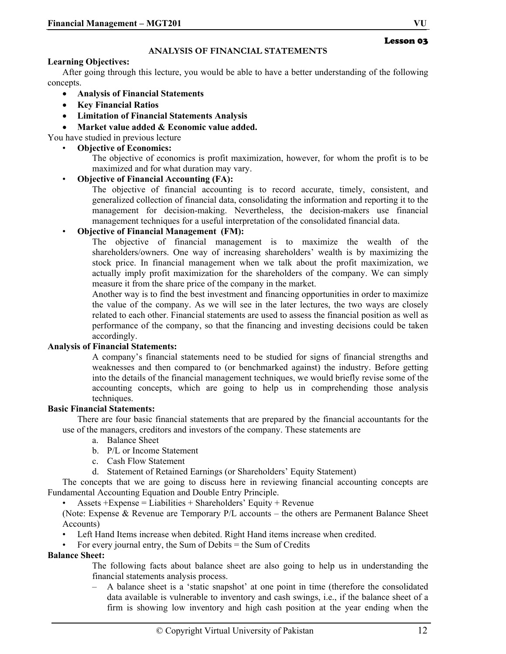#### **Learning Objectives:**

After going through this lecture, you would be able to have a better understanding of the following concepts.

- **Analysis of Financial Statements**
- **Key Financial Ratios**
- **Limitation of Financial Statements Analysis**
- **Market value added & Economic value added.**

You have studied in previous lecture

• **Objective of Economics:** 

The objective of economics is profit maximization, however, for whom the profit is to be maximized and for what duration may vary.

#### • **Objective of Financial Accounting (FA):**

The objective of financial accounting is to record accurate, timely, consistent, and generalized collection of financial data, consolidating the information and reporting it to the management for decision-making. Nevertheless, the decision-makers use financial management techniques for a useful interpretation of the consolidated financial data.

#### • **Objective of Financial Management (FM):**

The objective of financial management is to maximize the wealth of the shareholders/owners. One way of increasing shareholders' wealth is by maximizing the stock price. In financial management when we talk about the profit maximization, we actually imply profit maximization for the shareholders of the company. We can simply measure it from the share price of the company in the market.

Another way is to find the best investment and financing opportunities in order to maximize the value of the company. As we will see in the later lectures, the two ways are closely related to each other. Financial statements are used to assess the financial position as well as performance of the company, so that the financing and investing decisions could be taken accordingly.

#### **Analysis of Financial Statements:**

A company's financial statements need to be studied for signs of financial strengths and weaknesses and then compared to (or benchmarked against) the industry. Before getting into the details of the financial management techniques, we would briefly revise some of the accounting concepts, which are going to help us in comprehending those analysis techniques.

#### **Basic Financial Statements:**

There are four basic financial statements that are prepared by the financial accountants for the use of the managers, creditors and investors of the company. These statements are

- a. Balance Sheet
- b. P/L or Income Statement
- c. Cash Flow Statement
- d. Statement of Retained Earnings (or Shareholders' Equity Statement)

The concepts that we are going to discuss here in reviewing financial accounting concepts are Fundamental Accounting Equation and Double Entry Principle.

• Assets  $+E$ xpense = Liabilities + Shareholders' Equity + Revenue

(Note: Expense & Revenue are Temporary P/L accounts – the others are Permanent Balance Sheet Accounts)

Left Hand Items increase when debited. Right Hand items increase when credited.

• For every journal entry, the Sum of Debits = the Sum of Credits

#### **Balance Sheet:**

The following facts about balance sheet are also going to help us in understanding the financial statements analysis process.

– A balance sheet is a 'static snapshot' at one point in time (therefore the consolidated data available is vulnerable to inventory and cash swings, i.e., if the balance sheet of a firm is showing low inventory and high cash position at the year ending when the

## Lesson 03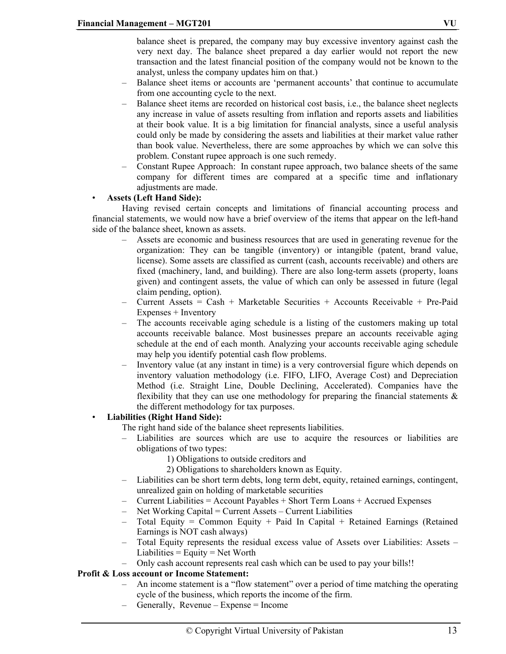balance sheet is prepared, the company may buy excessive inventory against cash the very next day. The balance sheet prepared a day earlier would not report the new transaction and the latest financial position of the company would not be known to the analyst, unless the company updates him on that.)

- Balance sheet items or accounts are 'permanent accounts' that continue to accumulate from one accounting cycle to the next.
- Balance sheet items are recorded on historical cost basis, i.e., the balance sheet neglects any increase in value of assets resulting from inflation and reports assets and liabilities at their book value. It is a big limitation for financial analysts, since a useful analysis could only be made by considering the assets and liabilities at their market value rather than book value. Nevertheless, there are some approaches by which we can solve this problem. Constant rupee approach is one such remedy.
- Constant Rupee Approach: In constant rupee approach, two balance sheets of the same company for different times are compared at a specific time and inflationary adjustments are made.

## • **Assets (Left Hand Side):**

Having revised certain concepts and limitations of financial accounting process and financial statements, we would now have a brief overview of the items that appear on the left-hand side of the balance sheet, known as assets.

- Assets are economic and business resources that are used in generating revenue for the organization: They can be tangible (inventory) or intangible (patent, brand value, license). Some assets are classified as current (cash, accounts receivable) and others are fixed (machinery, land, and building). There are also long-term assets (property, loans given) and contingent assets, the value of which can only be assessed in future (legal claim pending, option).
- Current Assets = Cash + Marketable Securities + Accounts Receivable + Pre-Paid Expenses + Inventory
- The accounts receivable aging schedule is a listing of the customers making up total accounts receivable balance. Most businesses prepare an accounts receivable aging schedule at the end of each month. Analyzing your accounts receivable aging schedule may help you identify potential cash flow problems.
- Inventory value (at any instant in time) is a very controversial figure which depends on inventory valuation methodology (i.e. FIFO, LIFO, Average Cost) and Depreciation Method (i.e. Straight Line, Double Declining, Accelerated). Companies have the flexibility that they can use one methodology for preparing the financial statements  $\&$ the different methodology for tax purposes.

## • **Liabilities (Right Hand Side):**

The right hand side of the balance sheet represents liabilities.

- Liabilities are sources which are use to acquire the resources or liabilities are obligations of two types:
	- 1) Obligations to outside creditors and
	- 2) Obligations to shareholders known as Equity.
- Liabilities can be short term debts, long term debt, equity, retained earnings, contingent, unrealized gain on holding of marketable securities
- $-$  Current Liabilities  $=$  Account Payables  $+$  Short Term Loans  $+$  Accrued Expenses
- Net Working Capital = Current Assets Current Liabilities
- Total Equity = Common Equity + Paid In Capital + Retained Earnings (Retained Earnings is NOT cash always)
- Total Equity represents the residual excess value of Assets over Liabilities: Assets Liabilities  $=$  Equity  $=$  Net Worth
- Only cash account represents real cash which can be used to pay your bills!!

## **Profit & Loss account or Income Statement:**

- An income statement is a "flow statement" over a period of time matching the operating cycle of the business, which reports the income of the firm.
- Generally, Revenue Expense = Income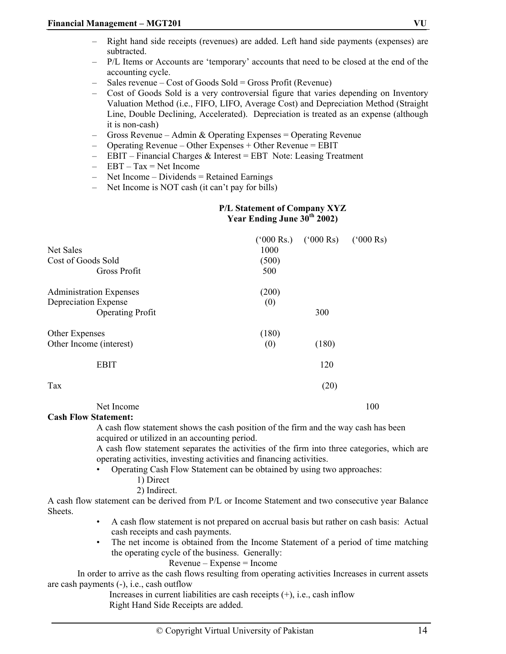- Right hand side receipts (revenues) are added. Left hand side payments (expenses) are subtracted.
- P/L Items or Accounts are 'temporary' accounts that need to be closed at the end of the accounting cycle.
- Sales revenue Cost of Goods Sold = Gross Profit (Revenue)
- Cost of Goods Sold is a very controversial figure that varies depending on Inventory Valuation Method (i.e., FIFO, LIFO, Average Cost) and Depreciation Method (Straight Line, Double Declining, Accelerated). Depreciation is treated as an expense (although it is non-cash)
- Gross Revenue Admin & Operating Expenses = Operating Revenue
- Operating Revenue Other Expenses + Other Revenue = EBIT
- $-$  EBIT Financial Charges & Interest = EBT Note: Leasing Treatment
- $-$  EBT Tax = Net Income
- $-$  Net Income Dividends = Retained Earnings
- Net Income is NOT cash (it can't pay for bills)

#### **P/L Statement of Company XYZ Year Ending June 30th 2002)**

|                                |       | $(^{o}000 \text{ Rs.})$ $(^{o}000 \text{ Rs})$ | $(000 \text{ Rs})$ |
|--------------------------------|-------|------------------------------------------------|--------------------|
| Net Sales                      | 1000  |                                                |                    |
| Cost of Goods Sold             | (500) |                                                |                    |
| Gross Profit                   | 500   |                                                |                    |
| <b>Administration Expenses</b> | (200) |                                                |                    |
| Depreciation Expense           | (0)   |                                                |                    |
| <b>Operating Profit</b>        |       | 300                                            |                    |
| Other Expenses                 | (180) |                                                |                    |
| Other Income (interest)        | (0)   | (180)                                          |                    |
| <b>EBIT</b>                    |       | 120                                            |                    |
| Tax                            |       | (20)                                           |                    |
|                                |       |                                                |                    |

Net Income 100

**Cash Flow Statement:** 

A cash flow statement shows the cash position of the firm and the way cash has been acquired or utilized in an accounting period.

A cash flow statement separates the activities of the firm into three categories, which are operating activities, investing activities and financing activities.

- Operating Cash Flow Statement can be obtained by using two approaches:
	- 1) Direct
	- 2) Indirect.

A cash flow statement can be derived from P/L or Income Statement and two consecutive year Balance **Sheets**.

- A cash flow statement is not prepared on accrual basis but rather on cash basis: Actual cash receipts and cash payments.
- The net income is obtained from the Income Statement of a period of time matching the operating cycle of the business. Generally:

Revenue – Expense = Income

 In order to arrive as the cash flows resulting from operating activities Increases in current assets are cash payments (-), i.e., cash outflow

 Increases in current liabilities are cash receipts (+), i.e., cash inflow Right Hand Side Receipts are added.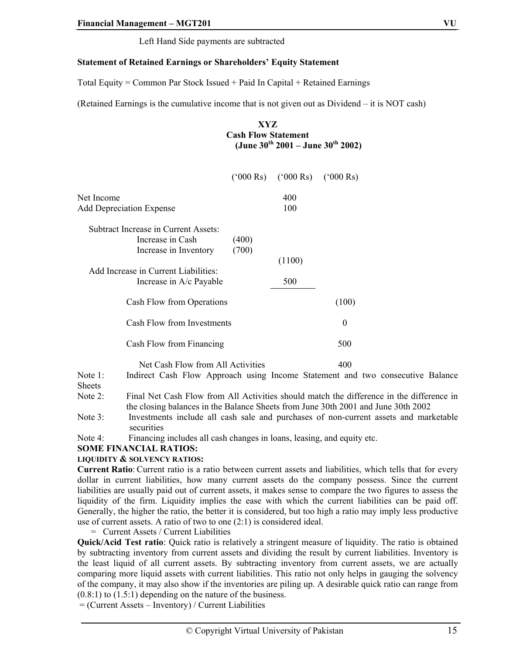Left Hand Side payments are subtracted

## **Statement of Retained Earnings or Shareholders' Equity Statement**

Total Equity = Common Par Stock Issued + Paid In Capital + Retained Earnings

(Retained Earnings is the cumulative income that is not given out as Dividend – it is NOT cash)

**XYZ Cash Flow Statement (June 30th 2001 – June 30th 2002)** 

|                                                                                                                                                      | $(^{o}000 \text{ Rs})$ | $(^{o}000 \text{ Rs})$ | $(^{6}000 \text{ Rs})$ |
|------------------------------------------------------------------------------------------------------------------------------------------------------|------------------------|------------------------|------------------------|
| Net Income<br><b>Add Depreciation Expense</b>                                                                                                        |                        | 400<br>100             |                        |
| Subtract Increase in Current Assets:<br>Increase in Cash<br>Increase in Inventory<br>Add Increase in Current Liabilities:<br>Increase in A/c Payable | (400)<br>(700)         | (1100)<br>500          |                        |
| Cash Flow from Operations                                                                                                                            |                        |                        | (100)                  |
| Cash Flow from Investments                                                                                                                           | $\theta$               |                        |                        |
| Cash Flow from Financing                                                                                                                             | 500                    |                        |                        |
| Net Cash Flow from All Activities                                                                                                                    |                        |                        | 400                    |

Note 1: Indirect Cash Flow Approach using Income Statement and two consecutive Balance Sheets

Note 2: Final Net Cash Flow from All Activities should match the difference in the difference in the closing balances in the Balance Sheets from June 30th 2001 and June 30th 2002

Note 3: Investments include all cash sale and purchases of non-current assets and marketable securities

Note 4: Financing includes all cash changes in loans, leasing, and equity etc.

## **SOME FINANCIAL RATIOS:**

## **LIQUIDITY & SOLVENCY RATIOS:**

**Current Ratio**: Current ratio is a ratio between current assets and liabilities, which tells that for every dollar in current liabilities, how many current assets do the company possess. Since the current liabilities are usually paid out of current assets, it makes sense to compare the two figures to assess the liquidity of the firm. Liquidity implies the ease with which the current liabilities can be paid off. Generally, the higher the ratio, the better it is considered, but too high a ratio may imply less productive use of current assets. A ratio of two to one (2:1) is considered ideal.

= Current Assets / Current Liabilities

**Quick/Acid Test ratio**: Quick ratio is relatively a stringent measure of liquidity. The ratio is obtained by subtracting inventory from current assets and dividing the result by current liabilities. Inventory is the least liquid of all current assets. By subtracting inventory from current assets, we are actually comparing more liquid assets with current liabilities. This ratio not only helps in gauging the solvency of the company, it may also show if the inventories are piling up. A desirable quick ratio can range from  $(0.8:1)$  to  $(1.5:1)$  depending on the nature of the business.

= (Current Assets – Inventory) / Current Liabilities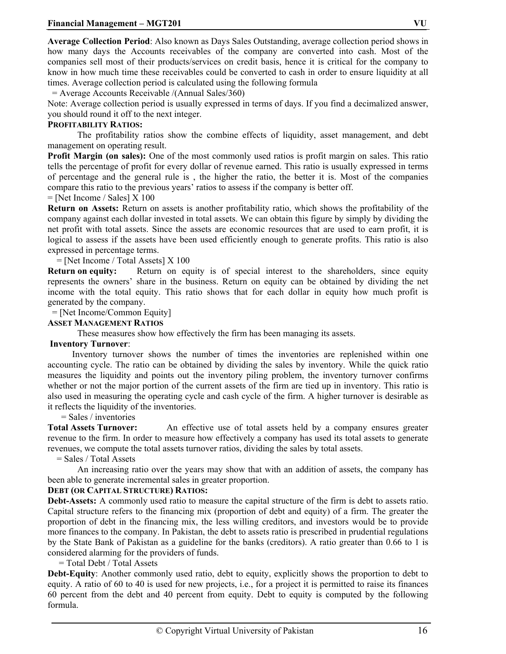**Average Collection Period**: Also known as Days Sales Outstanding, average collection period shows in how many days the Accounts receivables of the company are converted into cash. Most of the companies sell most of their products/services on credit basis, hence it is critical for the company to know in how much time these receivables could be converted to cash in order to ensure liquidity at all times. Average collection period is calculated using the following formula

= Average Accounts Receivable /(Annual Sales/360)

Note: Average collection period is usually expressed in terms of days. If you find a decimalized answer, you should round it off to the next integer.

## **PROFITABILITY RATIOS:**

 The profitability ratios show the combine effects of liquidity, asset management, and debt management on operating result.

**Profit Margin (on sales):** One of the most commonly used ratios is profit margin on sales. This ratio tells the percentage of profit for every dollar of revenue earned. This ratio is usually expressed in terms of percentage and the general rule is , the higher the ratio, the better it is. Most of the companies compare this ratio to the previous years' ratios to assess if the company is better off.

 $=$  [Net Income / Sales]  $X$  100

**Return on Assets:** Return on assets is another profitability ratio, which shows the profitability of the company against each dollar invested in total assets. We can obtain this figure by simply by dividing the net profit with total assets. Since the assets are economic resources that are used to earn profit, it is logical to assess if the assets have been used efficiently enough to generate profits. This ratio is also expressed in percentage terms.

 $=$  [Net Income / Total Assets]  $X$  100

**Return on equity:** Return on equity is of special interest to the shareholders, since equity represents the owners' share in the business. Return on equity can be obtained by dividing the net income with the total equity. This ratio shows that for each dollar in equity how much profit is generated by the company.

## = [Net Income/Common Equity]

#### **ASSET MANAGEMENT RATIOS**

These measures show how effectively the firm has been managing its assets.

#### **Inventory Turnover**:

 Inventory turnover shows the number of times the inventories are replenished within one accounting cycle. The ratio can be obtained by dividing the sales by inventory. While the quick ratio measures the liquidity and points out the inventory piling problem, the inventory turnover confirms whether or not the major portion of the current assets of the firm are tied up in inventory. This ratio is also used in measuring the operating cycle and cash cycle of the firm. A higher turnover is desirable as it reflects the liquidity of the inventories.

= Sales / inventories

**Total Assets Turnover:** An effective use of total assets held by a company ensures greater revenue to the firm. In order to measure how effectively a company has used its total assets to generate revenues, we compute the total assets turnover ratios, dividing the sales by total assets.

= Sales / Total Assets

 An increasing ratio over the years may show that with an addition of assets, the company has been able to generate incremental sales in greater proportion.

#### **DEBT (OR CAPITAL STRUCTURE) RATIOS:**

**Debt-Assets:** A commonly used ratio to measure the capital structure of the firm is debt to assets ratio. Capital structure refers to the financing mix (proportion of debt and equity) of a firm. The greater the proportion of debt in the financing mix, the less willing creditors, and investors would be to provide more finances to the company. In Pakistan, the debt to assets ratio is prescribed in prudential regulations by the State Bank of Pakistan as a guideline for the banks (creditors). A ratio greater than 0.66 to 1 is considered alarming for the providers of funds.

= Total Debt / Total Assets

**Debt-Equity:** Another commonly used ratio, debt to equity, explicitly shows the proportion to debt to equity. A ratio of 60 to 40 is used for new projects, i.e., for a project it is permitted to raise its finances 60 percent from the debt and 40 percent from equity. Debt to equity is computed by the following formula.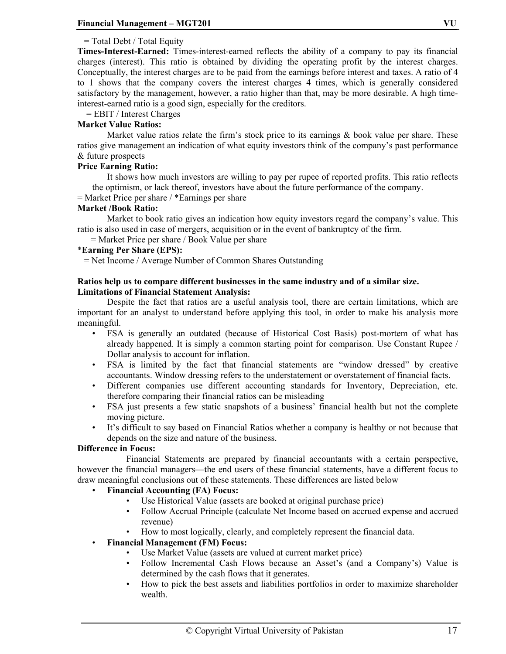## = Total Debt / Total Equity

**Times-Interest-Earned:** Times-interest-earned reflects the ability of a company to pay its financial charges (interest). This ratio is obtained by dividing the operating profit by the interest charges. Conceptually, the interest charges are to be paid from the earnings before interest and taxes. A ratio of 4 to 1 shows that the company covers the interest charges 4 times, which is generally considered satisfactory by the management, however, a ratio higher than that, may be more desirable. A high timeinterest-earned ratio is a good sign, especially for the creditors.

= EBIT / Interest Charges

#### **Market Value Ratios:**

Market value ratios relate the firm's stock price to its earnings  $\&$  book value per share. These ratios give management an indication of what equity investors think of the company's past performance & future prospects

#### **Price Earning Ratio:**

It shows how much investors are willing to pay per rupee of reported profits. This ratio reflects the optimism, or lack thereof, investors have about the future performance of the company.

= Market Price per share / \*Earnings per share

#### **Market /Book Ratio:**

Market to book ratio gives an indication how equity investors regard the company's value. This ratio is also used in case of mergers, acquisition or in the event of bankruptcy of the firm.

= Market Price per share / Book Value per share

## \***Earning Per Share (EPS):**

= Net Income / Average Number of Common Shares Outstanding

#### **Ratios help us to compare different businesses in the same industry and of a similar size. Limitations of Financial Statement Analysis:**

 Despite the fact that ratios are a useful analysis tool, there are certain limitations, which are important for an analyst to understand before applying this tool, in order to make his analysis more meaningful.

- FSA is generally an outdated (because of Historical Cost Basis) post-mortem of what has already happened. It is simply a common starting point for comparison. Use Constant Rupee / Dollar analysis to account for inflation.
- FSA is limited by the fact that financial statements are "window dressed" by creative accountants. Window dressing refers to the understatement or overstatement of financial facts.
- Different companies use different accounting standards for Inventory, Depreciation, etc. therefore comparing their financial ratios can be misleading
- FSA just presents a few static snapshots of a business' financial health but not the complete moving picture.
- It's difficult to say based on Financial Ratios whether a company is healthy or not because that depends on the size and nature of the business.

#### **Difference in Focus:**

 Financial Statements are prepared by financial accountants with a certain perspective, however the financial managers—the end users of these financial statements, have a different focus to draw meaningful conclusions out of these statements. These differences are listed below

## • **Financial Accounting (FA) Focus:**

- Use Historical Value (assets are booked at original purchase price)
- Follow Accrual Principle (calculate Net Income based on accrued expense and accrued revenue)
- How to most logically, clearly, and completely represent the financial data.

## • **Financial Management (FM) Focus:**

- Use Market Value (assets are valued at current market price)
- Follow Incremental Cash Flows because an Asset's (and a Company's) Value is determined by the cash flows that it generates.
- How to pick the best assets and liabilities portfolios in order to maximize shareholder wealth.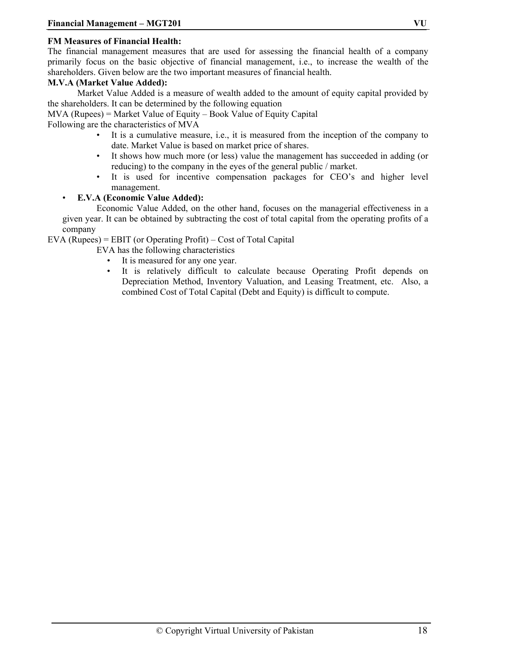## **FM Measures of Financial Health:**

The financial management measures that are used for assessing the financial health of a company primarily focus on the basic objective of financial management, i.e., to increase the wealth of the shareholders. Given below are the two important measures of financial health.

#### **M.V.A (Market Value Added):**

 Market Value Added is a measure of wealth added to the amount of equity capital provided by the shareholders. It can be determined by the following equation

MVA (Rupees) = Market Value of Equity – Book Value of Equity Capital

Following are the characteristics of MVA

- It is a cumulative measure, i.e., it is measured from the inception of the company to date. Market Value is based on market price of shares.
- It shows how much more (or less) value the management has succeeded in adding (or reducing) to the company in the eyes of the general public / market.
- It is used for incentive compensation packages for CEO's and higher level management.

## • **E.V.A (Economic Value Added):**

 Economic Value Added, on the other hand, focuses on the managerial effectiveness in a given year. It can be obtained by subtracting the cost of total capital from the operating profits of a company

EVA (Rupees) = EBIT (or Operating Profit) – Cost of Total Capital

EVA has the following characteristics

- It is measured for any one year.
- It is relatively difficult to calculate because Operating Profit depends on Depreciation Method, Inventory Valuation, and Leasing Treatment, etc. Also, a combined Cost of Total Capital (Debt and Equity) is difficult to compute.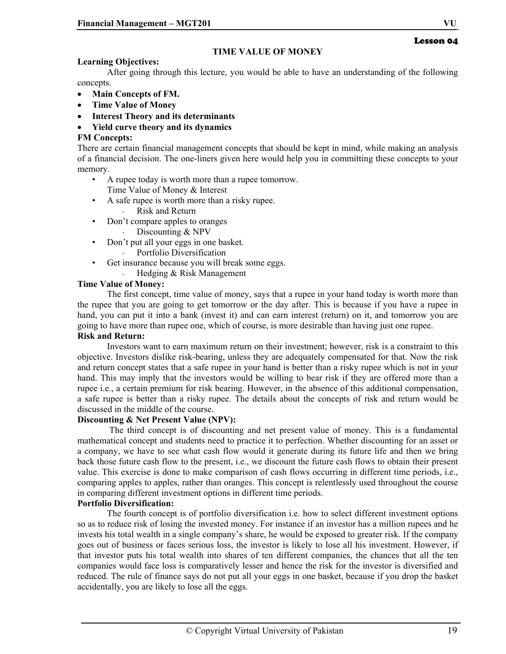## **TIME VALUE OF MONEY**

## **Learning Objectives:**

 After going through this lecture, you would be able to have an understanding of the following concepts.

- **Main Concepts of FM.**
- **Time Value of Money**
- **Interest Theory and its determinants**
- **Yield curve theory and its dynamics**

## **FM Concepts:**

There are certain financial management concepts that should be kept in mind, while making an analysis of a financial decision. The one-liners given here would help you in committing these concepts to your memory.

- A rupee today is worth more than a rupee tomorrow. Time Value of Money & Interest
- A safe rupee is worth more than a risky rupee.
	- Risk and Return
- Don't compare apples to oranges
	- Discounting & NPV
- Don't put all your eggs in one basket.
	- Portfolio Diversification
- Get insurance because you will break some eggs.
	- Hedging & Risk Management

## **Time Value of Money:**

The first concept, time value of money, says that a rupee in your hand today is worth more than the rupee that you are going to get tomorrow or the day after. This is because if you have a rupee in hand, you can put it into a bank (invest it) and can earn interest (return) on it, and tomorrow you are going to have more than rupee one, which of course, is more desirable than having just one rupee.

## **Risk and Return:**

Investors want to earn maximum return on their investment; however, risk is a constraint to this objective. Investors dislike risk-bearing, unless they are adequately compensated for that. Now the risk and return concept states that a safe rupee in your hand is better than a risky rupee which is not in your hand. This may imply that the investors would be willing to bear risk if they are offered more than a rupee i.e., a certain premium for risk bearing. However, in the absence of this additional compensation, a safe rupee is better than a risky rupee. The details about the concepts of risk and return would be discussed in the middle of the course.

## **Discounting & Net Present Value (NPV):**

 The third concept is of discounting and net present value of money. This is a fundamental mathematical concept and students need to practice it to perfection. Whether discounting for an asset or a company, we have to see what cash flow would it generate during its future life and then we bring back those future cash flow to the present, i.e., we discount the future cash flows to obtain their present value. This exercise is done to make comparison of cash flows occurring in different time periods, i.e., comparing apples to apples, rather than oranges. This concept is relentlessly used throughout the course in comparing different investment options in different time periods.

## **Portfolio Diversification:**

The fourth concept is of portfolio diversification i.e. how to select different investment options so as to reduce risk of losing the invested money. For instance if an investor has a million rupees and he invests his total wealth in a single company's share, he would be exposed to greater risk. If the company goes out of business or faces serious loss, the investor is likely to lose all his investment. However, if that investor puts his total wealth into shares of ten different companies, the chances that all the ten companies would face loss is comparatively lesser and hence the risk for the investor is diversified and reduced. The rule of finance says do not put all your eggs in one basket, because if you drop the basket accidentally, you are likely to lose all the eggs.

Lesson 04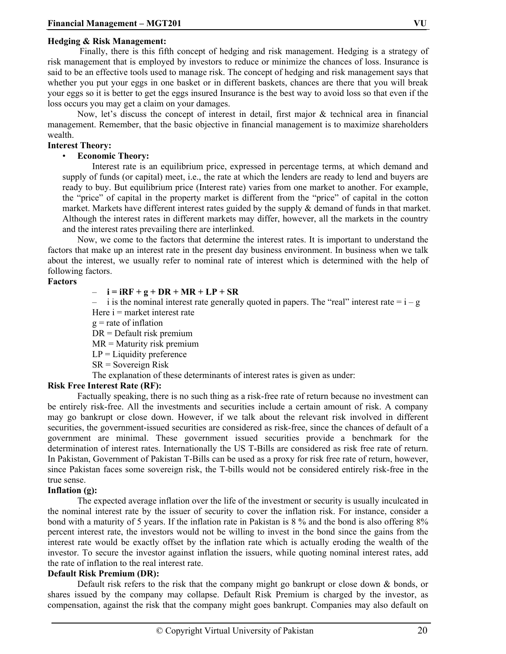#### **Hedging & Risk Management:**

 Finally, there is this fifth concept of hedging and risk management. Hedging is a strategy of risk management that is employed by investors to reduce or minimize the chances of loss. Insurance is said to be an effective tools used to manage risk. The concept of hedging and risk management says that whether you put your eggs in one basket or in different baskets, chances are there that you will break your eggs so it is better to get the eggs insured Insurance is the best way to avoid loss so that even if the loss occurs you may get a claim on your damages.

Now, let's discuss the concept of interest in detail, first major & technical area in financial management. Remember, that the basic objective in financial management is to maximize shareholders wealth.

#### **Interest Theory:**

#### • **Economic Theory:**

Interest rate is an equilibrium price, expressed in percentage terms, at which demand and supply of funds (or capital) meet, i.e., the rate at which the lenders are ready to lend and buyers are ready to buy. But equilibrium price (Interest rate) varies from one market to another. For example, the "price" of capital in the property market is different from the "price" of capital in the cotton market. Markets have different interest rates guided by the supply  $\&$  demand of funds in that market. Although the interest rates in different markets may differ, however, all the markets in the country and the interest rates prevailing there are interlinked.

Now, we come to the factors that determine the interest rates. It is important to understand the factors that make up an interest rate in the present day business environment. In business when we talk about the interest, we usually refer to nominal rate of interest which is determined with the help of following factors.

#### **Factors**

#### – **i = iRF + g + DR + MR + LP + SR**

– i is the nominal interest rate generally quoted in papers. The "real" interest rate  $= i - g$ Here  $i =$  market interest rate

 $g$  = rate of inflation

DR = Default risk premium

 $MR = M_{\text{aturity}}$  risk premium

 $LP =$  Liquidity preference

SR = Sovereign Risk

The explanation of these determinants of interest rates is given as under:

## **Risk Free Interest Rate (RF):**

 Factually speaking, there is no such thing as a risk-free rate of return because no investment can be entirely risk-free. All the investments and securities include a certain amount of risk. A company may go bankrupt or close down. However, if we talk about the relevant risk involved in different securities, the government-issued securities are considered as risk-free, since the chances of default of a government are minimal. These government issued securities provide a benchmark for the determination of interest rates. Internationally the US T-Bills are considered as risk free rate of return. In Pakistan, Government of Pakistan T-Bills can be used as a proxy for risk free rate of return, however, since Pakistan faces some sovereign risk, the T-bills would not be considered entirely risk-free in the true sense.

#### **Inflation (g):**

 The expected average inflation over the life of the investment or security is usually inculcated in the nominal interest rate by the issuer of security to cover the inflation risk. For instance, consider a bond with a maturity of 5 years. If the inflation rate in Pakistan is 8 % and the bond is also offering 8% percent interest rate, the investors would not be willing to invest in the bond since the gains from the interest rate would be exactly offset by the inflation rate which is actually eroding the wealth of the investor. To secure the investor against inflation the issuers, while quoting nominal interest rates, add the rate of inflation to the real interest rate.

#### **Default Risk Premium (DR):**

Default risk refers to the risk that the company might go bankrupt or close down & bonds, or shares issued by the company may collapse. Default Risk Premium is charged by the investor, as compensation, against the risk that the company might goes bankrupt. Companies may also default on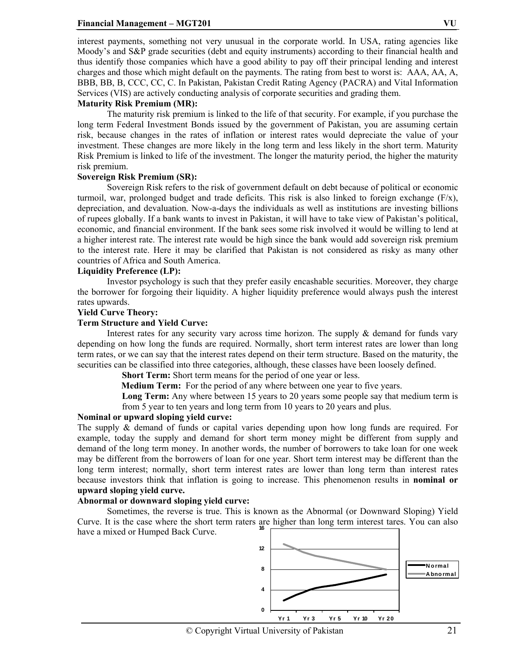#### **Financial Management – MGT201 VU**

interest payments, something not very unusual in the corporate world. In USA, rating agencies like Moody's and S&P grade securities (debt and equity instruments) according to their financial health and thus identify those companies which have a good ability to pay off their principal lending and interest charges and those which might default on the payments. The rating from best to worst is: AAA, AA, A, BBB, BB, B, CCC, CC, C. In Pakistan, Pakistan Credit Rating Agency (PACRA) and Vital Information Services (VIS) are actively conducting analysis of corporate securities and grading them.

#### **Maturity Risk Premium (MR):**

 The maturity risk premium is linked to the life of that security. For example, if you purchase the long term Federal Investment Bonds issued by the government of Pakistan, you are assuming certain risk, because changes in the rates of inflation or interest rates would depreciate the value of your investment. These changes are more likely in the long term and less likely in the short term. Maturity Risk Premium is linked to life of the investment. The longer the maturity period, the higher the maturity risk premium.

#### **Sovereign Risk Premium (SR):**

 Sovereign Risk refers to the risk of government default on debt because of political or economic turmoil, war, prolonged budget and trade deficits. This risk is also linked to foreign exchange  $(F/x)$ , depreciation, and devaluation. Now-a-days the individuals as well as institutions are investing billions of rupees globally. If a bank wants to invest in Pakistan, it will have to take view of Pakistan's political, economic, and financial environment. If the bank sees some risk involved it would be willing to lend at a higher interest rate. The interest rate would be high since the bank would add sovereign risk premium to the interest rate. Here it may be clarified that Pakistan is not considered as risky as many other countries of Africa and South America.

#### **Liquidity Preference (LP):**

 Investor psychology is such that they prefer easily encashable securities. Moreover, they charge the borrower for forgoing their liquidity. A higher liquidity preference would always push the interest rates upwards.

#### **Yield Curve Theory:**

#### **Term Structure and Yield Curve:**

 Interest rates for any security vary across time horizon. The supply & demand for funds vary depending on how long the funds are required. Normally, short term interest rates are lower than long term rates, or we can say that the interest rates depend on their term structure. Based on the maturity, the securities can be classified into three categories, although, these classes have been loosely defined.

**Short Term:** Short term means for the period of one year or less.

**Medium Term:** For the period of any where between one year to five years.

**Long Term:** Any where between 15 years to 20 years some people say that medium term is from 5 year to ten years and long term from 10 years to 20 years and plus.

#### **Nominal or upward sloping yield curve:**

The supply & demand of funds or capital varies depending upon how long funds are required. For example, today the supply and demand for short term money might be different from supply and demand of the long term money. In another words, the number of borrowers to take loan for one week may be different from the borrowers of loan for one year. Short term interest may be different than the long term interest; normally, short term interest rates are lower than long term than interest rates because investors think that inflation is going to increase. This phenomenon results in **nominal or upward sloping yield curve.** 

#### **Abnormal or downward sloping yield curve:**

 Sometimes, the reverse is true. This is known as the Abnormal (or Downward Sloping) Yield Curve. It is the case where the short term raters are higher than long term interest tares. You can also have a mixed or Humped Back Curve. **16**

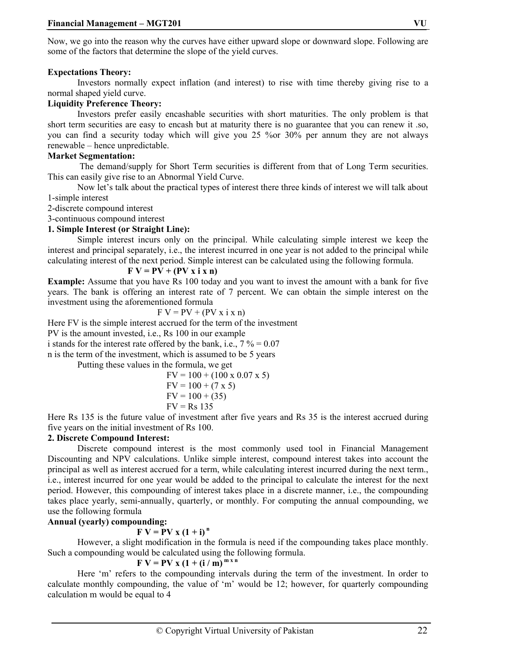Now, we go into the reason why the curves have either upward slope or downward slope. Following are some of the factors that determine the slope of the yield curves.

## **Expectations Theory:**

 Investors normally expect inflation (and interest) to rise with time thereby giving rise to a normal shaped yield curve.

## **Liquidity Preference Theory:**

 Investors prefer easily encashable securities with short maturities. The only problem is that short term securities are easy to encash but at maturity there is no guarantee that you can renew it .so, you can find a security today which will give you 25 %or 30% per annum they are not always renewable – hence unpredictable.

## **Market Segmentation:**

 The demand/supply for Short Term securities is different from that of Long Term securities. This can easily give rise to an Abnormal Yield Curve.

 Now let's talk about the practical types of interest there three kinds of interest we will talk about 1-simple interest

2-discrete compound interest

3-continuous compound interest

## **1. Simple Interest (or Straight Line):**

 Simple interest incurs only on the principal. While calculating simple interest we keep the interest and principal separately, i.e., the interest incurred in one year is not added to the principal while calculating interest of the next period. Simple interest can be calculated using the following formula.

## $\mathbf{F} \mathbf{V} = \mathbf{P} \mathbf{V} + (\mathbf{P} \mathbf{V} \mathbf{x} \mathbf{i} \mathbf{x} \mathbf{n})$

**Example:** Assume that you have Rs 100 today and you want to invest the amount with a bank for five years. The bank is offering an interest rate of 7 percent. We can obtain the simple interest on the investment using the aforementioned formula

$$
F V = PV + (PV x i x n)
$$

Here FV is the simple interest accrued for the term of the investment

PV is the amount invested, i.e., Rs 100 in our example

i stands for the interest rate offered by the bank, i.e.,  $7\% = 0.07$ 

n is the term of the investment, which is assumed to be 5 years

Putting these values in the formula, we get

$$
FV = 100 + (100 \times 0.07 \times 5)
$$
  
\n
$$
FV = 100 + (7 \times 5)
$$
  
\n
$$
FV = 100 + (35)
$$
  
\n
$$
FV = Rs 135
$$

Here Rs 135 is the future value of investment after five years and Rs 35 is the interest accrued during five years on the initial investment of Rs 100.

## **2. Discrete Compound Interest:**

 Discrete compound interest is the most commonly used tool in Financial Management Discounting and NPV calculations. Unlike simple interest, compound interest takes into account the principal as well as interest accrued for a term, while calculating interest incurred during the next term., i.e., interest incurred for one year would be added to the principal to calculate the interest for the next period. However, this compounding of interest takes place in a discrete manner, i.e., the compounding takes place yearly, semi-annually, quarterly, or monthly. For computing the annual compounding, we use the following formula

## **Annual (yearly) compounding:**

## $F V = PV x (1 + i)^n$

 However, a slight modification in the formula is need if the compounding takes place monthly. Such a compounding would be calculated using the following formula.

## $F V = PV x (1 + (i / m)^{m x n})$

 Here 'm' refers to the compounding intervals during the term of the investment. In order to calculate monthly compounding, the value of 'm' would be 12; however, for quarterly compounding calculation m would be equal to 4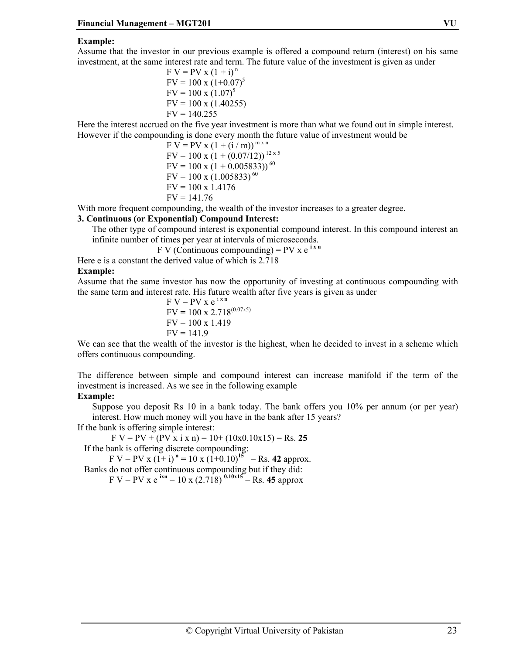#### **Example:**

Assume that the investor in our previous example is offered a compound return (interest) on his same investment, at the same interest rate and term. The future value of the investment is given as under

> $F V = PV x (1 + i)^n$  $FV = 100 \times (1+0.07)^5$  $\text{FV} = 100 \times (1.07)^5$  $FV = 100 \times (1.40255)$  $FV = 140.255$

Here the interest accrued on the five year investment is more than what we found out in simple interest. However if the compounding is done every month the future value of investment would be

$$
F V = PV x (1 + (i/m))^{m \times n}
$$
  
\n
$$
F V = 100 x (1 + (0.07/12))^{12 \times 5}
$$
  
\n
$$
F V = 100 x (1 + 0.005833))^{60}
$$
  
\n
$$
F V = 100 x (1.005833)^{60}
$$
  
\n
$$
F V = 100 x 1.4176
$$
  
\n
$$
F V = 141.76
$$

With more frequent compounding, the wealth of the investor increases to a greater degree.

#### **3. Continuous (or Exponential) Compound Interest:**

The other type of compound interest is exponential compound interest. In this compound interest an infinite number of times per year at intervals of microseconds.

 $F V$  (Continuous compounding) = PV x  $e^{i x n}$ 

Here e is a constant the derived value of which is 2.718

#### **Example:**

Assume that the same investor has now the opportunity of investing at continuous compounding with the same term and interest rate. His future wealth after five years is given as under

$$
F V = PV x e^{i x n}
$$
  
\n
$$
F V = 100 x 2.718^{(0.07x5)}
$$
  
\n
$$
F V = 100 x 1.419
$$
  
\n
$$
F V = 141.9
$$

We can see that the wealth of the investor is the highest, when he decided to invest in a scheme which offers continuous compounding.

The difference between simple and compound interest can increase manifold if the term of the investment is increased. As we see in the following example

#### **Example:**

Suppose you deposit Rs 10 in a bank today. The bank offers you 10% per annum (or per year) interest. How much money will you have in the bank after 15 years?

If the bank is offering simple interest:

 $F V = PV + (PV x i x n) = 10 + (10x0.10x15) = Rs. 25$ If the bank is offering discrete compounding:

 $F V = PV \times (1+i)^n = 10 \times (1+0.10)^{15} = Rs. 42$  approx. Banks do not offer continuous compounding but if they did:

 $F V = PV x e^{ixn} = 10 x (2.718)^{0.10x15} = Rs. 45 approx.$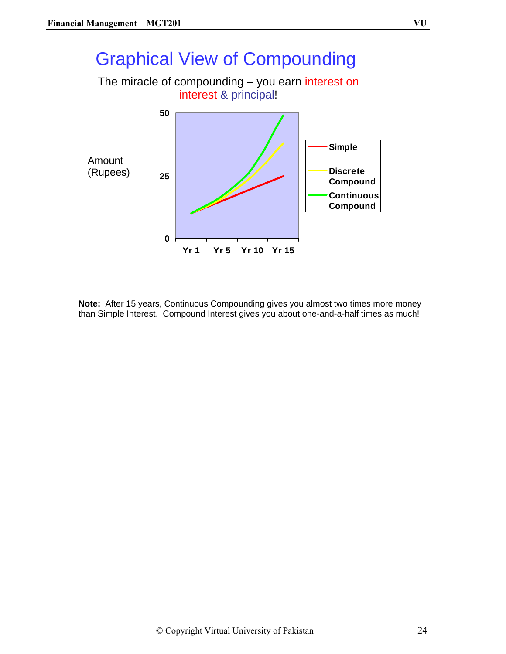# Graphical View of Compounding

The miracle of compounding – you earn interest on interest & principal!



**Note:** After 15 years, Continuous Compounding gives you almost two times more money than Simple Interest. Compound Interest gives you about one-and-a-half times as much!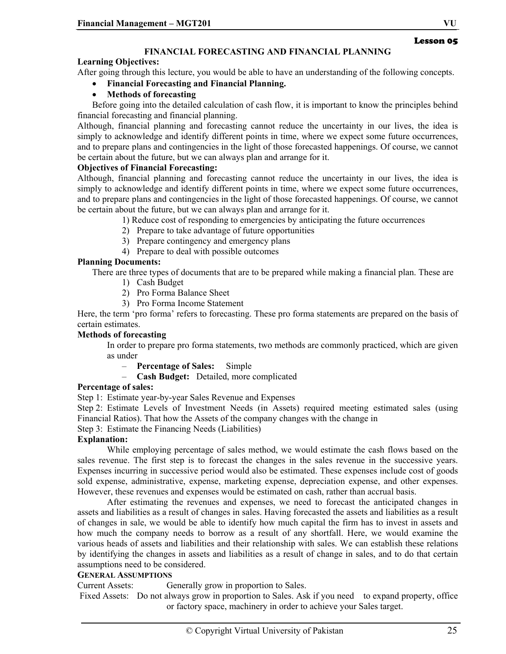## **FINANCIAL FORECASTING AND FINANCIAL PLANNING**

## **Learning Objectives:**

After going through this lecture, you would be able to have an understanding of the following concepts.

• **Financial Forecasting and Financial Planning.** 

## • **Methods of forecasting**

Before going into the detailed calculation of cash flow, it is important to know the principles behind financial forecasting and financial planning.

Although, financial planning and forecasting cannot reduce the uncertainty in our lives, the idea is simply to acknowledge and identify different points in time, where we expect some future occurrences, and to prepare plans and contingencies in the light of those forecasted happenings. Of course, we cannot be certain about the future, but we can always plan and arrange for it.

## **Objectives of Financial Forecasting:**

Although, financial planning and forecasting cannot reduce the uncertainty in our lives, the idea is simply to acknowledge and identify different points in time, where we expect some future occurrences, and to prepare plans and contingencies in the light of those forecasted happenings. Of course, we cannot be certain about the future, but we can always plan and arrange for it.

1) Reduce cost of responding to emergencies by anticipating the future occurrences

- 2) Prepare to take advantage of future opportunities
- 3) Prepare contingency and emergency plans
- 4) Prepare to deal with possible outcomes

## **Planning Documents:**

There are three types of documents that are to be prepared while making a financial plan. These are

- 1) Cash Budget
- 2) Pro Forma Balance Sheet
- 3) Pro Forma Income Statement

Here, the term 'pro forma' refers to forecasting. These pro forma statements are prepared on the basis of certain estimates.

## **Methods of forecasting**

In order to prepare pro forma statements, two methods are commonly practiced, which are given as under

- **Percentage of Sales:** Simple
- **Cash Budget:** Detailed, more complicated

#### **Percentage of sales:**

Step 1: Estimate year-by-year Sales Revenue and Expenses

Step 2: Estimate Levels of Investment Needs (in Assets) required meeting estimated sales (using Financial Ratios). That how the Assets of the company changes with the change in

Step 3: Estimate the Financing Needs (Liabilities)

## **Explanation:**

While employing percentage of sales method, we would estimate the cash flows based on the sales revenue. The first step is to forecast the changes in the sales revenue in the successive years. Expenses incurring in successive period would also be estimated. These expenses include cost of goods sold expense, administrative, expense, marketing expense, depreciation expense, and other expenses. However, these revenues and expenses would be estimated on cash, rather than accrual basis.

After estimating the revenues and expenses, we need to forecast the anticipated changes in assets and liabilities as a result of changes in sales. Having forecasted the assets and liabilities as a result of changes in sale, we would be able to identify how much capital the firm has to invest in assets and how much the company needs to borrow as a result of any shortfall. Here, we would examine the various heads of assets and liabilities and their relationship with sales. We can establish these relations by identifying the changes in assets and liabilities as a result of change in sales, and to do that certain assumptions need to be considered.

#### **GENERAL ASSUMPTIONS**

Current Assets: Generally grow in proportion to Sales.

 Fixed Assets: Do not always grow in proportion to Sales. Ask if you need to expand property, office or factory space, machinery in order to achieve your Sales target.

Lesson 05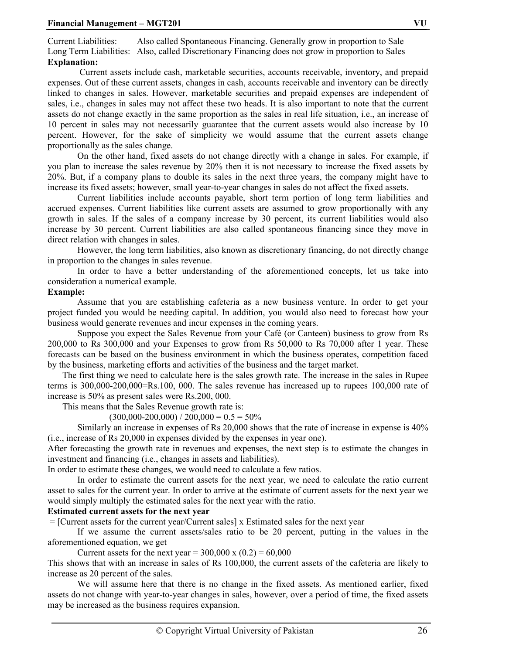Current Liabilities: Also called Spontaneous Financing. Generally grow in proportion to Sale Long Term Liabilities: Also, called Discretionary Financing does not grow in proportion to Sales **Explanation:** 

 Current assets include cash, marketable securities, accounts receivable, inventory, and prepaid expenses. Out of these current assets, changes in cash, accounts receivable and inventory can be directly linked to changes in sales. However, marketable securities and prepaid expenses are independent of sales, i.e., changes in sales may not affect these two heads. It is also important to note that the current assets do not change exactly in the same proportion as the sales in real life situation, i.e., an increase of 10 percent in sales may not necessarily guarantee that the current assets would also increase by 10 percent. However, for the sake of simplicity we would assume that the current assets change proportionally as the sales change.

On the other hand, fixed assets do not change directly with a change in sales. For example, if you plan to increase the sales revenue by 20% then it is not necessary to increase the fixed assets by 20%. But, if a company plans to double its sales in the next three years, the company might have to increase its fixed assets; however, small year-to-year changes in sales do not affect the fixed assets.

Current liabilities include accounts payable, short term portion of long term liabilities and accrued expenses. Current liabilities like current assets are assumed to grow proportionally with any growth in sales. If the sales of a company increase by 30 percent, its current liabilities would also increase by 30 percent. Current liabilities are also called spontaneous financing since they move in direct relation with changes in sales.

However, the long term liabilities, also known as discretionary financing, do not directly change in proportion to the changes in sales revenue.

In order to have a better understanding of the aforementioned concepts, let us take into consideration a numerical example.

#### **Example:**

Assume that you are establishing cafeteria as a new business venture. In order to get your project funded you would be needing capital. In addition, you would also need to forecast how your business would generate revenues and incur expenses in the coming years.

Suppose you expect the Sales Revenue from your Café (or Canteen) business to grow from Rs 200,000 to Rs 300,000 and your Expenses to grow from Rs 50,000 to Rs 70,000 after 1 year. These forecasts can be based on the business environment in which the business operates, competition faced by the business, marketing efforts and activities of the business and the target market.

The first thing we need to calculate here is the sales growth rate. The increase in the sales in Rupee terms is 300,000-200,000=Rs.100, 000. The sales revenue has increased up to rupees 100,000 rate of increase is 50% as present sales were Rs.200, 000.

This means that the Sales Revenue growth rate is:

 $(300,000-200,000) / 200,000 = 0.5 = 50\%$ 

Similarly an increase in expenses of Rs 20,000 shows that the rate of increase in expense is 40% (i.e., increase of Rs 20,000 in expenses divided by the expenses in year one).

After forecasting the growth rate in revenues and expenses, the next step is to estimate the changes in investment and financing (i.e., changes in assets and liabilities).

In order to estimate these changes, we would need to calculate a few ratios.

In order to estimate the current assets for the next year, we need to calculate the ratio current asset to sales for the current year. In order to arrive at the estimate of current assets for the next year we would simply multiply the estimated sales for the next year with the ratio.

#### **Estimated current assets for the next year**

= [Current assets for the current year/Current sales] x Estimated sales for the next year

If we assume the current assets/sales ratio to be 20 percent, putting in the values in the aforementioned equation, we get

Current assets for the next year =  $300,000 \times (0.2) = 60,000$ 

This shows that with an increase in sales of Rs 100,000, the current assets of the cafeteria are likely to increase as 20 percent of the sales.

We will assume here that there is no change in the fixed assets. As mentioned earlier, fixed assets do not change with year-to-year changes in sales, however, over a period of time, the fixed assets may be increased as the business requires expansion.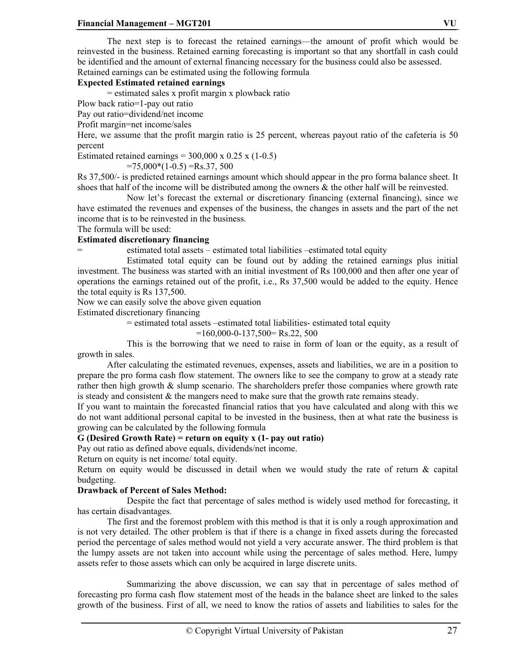The next step is to forecast the retained earnings—the amount of profit which would be reinvested in the business. Retained earning forecasting is important so that any shortfall in cash could be identified and the amount of external financing necessary for the business could also be assessed. Retained earnings can be estimated using the following formula

## **Expected Estimated retained earnings**

= estimated sales x profit margin x plowback ratio

Plow back ratio=1-pay out ratio

Pay out ratio=dividend/net income

Profit margin=net income/sales

Here, we assume that the profit margin ratio is 25 percent, whereas payout ratio of the cafeteria is 50 percent

Estimated retained earnings =  $300,000 \times 0.25 \times (1-0.5)$ 

 $=75,000*(1-0.5) =$ Rs.37, 500

Rs 37,500/- is predicted retained earnings amount which should appear in the pro forma balance sheet. It shoes that half of the income will be distributed among the owners  $\&$  the other half will be reinvested.

 Now let's forecast the external or discretionary financing (external financing), since we have estimated the revenues and expenses of the business, the changes in assets and the part of the net income that is to be reinvested in the business.

The formula will be used:

## **Estimated discretionary financing**

= estimated total assets – estimated total liabilities –estimated total equity

 Estimated total equity can be found out by adding the retained earnings plus initial investment. The business was started with an initial investment of Rs 100,000 and then after one year of operations the earnings retained out of the profit, i.e., Rs 37,500 would be added to the equity. Hence the total equity is Rs 137,500.

Now we can easily solve the above given equation

Estimated discretionary financing

= estimated total assets –estimated total liabilities- estimated total equity

 $=160,000 - 137,500 =$ Rs.22, 500

 This is the borrowing that we need to raise in form of loan or the equity, as a result of growth in sales.

 After calculating the estimated revenues, expenses, assets and liabilities, we are in a position to prepare the pro forma cash flow statement. The owners like to see the company to grow at a steady rate rather then high growth  $\&$  slump scenario. The shareholders prefer those companies where growth rate is steady and consistent  $\&$  the mangers need to make sure that the growth rate remains steady.

If you want to maintain the forecasted financial ratios that you have calculated and along with this we do not want additional personal capital to be invested in the business, then at what rate the business is growing can be calculated by the following formula

## **G (Desired Growth Rate) = return on equity x (1- pay out ratio)**

Pay out ratio as defined above equals, dividends/net income.

Return on equity is net income/ total equity.

Return on equity would be discussed in detail when we would study the rate of return  $\&$  capital budgeting.

## **Drawback of Percent of Sales Method:**

 Despite the fact that percentage of sales method is widely used method for forecasting, it has certain disadvantages.

 The first and the foremost problem with this method is that it is only a rough approximation and is not very detailed. The other problem is that if there is a change in fixed assets during the forecasted period the percentage of sales method would not yield a very accurate answer. The third problem is that the lumpy assets are not taken into account while using the percentage of sales method. Here, lumpy assets refer to those assets which can only be acquired in large discrete units.

 Summarizing the above discussion, we can say that in percentage of sales method of forecasting pro forma cash flow statement most of the heads in the balance sheet are linked to the sales growth of the business. First of all, we need to know the ratios of assets and liabilities to sales for the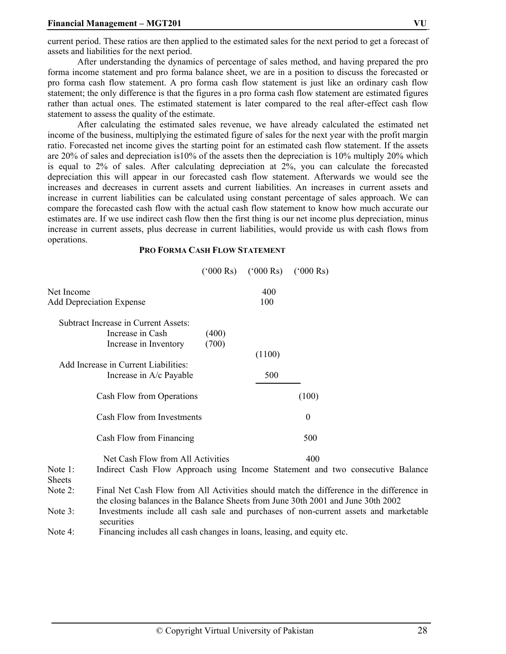current period. These ratios are then applied to the estimated sales for the next period to get a forecast of assets and liabilities for the next period.

 After understanding the dynamics of percentage of sales method, and having prepared the pro forma income statement and pro forma balance sheet, we are in a position to discuss the forecasted or pro forma cash flow statement. A pro forma cash flow statement is just like an ordinary cash flow statement; the only difference is that the figures in a pro forma cash flow statement are estimated figures rather than actual ones. The estimated statement is later compared to the real after-effect cash flow statement to assess the quality of the estimate.

 After calculating the estimated sales revenue, we have already calculated the estimated net income of the business, multiplying the estimated figure of sales for the next year with the profit margin ratio. Forecasted net income gives the starting point for an estimated cash flow statement. If the assets are 20% of sales and depreciation is10% of the assets then the depreciation is 10% multiply 20% which is equal to 2% of sales. After calculating depreciation at 2%, you can calculate the forecasted depreciation this will appear in our forecasted cash flow statement. Afterwards we would see the increases and decreases in current assets and current liabilities. An increases in current assets and increase in current liabilities can be calculated using constant percentage of sales approach. We can compare the forecasted cash flow with the actual cash flow statement to know how much accurate our estimates are. If we use indirect cash flow then the first thing is our net income plus depreciation, minus increase in current assets, plus decrease in current liabilities, would provide us with cash flows from operations.

#### **PRO FORMA CASH FLOW STATEMENT**

|                                               |                                                                                                                                                                               |                | $(^{6}000 \text{ Rs})$ $(^{6}000 \text{ Rs})$ | $(^{6}000 \text{ Rs})$ |  |  |
|-----------------------------------------------|-------------------------------------------------------------------------------------------------------------------------------------------------------------------------------|----------------|-----------------------------------------------|------------------------|--|--|
| Net Income<br><b>Add Depreciation Expense</b> |                                                                                                                                                                               |                | 400<br>100                                    |                        |  |  |
|                                               | Subtract Increase in Current Assets:<br>Increase in Cash<br>Increase in Inventory                                                                                             | (400)<br>(700) | (1100)                                        |                        |  |  |
|                                               | Add Increase in Current Liabilities:<br>Increase in A/c Payable                                                                                                               |                | 500                                           |                        |  |  |
|                                               | Cash Flow from Operations                                                                                                                                                     |                |                                               | (100)                  |  |  |
| Cash Flow from Investments                    |                                                                                                                                                                               |                |                                               | $\overline{0}$         |  |  |
|                                               | Cash Flow from Financing                                                                                                                                                      |                |                                               | 500                    |  |  |
| Note 1:<br><b>Sheets</b>                      | Net Cash Flow from All Activities<br>400<br>Indirect Cash Flow Approach using Income Statement and two consecutive Balance                                                    |                |                                               |                        |  |  |
| Note 2:                                       | Final Net Cash Flow from All Activities should match the difference in the difference in<br>the closing balances in the Balance Sheets from June 30th 2001 and June 30th 2002 |                |                                               |                        |  |  |
| Note 3:                                       | Investments include all cash sale and purchases of non-current assets and marketable<br>securities                                                                            |                |                                               |                        |  |  |

Note 4: Financing includes all cash changes in loans, leasing, and equity etc.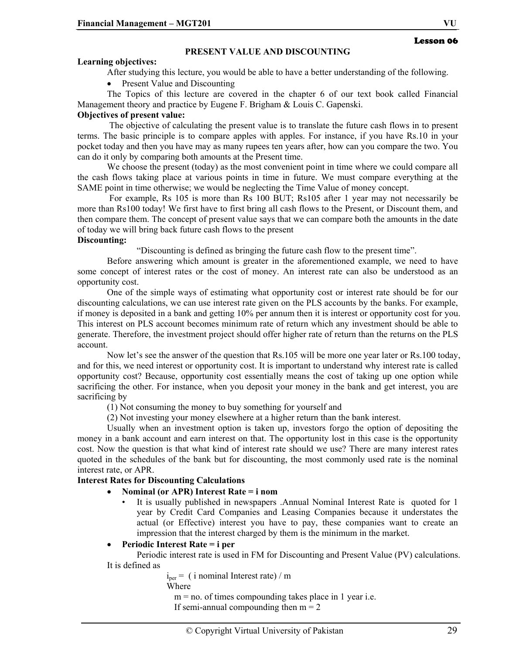#### **PRESENT VALUE AND DISCOUNTING**

#### **Learning objectives:**

After studying this lecture, you would be able to have a better understanding of the following.

Present Value and Discounting

The Topics of this lecture are covered in the chapter 6 of our text book called Financial Management theory and practice by Eugene F. Brigham & Louis C. Gapenski.

## **Objectives of present value:**

 The objective of calculating the present value is to translate the future cash flows in to present terms. The basic principle is to compare apples with apples. For instance, if you have Rs.10 in your pocket today and then you have may as many rupees ten years after, how can you compare the two. You can do it only by comparing both amounts at the Present time.

We choose the present (today) as the most convenient point in time where we could compare all the cash flows taking place at various points in time in future. We must compare everything at the SAME point in time otherwise; we would be neglecting the Time Value of money concept.

 For example, Rs 105 is more than Rs 100 BUT; Rs105 after 1 year may not necessarily be more than Rs100 today! We first have to first bring all cash flows to the Present, or Discount them, and then compare them. The concept of present value says that we can compare both the amounts in the date of today we will bring back future cash flows to the present

#### **Discounting:**

"Discounting is defined as bringing the future cash flow to the present time".

Before answering which amount is greater in the aforementioned example, we need to have some concept of interest rates or the cost of money. An interest rate can also be understood as an opportunity cost.

One of the simple ways of estimating what opportunity cost or interest rate should be for our discounting calculations, we can use interest rate given on the PLS accounts by the banks. For example, if money is deposited in a bank and getting 10% per annum then it is interest or opportunity cost for you. This interest on PLS account becomes minimum rate of return which any investment should be able to generate. Therefore, the investment project should offer higher rate of return than the returns on the PLS account.

Now let's see the answer of the question that Rs.105 will be more one year later or Rs.100 today, and for this, we need interest or opportunity cost. It is important to understand why interest rate is called opportunity cost? Because, opportunity cost essentially means the cost of taking up one option while sacrificing the other. For instance, when you deposit your money in the bank and get interest, you are sacrificing by

(1) Not consuming the money to buy something for yourself and

(2) Not investing your money elsewhere at a higher return than the bank interest.

Usually when an investment option is taken up, investors forgo the option of depositing the money in a bank account and earn interest on that. The opportunity lost in this case is the opportunity cost. Now the question is that what kind of interest rate should we use? There are many interest rates quoted in the schedules of the bank but for discounting, the most commonly used rate is the nominal interest rate, or APR.

#### **Interest Rates for Discounting Calculations**

## • **Nominal (or APR) Interest Rate = i nom**

• It is usually published in newspapers .Annual Nominal Interest Rate is quoted for 1 year by Credit Card Companies and Leasing Companies because it understates the actual (or Effective) interest you have to pay, these companies want to create an impression that the interest charged by them is the minimum in the market.

## • **Periodic Interest Rate = i per**

Periodic interest rate is used in FM for Discounting and Present Value (PV) calculations. It is defined as

 $i<sub>per</sub> = (i<sub>normal</sub> International Interest rate)/m$ 

Where

 $m = no$ . of times compounding takes place in 1 year i.e. If semi-annual compounding then  $m = 2$ 

Lesson 06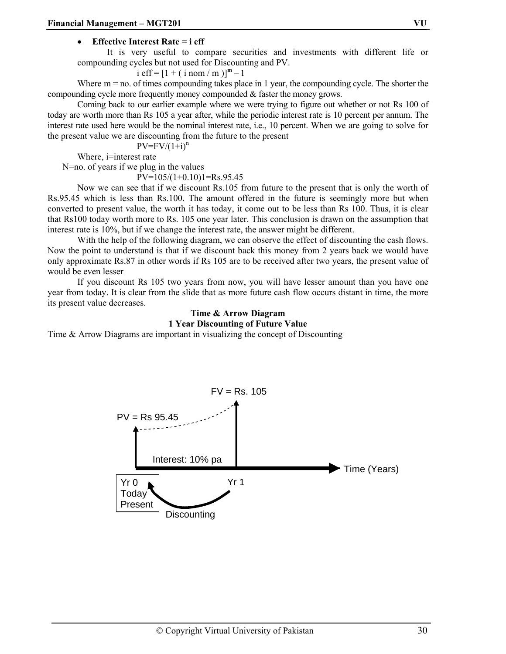#### • **Effective Interest Rate = i eff**

It is very useful to compare securities and investments with different life or compounding cycles but not used for Discounting and PV.

i eff =  $[1 + (i nom / m)]^m - 1$ 

Where  $m = no$  of times compounding takes place in 1 year, the compounding cycle. The shorter the compounding cycle more frequently money compounded & faster the money grows.

Coming back to our earlier example where we were trying to figure out whether or not Rs 100 of today are worth more than Rs 105 a year after, while the periodic interest rate is 10 percent per annum. The interest rate used here would be the nominal interest rate, i.e., 10 percent. When we are going to solve for the present value we are discounting from the future to the present

$$
PV=FV/(1+i)^n
$$

Where, i=interest rate

N=no. of years if we plug in the values

 $PV=105/(1+0.10)1=Rs.95.45$ 

 Now we can see that if we discount Rs.105 from future to the present that is only the worth of Rs.95.45 which is less than Rs.100. The amount offered in the future is seemingly more but when converted to present value, the worth it has today, it come out to be less than Rs 100. Thus, it is clear that Rs100 today worth more to Rs. 105 one year later. This conclusion is drawn on the assumption that interest rate is 10%, but if we change the interest rate, the answer might be different.

With the help of the following diagram, we can observe the effect of discounting the cash flows. Now the point to understand is that if we discount back this money from 2 years back we would have only approximate Rs.87 in other words if Rs 105 are to be received after two years, the present value of would be even lesser

If you discount Rs 105 two years from now, you will have lesser amount than you have one year from today. It is clear from the slide that as more future cash flow occurs distant in time, the more its present value decreases.

#### **Time & Arrow Diagram 1 Year Discounting of Future Value**

Time & Arrow Diagrams are important in visualizing the concept of Discounting

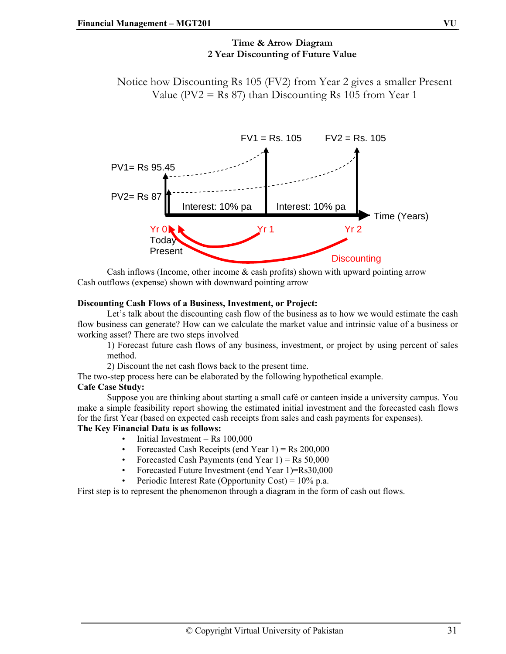## **Time & Arrow Diagram 2 Year Discounting of Future Value**

Notice how Discounting Rs 105 (FV2) from Year 2 gives a smaller Present Value (PV2 = Rs 87) than Discounting Rs 105 from Year 1



Cash inflows (Income, other income  $\&$  cash profits) shown with upward pointing arrow Cash outflows (expense) shown with downward pointing arrow

#### **Discounting Cash Flows of a Business, Investment, or Project:**

Let's talk about the discounting cash flow of the business as to how we would estimate the cash flow business can generate? How can we calculate the market value and intrinsic value of a business or working asset? There are two steps involved

1) Forecast future cash flows of any business, investment, or project by using percent of sales method.

2) Discount the net cash flows back to the present time.

The two-step process here can be elaborated by the following hypothetical example.

## **Cafe Case Study:**

Suppose you are thinking about starting a small café or canteen inside a university campus. You make a simple feasibility report showing the estimated initial investment and the forecasted cash flows for the first Year (based on expected cash receipts from sales and cash payments for expenses).

#### **The Key Financial Data is as follows:**

- Initial Investment =  $Rs$  100,000
- Forecasted Cash Receipts (end Year  $1$ ) = Rs 200,000
- Forecasted Cash Payments (end Year  $1$ ) = Rs  $50,000$
- Forecasted Future Investment (end Year 1)=Rs30,000
- Periodic Interest Rate (Opportunity Cost) =  $10\%$  p.a.

First step is to represent the phenomenon through a diagram in the form of cash out flows.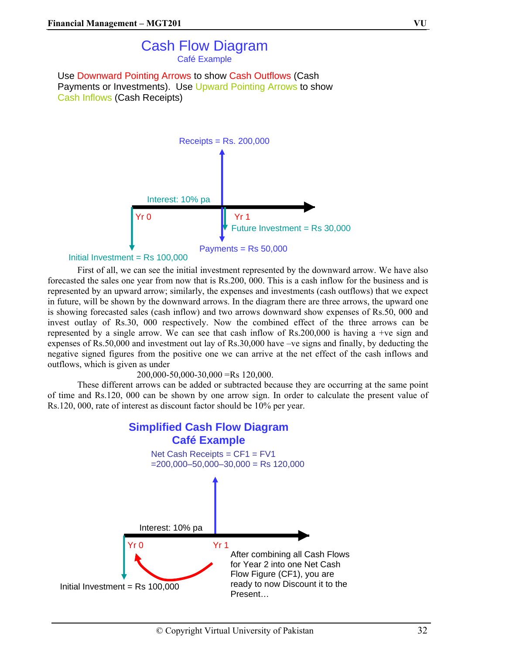# Cash Flow Diagram Café Example

Use Downward Pointing Arrows to show Cash Outflows (Cash Payments or Investments). Use Upward Pointing Arrows to show Cash Inflows (Cash Receipts)



```
Initial Investment = Rs 100,000
```
First of all, we can see the initial investment represented by the downward arrow. We have also forecasted the sales one year from now that is Rs.200, 000. This is a cash inflow for the business and is represented by an upward arrow; similarly, the expenses and investments (cash outflows) that we expect in future, will be shown by the downward arrows. In the diagram there are three arrows, the upward one is showing forecasted sales (cash inflow) and two arrows downward show expenses of Rs.50, 000 and invest outlay of Rs.30, 000 respectively. Now the combined effect of the three arrows can be represented by a single arrow. We can see that cash inflow of Rs.200,000 is having a +ve sign and expenses of Rs.50,000 and investment out lay of Rs.30,000 have –ve signs and finally, by deducting the negative signed figures from the positive one we can arrive at the net effect of the cash inflows and outflows, which is given as under

#### 200,000-50,000-30,000 =Rs 120,000.

These different arrows can be added or subtracted because they are occurring at the same point of time and Rs.120, 000 can be shown by one arrow sign. In order to calculate the present value of Rs.120, 000, rate of interest as discount factor should be 10% per year.

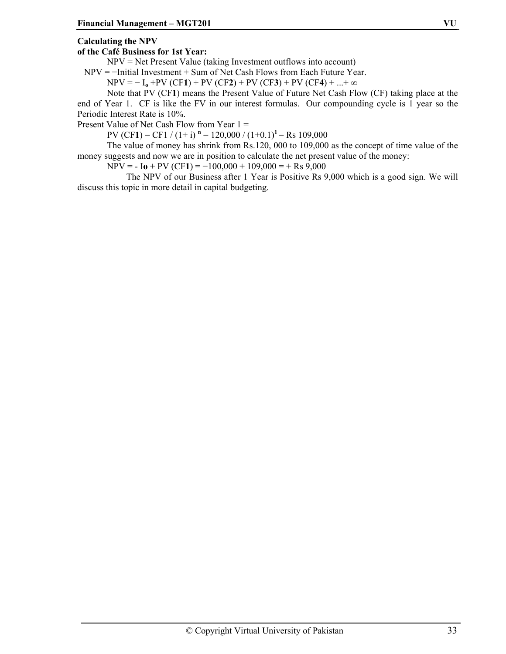#### **Calculating the NPV**

#### **of the Café Business for 1st Year:**

NPV = Net Present Value (taking Investment outflows into account)

NPV = −Initial Investment + Sum of Net Cash Flows from Each Future Year.

 $NPV = -I_0 + PV (CF1) + PV (CF2) + PV (CF3) + PV (CF4) + ... + \infty$ 

Note that PV (CF**1**) means the Present Value of Future Net Cash Flow (CF) taking place at the end of Year 1. CF is like the FV in our interest formulas. Our compounding cycle is 1 year so the Periodic Interest Rate is 10%.

Present Value of Net Cash Flow from Year 1 =

PV (CF1) = CF1 / (1+ i)  $n = 120,000 / (1+0.1)^{1} =$  Rs 109,000

The value of money has shrink from Rs.120, 000 to 109,000 as the concept of time value of the money suggests and now we are in position to calculate the net present value of the money:

 $NPV = -I_0 + PV (CF1) = -100,000 + 109,000 = + Rs 9,000$ 

 The NPV of our Business after 1 Year is Positive Rs 9,000 which is a good sign. We will discuss this topic in more detail in capital budgeting.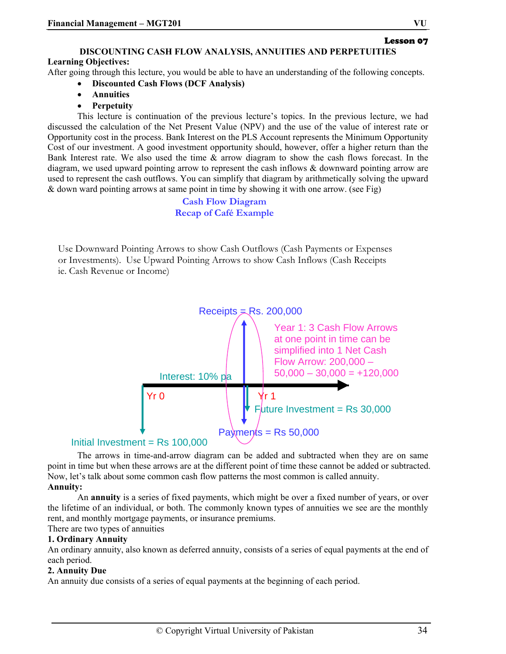Lesson 07

# **DISCOUNTING CASH FLOW ANALYSIS, ANNUITIES AND PERPETUITIES**

## **Learning Objectives:**

After going through this lecture, you would be able to have an understanding of the following concepts.

- **Discounted Cash Flows (DCF Analysis)**
- **Annuities**
- **Perpetuity**

This lecture is continuation of the previous lecture's topics. In the previous lecture, we had discussed the calculation of the Net Present Value (NPV) and the use of the value of interest rate or Opportunity cost in the process. Bank Interest on the PLS Account represents the Minimum Opportunity Cost of our investment. A good investment opportunity should, however, offer a higher return than the Bank Interest rate. We also used the time & arrow diagram to show the cash flows forecast. In the diagram, we used upward pointing arrow to represent the cash inflows & downward pointing arrow are used to represent the cash outflows. You can simplify that diagram by arithmetically solving the upward & down ward pointing arrows at same point in time by showing it with one arrow. (see Fig)

> **Cash Flow Diagram Recap of Café Example**

Use Downward Pointing Arrows to show Cash Outflows (Cash Payments or Expenses or Investments). Use Upward Pointing Arrows to show Cash Inflows (Cash Receipts ie. Cash Revenue or Income)



The arrows in time-and-arrow diagram can be added and subtracted when they are on same point in time but when these arrows are at the different point of time these cannot be added or subtracted. Now, let's talk about some common cash flow patterns the most common is called annuity.

## **Annuity:**

An **annuity** is a series of fixed payments, which might be over a fixed number of years, or over the lifetime of an individual, or both. The commonly known types of annuities we see are the monthly rent, and monthly mortgage payments, or insurance premiums.

There are two types of annuities

## **1. Ordinary Annuity**

An ordinary annuity, also known as deferred annuity, consists of a series of equal payments at the end of each period.

#### **2. Annuity Due**

An annuity due consists of a series of equal payments at the beginning of each period.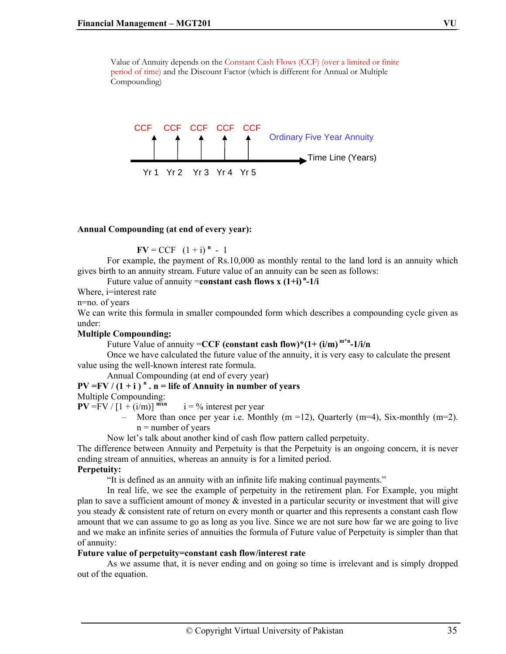Value of Annuity depends on the Constant Cash Flows (CCF) (over a limited or finite period of time) and the Discount Factor (which is different for Annual or Multiple Compounding)



#### **Annual Compounding (at end of every year):**

 $\bf{F}V = CCF \quad (1 + i)^n - 1$ 

For example, the payment of Rs.10,000 as monthly rental to the land lord is an annuity which gives birth to an annuity stream. Future value of an annuity can be seen as follows:

#### Future value of annuity = **constant cash flows x**  $(1+i)^{n} - 1/i$

Where, *i*=interest rate

n=no. of years

We can write this formula in smaller compounded form which describes a compounding cycle given as under:

#### **Multiple Compounding:**

Future Value of annuity =**CCF (constant cash flow)\*(1+ (i/m) m\*n-1/i/n**

Once we have calculated the future value of the annuity, it is very easy to calculate the present value using the well-known interest rate formula.

Annual Compounding (at end of every year)

 $PV = FV / (1 + i)^n$ .  $n =$  life of Annuity in number of years

Multiple Compounding:

 $PV = FV / [1 + (i/m)]^{mxn}$   $i = \%$  interest per year

More than once per year i.e. Monthly  $(m = 12)$ , Quarterly  $(m = 4)$ , Six-monthly  $(m = 2)$ .  $n =$  number of years

Now let's talk about another kind of cash flow pattern called perpetuity.

The difference between Annuity and Perpetuity is that the Perpetuity is an ongoing concern, it is never ending stream of annuities, whereas an annuity is for a limited period.

## **Perpetuity:**

"It is defined as an annuity with an infinite life making continual payments."

In real life, we see the example of perpetuity in the retirement plan. For Example, you might plan to save a sufficient amount of money  $\&$  invested in a particular security or investment that will give you steady & consistent rate of return on every month or quarter and this represents a constant cash flow amount that we can assume to go as long as you live. Since we are not sure how far we are going to live and we make an infinite series of annuities the formula of Future value of Perpetuity is simpler than that of annuity:

#### **Future value of perpetuity=constant cash flow/interest rate**

As we assume that, it is never ending and on going so time is irrelevant and is simply dropped out of the equation.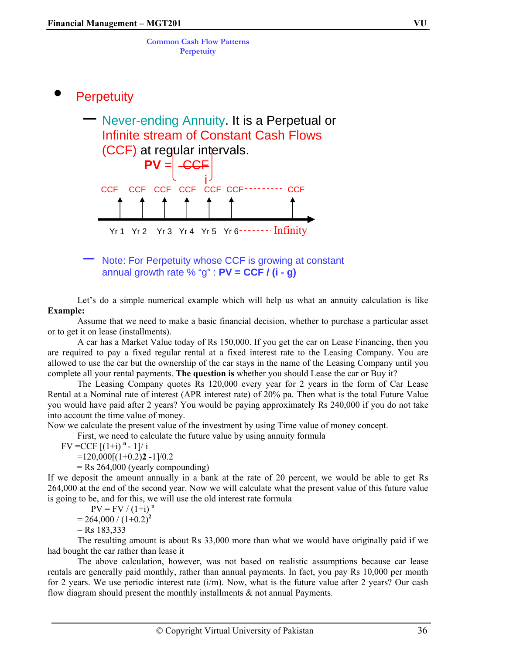**Common Cash Flow Patterns Perpetuity**

# **Perpetuity**



– Note: For Perpetuity whose CCF is growing at constant annual growth rate % "g" : **PV = CCF / (i - g)** 

Let's do a simple numerical example which will help us what an annuity calculation is like **Example:**

Assume that we need to make a basic financial decision, whether to purchase a particular asset or to get it on lease (installments).

A car has a Market Value today of Rs 150,000. If you get the car on Lease Financing, then you are required to pay a fixed regular rental at a fixed interest rate to the Leasing Company. You are allowed to use the car but the ownership of the car stays in the name of the Leasing Company until you complete all your rental payments. **The question is** whether you should Lease the car or Buy it?

The Leasing Company quotes Rs 120,000 every year for 2 years in the form of Car Lease Rental at a Nominal rate of interest (APR interest rate) of 20% pa. Then what is the total Future Value you would have paid after 2 years? You would be paying approximately Rs 240,000 if you do not take into account the time value of money.

Now we calculate the present value of the investment by using Time value of money concept.

First, we need to calculate the future value by using annuity formula

 $FV = CCF$   $[(1+i)^{n} - 1]/i$ 

 $=120,000[(1+0.2)2 -1]/0.2$ 

 $=$  Rs 264,000 (yearly compounding)

If we deposit the amount annually in a bank at the rate of 20 percent, we would be able to get Rs 264,000 at the end of the second year. Now we will calculate what the present value of this future value is going to be, and for this, we will use the old interest rate formula

 $PV = FV / (1+i)^{n}$ 

 $= 264,000 / (1 + 0.2)^{2}$ 

 $=$  Rs 183,333

The resulting amount is about Rs 33,000 more than what we would have originally paid if we had bought the car rather than lease it

The above calculation, however, was not based on realistic assumptions because car lease rentals are generally paid monthly, rather than annual payments. In fact, you pay Rs 10,000 per month for 2 years. We use periodic interest rate  $(i/m)$ . Now, what is the future value after 2 years? Our cash flow diagram should present the monthly installments & not annual Payments.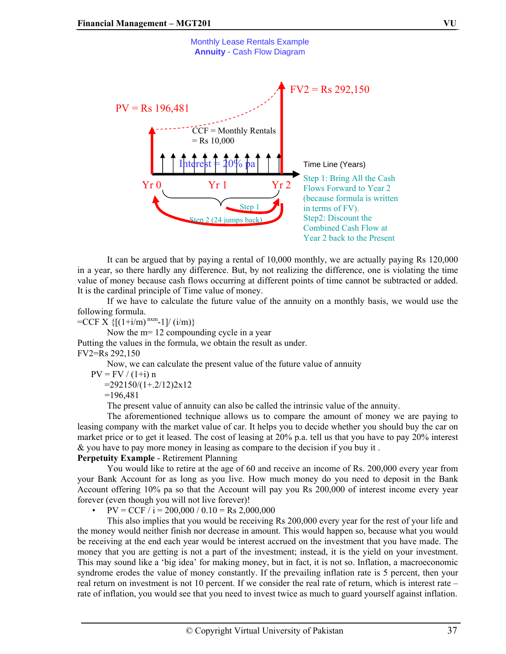

 It can be argued that by paying a rental of 10,000 monthly, we are actually paying Rs 120,000 in a year, so there hardly any difference. But, by not realizing the difference, one is violating the time value of money because cash flows occurring at different points of time cannot be subtracted or added. It is the cardinal principle of Time value of money.

 If we have to calculate the future value of the annuity on a monthly basis, we would use the following formula.

 $=CCF X \{[(1+i/m)^{nxm}-1]/(i/m)\}$ 

 Now the m= 12 compounding cycle in a year Putting the values in the formula, we obtain the result as under. FV2=Rs 292,150

Now, we can calculate the present value of the future value of annuity

 $PV = FV / (1+i) n$ 

 $=292150/(1+.2/12)2x12$ 

=196,481

The present value of annuity can also be called the intrinsic value of the annuity.

 The aforementioned technique allows us to compare the amount of money we are paying to leasing company with the market value of car. It helps you to decide whether you should buy the car on market price or to get it leased. The cost of leasing at 20% p.a. tell us that you have to pay 20% interest & you have to pay more money in leasing as compare to the decision if you buy it .

#### **Perpetuity Example** - Retirement Planning

 You would like to retire at the age of 60 and receive an income of Rs. 200,000 every year from your Bank Account for as long as you live. How much money do you need to deposit in the Bank Account offering 10% pa so that the Account will pay you Rs 200,000 of interest income every year forever (even though you will not live forever)!

 $PV = CCF / i = 200,000 / 0.10 = Rs 2,000,000$ 

 This also implies that you would be receiving Rs 200,000 every year for the rest of your life and the money would neither finish nor decrease in amount. This would happen so, because what you would be receiving at the end each year would be interest accrued on the investment that you have made. The money that you are getting is not a part of the investment; instead, it is the yield on your investment. This may sound like a 'big idea' for making money, but in fact, it is not so. Inflation, a macroeconomic syndrome erodes the value of money constantly. If the prevailing inflation rate is 5 percent, then your real return on investment is not 10 percent. If we consider the real rate of return, which is interest rate – rate of inflation, you would see that you need to invest twice as much to guard yourself against inflation.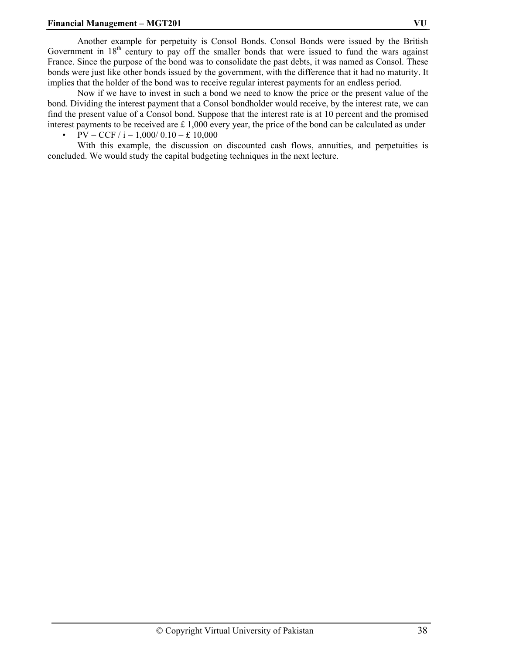#### **Financial Management – MGT201 VU**

 Another example for perpetuity is Consol Bonds. Consol Bonds were issued by the British Government in  $18<sup>th</sup>$  century to pay off the smaller bonds that were issued to fund the wars against France. Since the purpose of the bond was to consolidate the past debts, it was named as Consol. These bonds were just like other bonds issued by the government, with the difference that it had no maturity. It implies that the holder of the bond was to receive regular interest payments for an endless period.

 Now if we have to invest in such a bond we need to know the price or the present value of the bond. Dividing the interest payment that a Consol bondholder would receive, by the interest rate, we can find the present value of a Consol bond. Suppose that the interest rate is at 10 percent and the promised interest payments to be received are  $\pm 1,000$  every year, the price of the bond can be calculated as under

 $PV = CCF / i = 1,000/0.10 = £10,000$ 

 With this example, the discussion on discounted cash flows, annuities, and perpetuities is concluded. We would study the capital budgeting techniques in the next lecture.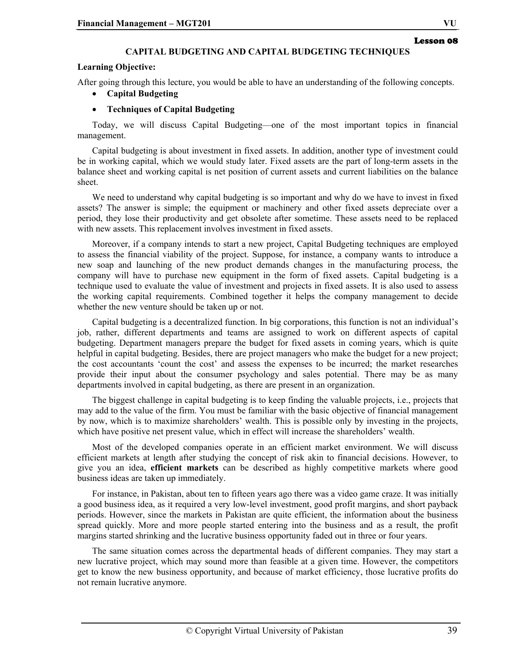#### **CAPITAL BUDGETING AND CAPITAL BUDGETING TECHNIQUES**

#### **Learning Objective:**

After going through this lecture, you would be able to have an understanding of the following concepts.

• **Capital Budgeting** 

#### • **Techniques of Capital Budgeting**

Today, we will discuss Capital Budgeting—one of the most important topics in financial management.

Capital budgeting is about investment in fixed assets. In addition, another type of investment could be in working capital, which we would study later. Fixed assets are the part of long-term assets in the balance sheet and working capital is net position of current assets and current liabilities on the balance sheet.

We need to understand why capital budgeting is so important and why do we have to invest in fixed assets? The answer is simple; the equipment or machinery and other fixed assets depreciate over a period, they lose their productivity and get obsolete after sometime. These assets need to be replaced with new assets. This replacement involves investment in fixed assets.

Moreover, if a company intends to start a new project, Capital Budgeting techniques are employed to assess the financial viability of the project. Suppose, for instance, a company wants to introduce a new soap and launching of the new product demands changes in the manufacturing process, the company will have to purchase new equipment in the form of fixed assets. Capital budgeting is a technique used to evaluate the value of investment and projects in fixed assets. It is also used to assess the working capital requirements. Combined together it helps the company management to decide whether the new venture should be taken up or not.

Capital budgeting is a decentralized function. In big corporations, this function is not an individual's job, rather, different departments and teams are assigned to work on different aspects of capital budgeting. Department managers prepare the budget for fixed assets in coming years, which is quite helpful in capital budgeting. Besides, there are project managers who make the budget for a new project; the cost accountants 'count the cost' and assess the expenses to be incurred; the market researches provide their input about the consumer psychology and sales potential. There may be as many departments involved in capital budgeting, as there are present in an organization.

The biggest challenge in capital budgeting is to keep finding the valuable projects, i.e., projects that may add to the value of the firm. You must be familiar with the basic objective of financial management by now, which is to maximize shareholders' wealth. This is possible only by investing in the projects, which have positive net present value, which in effect will increase the shareholders' wealth.

Most of the developed companies operate in an efficient market environment. We will discuss efficient markets at length after studying the concept of risk akin to financial decisions. However, to give you an idea, **efficient markets** can be described as highly competitive markets where good business ideas are taken up immediately.

For instance, in Pakistan, about ten to fifteen years ago there was a video game craze. It was initially a good business idea, as it required a very low-level investment, good profit margins, and short payback periods. However, since the markets in Pakistan are quite efficient, the information about the business spread quickly. More and more people started entering into the business and as a result, the profit margins started shrinking and the lucrative business opportunity faded out in three or four years.

The same situation comes across the departmental heads of different companies. They may start a new lucrative project, which may sound more than feasible at a given time. However, the competitors get to know the new business opportunity, and because of market efficiency, those lucrative profits do not remain lucrative anymore.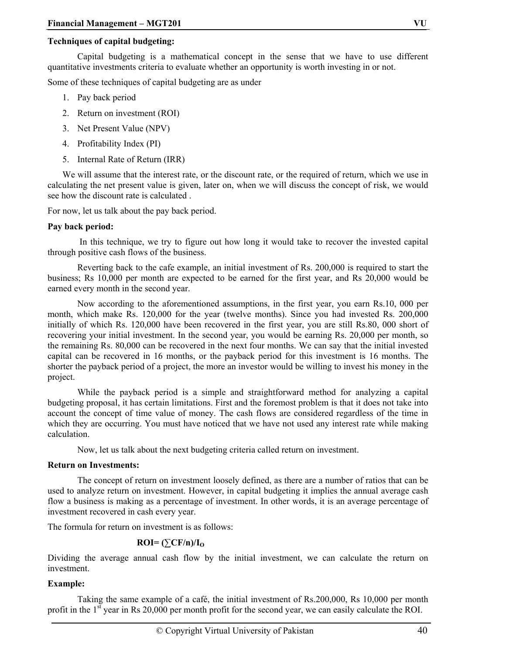#### **Techniques of capital budgeting:**

Capital budgeting is a mathematical concept in the sense that we have to use different quantitative investments criteria to evaluate whether an opportunity is worth investing in or not.

Some of these techniques of capital budgeting are as under

- 1. Pay back period
- 2. Return on investment (ROI)
- 3. Net Present Value (NPV)
- 4. Profitability Index (PI)
- 5. Internal Rate of Return (IRR)

We will assume that the interest rate, or the discount rate, or the required of return, which we use in calculating the net present value is given, later on, when we will discuss the concept of risk, we would see how the discount rate is calculated .

For now, let us talk about the pay back period.

#### **Pay back period:**

 In this technique, we try to figure out how long it would take to recover the invested capital through positive cash flows of the business.

Reverting back to the cafe example, an initial investment of Rs. 200,000 is required to start the business; Rs 10,000 per month are expected to be earned for the first year, and Rs 20,000 would be earned every month in the second year.

Now according to the aforementioned assumptions, in the first year, you earn Rs.10, 000 per month, which make Rs. 120,000 for the year (twelve months). Since you had invested Rs. 200,000 initially of which Rs. 120,000 have been recovered in the first year, you are still Rs.80, 000 short of recovering your initial investment. In the second year, you would be earning Rs. 20,000 per month, so the remaining Rs. 80,000 can be recovered in the next four months. We can say that the initial invested capital can be recovered in 16 months, or the payback period for this investment is 16 months. The shorter the payback period of a project, the more an investor would be willing to invest his money in the project.

While the payback period is a simple and straightforward method for analyzing a capital budgeting proposal, it has certain limitations. First and the foremost problem is that it does not take into account the concept of time value of money. The cash flows are considered regardless of the time in which they are occurring. You must have noticed that we have not used any interest rate while making calculation.

Now, let us talk about the next budgeting criteria called return on investment.

#### **Return on Investments:**

The concept of return on investment loosely defined, as there are a number of ratios that can be used to analyze return on investment. However, in capital budgeting it implies the annual average cash flow a business is making as a percentage of investment. In other words, it is an average percentage of investment recovered in cash every year.

The formula for return on investment is as follows:

#### $\text{ROI} = (\sum \text{CF/n})/I_0$

Dividing the average annual cash flow by the initial investment, we can calculate the return on investment.

#### **Example:**

 Taking the same example of a café, the initial investment of Rs.200,000, Rs 10,000 per month profit in the  $1<sup>st</sup>$  year in Rs 20,000 per month profit for the second year, we can easily calculate the ROI.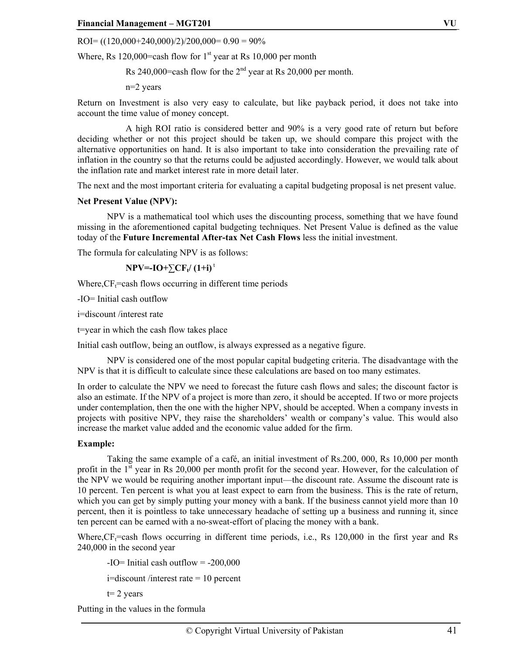$ROI = ((120,000+240,000)/2)/200,000 = 0.90 = 90\%$ 

Where, Rs 120,000=cash flow for  $1<sup>st</sup>$  year at Rs 10,000 per month

Rs 240,000=cash flow for the  $2<sup>nd</sup>$  year at Rs 20,000 per month.

n=2 years

Return on Investment is also very easy to calculate, but like payback period, it does not take into account the time value of money concept.

 A high ROI ratio is considered better and 90% is a very good rate of return but before deciding whether or not this project should be taken up, we should compare this project with the alternative opportunities on hand. It is also important to take into consideration the prevailing rate of inflation in the country so that the returns could be adjusted accordingly. However, we would talk about the inflation rate and market interest rate in more detail later.

The next and the most important criteria for evaluating a capital budgeting proposal is net present value.

#### **Net Present Value (NPV):**

NPV is a mathematical tool which uses the discounting process, something that we have found missing in the aforementioned capital budgeting techniques. Net Present Value is defined as the value today of the **Future Incremental After-tax Net Cash Flows** less the initial investment.

The formula for calculating NPV is as follows:

$$
NPV = IO + \sum CF_t/(1+i)^{t}
$$

Where,  $CF_t$ =cash flows occurring in different time periods

-IO= Initial cash outflow

i=discount /interest rate

t=year in which the cash flow takes place

Initial cash outflow, being an outflow, is always expressed as a negative figure.

NPV is considered one of the most popular capital budgeting criteria. The disadvantage with the NPV is that it is difficult to calculate since these calculations are based on too many estimates.

In order to calculate the NPV we need to forecast the future cash flows and sales; the discount factor is also an estimate. If the NPV of a project is more than zero, it should be accepted. If two or more projects under contemplation, then the one with the higher NPV, should be accepted. When a company invests in projects with positive NPV, they raise the shareholders' wealth or company's value. This would also increase the market value added and the economic value added for the firm.

#### **Example:**

Taking the same example of a café, an initial investment of Rs.200, 000, Rs 10,000 per month profit in the  $1<sup>st</sup>$  year in Rs 20,000 per month profit for the second year. However, for the calculation of the NPV we would be requiring another important input—the discount rate. Assume the discount rate is 10 percent. Ten percent is what you at least expect to earn from the business. This is the rate of return, which you can get by simply putting your money with a bank. If the business cannot yield more than 10 percent, then it is pointless to take unnecessary headache of setting up a business and running it, since ten percent can be earned with a no-sweat-effort of placing the money with a bank.

Where, $CF<sub>i</sub>=$ cash flows occurring in different time periods, i.e., Rs 120,000 in the first year and Rs 240,000 in the second year

 $-I$ O = Initial cash outflow =  $-200,000$ i=discount /interest rate = 10 percent

 $t= 2$  years

Putting in the values in the formula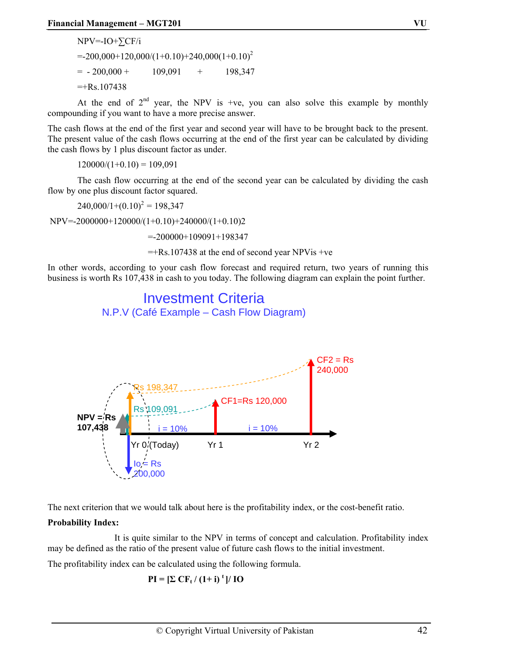NPV=-IO+∑CF/i  $=200,000+120,000/(1+0.10)+240,000(1+0.10)^{2}$  $= -200,000 + 109,091 + 198,347$  $=+Rs.107438$ 

At the end of  $2<sup>nd</sup>$  year, the NPV is +ve, you can also solve this example by monthly compounding if you want to have a more precise answer.

The cash flows at the end of the first year and second year will have to be brought back to the present. The present value of the cash flows occurring at the end of the first year can be calculated by dividing the cash flows by 1 plus discount factor as under.

 $120000/(1+0.10) = 109.091$ 

The cash flow occurring at the end of the second year can be calculated by dividing the cash flow by one plus discount factor squared.

 $240,000/1+(0.10)^2 = 198,347$ 

NPV=-2000000+120000/(1+0.10)+240000/(1+0.10)2

=-200000+109091+198347

Investment Criteria N.P.V (Café Example – Cash Flow Diagram)

 $=+Rs.107438$  at the end of second year NPVis +ve

In other words, according to your cash flow forecast and required return, two years of running this business is worth Rs 107,438 in cash to you today. The following diagram can explain the point further.



The next criterion that we would talk about here is the profitability index, or the cost-benefit ratio.

#### **Probability Index:**

 It is quite similar to the NPV in terms of concept and calculation. Profitability index may be defined as the ratio of the present value of future cash flows to the initial investment.

The profitability index can be calculated using the following formula.

$$
PI = [\Sigma CF_t / (1+i)^t] / IO
$$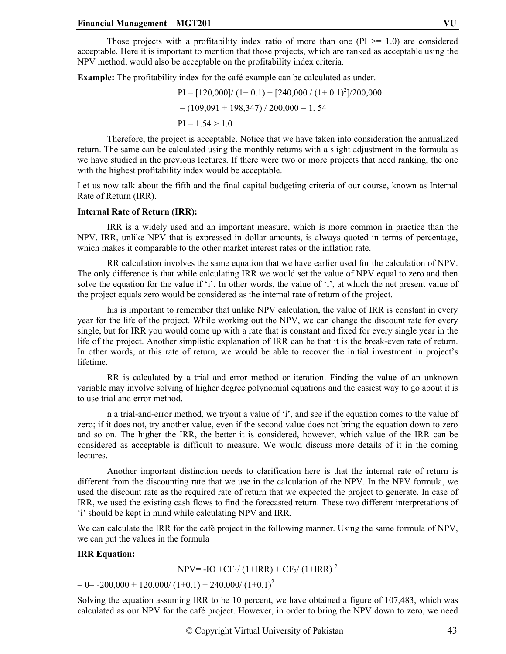Those projects with a profitability index ratio of more than one  $(PI \ge 1.0)$  are considered acceptable. Here it is important to mention that those projects, which are ranked as acceptable using the NPV method, would also be acceptable on the profitability index criteria.

**Example:** The profitability index for the café example can be calculated as under.

 $PI = [120,000] / (1+0.1) + [240,000 / (1+0.1)^{2}] / 200,000$  $= (109,091 + 198,347) / 200,000 = 1.54$  $PI = 1.54 > 1.0$ 

 Therefore, the project is acceptable. Notice that we have taken into consideration the annualized return. The same can be calculated using the monthly returns with a slight adjustment in the formula as we have studied in the previous lectures. If there were two or more projects that need ranking, the one with the highest profitability index would be acceptable.

Let us now talk about the fifth and the final capital budgeting criteria of our course, known as Internal Rate of Return (IRR).

#### **Internal Rate of Return (IRR):**

 IRR is a widely used and an important measure, which is more common in practice than the NPV. IRR, unlike NPV that is expressed in dollar amounts, is always quoted in terms of percentage, which makes it comparable to the other market interest rates or the inflation rate.

 RR calculation involves the same equation that we have earlier used for the calculation of NPV. The only difference is that while calculating IRR we would set the value of NPV equal to zero and then solve the equation for the value if 'i'. In other words, the value of 'i', at which the net present value of the project equals zero would be considered as the internal rate of return of the project.

 his is important to remember that unlike NPV calculation, the value of IRR is constant in every year for the life of the project. While working out the NPV, we can change the discount rate for every single, but for IRR you would come up with a rate that is constant and fixed for every single year in the life of the project. Another simplistic explanation of IRR can be that it is the break-even rate of return. In other words, at this rate of return, we would be able to recover the initial investment in project's lifetime.

 RR is calculated by a trial and error method or iteration. Finding the value of an unknown variable may involve solving of higher degree polynomial equations and the easiest way to go about it is to use trial and error method.

 n a trial-and-error method, we tryout a value of 'i', and see if the equation comes to the value of zero; if it does not, try another value, even if the second value does not bring the equation down to zero and so on. The higher the IRR, the better it is considered, however, which value of the IRR can be considered as acceptable is difficult to measure. We would discuss more details of it in the coming lectures.

 Another important distinction needs to clarification here is that the internal rate of return is different from the discounting rate that we use in the calculation of the NPV. In the NPV formula, we used the discount rate as the required rate of return that we expected the project to generate. In case of IRR, we used the existing cash flows to find the forecasted return. These two different interpretations of 'i' should be kept in mind while calculating NPV and IRR.

We can calculate the IRR for the café project in the following manner. Using the same formula of NPV, we can put the values in the formula

#### **IRR Equation:**

 $NPV = -IO + CF<sub>1</sub>/(1+IRR) + CF<sub>2</sub>/(1+IRR)^{2}$ 

 $= 0 = -200,000 + 120,000 / (1 + 0.1) + 240,000 / (1 + 0.1)^{2}$ 

Solving the equation assuming IRR to be 10 percent, we have obtained a figure of 107,483, which was calculated as our NPV for the café project. However, in order to bring the NPV down to zero, we need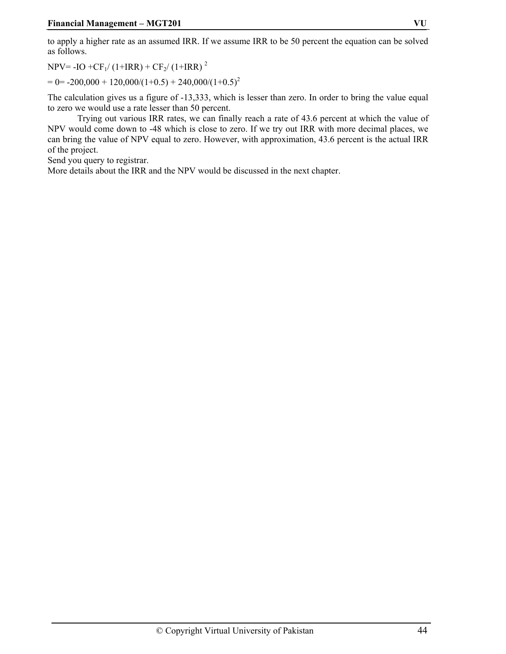to apply a higher rate as an assumed IRR. If we assume IRR to be 50 percent the equation can be solved as follows.

 $NPV = -IO + CF<sub>1</sub>/(1+IRR) + CF<sub>2</sub>/(1+IRR)^{2}$ 

 $= 0 = -200,000 + 120,000/(1 + 0.5) + 240,000/(1 + 0.5)^{2}$ 

The calculation gives us a figure of -13,333, which is lesser than zero. In order to bring the value equal to zero we would use a rate lesser than 50 percent.

Trying out various IRR rates, we can finally reach a rate of 43.6 percent at which the value of NPV would come down to -48 which is close to zero. If we try out IRR with more decimal places, we can bring the value of NPV equal to zero. However, with approximation, 43.6 percent is the actual IRR of the project.

Send you query to registrar.

More details about the IRR and the NPV would be discussed in the next chapter.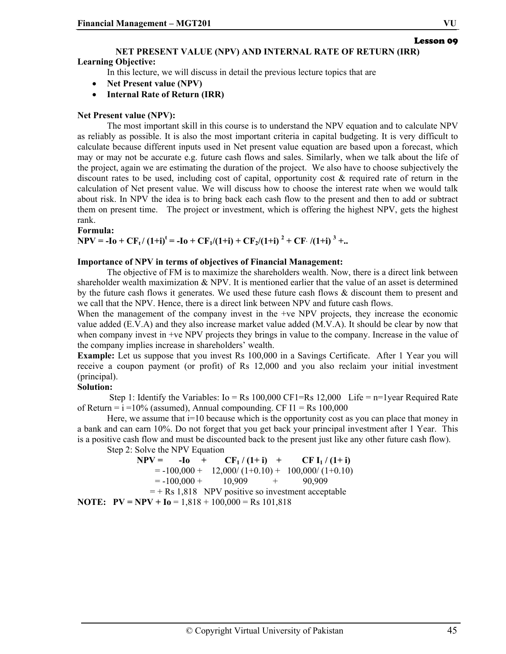# Lesson 09

## **NET PRESENT VALUE (NPV) AND INTERNAL RATE OF RETURN (IRR)**

#### **Learning Objective:**

In this lecture, we will discuss in detail the previous lecture topics that are

- **Net Present value (NPV)**
- **Internal Rate of Return (IRR)**

#### **Net Present value (NPV):**

The most important skill in this course is to understand the NPV equation and to calculate NPV as reliably as possible. It is also the most important criteria in capital budgeting. It is very difficult to calculate because different inputs used in Net present value equation are based upon a forecast, which may or may not be accurate e.g. future cash flows and sales. Similarly, when we talk about the life of the project, again we are estimating the duration of the project. We also have to choose subjectively the discount rates to be used, including cost of capital, opportunity cost & required rate of return in the calculation of Net present value. We will discuss how to choose the interest rate when we would talk about risk. In NPV the idea is to bring back each cash flow to the present and then to add or subtract them on present time. The project or investment, which is offering the highest NPV, gets the highest rank.

**Formula:** 

**NPV** =  $-I_0 + CF_t/(1+i)^t = -I_0 + CF_1/(1+i) + CF_2/(1+i)^2 + CF_1/(1+i)^3 + ...$ 

#### **Importance of NPV in terms of objectives of Financial Management:**

The objective of FM is to maximize the shareholders wealth. Now, there is a direct link between shareholder wealth maximization & NPV. It is mentioned earlier that the value of an asset is determined by the future cash flows it generates. We used these future cash flows & discount them to present and we call that the NPV. Hence, there is a direct link between NPV and future cash flows.

When the management of the company invest in the +ve NPV projects, they increase the economic value added (E.V.A) and they also increase market value added (M.V.A). It should be clear by now that when company invest in +ve NPV projects they brings in value to the company. Increase in the value of the company implies increase in shareholders' wealth.

**Example:** Let us suppose that you invest Rs 100,000 in a Savings Certificate. After 1 Year you will receive a coupon payment (or profit) of Rs 12,000 and you also reclaim your initial investment (principal).

#### **Solution:**

Step 1: Identify the Variables:  $I_o = Rs\ 100,000 \text{ CF1=Rs}\ 12,000 \text{ Life} = n=1$  year Required Rate of Return  $= i = 10\%$  (assumed), Annual compounding. CF I1  $=$  Rs 100,000

Here, we assume that  $i=10$  because which is the opportunity cost as you can place that money in a bank and can earn 10%. Do not forget that you get back your principal investment after 1 Year. This is a positive cash flow and must be discounted back to the present just like any other future cash flow).

Step 2: Solve the NPV Equation

|                                                              |                                | $NPV = -I_0 + CF_1/(1+i) + CF I_1/(1+i)$             |
|--------------------------------------------------------------|--------------------------------|------------------------------------------------------|
|                                                              |                                | $= -100,000 + 12,000/(1+0.10) + 100,000/(1+0.10)$    |
|                                                              | $= -100,000 + 10,909 + 90,909$ |                                                      |
|                                                              |                                | $=$ + Rs 1,818 NPV positive so investment acceptable |
| <b>NOTE:</b> $PV = NPV + I_0 = 1,818 + 100,000 = Rs 101,818$ |                                |                                                      |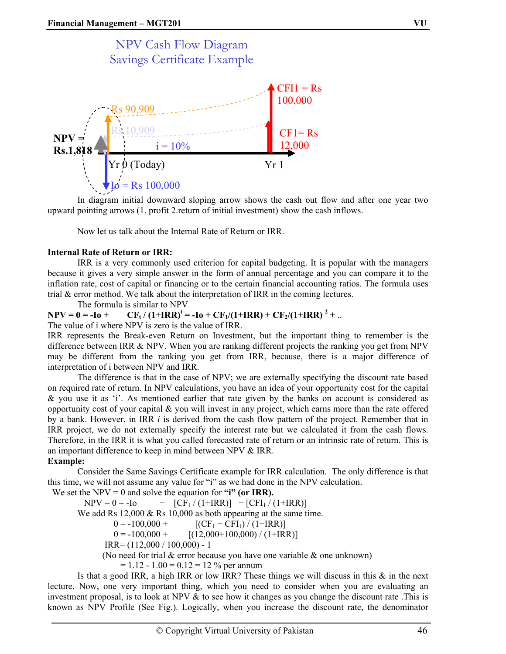# NPV Cash Flow Diagram Savings Certificate Example  $Yr \dot{\theta}$  (Today)  $Yr 1$  $CFI1 = Rs$ 100,000  $CF1 = Rs$ 12,000  $=$  Rs 100,000  $i = 10\%$ Rs 90,909  $NPV =$   $N^2$  Rs 10,909 **Rs.1,818**

In diagram initial downward sloping arrow shows the cash out flow and after one year two upward pointing arrows (1. profit 2.return of initial investment) show the cash inflows.

Now let us talk about the Internal Rate of Return or IRR.

#### **Internal Rate of Return or IRR:**

IRR is a very commonly used criterion for capital budgeting. It is popular with the managers because it gives a very simple answer in the form of annual percentage and you can compare it to the inflation rate, cost of capital or financing or to the certain financial accounting ratios. The formula uses trial & error method. We talk about the interpretation of IRR in the coming lectures.

The formula is similar to NPV

**NPV** =  $0 = -I_0 + C F_t / (1 + IRR)^t = -I_0 + CF_1/(1 + IRR) + CF_2/(1 + IRR)^2 + ...$ 

The value of i where NPV is zero is the value of IRR.

IRR represents the Break-even Return on Investment, but the important thing to remember is the difference between IRR & NPV. When you are ranking different projects the ranking you get from NPV may be different from the ranking you get from IRR, because, there is a major difference of interpretation of i between NPV and IRR.

The difference is that in the case of NPV; we are externally specifying the discount rate based on required rate of return. In NPV calculations, you have an idea of your opportunity cost for the capital & you use it as 'i'. As mentioned earlier that rate given by the banks on account is considered as opportunity cost of your capital & you will invest in any project, which earns more than the rate offered by a bank. However, in IRR *i* is derived from the cash flow pattern of the project. Remember that in IRR project, we do not externally specify the interest rate but we calculated it from the cash flows. Therefore, in the IRR it is what you called forecasted rate of return or an intrinsic rate of return. This is an important difference to keep in mind between NPV & IRR.

#### **Example:**

Consider the Same Savings Certificate example for IRR calculation. The only difference is that this time, we will not assume any value for "i" as we had done in the NPV calculation.

We set the NPV = 0 and solve the equation for "**i**" (or IRR).  $NPV = 0 = -I_0$  +  $[CF_1 / (1+IRR)] + [CFI_1 / (1+IRR)]$ We add Rs 12,000 & Rs 10,000 as both appearing at the same time.  $0 = -100,000 +$  [(CF<sub>1</sub> + CFI<sub>1</sub>) / (1+IRR)]  $0 = -100,000 +$  [(12,000+100,000)/(1+IRR)]  $IRR = (112,000 / 100,000) - 1$ (No need for trial  $&$  error because you have one variable  $&$  one unknown)  $= 1.12 - 1.00 = 0.12 = 12 \%$  per annum

Is that a good IRR, a high IRR or low IRR? These things we will discuss in this  $\&$  in the next lecture. Now, one very important thing, which you need to consider when you are evaluating an investment proposal, is to look at NPV & to see how it changes as you change the discount rate. This is known as NPV Profile (See Fig.). Logically, when you increase the discount rate, the denominator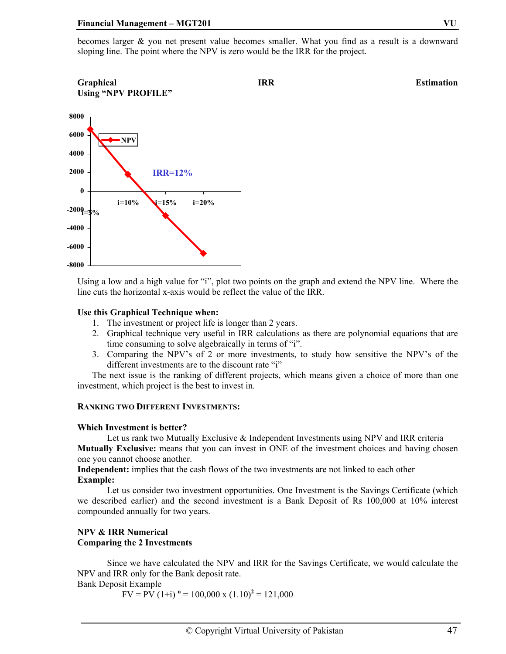becomes larger & you net present value becomes smaller. What you find as a result is a downward sloping line. The point where the NPV is zero would be the IRR for the project.

#### **Graphical** Estimation **IRR** Estimation **Using "NPV PROFILE"**



Using a low and a high value for "i", plot two points on the graph and extend the NPV line. Where the line cuts the horizontal x-axis would be reflect the value of the IRR.

#### **Use this Graphical Technique when:**

- 1. The investment or project life is longer than 2 years.
- 2. Graphical technique very useful in IRR calculations as there are polynomial equations that are time consuming to solve algebraically in terms of "i".
- 3. Comparing the NPV's of 2 or more investments, to study how sensitive the NPV's of the different investments are to the discount rate "i"

The next issue is the ranking of different projects, which means given a choice of more than one investment, which project is the best to invest in.

#### **RANKING TWO DIFFERENT INVESTMENTS:**

#### **Which Investment is better?**

Let us rank two Mutually Exclusive & Independent Investments using NPV and IRR criteria **Mutually Exclusive:** means that you can invest in ONE of the investment choices and having chosen one you cannot choose another.

**Independent:** implies that the cash flows of the two investments are not linked to each other **Example:** 

Let us consider two investment opportunities. One Investment is the Savings Certificate (which we described earlier) and the second investment is a Bank Deposit of Rs 100,000 at 10% interest compounded annually for two years.

#### **NPV & IRR Numerical Comparing the 2 Investments**

Since we have calculated the NPV and IRR for the Savings Certificate, we would calculate the NPV and IRR only for the Bank deposit rate.

Bank Deposit Example

 $FV = P\hat{V}$  (1+i)  $n = 100,000 \text{ x } (1.10)^2 = 121,000$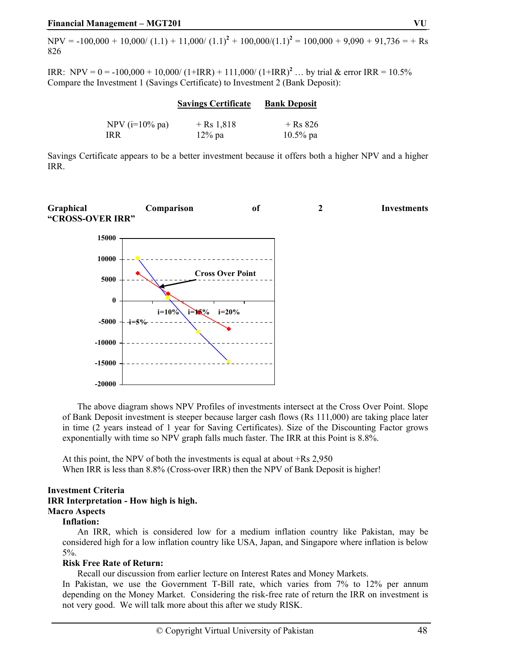$NPV = -100,000 + 10,000 / (1.1) + 11,000 / (1.1)^{2} + 100,000 / (1.1)^{2} = 100,000 + 9,090 + 91,736 = +$  Rs 826

IRR: NPV =  $0 = -100,000 + 10,000/(1+IRR) + 111,000/(1+IRR)^2$  ... by trial & error IRR = 10.5% Compare the Investment 1 (Savings Certificate) to Investment 2 (Bank Deposit):

|                    | <b>Savings Certificate</b> | <b>Bank Deposit</b> |  |
|--------------------|----------------------------|---------------------|--|
| NPV ( $i=10\%$ pa) | + Rs 1.818                 | $+$ Rs 826          |  |
| IR R               | $12\%$ pa                  | $10.5\%$ pa         |  |

Savings Certificate appears to be a better investment because it offers both a higher NPV and a higher IRR.



 The above diagram shows NPV Profiles of investments intersect at the Cross Over Point. Slope of Bank Deposit investment is steeper because larger cash flows (Rs 111,000) are taking place later in time (2 years instead of 1 year for Saving Certificates). Size of the Discounting Factor grows exponentially with time so NPV graph falls much faster. The IRR at this Point is 8.8%.

At this point, the NPV of both the investments is equal at about +Rs 2,950 When IRR is less than 8.8% (Cross-over IRR) then the NPV of Bank Deposit is higher!

#### **Investment Criteria IRR Interpretation - How high is high. Macro Aspects**

#### **Inflation:**

 An IRR, which is considered low for a medium inflation country like Pakistan, may be considered high for a low inflation country like USA, Japan, and Singapore where inflation is below 5%.

#### **Risk Free Rate of Return:**

Recall our discussion from earlier lecture on Interest Rates and Money Markets.

In Pakistan, we use the Government T-Bill rate, which varies from 7% to 12% per annum depending on the Money Market. Considering the risk-free rate of return the IRR on investment is not very good. We will talk more about this after we study RISK.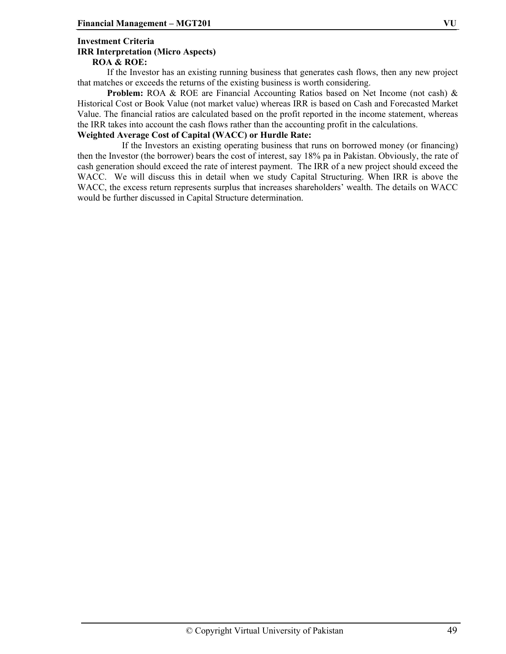#### **Investment Criteria IRR Interpretation (Micro Aspects) ROA & ROE:**

 If the Investor has an existing running business that generates cash flows, then any new project that matches or exceeds the returns of the existing business is worth considering.

**Problem:** ROA & ROE are Financial Accounting Ratios based on Net Income (not cash) & Historical Cost or Book Value (not market value) whereas IRR is based on Cash and Forecasted Market Value. The financial ratios are calculated based on the profit reported in the income statement, whereas the IRR takes into account the cash flows rather than the accounting profit in the calculations.

#### **Weighted Average Cost of Capital (WACC) or Hurdle Rate:**

 If the Investors an existing operating business that runs on borrowed money (or financing) then the Investor (the borrower) bears the cost of interest, say 18% pa in Pakistan. Obviously, the rate of cash generation should exceed the rate of interest payment. The IRR of a new project should exceed the WACC. We will discuss this in detail when we study Capital Structuring. When IRR is above the WACC, the excess return represents surplus that increases shareholders' wealth. The details on WACC would be further discussed in Capital Structure determination.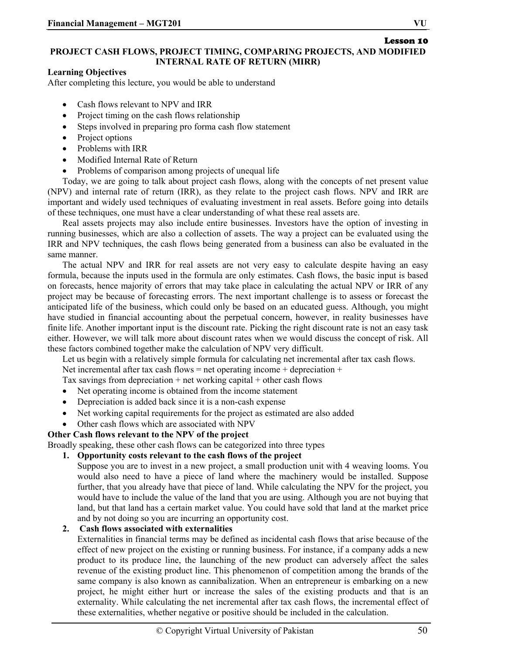#### Lesson 10 **PROJECT CASH FLOWS, PROJECT TIMING, COMPARING PROJECTS, AND MODIFIED INTERNAL RATE OF RETURN (MIRR)**

#### **Learning Objectives**

After completing this lecture, you would be able to understand

- Cash flows relevant to NPV and IRR
- Project timing on the cash flows relationship
- Steps involved in preparing pro forma cash flow statement
- Project options
- Problems with IRR
- Modified Internal Rate of Return
- Problems of comparison among projects of unequal life

Today, we are going to talk about project cash flows, along with the concepts of net present value (NPV) and internal rate of return (IRR), as they relate to the project cash flows. NPV and IRR are important and widely used techniques of evaluating investment in real assets. Before going into details of these techniques, one must have a clear understanding of what these real assets are.

Real assets projects may also include entire businesses. Investors have the option of investing in running businesses, which are also a collection of assets. The way a project can be evaluated using the IRR and NPV techniques, the cash flows being generated from a business can also be evaluated in the same manner.

The actual NPV and IRR for real assets are not very easy to calculate despite having an easy formula, because the inputs used in the formula are only estimates. Cash flows, the basic input is based on forecasts, hence majority of errors that may take place in calculating the actual NPV or IRR of any project may be because of forecasting errors. The next important challenge is to assess or forecast the anticipated life of the business, which could only be based on an educated guess. Although, you might have studied in financial accounting about the perpetual concern, however, in reality businesses have finite life. Another important input is the discount rate. Picking the right discount rate is not an easy task either. However, we will talk more about discount rates when we would discuss the concept of risk. All these factors combined together make the calculation of NPV very difficult.

Let us begin with a relatively simple formula for calculating net incremental after tax cash flows. Net incremental after tax cash flows = net operating income + depreciation +

Tax savings from depreciation  $+$  net working capital  $+$  other cash flows

- Net operating income is obtained from the income statement
- Depreciation is added back since it is a non-cash expense
- Net working capital requirements for the project as estimated are also added
- Other cash flows which are associated with NPV

#### **Other Cash flows relevant to the NPV of the project**

Broadly speaking, these other cash flows can be categorized into three types

#### **1. Opportunity costs relevant to the cash flows of the project**

Suppose you are to invest in a new project, a small production unit with 4 weaving looms. You would also need to have a piece of land where the machinery would be installed. Suppose further, that you already have that piece of land. While calculating the NPV for the project, you would have to include the value of the land that you are using. Although you are not buying that land, but that land has a certain market value. You could have sold that land at the market price and by not doing so you are incurring an opportunity cost.

### **2. Cash flows associated with externalities**

Externalities in financial terms may be defined as incidental cash flows that arise because of the effect of new project on the existing or running business. For instance, if a company adds a new product to its produce line, the launching of the new product can adversely affect the sales revenue of the existing product line. This phenomenon of competition among the brands of the same company is also known as cannibalization. When an entrepreneur is embarking on a new project, he might either hurt or increase the sales of the existing products and that is an externality. While calculating the net incremental after tax cash flows, the incremental effect of these externalities, whether negative or positive should be included in the calculation.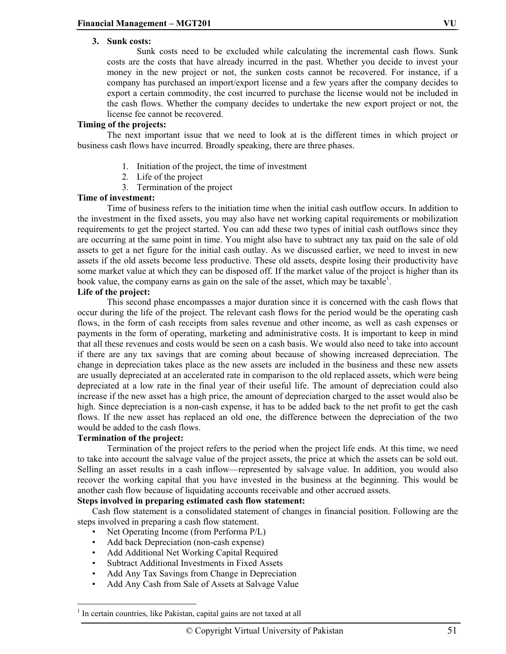#### **3. Sunk costs:**

Sunk costs need to be excluded while calculating the incremental cash flows. Sunk costs are the costs that have already incurred in the past. Whether you decide to invest your money in the new project or not, the sunken costs cannot be recovered. For instance, if a company has purchased an import/export license and a few years after the company decides to export a certain commodity, the cost incurred to purchase the license would not be included in the cash flows. Whether the company decides to undertake the new export project or not, the license fee cannot be recovered.

#### **Timing of the projects:**

The next important issue that we need to look at is the different times in which project or business cash flows have incurred. Broadly speaking, there are three phases.

- 1. Initiation of the project, the time of investment
- 2. Life of the project
- 3. Termination of the project

#### **Time of investment:**

Time of business refers to the initiation time when the initial cash outflow occurs. In addition to the investment in the fixed assets, you may also have net working capital requirements or mobilization requirements to get the project started. You can add these two types of initial cash outflows since they are occurring at the same point in time. You might also have to subtract any tax paid on the sale of old assets to get a net figure for the initial cash outlay. As we discussed earlier, we need to invest in new assets if the old assets become less productive. These old assets, despite losing their productivity have some market value at which they can be disposed off. If the market value of the project is higher than its book value, the company earns as gain on the sale of the asset, which may be taxable<sup>1</sup>.

#### **Life of the project:**

This second phase encompasses a major duration since it is concerned with the cash flows that occur during the life of the project. The relevant cash flows for the period would be the operating cash flows, in the form of cash receipts from sales revenue and other income, as well as cash expenses or payments in the form of operating, marketing and administrative costs. It is important to keep in mind that all these revenues and costs would be seen on a cash basis. We would also need to take into account if there are any tax savings that are coming about because of showing increased depreciation. The change in depreciation takes place as the new assets are included in the business and these new assets are usually depreciated at an accelerated rate in comparison to the old replaced assets, which were being depreciated at a low rate in the final year of their useful life. The amount of depreciation could also increase if the new asset has a high price, the amount of depreciation charged to the asset would also be high. Since depreciation is a non-cash expense, it has to be added back to the net profit to get the cash flows. If the new asset has replaced an old one, the difference between the depreciation of the two would be added to the cash flows.

#### **Termination of the project:**

Termination of the project refers to the period when the project life ends. At this time, we need to take into account the salvage value of the project assets, the price at which the assets can be sold out. Selling an asset results in a cash inflow—represented by salvage value. In addition, you would also recover the working capital that you have invested in the business at the beginning. This would be another cash flow because of liquidating accounts receivable and other accrued assets.

#### **Steps involved in preparing estimated cash flow statement:**

Cash flow statement is a consolidated statement of changes in financial position. Following are the steps involved in preparing a cash flow statement.

- Net Operating Income (from Performa P/L)
- Add back Depreciation (non-cash expense)
- Add Additional Net Working Capital Required
- Subtract Additional Investments in Fixed Assets
- Add Any Tax Savings from Change in Depreciation
- Add Any Cash from Sale of Assets at Salvage Value

 $\overline{a}$ <sup>1</sup> In certain countries, like Pakistan, capital gains are not taxed at all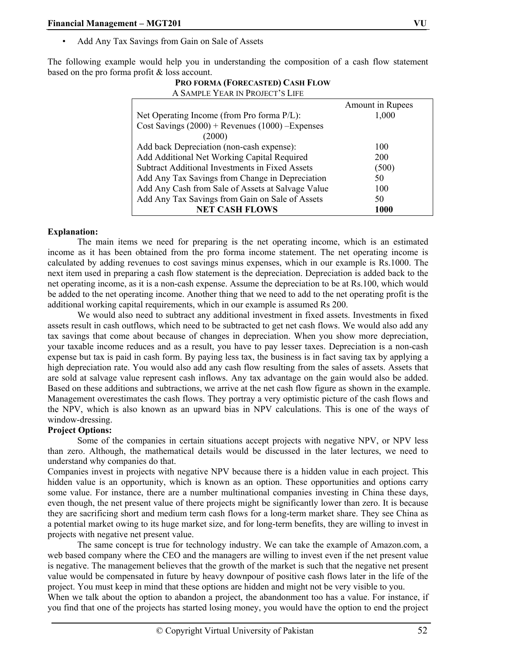• Add Any Tax Savings from Gain on Sale of Assets

The following example would help you in understanding the composition of a cash flow statement based on the pro forma profit & loss account.

| A SAMPLE YEAR IN PROJECT'S LIFE                     |                  |
|-----------------------------------------------------|------------------|
|                                                     | Amount in Rupees |
| Net Operating Income (from Pro forma P/L):          | 1,000            |
| Cost Savings $(2000)$ + Revenues $(1000)$ -Expenses |                  |
| (2000)                                              |                  |
| Add back Depreciation (non-cash expense):           | 100              |
| Add Additional Net Working Capital Required         | 200              |
| Subtract Additional Investments in Fixed Assets     | (500)            |
| Add Any Tax Savings from Change in Depreciation     | 50               |
| Add Any Cash from Sale of Assets at Salvage Value   | 100              |
| Add Any Tax Savings from Gain on Sale of Assets     | 50               |
| <b>NET CASH FLOWS</b>                               | 1000             |

# **PRO FORMA (FORECASTED) CASH FLOW**

#### **Explanation:**

The main items we need for preparing is the net operating income, which is an estimated income as it has been obtained from the pro forma income statement. The net operating income is calculated by adding revenues to cost savings minus expenses, which in our example is Rs.1000. The next item used in preparing a cash flow statement is the depreciation. Depreciation is added back to the net operating income, as it is a non-cash expense. Assume the depreciation to be at Rs.100, which would be added to the net operating income. Another thing that we need to add to the net operating profit is the additional working capital requirements, which in our example is assumed Rs 200.

We would also need to subtract any additional investment in fixed assets. Investments in fixed assets result in cash outflows, which need to be subtracted to get net cash flows. We would also add any tax savings that come about because of changes in depreciation. When you show more depreciation, your taxable income reduces and as a result, you have to pay lesser taxes. Depreciation is a non-cash expense but tax is paid in cash form. By paying less tax, the business is in fact saving tax by applying a high depreciation rate. You would also add any cash flow resulting from the sales of assets. Assets that are sold at salvage value represent cash inflows. Any tax advantage on the gain would also be added. Based on these additions and subtractions, we arrive at the net cash flow figure as shown in the example. Management overestimates the cash flows. They portray a very optimistic picture of the cash flows and the NPV, which is also known as an upward bias in NPV calculations. This is one of the ways of window-dressing.

#### **Project Options:**

Some of the companies in certain situations accept projects with negative NPV, or NPV less than zero. Although, the mathematical details would be discussed in the later lectures, we need to understand why companies do that.

Companies invest in projects with negative NPV because there is a hidden value in each project. This hidden value is an opportunity, which is known as an option. These opportunities and options carry some value. For instance, there are a number multinational companies investing in China these days, even though, the net present value of there projects might be significantly lower than zero. It is because they are sacrificing short and medium term cash flows for a long-term market share. They see China as a potential market owing to its huge market size, and for long-term benefits, they are willing to invest in projects with negative net present value.

The same concept is true for technology industry. We can take the example of Amazon.com, a web based company where the CEO and the managers are willing to invest even if the net present value is negative. The management believes that the growth of the market is such that the negative net present value would be compensated in future by heavy downpour of positive cash flows later in the life of the project. You must keep in mind that these options are hidden and might not be very visible to you.

When we talk about the option to abandon a project, the abandonment too has a value. For instance, if you find that one of the projects has started losing money, you would have the option to end the project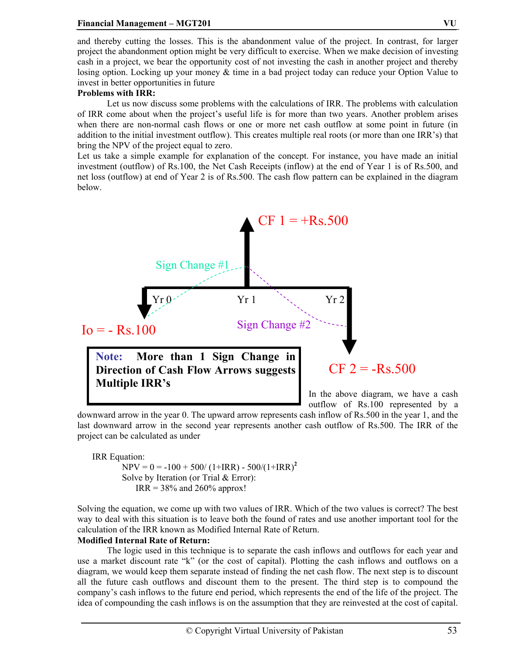#### **Financial Management – MGT201 VU**

and thereby cutting the losses. This is the abandonment value of the project. In contrast, for larger project the abandonment option might be very difficult to exercise. When we make decision of investing cash in a project, we bear the opportunity cost of not investing the cash in another project and thereby losing option. Locking up your money & time in a bad project today can reduce your Option Value to invest in better opportunities in future

#### **Problems with IRR:**

Let us now discuss some problems with the calculations of IRR. The problems with calculation of IRR come about when the project's useful life is for more than two years. Another problem arises when there are non-normal cash flows or one or more net cash outflow at some point in future (in addition to the initial investment outflow). This creates multiple real roots (or more than one IRR's) that bring the NPV of the project equal to zero.

Let us take a simple example for explanation of the concept. For instance, you have made an initial investment (outflow) of Rs.100, the Net Cash Receipts (inflow) at the end of Year 1 is of Rs.500, and net loss (outflow) at end of Year 2 is of Rs.500. The cash flow pattern can be explained in the diagram below.



downward arrow in the year 0. The upward arrow represents cash inflow of Rs.500 in the year 1, and the last downward arrow in the second year represents another cash outflow of Rs.500. The IRR of the project can be calculated as under

IRR Equation:  $NPV = 0 = -100 + 500/(1+IRR) - 500/(1+IRR)^{2}$ Solve by Iteration (or Trial & Error):  $IRR = 38\%$  and 260% approx!

Solving the equation, we come up with two values of IRR. Which of the two values is correct? The best way to deal with this situation is to leave both the found of rates and use another important tool for the calculation of the IRR known as Modified Internal Rate of Return.

#### **Modified Internal Rate of Return:**

The logic used in this technique is to separate the cash inflows and outflows for each year and use a market discount rate "k" (or the cost of capital). Plotting the cash inflows and outflows on a diagram, we would keep them separate instead of finding the net cash flow. The next step is to discount all the future cash outflows and discount them to the present. The third step is to compound the company's cash inflows to the future end period, which represents the end of the life of the project. The idea of compounding the cash inflows is on the assumption that they are reinvested at the cost of capital.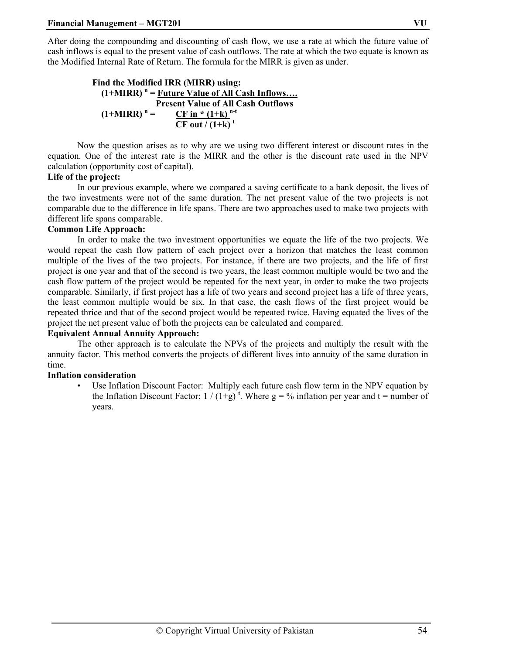After doing the compounding and discounting of cash flow, we use a rate at which the future value of cash inflows is equal to the present value of cash outflows. The rate at which the two equate is known as the Modified Internal Rate of Return. The formula for the MIRR is given as under.

```
Find the Modified IRR (MIRR) using: 
(1+MIRR)^n = Future Value of All Cash Inflows.... Present Value of All Cash Outflows 
  (1+MIRR)^n =CF in *(1+k)<sup>n-t</sup>
                          \overline{\text{CF out}/(1+\text{k})}<sup>t</sup>
```
Now the question arises as to why are we using two different interest or discount rates in the equation. One of the interest rate is the MIRR and the other is the discount rate used in the NPV calculation (opportunity cost of capital).

#### **Life of the project:**

In our previous example, where we compared a saving certificate to a bank deposit, the lives of the two investments were not of the same duration. The net present value of the two projects is not comparable due to the difference in life spans. There are two approaches used to make two projects with different life spans comparable.

#### **Common Life Approach:**

In order to make the two investment opportunities we equate the life of the two projects. We would repeat the cash flow pattern of each project over a horizon that matches the least common multiple of the lives of the two projects. For instance, if there are two projects, and the life of first project is one year and that of the second is two years, the least common multiple would be two and the cash flow pattern of the project would be repeated for the next year, in order to make the two projects comparable. Similarly, if first project has a life of two years and second project has a life of three years, the least common multiple would be six. In that case, the cash flows of the first project would be repeated thrice and that of the second project would be repeated twice. Having equated the lives of the project the net present value of both the projects can be calculated and compared.

#### **Equivalent Annual Annuity Approach:**

The other approach is to calculate the NPVs of the projects and multiply the result with the annuity factor. This method converts the projects of different lives into annuity of the same duration in time.

#### **Inflation consideration**

Use Inflation Discount Factor: Multiply each future cash flow term in the NPV equation by the Inflation Discount Factor:  $1/(1+g)^t$ . Where  $g = \frac{9}{6}$  inflation per year and  $t =$  number of years.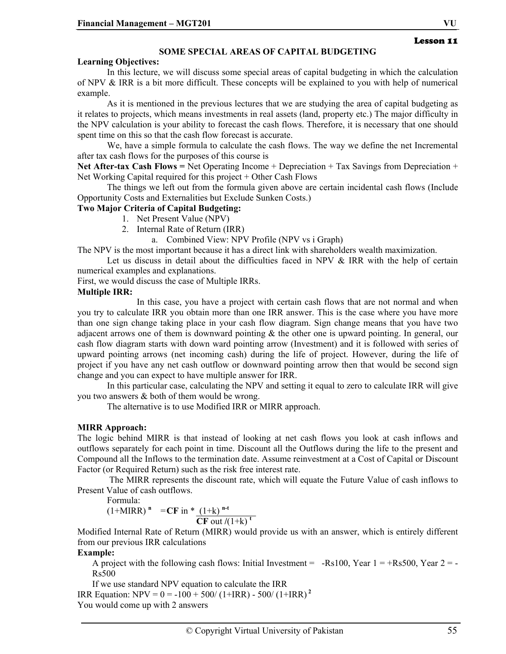#### **SOME SPECIAL AREAS OF CAPITAL BUDGETING**

#### **Learning Objectives:**

In this lecture, we will discuss some special areas of capital budgeting in which the calculation of NPV  $\&$  IRR is a bit more difficult. These concepts will be explained to you with help of numerical example.

As it is mentioned in the previous lectures that we are studying the area of capital budgeting as it relates to projects, which means investments in real assets (land, property etc.) The major difficulty in the NPV calculation is your ability to forecast the cash flows. Therefore, it is necessary that one should spent time on this so that the cash flow forecast is accurate.

 We, have a simple formula to calculate the cash flows. The way we define the net Incremental after tax cash flows for the purposes of this course is

Net After-tax Cash Flows = Net Operating Income + Depreciation + Tax Savings from Depreciation + Net Working Capital required for this project + Other Cash Flows

The things we left out from the formula given above are certain incidental cash flows (Include Opportunity Costs and Externalities but Exclude Sunken Costs.)

#### **Two Major Criteria of Capital Budgeting:**

- 1. Net Present Value (NPV)
- 2. Internal Rate of Return (IRR)
	- a. Combined View: NPV Profile (NPV vs i Graph)

The NPV is the most important because it has a direct link with shareholders wealth maximization.

Let us discuss in detail about the difficulties faced in NPV & IRR with the help of certain numerical examples and explanations.

First, we would discuss the case of Multiple IRRs.

#### **Multiple IRR:**

 In this case, you have a project with certain cash flows that are not normal and when you try to calculate IRR you obtain more than one IRR answer. This is the case where you have more than one sign change taking place in your cash flow diagram. Sign change means that you have two adjacent arrows one of them is downward pointing  $\&$  the other one is upward pointing. In general, our cash flow diagram starts with down ward pointing arrow (Investment) and it is followed with series of upward pointing arrows (net incoming cash) during the life of project. However, during the life of project if you have any net cash outflow or downward pointing arrow then that would be second sign change and you can expect to have multiple answer for IRR.

 In this particular case, calculating the NPV and setting it equal to zero to calculate IRR will give you two answers & both of them would be wrong.

The alternative is to use Modified IRR or MIRR approach.

#### **MIRR Approach:**

The logic behind MIRR is that instead of looking at net cash flows you look at cash inflows and outflows separately for each point in time. Discount all the Outflows during the life to the present and Compound all the Inflows to the termination date. Assume reinvestment at a Cost of Capital or Discount Factor (or Required Return) such as the risk free interest rate.

 The MIRR represents the discount rate, which will equate the Future Value of cash inflows to Present Value of cash outflows.

Formula:

 $(1+MIRR)^n = CF$  in \*  $(1+k)^{n-t}$  $CF$  out  $/(1+k)$ <sup>t</sup>

Modified Internal Rate of Return (MIRR) would provide us with an answer, which is entirely different from our previous IRR calculations

#### **Example:**

A project with the following cash flows: Initial Investment =  $-Rs100$ , Year  $1 = +Rs500$ , Year  $2 = -$ Rs500

If we use standard NPV equation to calculate the IRR

IRR Equation:  $NPV = 0 = -100 + 500/(1+IRR) - 500/(1+IRR)^{2}$ You would come up with 2 answers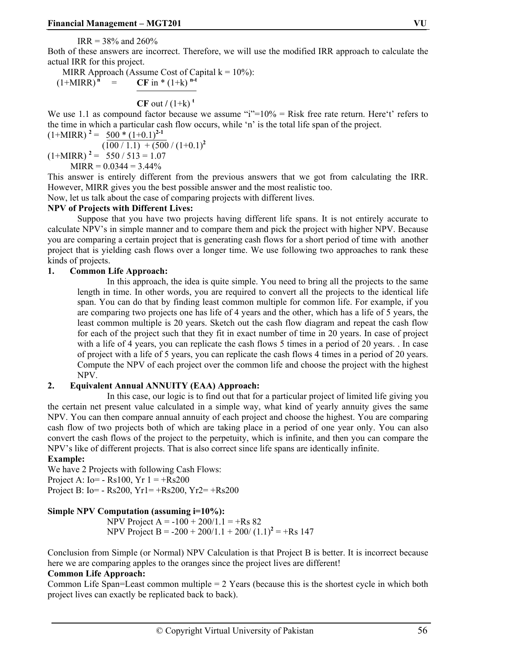$IRR = 38\%$  and  $260\%$ 

Both of these answers are incorrect. Therefore, we will use the modified IRR approach to calculate the actual IRR for this project.

MIRR Approach (Assume Cost of Capital  $k = 10\%$ ):  $(1+MIRR)^n$  = **CF** in \*  $(1+k)^{n-t}$ 

**CF** out  $/(1+k)^t$ 

We use 1.1 as compound factor because we assume "i"= $10\%$  = Risk free rate return. Here't' refers to the time in which a particular cash flow occurs, while 'n' is the total life span of the project.

$$
(1+MIRR)^{2} = \frac{500* (1+0.1)^{2-1}}{(100/1.1) + (500/(1+0.1)^{2})}
$$
  
(1+MIRR)^{2} = 550/513 = 1.07  
MIRR = 0.0344 = 3.44%

This answer is entirely different from the previous answers that we got from calculating the IRR. However, MIRR gives you the best possible answer and the most realistic too.

Now, let us talk about the case of comparing projects with different lives.

#### **NPV of Projects with Different Lives:**

Suppose that you have two projects having different life spans. It is not entirely accurate to calculate NPV's in simple manner and to compare them and pick the project with higher NPV. Because you are comparing a certain project that is generating cash flows for a short period of time with another project that is yielding cash flows over a longer time. We use following two approaches to rank these kinds of projects.

#### **1. Common Life Approach:**

In this approach, the idea is quite simple. You need to bring all the projects to the same length in time. In other words, you are required to convert all the projects to the identical life span. You can do that by finding least common multiple for common life. For example, if you are comparing two projects one has life of 4 years and the other, which has a life of 5 years, the least common multiple is 20 years. Sketch out the cash flow diagram and repeat the cash flow for each of the project such that they fit in exact number of time in 20 years. In case of project with a life of 4 years, you can replicate the cash flows 5 times in a period of 20 years. . In case of project with a life of 5 years, you can replicate the cash flows 4 times in a period of 20 years. Compute the NPV of each project over the common life and choose the project with the highest NPV.

#### **2. Equivalent Annual ANNUITY (EAA) Approach:**

 In this case, our logic is to find out that for a particular project of limited life giving you the certain net present value calculated in a simple way, what kind of yearly annuity gives the same NPV. You can then compare annual annuity of each project and choose the highest. You are comparing cash flow of two projects both of which are taking place in a period of one year only. You can also convert the cash flows of the project to the perpetuity, which is infinite, and then you can compare the NPV's like of different projects. That is also correct since life spans are identically infinite.

#### **Example:**

We have 2 Projects with following Cash Flows: Project A:  $I_0 = -Rs100$ ,  $Yr 1 = +Rs200$ Project B: Io= - Rs200, Yr1= +Rs200, Yr2= +Rs200

#### **Simple NPV Computation (assuming i=10%):**

NPV Project A =  $-100 + 200/1.1 = +Rs 82$ NPV Project B =  $-200 + 200/1.1 + 200/ (1.1)^2 = +$ Rs 147

Conclusion from Simple (or Normal) NPV Calculation is that Project B is better. It is incorrect because here we are comparing apples to the oranges since the project lives are different!

#### **Common Life Approach:**

Common Life Span=Least common multiple  $= 2$  Years (because this is the shortest cycle in which both project lives can exactly be replicated back to back).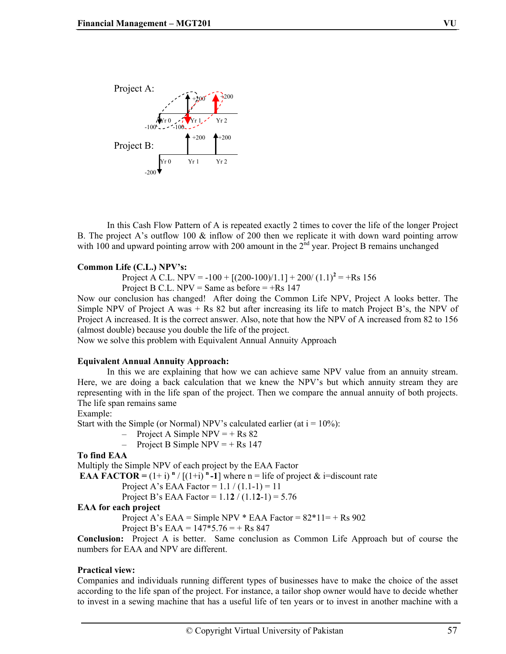

In this Cash Flow Pattern of A is repeated exactly 2 times to cover the life of the longer Project B. The project A's outflow 100 & inflow of 200 then we replicate it with down ward pointing arrow with 100 and upward pointing arrow with 200 amount in the  $2<sup>nd</sup>$  year. Project B remains unchanged

#### **Common Life (C.L.) NPV's:**

Project A C.L. NPV =  $-100 + [(200 - 100)/1.1] + 200/(1.1)^{2} = +Rs 156$ Project B C.L. NPV = Same as before =  $+$ Rs 147

Now our conclusion has changed! After doing the Common Life NPV, Project A looks better. The Simple NPV of Project A was  $+$  Rs 82 but after increasing its life to match Project B's, the NPV of Project A increased. It is the correct answer. Also, note that how the NPV of A increased from 82 to 156 (almost double) because you double the life of the project.

Now we solve this problem with Equivalent Annual Annuity Approach

#### **Equivalent Annual Annuity Approach:**

 In this we are explaining that how we can achieve same NPV value from an annuity stream. Here, we are doing a back calculation that we knew the NPV's but which annuity stream they are representing with in the life span of the project. Then we compare the annual annuity of both projects. The life span remains same

#### Example:

Start with the Simple (or Normal) NPV's calculated earlier (at  $i = 10\%$ ):

 $-$  Project A Simple NPV = + Rs 82

 $-$  Project B Simple NPV = + Rs 147

#### **To find EAA**

Multiply the Simple NPV of each project by the EAA Factor

**EAA FACTOR** =  $(1+i)$   $\binom{n}{1+i}$   $\binom{n-1}{1}$  where  $n =$  life of project & i=discount rate

Project A's EAA Factor =  $1.1 / (1.1 - 1) = 11$ 

Project B's EAA Factor = 1.1**2** / (1.1**2**-1) = 5.76

#### **EAA for each project**

Project A's EAA = Simple NPV  $*$  EAA Factor =  $82*11=$  + Rs 902 Project B's EAA =  $147*5.76 = +$  Rs 847

**Conclusion:** Project A is better. Same conclusion as Common Life Approach but of course the numbers for EAA and NPV are different.

#### **Practical view:**

Companies and individuals running different types of businesses have to make the choice of the asset according to the life span of the project. For instance, a tailor shop owner would have to decide whether to invest in a sewing machine that has a useful life of ten years or to invest in another machine with a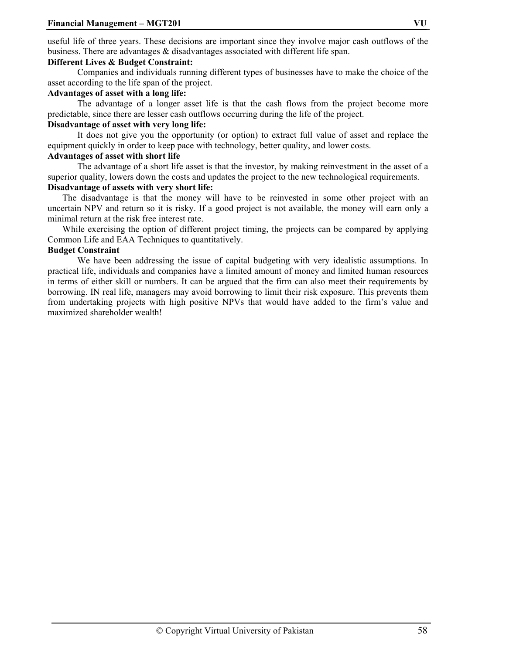useful life of three years. These decisions are important since they involve major cash outflows of the business. There are advantages & disadvantages associated with different life span.

#### **Different Lives & Budget Constraint:**

Companies and individuals running different types of businesses have to make the choice of the asset according to the life span of the project.

#### **Advantages of asset with a long life:**

The advantage of a longer asset life is that the cash flows from the project become more predictable, since there are lesser cash outflows occurring during the life of the project.

#### **Disadvantage of asset with very long life:**

 It does not give you the opportunity (or option) to extract full value of asset and replace the equipment quickly in order to keep pace with technology, better quality, and lower costs.

#### **Advantages of asset with short life**

The advantage of a short life asset is that the investor, by making reinvestment in the asset of a superior quality, lowers down the costs and updates the project to the new technological requirements. **Disadvantage of assets with very short life:** 

The disadvantage is that the money will have to be reinvested in some other project with an uncertain NPV and return so it is risky. If a good project is not available, the money will earn only a minimal return at the risk free interest rate.

While exercising the option of different project timing, the projects can be compared by applying Common Life and EAA Techniques to quantitatively.

#### **Budget Constraint**

We have been addressing the issue of capital budgeting with very idealistic assumptions. In practical life, individuals and companies have a limited amount of money and limited human resources in terms of either skill or numbers. It can be argued that the firm can also meet their requirements by borrowing. IN real life, managers may avoid borrowing to limit their risk exposure. This prevents them from undertaking projects with high positive NPVs that would have added to the firm's value and maximized shareholder wealth!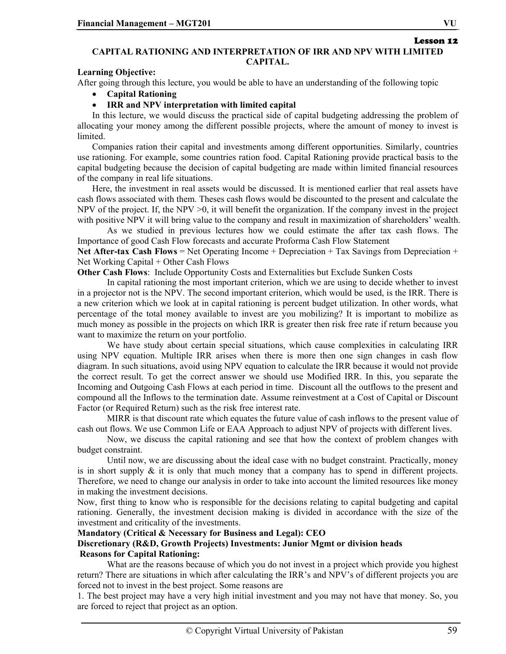Lesson 12

#### **CAPITAL RATIONING AND INTERPRETATION OF IRR AND NPV WITH LIMITED CAPITAL.**

#### **Learning Objective:**

After going through this lecture, you would be able to have an understanding of the following topic

- **Capital Rationing**
- **IRR and NPV interpretation with limited capital**

In this lecture, we would discuss the practical side of capital budgeting addressing the problem of allocating your money among the different possible projects, where the amount of money to invest is limited.

Companies ration their capital and investments among different opportunities. Similarly, countries use rationing. For example, some countries ration food. Capital Rationing provide practical basis to the capital budgeting because the decision of capital budgeting are made within limited financial resources of the company in real life situations.

Here, the investment in real assets would be discussed. It is mentioned earlier that real assets have cash flows associated with them. Theses cash flows would be discounted to the present and calculate the NPV of the project. If, the NPV  $>0$ , it will benefit the organization. If the company invest in the project with positive NPV it will bring value to the company and result in maximization of shareholders' wealth.

 As we studied in previous lectures how we could estimate the after tax cash flows. The Importance of good Cash Flow forecasts and accurate Proforma Cash Flow Statement

**Net After-tax Cash Flows** = Net Operating Income + Depreciation + Tax Savings from Depreciation + Net Working Capital + Other Cash Flows

**Other Cash Flows**: Include Opportunity Costs and Externalities but Exclude Sunken Costs

In capital rationing the most important criterion, which we are using to decide whether to invest in a projector not is the NPV. The second important criterion, which would be used, is the IRR. There is a new criterion which we look at in capital rationing is percent budget utilization. In other words, what percentage of the total money available to invest are you mobilizing? It is important to mobilize as much money as possible in the projects on which IRR is greater then risk free rate if return because you want to maximize the return on your portfolio.

 We have study about certain special situations, which cause complexities in calculating IRR using NPV equation. Multiple IRR arises when there is more then one sign changes in cash flow diagram. In such situations, avoid using NPV equation to calculate the IRR because it would not provide the correct result. To get the correct answer we should use Modified IRR. In this, you separate the Incoming and Outgoing Cash Flows at each period in time. Discount all the outflows to the present and compound all the Inflows to the termination date. Assume reinvestment at a Cost of Capital or Discount Factor (or Required Return) such as the risk free interest rate.

MIRR is that discount rate which equates the future value of cash inflows to the present value of cash out flows. We use Common Life or EAA Approach to adjust NPV of projects with different lives.

Now, we discuss the capital rationing and see that how the context of problem changes with budget constraint.

Until now, we are discussing about the ideal case with no budget constraint. Practically, money is in short supply  $\&$  it is only that much money that a company has to spend in different projects. Therefore, we need to change our analysis in order to take into account the limited resources like money in making the investment decisions.

Now, first thing to know who is responsible for the decisions relating to capital budgeting and capital rationing. Generally, the investment decision making is divided in accordance with the size of the investment and criticality of the investments.

#### **Mandatory (Critical & Necessary for Business and Legal): CEO**

#### **Discretionary (R&D, Growth Projects) Investments: Junior Mgmt or division heads Reasons for Capital Rationing:**

What are the reasons because of which you do not invest in a project which provide you highest return? There are situations in which after calculating the IRR's and NPV's of different projects you are forced not to invest in the best project. Some reasons are

1. The best project may have a very high initial investment and you may not have that money. So, you are forced to reject that project as an option.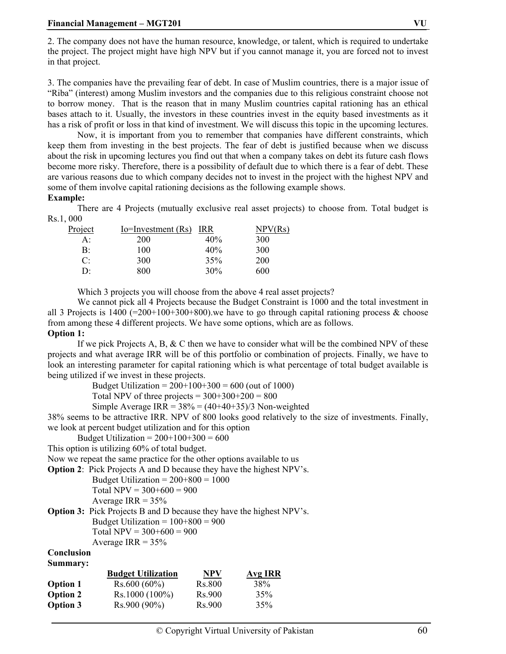2. The company does not have the human resource, knowledge, or talent, which is required to undertake the project. The project might have high NPV but if you cannot manage it, you are forced not to invest in that project.

3. The companies have the prevailing fear of debt. In case of Muslim countries, there is a major issue of "Riba" (interest) among Muslim investors and the companies due to this religious constraint choose not to borrow money. That is the reason that in many Muslim countries capital rationing has an ethical bases attach to it. Usually, the investors in these countries invest in the equity based investments as it has a risk of profit or loss in that kind of investment. We will discuss this topic in the upcoming lectures.

Now, it is important from you to remember that companies have different constraints, which keep them from investing in the best projects. The fear of debt is justified because when we discuss about the risk in upcoming lectures you find out that when a company takes on debt its future cash flows become more risky. Therefore, there is a possibility of default due to which there is a fear of debt. These are various reasons due to which company decides not to invest in the project with the highest NPV and some of them involve capital rationing decisions as the following example shows.

#### **Example:**

There are 4 Projects (mutually exclusive real asset projects) to choose from. Total budget is Rs.1, 000

| Project | $Io=Investment(Rs)$ IRR |     | NPV(Rs)    |
|---------|-------------------------|-----|------------|
| A:      | <b>200</b>              | 40% | 300        |
| B:      | 100                     | 40% | 300        |
| C:      | 300                     | 35% | <b>200</b> |
| DΞ      | 800                     | 30% | 600        |

Which 3 projects you will choose from the above 4 real asset projects?

We cannot pick all 4 Projects because the Budget Constraint is 1000 and the total investment in all 3 Projects is  $1400$  (=200+100+300+800), we have to go through capital rationing process & choose from among these 4 different projects. We have some options, which are as follows.

#### **Option 1:**

If we pick Projects A, B,  $&$  C then we have to consider what will be the combined NPV of these projects and what average IRR will be of this portfolio or combination of projects. Finally, we have to look an interesting parameter for capital rationing which is what percentage of total budget available is being utilized if we invest in these projects.

Budget Utilization =  $200+100+300 = 600$  (out of 1000)

Total NPV of three projects =  $300+300+200 = 800$ 

Simple Average IRR =  $38\% = (40+40+35)/3$  Non-weighted

38% seems to be attractive IRR. NPV of 800 looks good relatively to the size of investments. Finally, we look at percent budget utilization and for this option

Budget Utilization =  $200+100+300 = 600$ 

This option is utilizing 60% of total budget.

Now we repeat the same practice for the other options available to us

**Option 2**: Pick Projects A and D because they have the highest NPV's.

Budget Utilization =  $200+800 = 1000$ Total NPV =  $300+600 = 900$ Average IRR =  $35\%$ 

**Option 3:** Pick Projects B and D because they have the highest NPV's.

Budget Utilization =  $100+800 = 900$ 

Total NPV =  $300+600 = 900$ 

Average IRR =  $35\%$ 

#### **Conclusion Summary:**

|                 | <b>Budget Utilization</b> | <b>NPV</b>          | <b>Avg IRR</b> |
|-----------------|---------------------------|---------------------|----------------|
| <b>Option 1</b> | $Rs.600(60\%)$            | Rs.800              | 38%            |
| <b>Option 2</b> | $Rs.1000(100\%)$          | R <sub>s</sub> .900 | 35%            |
| <b>Option 3</b> | $Rs.900(90\%)$            | Rs.900              | 35%            |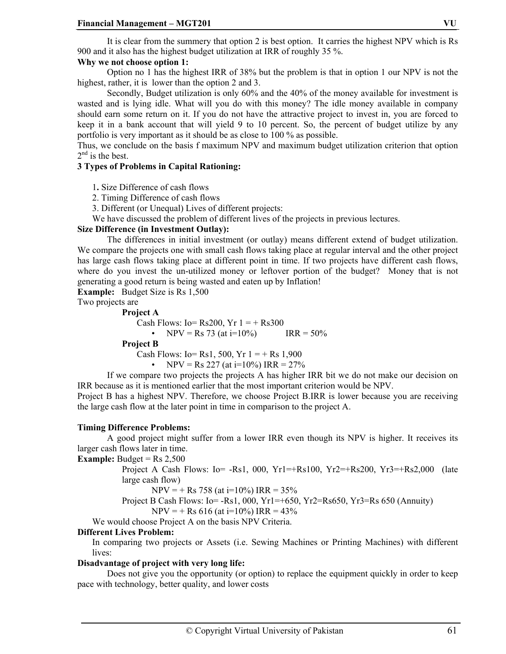It is clear from the summery that option 2 is best option. It carries the highest NPV which is Rs 900 and it also has the highest budget utilization at IRR of roughly 35 %.

#### **Why we not choose option 1:**

Option no 1 has the highest IRR of 38% but the problem is that in option 1 our NPV is not the highest, rather, it is lower than the option 2 and 3.

 Secondly, Budget utilization is only 60% and the 40% of the money available for investment is wasted and is lying idle. What will you do with this money? The idle money available in company should earn some return on it. If you do not have the attractive project to invest in, you are forced to keep it in a bank account that will yield 9 to 10 percent. So, the percent of budget utilize by any portfolio is very important as it should be as close to 100 % as possible.

Thus, we conclude on the basis f maximum NPV and maximum budget utilization criterion that option  $2<sup>nd</sup>$  is the best.

#### **3 Types of Problems in Capital Rationing:**

1**.** Size Difference of cash flows

2. Timing Difference of cash flows

3. Different (or Unequal) Lives of different projects:

We have discussed the problem of different lives of the projects in previous lectures.

#### **Size Difference (in Investment Outlay):**

The differences in initial investment (or outlay) means different extend of budget utilization. We compare the projects one with small cash flows taking place at regular interval and the other project has large cash flows taking place at different point in time. If two projects have different cash flows, where do you invest the un-utilized money or leftover portion of the budget? Money that is not generating a good return is being wasted and eaten up by Inflation!

**Example:** Budget Size is Rs 1,500

Two projects are

#### **Project A**

Cash Flows: Io=  $\text{Rs}200$ , Yr  $1 = + \text{Rs}300$ 

• NPV = Rs 73 (at i=10%) IRR =  $50\%$ 

#### **Project B**

Cash Flows: Io= Rs1, 500, Yr  $1 = +$  Rs 1,900

• NPV = Rs 227 (at i=10%) IRR = 
$$
27\%
$$

If we compare two projects the projects A has higher IRR bit we do not make our decision on IRR because as it is mentioned earlier that the most important criterion would be NPV.

Project B has a highest NPV. Therefore, we choose Project B.IRR is lower because you are receiving the large cash flow at the later point in time in comparison to the project A.

#### **Timing Difference Problems:**

A good project might suffer from a lower IRR even though its NPV is higher. It receives its larger cash flows later in time.

**Example:** Budget =  $\text{Rs } 2,500$ 

Project A Cash Flows:  $I_0 = -Rs1, 000, Yr1 = +Rs100, Yr2 = +Rs200, Yr3 = +Rs2,000$  (late large cash flow)

$$
NPV = + Rs 758 (at i=10\%) IRR = 35\%
$$

Project B Cash Flows: Io= -Rs1, 000, Yr1=+650, Yr2=Rs650, Yr3=Rs 650 (Annuity)

$$
NPV = + Rs 616 (at i=10\%) IRR = 43\%
$$

We would choose Project A on the basis NPV Criteria.

#### **Different Lives Problem:**

In comparing two projects or Assets (i.e. Sewing Machines or Printing Machines) with different lives:

#### **Disadvantage of project with very long life:**

Does not give you the opportunity (or option) to replace the equipment quickly in order to keep pace with technology, better quality, and lower costs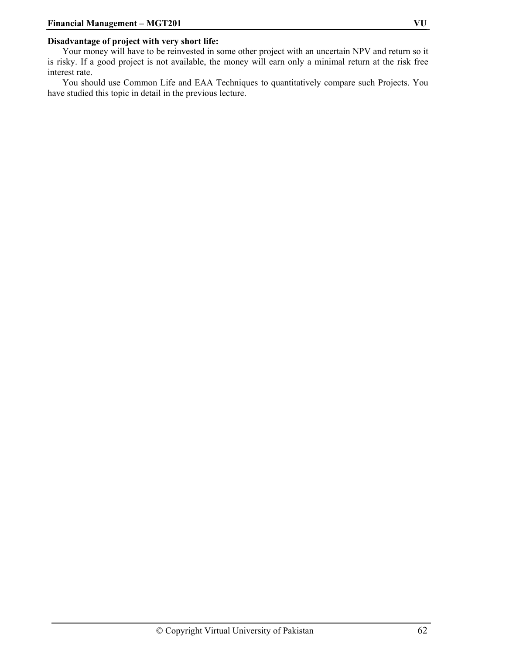#### **Disadvantage of project with very short life:**

Your money will have to be reinvested in some other project with an uncertain NPV and return so it is risky. If a good project is not available, the money will earn only a minimal return at the risk free interest rate.

You should use Common Life and EAA Techniques to quantitatively compare such Projects. You have studied this topic in detail in the previous lecture.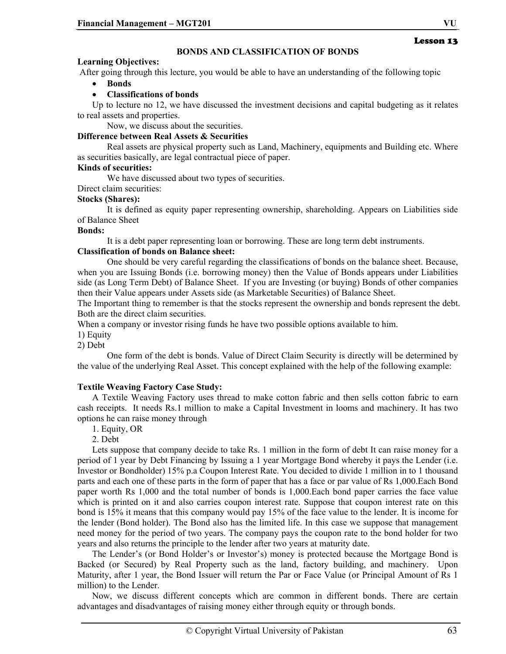### **BONDS AND CLASSIFICATION OF BONDS**

#### **Learning Objectives:**

After going through this lecture, you would be able to have an understanding of the following topic

• **Bonds** 

#### • **Classifications of bonds**

Up to lecture no 12, we have discussed the investment decisions and capital budgeting as it relates to real assets and properties.

Now, we discuss about the securities.

#### **Difference between Real Assets & Securities**

Real assets are physical property such as Land, Machinery, equipments and Building etc. Where as securities basically, are legal contractual piece of paper.

#### **Kinds of securities:**

We have discussed about two types of securities.

Direct claim securities:

#### **Stocks (Shares):**

It is defined as equity paper representing ownership, shareholding. Appears on Liabilities side of Balance Sheet

#### **Bonds:**

It is a debt paper representing loan or borrowing. These are long term debt instruments.

#### **Classification of bonds on Balance sheet:**

One should be very careful regarding the classifications of bonds on the balance sheet. Because, when you are Issuing Bonds (i.e. borrowing money) then the Value of Bonds appears under Liabilities side (as Long Term Debt) of Balance Sheet. If you are Investing (or buying) Bonds of other companies then their Value appears under Assets side (as Marketable Securities) of Balance Sheet.

The Important thing to remember is that the stocks represent the ownership and bonds represent the debt. Both are the direct claim securities.

When a company or investor rising funds he have two possible options available to him.

1) Equity

2) Debt

One form of the debt is bonds. Value of Direct Claim Security is directly will be determined by the value of the underlying Real Asset. This concept explained with the help of the following example:

### **Textile Weaving Factory Case Study:**

A Textile Weaving Factory uses thread to make cotton fabric and then sells cotton fabric to earn cash receipts. It needs Rs.1 million to make a Capital Investment in looms and machinery. It has two options he can raise money through

1. Equity, OR

2. Debt

Lets suppose that company decide to take Rs. 1 million in the form of debt It can raise money for a period of 1 year by Debt Financing by Issuing a 1 year Mortgage Bond whereby it pays the Lender (i.e. Investor or Bondholder) 15% p.a Coupon Interest Rate. You decided to divide 1 million in to 1 thousand parts and each one of these parts in the form of paper that has a face or par value of Rs 1,000.Each Bond paper worth Rs 1,000 and the total number of bonds is 1,000.Each bond paper carries the face value which is printed on it and also carries coupon interest rate. Suppose that coupon interest rate on this bond is 15% it means that this company would pay 15% of the face value to the lender. It is income for the lender (Bond holder). The Bond also has the limited life. In this case we suppose that management need money for the period of two years. The company pays the coupon rate to the bond holder for two years and also returns the principle to the lender after two years at maturity date.

The Lender's (or Bond Holder's or Investor's) money is protected because the Mortgage Bond is Backed (or Secured) by Real Property such as the land, factory building, and machinery. Upon Maturity, after 1 year, the Bond Issuer will return the Par or Face Value (or Principal Amount of Rs 1 million) to the Lender.

Now, we discuss different concepts which are common in different bonds. There are certain advantages and disadvantages of raising money either through equity or through bonds.

Lesson 13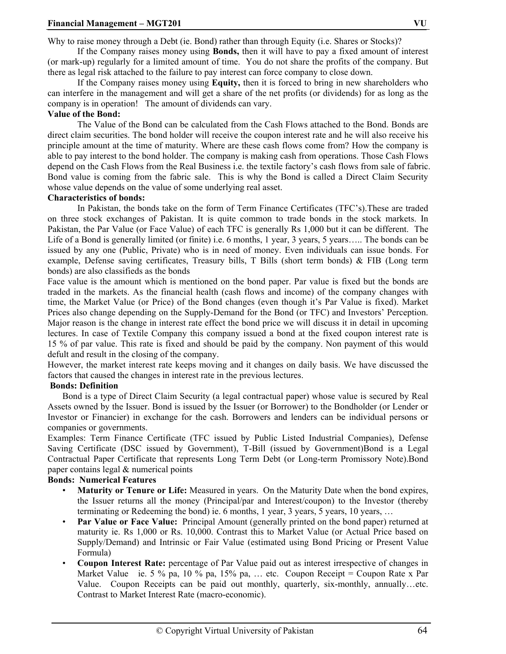Why to raise money through a Debt (ie. Bond) rather than through Equity (i.e. Shares or Stocks)?

If the Company raises money using **Bonds,** then it will have to pay a fixed amount of interest (or mark-up) regularly for a limited amount of time. You do not share the profits of the company. But there as legal risk attached to the failure to pay interest can force company to close down.

If the Company raises money using **Equity,** then it is forced to bring in new shareholders who can interfere in the management and will get a share of the net profits (or dividends) for as long as the company is in operation! The amount of dividends can vary.

#### **Value of the Bond:**

The Value of the Bond can be calculated from the Cash Flows attached to the Bond. Bonds are direct claim securities. The bond holder will receive the coupon interest rate and he will also receive his principle amount at the time of maturity. Where are these cash flows come from? How the company is able to pay interest to the bond holder. The company is making cash from operations. Those Cash Flows depend on the Cash Flows from the Real Business i.e. the textile factory's cash flows from sale of fabric. Bond value is coming from the fabric sale. This is why the Bond is called a Direct Claim Security whose value depends on the value of some underlying real asset.

#### **Characteristics of bonds:**

In Pakistan, the bonds take on the form of Term Finance Certificates (TFC's).These are traded on three stock exchanges of Pakistan. It is quite common to trade bonds in the stock markets. In Pakistan, the Par Value (or Face Value) of each TFC is generally Rs 1,000 but it can be different. The Life of a Bond is generally limited (or finite) i.e. 6 months, 1 year, 3 years, 5 years..... The bonds can be issued by any one (Public, Private) who is in need of money. Even individuals can issue bonds. For example, Defense saving certificates, Treasury bills, T Bills (short term bonds) & FIB (Long term bonds) are also classifieds as the bonds

Face value is the amount which is mentioned on the bond paper. Par value is fixed but the bonds are traded in the markets. As the financial health (cash flows and income) of the company changes with time, the Market Value (or Price) of the Bond changes (even though it's Par Value is fixed). Market Prices also change depending on the Supply-Demand for the Bond (or TFC) and Investors' Perception. Major reason is the change in interest rate effect the bond price we will discuss it in detail in upcoming lectures. In case of Textile Company this company issued a bond at the fixed coupon interest rate is 15 % of par value. This rate is fixed and should be paid by the company. Non payment of this would defult and result in the closing of the company.

However, the market interest rate keeps moving and it changes on daily basis. We have discussed the factors that caused the changes in interest rate in the previous lectures.

#### **Bonds: Definition**

Bond is a type of Direct Claim Security (a legal contractual paper) whose value is secured by Real Assets owned by the Issuer. Bond is issued by the Issuer (or Borrower) to the Bondholder (or Lender or Investor or Financier) in exchange for the cash. Borrowers and lenders can be individual persons or companies or governments.

Examples: Term Finance Certificate (TFC issued by Public Listed Industrial Companies), Defense Saving Certificate (DSC issued by Government), T-Bill (issued by Government)Bond is a Legal Contractual Paper Certificate that represents Long Term Debt (or Long-term Promissory Note).Bond paper contains legal & numerical points

#### **Bonds: Numerical Features**

- **Maturity or Tenure or Life:** Measured in years. On the Maturity Date when the bond expires, the Issuer returns all the money (Principal/par and Interest/coupon) to the Investor (thereby terminating or Redeeming the bond) ie. 6 months, 1 year, 3 years, 5 years, 10 years, …
- **Par Value or Face Value:** Principal Amount (generally printed on the bond paper) returned at maturity ie. Rs 1,000 or Rs. 10,000. Contrast this to Market Value (or Actual Price based on Supply/Demand) and Intrinsic or Fair Value (estimated using Bond Pricing or Present Value Formula)
- **Coupon Interest Rate:** percentage of Par Value paid out as interest irrespective of changes in Market Value ie. 5 % pa, 10 % pa, 15% pa, ... etc. Coupon Receipt = Coupon Rate x Par Value. Coupon Receipts can be paid out monthly, quarterly, six-monthly, annually…etc. Contrast to Market Interest Rate (macro-economic).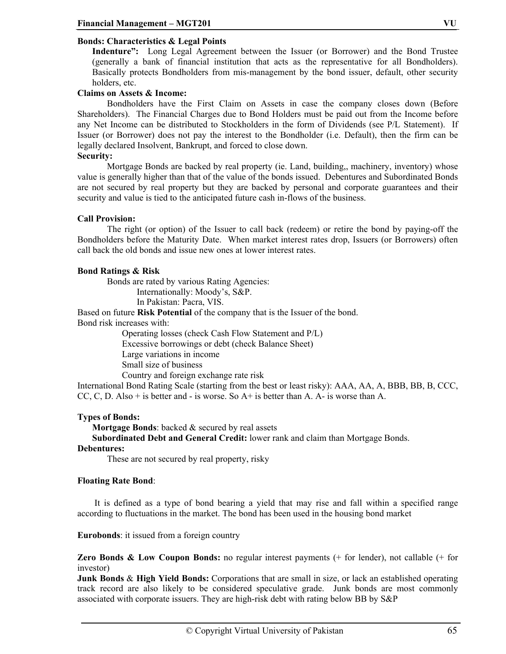#### **Bonds: Characteristics & Legal Points**

**Indenture":** Long Legal Agreement between the Issuer (or Borrower) and the Bond Trustee (generally a bank of financial institution that acts as the representative for all Bondholders). Basically protects Bondholders from mis-management by the bond issuer, default, other security holders, etc.

#### **Claims on Assets & Income:**

Bondholders have the First Claim on Assets in case the company closes down (Before Shareholders). The Financial Charges due to Bond Holders must be paid out from the Income before any Net Income can be distributed to Stockholders in the form of Dividends (see P/L Statement). If Issuer (or Borrower) does not pay the interest to the Bondholder (i.e. Default), then the firm can be legally declared Insolvent, Bankrupt, and forced to close down.

#### **Security:**

Mortgage Bonds are backed by real property (ie. Land, building,, machinery, inventory) whose value is generally higher than that of the value of the bonds issued. Debentures and Subordinated Bonds are not secured by real property but they are backed by personal and corporate guarantees and their security and value is tied to the anticipated future cash in-flows of the business.

#### **Call Provision:**

The right (or option) of the Issuer to call back (redeem) or retire the bond by paying-off the Bondholders before the Maturity Date. When market interest rates drop, Issuers (or Borrowers) often call back the old bonds and issue new ones at lower interest rates.

#### **Bond Ratings & Risk**

Bonds are rated by various Rating Agencies: Internationally: Moody's, S&P. In Pakistan: Pacra, VIS.

Based on future **Risk Potential** of the company that is the Issuer of the bond.

Bond risk increases with:

Operating losses (check Cash Flow Statement and P/L) Excessive borrowings or debt (check Balance Sheet) Large variations in income Small size of business Country and foreign exchange rate risk

International Bond Rating Scale (starting from the best or least risky): AAA, AA, A, BBB, BB, B, CCC, CC, C, D. Also + is better and - is worse. So A+ is better than A. A- is worse than A.

#### **Types of Bonds:**

**Mortgage Bonds**: backed & secured by real assets

**Subordinated Debt and General Credit:** lower rank and claim than Mortgage Bonds.

#### **Debentures:**

These are not secured by real property, risky

#### **Floating Rate Bond**:

 It is defined as a type of bond bearing a yield that may rise and fall within a specified range according to fluctuations in the market. The bond has been used in the housing bond market

**Eurobonds**: it issued from a foreign country

**Zero Bonds & Low Coupon Bonds:** no regular interest payments (+ for lender), not callable (+ for investor)

**Junk Bonds** & **High Yield Bonds:** Corporations that are small in size, or lack an established operating track record are also likely to be considered speculative grade. Junk bonds are most commonly associated with corporate issuers. They are high-risk debt with rating below BB by S&P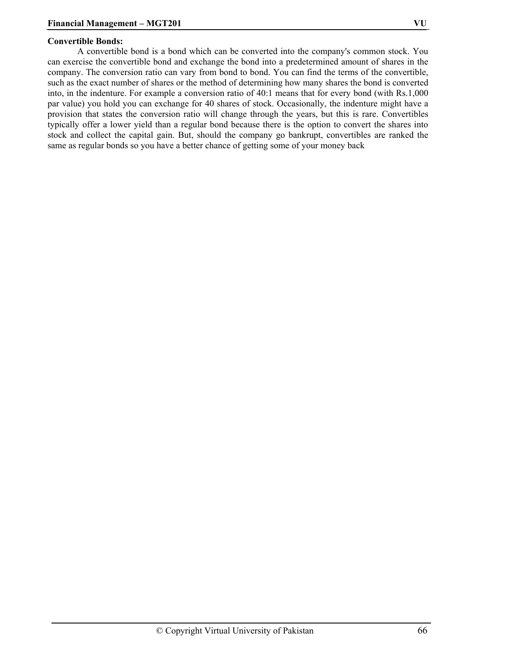#### **Convertible Bonds:**

A convertible bond is a bond which can be converted into the company's common stock. You can exercise the convertible bond and exchange the bond into a predetermined amount of shares in the company. The conversion ratio can vary from bond to bond. You can find the terms of the convertible, such as the exact number of shares or the method of determining how many shares the bond is converted into, in the indenture. For example a conversion ratio of 40:1 means that for every bond (with Rs.1,000 par value) you hold you can exchange for 40 shares of stock. Occasionally, the indenture might have a provision that states the conversion ratio will change through the years, but this is rare. Convertibles typically offer a lower yield than a regular bond because there is the option to convert the shares into stock and collect the capital gain. But, should the company go bankrupt, convertibles are ranked the same as regular bonds so you have a better chance of getting some of your money back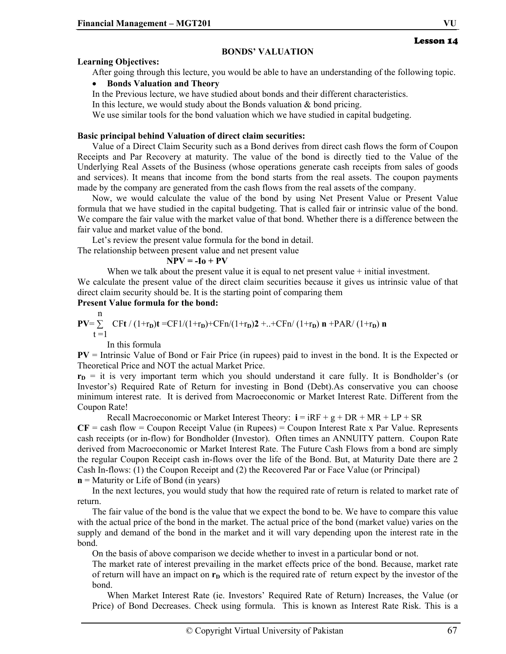#### **BONDS' VALUATION**

#### **Learning Objectives:**

After going through this lecture, you would be able to have an understanding of the following topic.

#### • **Bonds Valuation and Theory**

In the Previous lecture, we have studied about bonds and their different characteristics.

In this lecture, we would study about the Bonds valuation & bond pricing.

We use similar tools for the bond valuation which we have studied in capital budgeting.

#### **Basic principal behind Valuation of direct claim securities:**

Value of a Direct Claim Security such as a Bond derives from direct cash flows the form of Coupon Receipts and Par Recovery at maturity. The value of the bond is directly tied to the Value of the Underlying Real Assets of the Business (whose operations generate cash receipts from sales of goods and services). It means that income from the bond starts from the real assets. The coupon payments made by the company are generated from the cash flows from the real assets of the company.

Now, we would calculate the value of the bond by using Net Present Value or Present Value formula that we have studied in the capital budgeting. That is called fair or intrinsic value of the bond. We compare the fair value with the market value of that bond. Whether there is a difference between the fair value and market value of the bond.

Let's review the present value formula for the bond in detail.

The relationship between present value and net present value

#### $NPV = -I_0 + PV$

When we talk about the present value it is equal to net present value + initial investment. We calculate the present value of the direct claim securities because it gives us intrinsic value of that direct claim security should be. It is the starting point of comparing them

### **Present Value formula for the bond:**

$$
PV = \sum_{t=1}^{n} CFt / (1+r_{D})t = CF1/(1+r_{D})+CFn/(1+r_{D})2 + ... + CFn / (1+r_{D}) n + PAR / (1+r_{D}) n
$$

In this formula

**PV** = Intrinsic Value of Bond or Fair Price (in rupees) paid to invest in the bond. It is the Expected or Theoretical Price and NOT the actual Market Price.

 $r<sub>D</sub>$  = it is very important term which you should understand it care fully. It is Bondholder's (or Investor's) Required Rate of Return for investing in Bond (Debt).As conservative you can choose minimum interest rate. It is derived from Macroeconomic or Market Interest Rate. Different from the Coupon Rate!

Recall Macroeconomic or Market Interest Theory:  $\mathbf{i} = iRF + g + DR + MR + LP + SR$  $CF =$  cash flow  $=$  Coupon Receipt Value (in Rupees)  $=$  Coupon Interest Rate x Par Value. Represents cash receipts (or in-flow) for Bondholder (Investor). Often times an ANNUITY pattern. Coupon Rate derived from Macroeconomic or Market Interest Rate. The Future Cash Flows from a bond are simply the regular Coupon Receipt cash in-flows over the life of the Bond. But, at Maturity Date there are 2 Cash In-flows: (1) the Coupon Receipt and (2) the Recovered Par or Face Value (or Principal)

**n** = Maturity or Life of Bond (in years)

In the next lectures, you would study that how the required rate of return is related to market rate of return.

The fair value of the bond is the value that we expect the bond to be. We have to compare this value with the actual price of the bond in the market. The actual price of the bond (market value) varies on the supply and demand of the bond in the market and it will vary depending upon the interest rate in the bond.

On the basis of above comparison we decide whether to invest in a particular bond or not.

The market rate of interest prevailing in the market effects price of the bond. Because, market rate of return will have an impact on  $r<sub>D</sub>$  which is the required rate of return expect by the investor of the bond.

When Market Interest Rate (ie. Investors' Required Rate of Return) Increases, the Value (or Price) of Bond Decreases. Check using formula. This is known as Interest Rate Risk. This is a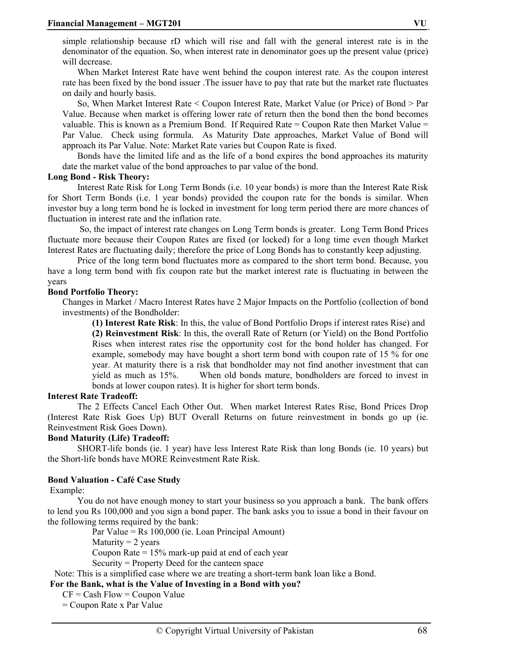simple relationship because rD which will rise and fall with the general interest rate is in the denominator of the equation. So, when interest rate in denominator goes up the present value (price) will decrease

When Market Interest Rate have went behind the coupon interest rate. As the coupon interest rate has been fixed by the bond issuer .The issuer have to pay that rate but the market rate fluctuates on daily and hourly basis.

So, When Market Interest Rate < Coupon Interest Rate, Market Value (or Price) of Bond > Par Value. Because when market is offering lower rate of return then the bond then the bond becomes valuable. This is known as a Premium Bond. If Required Rate  $=$  Coupon Rate then Market Value  $=$ Par Value. Check using formula. As Maturity Date approaches, Market Value of Bond will approach its Par Value. Note: Market Rate varies but Coupon Rate is fixed.

Bonds have the limited life and as the life of a bond expires the bond approaches its maturity date the market value of the bond approaches to par value of the bond.

#### **Long Bond - Risk Theory:**

Interest Rate Risk for Long Term Bonds (i.e. 10 year bonds) is more than the Interest Rate Risk for Short Term Bonds (i.e. 1 year bonds) provided the coupon rate for the bonds is similar. When investor buy a long term bond he is locked in investment for long term period there are more chances of fluctuation in interest rate and the inflation rate.

 So, the impact of interest rate changes on Long Term bonds is greater. Long Term Bond Prices fluctuate more because their Coupon Rates are fixed (or locked) for a long time even though Market Interest Rates are fluctuating daily; therefore the price of Long Bonds has to constantly keep adjusting.

Price of the long term bond fluctuates more as compared to the short term bond. Because, you have a long term bond with fix coupon rate but the market interest rate is fluctuating in between the years

#### **Bond Portfolio Theory:**

Changes in Market / Macro Interest Rates have 2 Major Impacts on the Portfolio (collection of bond investments) of the Bondholder:

**(1) Interest Rate Risk**: In this, the value of Bond Portfolio Drops if interest rates Rise) and **(2) Reinvestment Risk**: In this, the overall Rate of Return (or Yield) on the Bond Portfolio Rises when interest rates rise the opportunity cost for the bond holder has changed. For example, somebody may have bought a short term bond with coupon rate of 15 % for one year. At maturity there is a risk that bondholder may not find another investment that can yield as much as 15%. When old bonds mature, bondholders are forced to invest in bonds at lower coupon rates). It is higher for short term bonds.

#### **Interest Rate Tradeoff:**

The 2 Effects Cancel Each Other Out. When market Interest Rates Rise, Bond Prices Drop (Interest Rate Risk Goes Up) BUT Overall Returns on future reinvestment in bonds go up (ie. Reinvestment Risk Goes Down).

#### **Bond Maturity (Life) Tradeoff:**

SHORT-life bonds (ie. 1 year) have less Interest Rate Risk than long Bonds (ie. 10 years) but the Short-life bonds have MORE Reinvestment Rate Risk.

#### **Bond Valuation - Café Case Study**

Example:

You do not have enough money to start your business so you approach a bank. The bank offers to lend you Rs 100,000 and you sign a bond paper. The bank asks you to issue a bond in their favour on the following terms required by the bank:

> Par Value = Rs 100,000 (ie. Loan Principal Amount) Maturity  $= 2$  years Coupon Rate = 15% mark-up paid at end of each year Security = Property Deed for the canteen space

Note: This is a simplified case where we are treating a short-term bank loan like a Bond.

 **For the Bank, what is the Value of Investing in a Bond with you?** 

 $CF = Cash Flow = Coupon Value$ 

= Coupon Rate x Par Value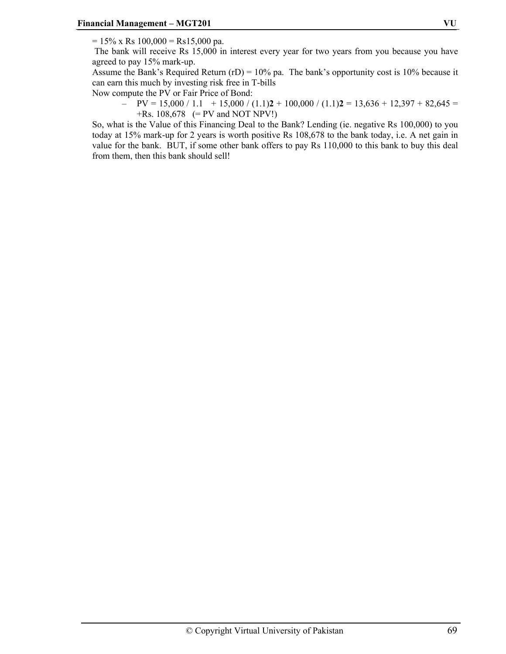$= 15\%$  x Rs 100,000 = Rs15,000 pa.

 The bank will receive Rs 15,000 in interest every year for two years from you because you have agreed to pay 15% mark-up.

Assume the Bank's Required Return  $(TD) = 10\%$  pa. The bank's opportunity cost is 10% because it can earn this much by investing risk free in T-bills

Now compute the PV or Fair Price of Bond:

 $PV = 15,000 / 1.1 + 15,000 / (1.1)2 + 100,000 / (1.1)2 = 13,636 + 12,397 + 82,645 =$ +Rs. 108,678 (= PV and NOT NPV!)

So, what is the Value of this Financing Deal to the Bank? Lending (ie. negative Rs 100,000) to you today at 15% mark-up for 2 years is worth positive Rs 108,678 to the bank today, i.e. A net gain in value for the bank. BUT, if some other bank offers to pay Rs 110,000 to this bank to buy this deal from them, then this bank should sell!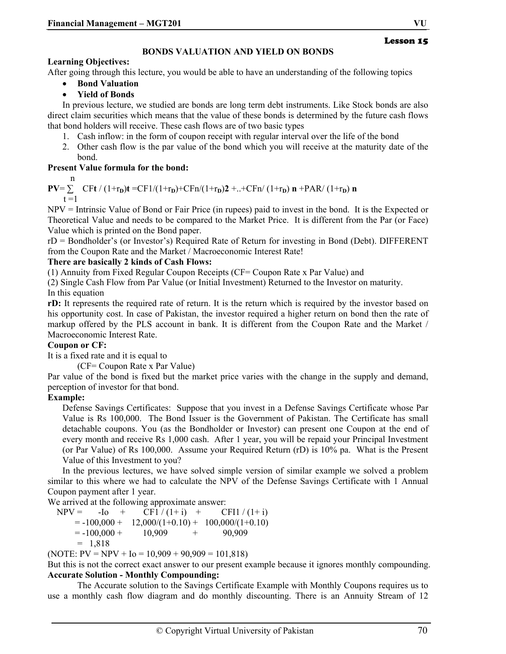#### **BONDS VALUATION AND YIELD ON BONDS**

#### **Learning Objectives:**

After going through this lecture, you would be able to have an understanding of the following topics

- **Bond Valuation**
- **Yield of Bonds**

In previous lecture, we studied are bonds are long term debt instruments. Like Stock bonds are also direct claim securities which means that the value of these bonds is determined by the future cash flows that bond holders will receive. These cash flows are of two basic types

- 1. Cash inflow: in the form of coupon receipt with regular interval over the life of the bond
- 2. Other cash flow is the par value of the bond which you will receive at the maturity date of the bond.

#### **Present Value formula for the bond:**

n

 $PV = \sum_{r} CFt / (1+r_D)t = CF1/(1+r_D)+CFn/(1+r_D)2 +...+CFn/(1+r_D) n +PAR/(1+r_D) n$  $t = 1$ 

NPV = Intrinsic Value of Bond or Fair Price (in rupees) paid to invest in the bond. It is the Expected or Theoretical Value and needs to be compared to the Market Price. It is different from the Par (or Face) Value which is printed on the Bond paper.

rD = Bondholder's (or Investor's) Required Rate of Return for investing in Bond (Debt). DIFFERENT from the Coupon Rate and the Market / Macroeconomic Interest Rate!

#### **There are basically 2 kinds of Cash Flows:**

(1) Annuity from Fixed Regular Coupon Receipts (CF= Coupon Rate x Par Value) and

(2) Single Cash Flow from Par Value (or Initial Investment) Returned to the Investor on maturity. In this equation

**rD:** It represents the required rate of return. It is the return which is required by the investor based on his opportunity cost. In case of Pakistan, the investor required a higher return on bond then the rate of markup offered by the PLS account in bank. It is different from the Coupon Rate and the Market / Macroeconomic Interest Rate.

#### **Coupon or CF:**

It is a fixed rate and it is equal to

(CF= Coupon Rate x Par Value)

Par value of the bond is fixed but the market price varies with the change in the supply and demand, perception of investor for that bond.

#### **Example:**

Defense Savings Certificates: Suppose that you invest in a Defense Savings Certificate whose Par Value is Rs 100,000. The Bond Issuer is the Government of Pakistan. The Certificate has small detachable coupons. You (as the Bondholder or Investor) can present one Coupon at the end of every month and receive Rs 1,000 cash. After 1 year, you will be repaid your Principal Investment (or Par Value) of Rs 100,000. Assume your Required Return (rD) is 10% pa. What is the Present Value of this Investment to you?

In the previous lectures, we have solved simple version of similar example we solved a problem similar to this where we had to calculate the NPV of the Defense Savings Certificate with 1 Annual Coupon payment after 1 year.

We arrived at the following approximate answer:

 $NPV = -I_0 + CF1/(1+i) + CF1/(1+i)$  $= -100,000 + 12,000/(1+0.10) + 100,000/(1+0.10)$  $= -100,000 + 10,909 + 90,909$  $= 1,818$ 

(NOTE:  $PV = NPV + I_0 = 10,909 + 90,909 = 101,818$ )

But this is not the correct exact answer to our present example because it ignores monthly compounding. **Accurate Solution - Monthly Compounding:** 

The Accurate solution to the Savings Certificate Example with Monthly Coupons requires us to use a monthly cash flow diagram and do monthly discounting. There is an Annuity Stream of 12

Lesson 15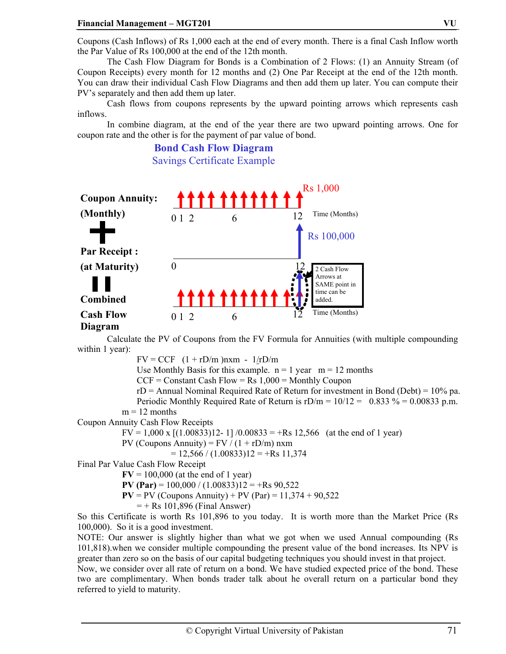Coupons (Cash Inflows) of Rs 1,000 each at the end of every month. There is a final Cash Inflow worth the Par Value of Rs 100,000 at the end of the 12th month.

The Cash Flow Diagram for Bonds is a Combination of 2 Flows: (1) an Annuity Stream (of Coupon Receipts) every month for 12 months and (2) One Par Receipt at the end of the 12th month. You can draw their individual Cash Flow Diagrams and then add them up later. You can compute their PV's separately and then add them up later.

Cash flows from coupons represents by the upward pointing arrows which represents cash inflows.

In combine diagram, at the end of the year there are two upward pointing arrows. One for coupon rate and the other is for the payment of par value of bond.

> **Bond Cash Flow Diagram**  Savings Certificate Example



Calculate the PV of Coupons from the FV Formula for Annuities (with multiple compounding within 1 year):

 $FV = CCF$   $(1 + rD/m)$ nxm -  $1/rD/m$ 

Use Monthly Basis for this example.  $n = 1$  year  $m = 12$  months

 $CCF = Constant Cash Flow = Rs 1,000 = Monthly Coupon$ 

 $rD =$  Annual Nominal Required Rate of Return for investment in Bond (Debt) = 10% pa.

Periodic Monthly Required Rate of Return is  $rD/m = 10/12 = 0.833\% = 0.00833 \text{ p.m.}$ 

$$
m = 12
$$
 months

Coupon Annuity Cash Flow Receipts

 $FV = 1,000 \text{ x } [(1.00833)12 - 1]/0.00833 = +\text{Rs } 12,566$  (at the end of 1 year)

PV (Coupons Annuity) =  $FV / (1 + rD/m)$  nxm

 $= 12,566 / (1.00833)12 = +Rs 11,374$ 

Final Par Value Cash Flow Receipt

 $\text{FV} = 100,000$  (at the end of 1 year)

**PV (Par)** =  $100,000 / (1.00833)12 = +Rs 90,522$ 

**PV** = PV (Coupons Annuity) + PV (Par) =  $11,374 + 90,522$ 

 $=$  + Rs 101,896 (Final Answer)

So this Certificate is worth Rs 101,896 to you today. It is worth more than the Market Price (Rs 100,000). So it is a good investment.

NOTE: Our answer is slightly higher than what we got when we used Annual compounding (Rs 101,818).when we consider multiple compounding the present value of the bond increases. Its NPV is greater than zero so on the basis of our capital budgeting techniques you should invest in that project.

Now, we consider over all rate of return on a bond. We have studied expected price of the bond. These two are complimentary. When bonds trader talk about he overall return on a particular bond they referred to yield to maturity.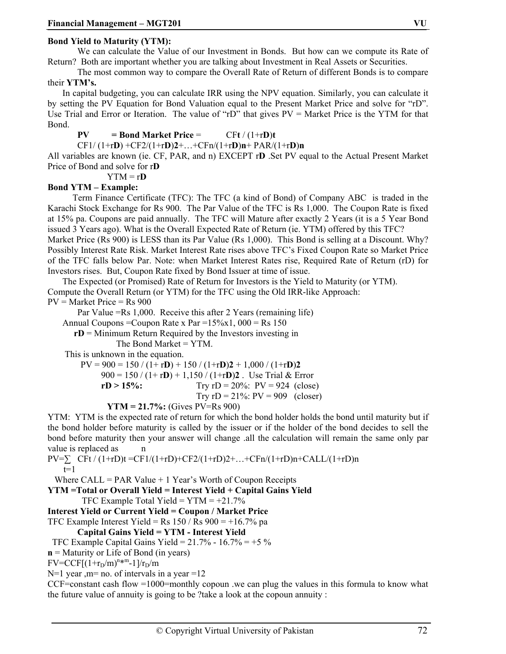#### **Bond Yield to Maturity (YTM):**

We can calculate the Value of our Investment in Bonds. But how can we compute its Rate of Return? Both are important whether you are talking about Investment in Real Assets or Securities.

The most common way to compare the Overall Rate of Return of different Bonds is to compare their **YTM's.** 

In capital budgeting, you can calculate IRR using the NPV equation. Similarly, you can calculate it by setting the PV Equation for Bond Valuation equal to the Present Market Price and solve for "rD". Use Trial and Error or Iteration. The value of "rD" that gives  $PV =$  Market Price is the YTM for that Bond.

$$
PV = Bond Market Price = CFt/(1+rD)t
$$

CF1/ (1+r**D**) +CF2/(1+r**D**)**2**+…+CFn/(1+r**D**)**n**+ PAR/(1+r**D**)**n**

All variables are known (ie. CF, PAR, and n) EXCEPT r**D** .Set PV equal to the Actual Present Market Price of Bond and solve for r**D**

 $YTM = rD$ 

#### **Bond YTM – Example:**

 Term Finance Certificate (TFC): The TFC (a kind of Bond) of Company ABC is traded in the Karachi Stock Exchange for Rs 900. The Par Value of the TFC is Rs 1,000. The Coupon Rate is fixed at 15% pa. Coupons are paid annually. The TFC will Mature after exactly 2 Years (it is a 5 Year Bond issued 3 Years ago). What is the Overall Expected Rate of Return (ie. YTM) offered by this TFC?

Market Price (Rs 900) is LESS than its Par Value (Rs 1,000). This Bond is selling at a Discount. Why? Possibly Interest Rate Risk. Market Interest Rate rises above TFC's Fixed Coupon Rate so Market Price of the TFC falls below Par. Note: when Market Interest Rates rise, Required Rate of Return (rD) for Investors rises. But, Coupon Rate fixed by Bond Issuer at time of issue.

The Expected (or Promised) Rate of Return for Investors is the Yield to Maturity (or YTM). Compute the Overall Return (or YTM) for the TFC using the Old IRR-like Approach:

 $PV = Market Price = Rs 900$ 

Par Value =Rs 1,000. Receive this after 2 Years (remaining life)

Annual Coupons = Coupon Rate x Par =  $15\%x1$ , 000 = Rs 150

**rD** = Minimum Return Required by the Investors investing in

The Bond Market = YTM.

This is unknown in the equation.

 $PV = 900 = 150 / (1 + rD) + 150 / (1 + rD)2 + 1,000 / (1 + rD)2$  900 = 150 / (1+ r**D**) + 1,150 / (1+r**D**)**2** . Use Trial & Error  $rD > 15\%$ : Try  $rD = 20\%$ :  $PV = 924$  (close) Try  $rD = 21\%$ :  $PV = 909$  (closer)

**YTM = 21.7%:** (Gives PV=Rs 900)

YTM: YTM is the expected rate of return for which the bond holder holds the bond until maturity but if the bond holder before maturity is called by the issuer or if the holder of the bond decides to sell the bond before maturity then your answer will change .all the calculation will remain the same only par value is replaced as n

 $PV=\sum CFt/(1+rD)t = CF1/(1+rD)+CF2/(1+rD)2+...+CFn/(1+rD)n+CALL/(1+rD)n$  $t=1$ 

Where CALL = PAR Value  $+1$  Year's Worth of Coupon Receipts

**YTM =Total or Overall Yield = Interest Yield + Capital Gains Yield** 

TFC Example Total Yield =  $YTM = +21.7%$ 

#### **Interest Yield or Current Yield = Coupon / Market Price**

TFC Example Interest Yield = Rs  $150 /$  Rs  $900 = +16.7\%$  pa

#### **Capital Gains Yield = YTM - Interest Yield**

TFC Example Capital Gains Yield =  $21.7\%$  -  $16.7\%$  = +5 %

**n** = Maturity or Life of Bond (in years)

 $FV = CCF[(1 + r_D/m)^{n+m-1}]/r_D/m$ 

 $N=1$  year , m = no. of intervals in a year =12

CCF=constant cash flow =1000=monthly copoun .we can plug the values in this formula to know what the future value of annuity is going to be ?take a look at the copoun annuity :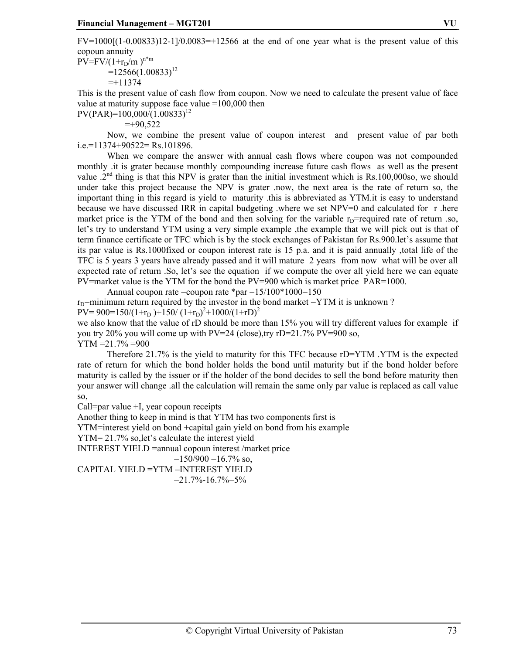$FV=1000[(1-0.00833)]2-1/0.0083=+12566$  at the end of one year what is the present value of this copoun annuity  $PV=FV/(1+r_D/m)^{n*m}$  $=12566(1.00833)^{12}$ 

 $=+11374$ 

This is the present value of cash flow from coupon. Now we need to calculate the present value of face value at maturity suppose face value =100,000 then

 $PV(PAR)=100,000/(1.00833)^{12}$ 

 $=+90.522$ 

 Now, we combine the present value of coupon interest and present value of par both  $i.e.=11374+90522=$ Rs.101896.

 When we compare the answer with annual cash flows where coupon was not compounded monthly .it is grater because monthly compounding increase future cash flows as well as the present value .2<sup>nd</sup> thing is that this NPV is grater than the initial investment which is Rs.100,000so, we should under take this project because the NPV is grater .now, the next area is the rate of return so, the important thing in this regard is yield to maturity .this is abbreviated as YTM.it is easy to understand because we have discussed IRR in capital budgeting .where we set NPV=0 and calculated for r .here market price is the YTM of the bond and then solving for the variable  $r<sub>D</sub>=$  required rate of return .so, let's try to understand YTM using a very simple example ,the example that we will pick out is that of term finance certificate or TFC which is by the stock exchanges of Pakistan for Rs.900.let's assume that its par value is Rs.1000fixed or coupon interest rate is 15 p.a. and it is paid annually ,total life of the TFC is 5 years 3 years have already passed and it will mature 2 years from now what will be over all expected rate of return .So, let's see the equation if we compute the over all yield here we can equate PV=market value is the YTM for the bond the PV=900 which is market price PAR=1000.

Annual coupon rate =coupon rate  $*_{par} = 15/100*1000=150$  $r_D$ =minimum return required by the investor in the bond market =YTM it is unknown ?  $PV= 900=150/(1+r_D)+150/(1+r_D)^2+1000/(1+r_D)^2$ we also know that the value of rD should be more than 15% you will try different values for example if you try 20% you will come up with  $PV=24$  (close), try rD=21.7%  $PV=900$  so,

 $YTM = 21.7\% = 900$ 

 Therefore 21.7% is the yield to maturity for this TFC because rD=YTM .YTM is the expected rate of return for which the bond holder holds the bond until maturity but if the bond holder before maturity is called by the issuer or if the holder of the bond decides to sell the bond before maturity then your answer will change .all the calculation will remain the same only par value is replaced as call value so,

Call=par value +I, year copoun receipts

Another thing to keep in mind is that YTM has two components first is

YTM=interest yield on bond +capital gain yield on bond from his example

YTM= 21.7% so,let's calculate the interest yield

INTEREST YIELD =annual copoun interest /market price

```
=150/900 = 16.7\% so,
```
CAPITAL YIELD =YTM –INTEREST YIELD  $=21.7\% - 16.7\% = 5\%$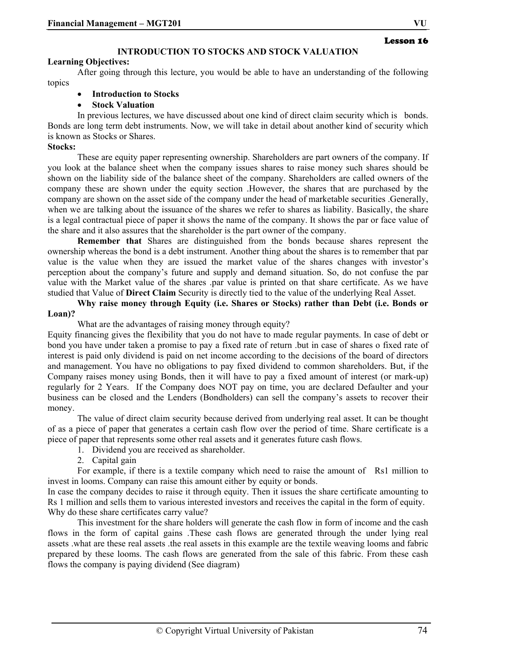## **INTRODUCTION TO STOCKS AND STOCK VALUATION**

## **Learning Objectives:**

After going through this lecture, you would be able to have an understanding of the following topics

- **Introduction to Stocks**
- **Stock Valuation**

In previous lectures, we have discussed about one kind of direct claim security which is bonds. Bonds are long term debt instruments. Now, we will take in detail about another kind of security which is known as Stocks or Shares.

## **Stocks:**

These are equity paper representing ownership. Shareholders are part owners of the company. If you look at the balance sheet when the company issues shares to raise money such shares should be shown on the liability side of the balance sheet of the company. Shareholders are called owners of the company these are shown under the equity section .However, the shares that are purchased by the company are shown on the asset side of the company under the head of marketable securities .Generally, when we are talking about the issuance of the shares we refer to shares as liability. Basically, the share is a legal contractual piece of paper it shows the name of the company. It shows the par or face value of the share and it also assures that the shareholder is the part owner of the company.

**Remember that** Shares are distinguished from the bonds because shares represent the ownership whereas the bond is a debt instrument. Another thing about the shares is to remember that par value is the value when they are issued the market value of the shares changes with investor's perception about the company's future and supply and demand situation. So, do not confuse the par value with the Market value of the shares .par value is printed on that share certificate. As we have studied that Value of **Direct Claim** Security is directly tied to the value of the underlying Real Asset.

**Why raise money through Equity (i.e. Shares or Stocks) rather than Debt (i.e. Bonds or Loan)?** 

What are the advantages of raising money through equity?

Equity financing gives the flexibility that you do not have to made regular payments. In case of debt or bond you have under taken a promise to pay a fixed rate of return .but in case of shares o fixed rate of interest is paid only dividend is paid on net income according to the decisions of the board of directors and management. You have no obligations to pay fixed dividend to common shareholders. But, if the Company raises money using Bonds, then it will have to pay a fixed amount of interest (or mark-up) regularly for 2 Years. If the Company does NOT pay on time, you are declared Defaulter and your business can be closed and the Lenders (Bondholders) can sell the company's assets to recover their money.

The value of direct claim security because derived from underlying real asset. It can be thought of as a piece of paper that generates a certain cash flow over the period of time. Share certificate is a piece of paper that represents some other real assets and it generates future cash flows.

1. Dividend you are received as shareholder.

2. Capital gain

For example, if there is a textile company which need to raise the amount of Rs1 million to invest in looms. Company can raise this amount either by equity or bonds.

In case the company decides to raise it through equity. Then it issues the share certificate amounting to Rs 1 million and sells them to various interested investors and receives the capital in the form of equity. Why do these share certificates carry value?

This investment for the share holders will generate the cash flow in form of income and the cash flows in the form of capital gains .These cash flows are generated through the under lying real assets .what are these real assets .the real assets in this example are the textile weaving looms and fabric prepared by these looms. The cash flows are generated from the sale of this fabric. From these cash flows the company is paying dividend (See diagram)

Lesson 16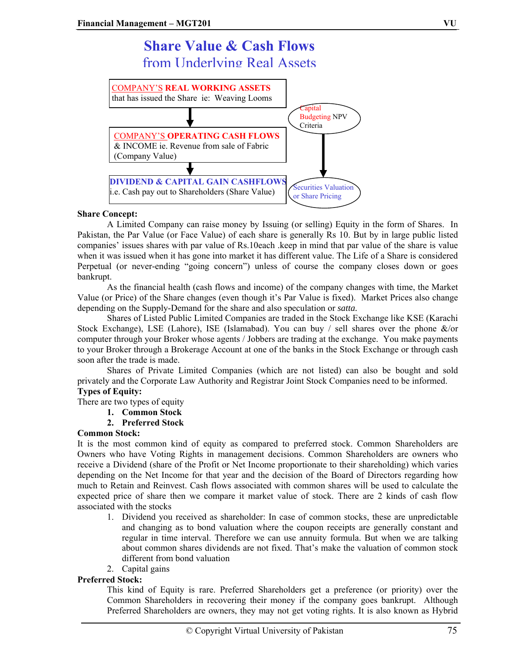## **Share Value & Cash Flows** from Underlying Real Assets COMPANY'S **REAL WORKING ASSETS** that has issued the Share ie: Weaving Looms COMPANY'S **OPERATING CASH FLOWS** & INCOME ie. Revenue from sale of Fabric (Company Value) **DIVIDEND & CAPITAL GAIN CASHFLOWS** i.e. Cash pay out to Shareholders (Share Value) **Capital** Budgeting NPV Criteria Securities Valuation

## **Share Concept:**

A Limited Company can raise money by Issuing (or selling) Equity in the form of Shares. In Pakistan, the Par Value (or Face Value) of each share is generally Rs 10. But by in large public listed companies' issues shares with par value of Rs.10each .keep in mind that par value of the share is value when it was issued when it has gone into market it has different value. The Life of a Share is considered Perpetual (or never-ending "going concern") unless of course the company closes down or goes bankrupt.

or Share Pricing

As the financial health (cash flows and income) of the company changes with time, the Market Value (or Price) of the Share changes (even though it's Par Value is fixed). Market Prices also change depending on the Supply-Demand for the share and also speculation or *satta.*

Shares of Listed Public Limited Companies are traded in the Stock Exchange like KSE (Karachi Stock Exchange), LSE (Lahore), ISE (Islamabad). You can buy / sell shares over the phone &/or computer through your Broker whose agents / Jobbers are trading at the exchange. You make payments to your Broker through a Brokerage Account at one of the banks in the Stock Exchange or through cash soon after the trade is made.

Shares of Private Limited Companies (which are not listed) can also be bought and sold privately and the Corporate Law Authority and Registrar Joint Stock Companies need to be informed. **Types of Equity:** 

There are two types of equity

- **1. Common Stock**
- **2. Preferred Stock**

## **Common Stock:**

It is the most common kind of equity as compared to preferred stock. Common Shareholders are Owners who have Voting Rights in management decisions. Common Shareholders are owners who receive a Dividend (share of the Profit or Net Income proportionate to their shareholding) which varies depending on the Net Income for that year and the decision of the Board of Directors regarding how much to Retain and Reinvest. Cash flows associated with common shares will be used to calculate the expected price of share then we compare it market value of stock. There are 2 kinds of cash flow associated with the stocks

- 1. Dividend you received as shareholder: In case of common stocks, these are unpredictable and changing as to bond valuation where the coupon receipts are generally constant and regular in time interval. Therefore we can use annuity formula. But when we are talking about common shares dividends are not fixed. That's make the valuation of common stock different from bond valuation
- 2. Capital gains

## **Preferred Stock:**

This kind of Equity is rare. Preferred Shareholders get a preference (or priority) over the Common Shareholders in recovering their money if the company goes bankrupt. Although Preferred Shareholders are owners, they may not get voting rights. It is also known as Hybrid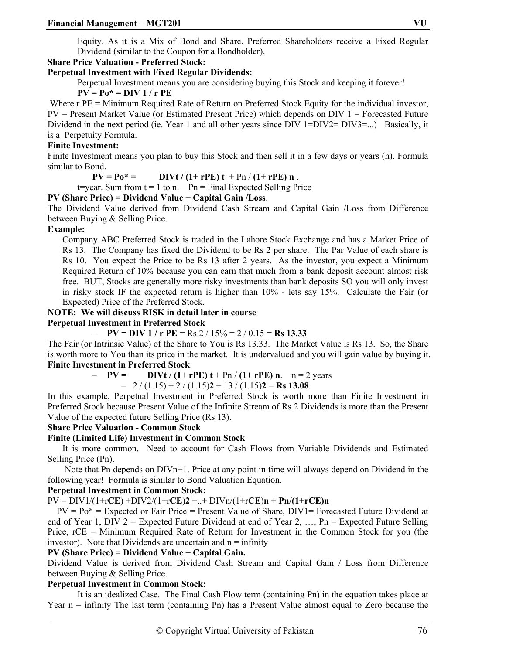Equity. As it is a Mix of Bond and Share. Preferred Shareholders receive a Fixed Regular Dividend (similar to the Coupon for a Bondholder).

## **Share Price Valuation - Preferred Stock:**

## **Perpetual Investment with Fixed Regular Dividends:**

Perpetual Investment means you are considering buying this Stock and keeping it forever!

**PV = Po\* = DIV 1 / r PE**

Where r PE = Minimum Required Rate of Return on Preferred Stock Equity for the individual investor,  $PV =$  Present Market Value (or Estimated Present Price) which depends on DIV  $1 =$  Forecasted Future Dividend in the next period (ie. Year 1 and all other years since DIV 1=DIV2= DIV3=...) Basically, it is a Perpetuity Formula.

#### **Finite Investment:**

Finite Investment means you plan to buy this Stock and then sell it in a few days or years (n). Formula similar to Bond.

 $PV = Po^* =$  DIVt /  $(1 + rPE) t + Pn / (1 + rPE) n$ .

 $t = \text{year}$ . Sum from  $t = 1$  to n. Pn = Final Expected Selling Price

## **PV (Share Price) = Dividend Value + Capital Gain /Loss**.

The Dividend Value derived from Dividend Cash Stream and Capital Gain /Loss from Difference between Buying & Selling Price.

## **Example:**

Company ABC Preferred Stock is traded in the Lahore Stock Exchange and has a Market Price of Rs 13. The Company has fixed the Dividend to be Rs 2 per share. The Par Value of each share is Rs 10. You expect the Price to be Rs 13 after 2 years. As the investor, you expect a Minimum Required Return of 10% because you can earn that much from a bank deposit account almost risk free. BUT, Stocks are generally more risky investments than bank deposits SO you will only invest in risky stock IF the expected return is higher than 10% - lets say 15%. Calculate the Fair (or Expected) Price of the Preferred Stock.

## **NOTE: We will discuss RISK in detail later in course**

**Perpetual Investment in Preferred Stock** 

 $-$  **PV** = DIV 1 / r PE = Rs 2 / 15% = 2 / 0.15 = Rs 13.33

The Fair (or Intrinsic Value) of the Share to You is Rs 13.33. The Market Value is Rs 13. So, the Share is worth more to You than its price in the market. It is undervalued and you will gain value by buying it. **Finite Investment in Preferred Stock**:

 $- PV = DIVt / (1 + rPE) t + Pn / (1 + rPE) n$ . n = 2 years

 $= 2 / (1.15) + 2 / (1.15)2 + 13 / (1.15)2 =$ **Rs 13.08** 

In this example, Perpetual Investment in Preferred Stock is worth more than Finite Investment in Preferred Stock because Present Value of the Infinite Stream of Rs 2 Dividends is more than the Present Value of the expected future Selling Price (Rs 13).

## **Share Price Valuation - Common Stock**

## **Finite (Limited Life) Investment in Common Stock**

It is more common. Need to account for Cash Flows from Variable Dividends and Estimated Selling Price (Pn).

 Note that Pn depends on DIVn+1. Price at any point in time will always depend on Dividend in the following year! Formula is similar to Bond Valuation Equation.

## **Perpetual Investment in Common Stock:**

## PV = DIV1/(1+r**CE**) +DIV2/(1+r**CE**)**2** +..+ DIVn/(1+r**CE**)**n** + **Pn/(1+rCE)n**

 $PV = Po^* =$  Expected or Fair Price = Present Value of Share, DIV1= Forecasted Future Dividend at end of Year 1, DIV 2 = Expected Future Dividend at end of Year 2, …, Pn = Expected Future Selling Price, rCE = Minimum Required Rate of Return for Investment in the Common Stock for you (the investor). Note that Dividends are uncertain and  $n =$  infinity

#### **PV (Share Price) = Dividend Value + Capital Gain.**

Dividend Value is derived from Dividend Cash Stream and Capital Gain / Loss from Difference between Buying & Selling Price.

## **Perpetual Investment in Common Stock:**

It is an idealized Case. The Final Cash Flow term (containing Pn) in the equation takes place at Year  $n =$  infinity The last term (containing Pn) has a Present Value almost equal to Zero because the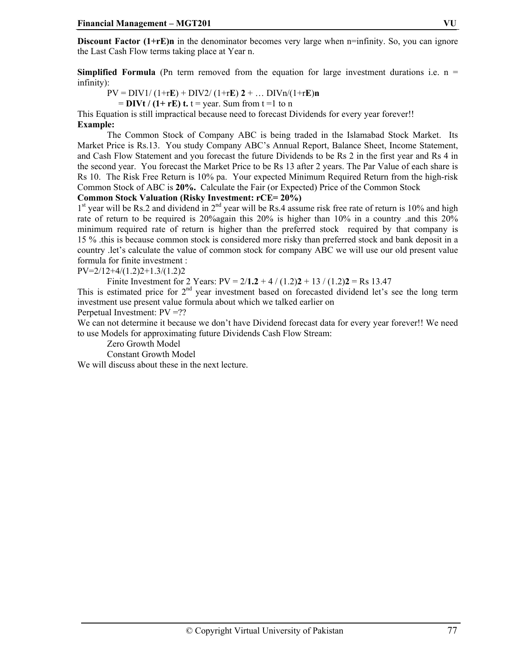**Discount Factor (1+rE)n** in the denominator becomes very large when n=infinity. So, you can ignore the Last Cash Flow terms taking place at Year n.

**Simplified Formula** (Pn term removed from the equation for large investment durations i.e.  $n =$ infinity):

 $PV = DIV1/(1 + rE) + DIV2/(1 + rE)2 + ... DIVn/(1 + rE)n$ 

 $=$  **DIVt** / (1+ rE) t.  $t =$  year. Sum from  $t = 1$  to n

This Equation is still impractical because need to forecast Dividends for every year forever!! **Example:**

The Common Stock of Company ABC is being traded in the Islamabad Stock Market. Its Market Price is Rs.13. You study Company ABC's Annual Report, Balance Sheet, Income Statement, and Cash Flow Statement and you forecast the future Dividends to be Rs 2 in the first year and Rs 4 in the second year. You forecast the Market Price to be Rs 13 after 2 years. The Par Value of each share is Rs 10. The Risk Free Return is 10% pa. Your expected Minimum Required Return from the high-risk Common Stock of ABC is **20%.** Calculate the Fair (or Expected) Price of the Common Stock

**Common Stock Valuation (Risky Investment: rCE= 20%)** 

 $1<sup>st</sup>$  year will be Rs.2 and dividend in  $2<sup>nd</sup>$  year will be Rs.4 assume risk free rate of return is 10% and high rate of return to be required is 20%again this 20% is higher than 10% in a country .and this 20% minimum required rate of return is higher than the preferred stock required by that company is 15 % .this is because common stock is considered more risky than preferred stock and bank deposit in a country .let's calculate the value of common stock for company ABC we will use our old present value formula for finite investment :

 $PV=2/12+4/(1.2)2+1.3/(1.2)2$ 

Finite Investment for 2 Years:  $PV = 2/1.2 + 4 / (1.2)2 + 13 / (1.2)2 = Rs 13.47$ 

This is estimated price for  $2<sup>nd</sup>$  year investment based on forecasted dividend let's see the long term investment use present value formula about which we talked earlier on

Perpetual Investment: PV =??

We can not determine it because we don't have Dividend forecast data for every year forever!! We need to use Models for approximating future Dividends Cash Flow Stream:

Zero Growth Model

Constant Growth Model

We will discuss about these in the next lecture.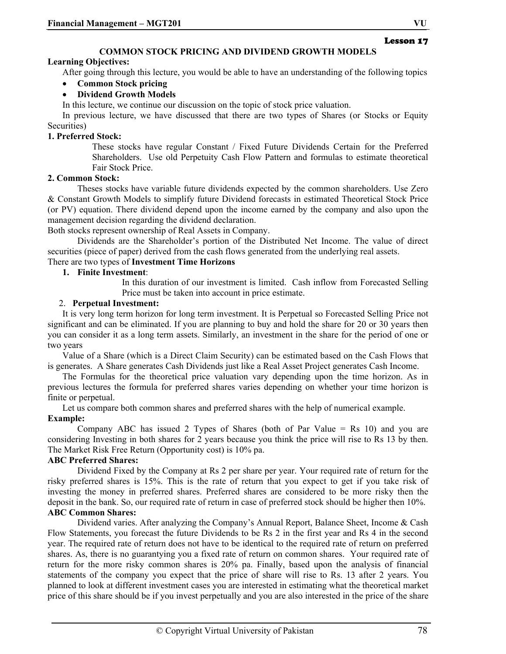## **COMMON STOCK PRICING AND DIVIDEND GROWTH MODELS**

## **Learning Objectives:**

After going through this lecture, you would be able to have an understanding of the following topics

## • **Common Stock pricing**

## • **Dividend Growth Models**

In this lecture, we continue our discussion on the topic of stock price valuation.

In previous lecture, we have discussed that there are two types of Shares (or Stocks or Equity Securities)

## **1. Preferred Stock:**

These stocks have regular Constant / Fixed Future Dividends Certain for the Preferred Shareholders. Use old Perpetuity Cash Flow Pattern and formulas to estimate theoretical Fair Stock Price.

## **2. Common Stock:**

Theses stocks have variable future dividends expected by the common shareholders. Use Zero & Constant Growth Models to simplify future Dividend forecasts in estimated Theoretical Stock Price (or PV) equation. There dividend depend upon the income earned by the company and also upon the management decision regarding the dividend declaration.

Both stocks represent ownership of Real Assets in Company.

Dividends are the Shareholder's portion of the Distributed Net Income. The value of direct securities (piece of paper) derived from the cash flows generated from the underlying real assets.

## There are two types of **Investment Time Horizons**

## **1. Finite Investment**:

In this duration of our investment is limited. Cash inflow from Forecasted Selling Price must be taken into account in price estimate.

## 2. **Perpetual Investment:**

It is very long term horizon for long term investment. It is Perpetual so Forecasted Selling Price not significant and can be eliminated. If you are planning to buy and hold the share for 20 or 30 years then you can consider it as a long term assets. Similarly, an investment in the share for the period of one or two years

Value of a Share (which is a Direct Claim Security) can be estimated based on the Cash Flows that is generates. A Share generates Cash Dividends just like a Real Asset Project generates Cash Income.

The Formulas for the theoretical price valuation vary depending upon the time horizon. As in previous lectures the formula for preferred shares varies depending on whether your time horizon is finite or perpetual.

Let us compare both common shares and preferred shares with the help of numerical example.

## **Example:**

Company ABC has issued 2 Types of Shares (both of Par Value  $=$  Rs 10) and you are considering Investing in both shares for 2 years because you think the price will rise to Rs 13 by then. The Market Risk Free Return (Opportunity cost) is 10% pa.

#### **ABC Preferred Shares:**

Dividend Fixed by the Company at Rs 2 per share per year. Your required rate of return for the risky preferred shares is 15%. This is the rate of return that you expect to get if you take risk of investing the money in preferred shares. Preferred shares are considered to be more risky then the deposit in the bank. So, our required rate of return in case of preferred stock should be higher then 10%. **ABC Common Shares:**

Dividend varies. After analyzing the Company's Annual Report, Balance Sheet, Income & Cash Flow Statements, you forecast the future Dividends to be Rs 2 in the first year and Rs 4 in the second year. The required rate of return does not have to be identical to the required rate of return on preferred shares. As, there is no guarantying you a fixed rate of return on common shares. Your required rate of return for the more risky common shares is 20% pa. Finally, based upon the analysis of financial statements of the company you expect that the price of share will rise to Rs. 13 after 2 years. You planned to look at different investment cases you are interested in estimating what the theoretical market price of this share should be if you invest perpetually and you are also interested in the price of the share

Lesson 17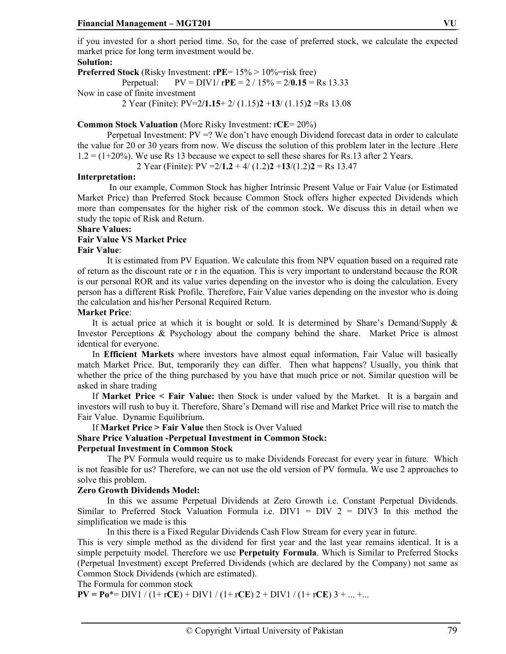if you invested for a short period time. So, for the case of preferred stock, we calculate the expected market price for long term investment would be.

## **Solution:**

**Preferred Stock** (Risky Investment: r**PE**= 15% > 10%=risk free) Perpetual: PV = DIV1/ r**PE** = 2 / 15% = 2/**0.15** = Rs 13.33 Now in case of finite investment 2 Year (Finite): PV=2**/1.15**+ 2/ (1.15)**2** +**13**/ (1.15)**2** =Rs 13.08

## **Common Stock Valuation** (More Risky Investment: r**CE**= 20%)

Perpetual Investment:  $PV = ?$  We don't have enough Dividend forecast data in order to calculate the value for 20 or 30 years from now. We discuss the solution of this problem later in the lecture .Here  $1.2 = (1+20\%)$ . We use Rs 13 because we expect to sell these shares for Rs.13 after 2 Years.

2 Year (Finite): PV =2/**1.2** + 4/ (1.2)**2** +**13**/(1.2)**2** = Rs 13.47

#### **Interpretation:**

 In our example, Common Stock has higher Intrinsic Present Value or Fair Value (or Estimated Market Price) than Preferred Stock because Common Stock offers higher expected Dividends which more than compensates for the higher risk of the common stock. We discuss this in detail when we study the topic of Risk and Return.

#### **Share Values:**

#### **Fair Value VS Market Price**

#### **Fair Value**:

It is estimated from PV Equation. We calculate this from NPV equation based on a required rate of return as the discount rate or r in the equation. This is very important to understand because the ROR is our personal ROR and its value varies depending on the investor who is doing the calculation. Every person has a different Risk Profile. Therefore, Fair Value varies depending on the investor who is doing the calculation and his/her Personal Required Return.

#### **Market Price**:

It is actual price at which it is bought or sold. It is determined by Share's Demand/Supply & Investor Perceptions & Psychology about the company behind the share. Market Price is almost identical for everyone.

In **Efficient Markets** where investors have almost equal information, Fair Value will basically match Market Price. But, temporarily they can differ. Then what happens? Usually, you think that whether the price of the thing purchased by you have that much price or not. Similar question will be asked in share trading

If **Market Price < Fair Value:** then Stock is under valued by the Market. It is a bargain and investors will rush to buy it. Therefore, Share's Demand will rise and Market Price will rise to match the Fair Value. Dynamic Equilibrium.

If **Market Price > Fair Value** then Stock is Over Valued

#### **Share Price Valuation -Perpetual Investment in Common Stock:**

#### **Perpetual Investment in Common Stock**

The PV Formula would require us to make Dividends Forecast for every year in future. Which is not feasible for us? Therefore, we can not use the old version of PV formula. We use 2 approaches to solve this problem.

#### **Zero Growth Dividends Model:**

 In this we assume Perpetual Dividends at Zero Growth i.e. Constant Perpetual Dividends. Similar to Preferred Stock Valuation Formula i.e.  $DIV1 = DIV2 = DIV3$  In this method the simplification we made is this

In this there is a Fixed Regular Dividends Cash Flow Stream for every year in future.

This is very simple method as the dividend for first year and the last year remains identical. It is a simple perpetuity model. Therefore we use **Perpetuity Formula**. Which is Similar to Preferred Stocks (Perpetual Investment) except Preferred Dividends (which are declared by the Company) not same as Common Stock Dividends (which are estimated).

The Formula for common stock

**PV = Po\*=** DIV1 / (1+ rCE) + DIV1 / (1+ rCE) 2 + DIV1 / (1+ rCE) 3 + ... +...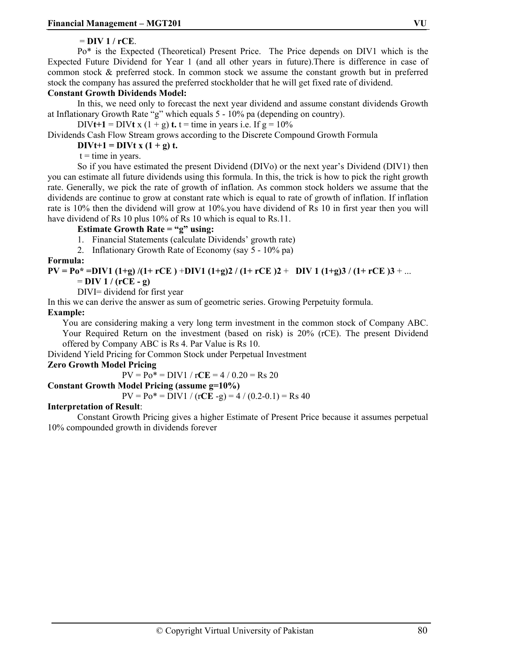## = **DIV 1 / rCE**.

Po\* is the Expected (Theoretical) Present Price. The Price depends on DIV1 which is the Expected Future Dividend for Year 1 (and all other years in future).There is difference in case of common stock & preferred stock. In common stock we assume the constant growth but in preferred stock the company has assured the preferred stockholder that he will get fixed rate of dividend.

## **Constant Growth Dividends Model:**

In this, we need only to forecast the next year dividend and assume constant dividends Growth at Inflationary Growth Rate "g" which equals 5 - 10% pa (depending on country).

DIV**t**+1 = DIV**t** x  $(1 + g)$ **t.**  $t =$  time in years i.e. If  $g = 10\%$ 

Dividends Cash Flow Stream grows according to the Discrete Compound Growth Formula

 $\text{DIVt+1} = \text{DIVt} x (1 + g) t.$ 

 $t =$  time in years.

So if you have estimated the present Dividend (DIVo) or the next year's Dividend (DIV1) then you can estimate all future dividends using this formula. In this, the trick is how to pick the right growth rate. Generally, we pick the rate of growth of inflation. As common stock holders we assume that the dividends are continue to grow at constant rate which is equal to rate of growth of inflation. If inflation rate is 10% then the dividend will grow at 10%.you have dividend of Rs 10 in first year then you will have dividend of Rs 10 plus 10% of Rs 10 which is equal to Rs.11.

## **Estimate Growth Rate = "g" using:**

1. Financial Statements (calculate Dividends' growth rate)

2. Inflationary Growth Rate of Economy (say 5 - 10% pa)

## **Formula:**

## **PV = Po\* =DIV1 (1+g) /(1+ rCE )** +**DIV1 (1+g)2 / (1+ rCE )2** + **DIV 1 (1+g)3 / (1+ rCE )3** + ...

 $=$  **DIV** 1 / (rCE - g)

DIVI= dividend for first year

In this we can derive the answer as sum of geometric series. Growing Perpetuity formula.

## **Example:**

You are considering making a very long term investment in the common stock of Company ABC. Your Required Return on the investment (based on risk) is 20% (rCE). The present Dividend offered by Company ABC is Rs 4. Par Value is Rs 10.

Dividend Yield Pricing for Common Stock under Perpetual Investment

## **Zero Growth Model Pricing**

 $PV = Po^* = DIV1 / rCE = 4 / 0.20 = Rs 20$ 

## **Constant Growth Model Pricing (assume g=10%)**

 $PV = Po^* = DIV1 / (rCE - g) = 4 / (0.2 - 0.1) = Rs 40$ 

## **Interpretation of Result**:

Constant Growth Pricing gives a higher Estimate of Present Price because it assumes perpetual 10% compounded growth in dividends forever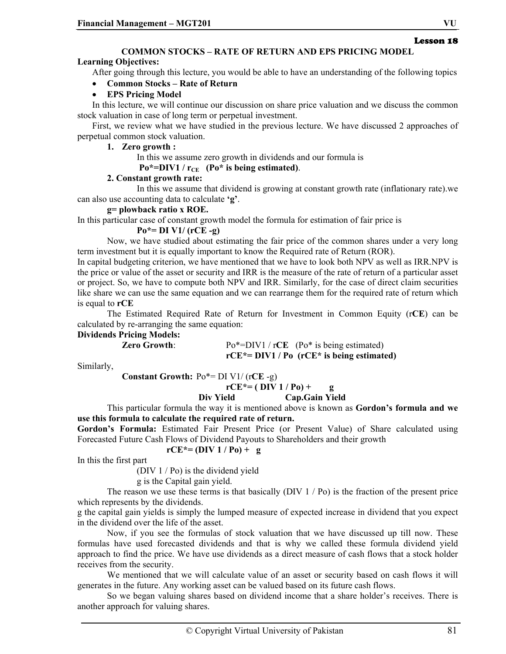## **COMMON STOCKS – RATE OF RETURN AND EPS PRICING MODEL**

## **Learning Objectives:**

After going through this lecture, you would be able to have an understanding of the following topics

## • **Common Stocks – Rate of Return**

## • **EPS Pricing Model**

In this lecture, we will continue our discussion on share price valuation and we discuss the common stock valuation in case of long term or perpetual investment.

First, we review what we have studied in the previous lecture. We have discussed 2 approaches of perpetual common stock valuation.

## **1. Zero growth :**

In this we assume zero growth in dividends and our formula is

## $Po*=DIV1 / r_{CE}$  ( $Po*$  is being estimated).

## **2. Constant growth rate:**

 In this we assume that dividend is growing at constant growth rate (inflationary rate).we can also use accounting data to calculate **'g'**.

## **g= plowback ratio x ROE.**

In this particular case of constant growth model the formula for estimation of fair price is

## **Po\*= DI V1/ (rCE -g)**

Now, we have studied about estimating the fair price of the common shares under a very long term investment but it is equally important to know the Required rate of Return (ROR).

In capital budgeting criterion, we have mentioned that we have to look both NPV as well as IRR.NPV is the price or value of the asset or security and IRR is the measure of the rate of return of a particular asset or project. So, we have to compute both NPV and IRR. Similarly, for the case of direct claim securities like share we can use the same equation and we can rearrange them for the required rate of return which is equal to **rCE**

The Estimated Required Rate of Return for Investment in Common Equity (r**CE**) can be calculated by re-arranging the same equation:

## **Dividends Pricing Models:**

**Zero Growth:** Po\*=DIV1 / rCE (Po\* is being estimated) **rCE\*= DIV1 / Po (rCE\* is being estimated)** 

Similarly,

**Constant Growth:** Po\*= DI V1/ (r**CE** -g)

 $rCE^* = (DIV 1 / Po) + q$ 

 **Div Yield Cap.Gain Yield** 

This particular formula the way it is mentioned above is known as **Gordon's formula and we use this formula to calculate the required rate of return.** 

**Gordon's Formula:** Estimated Fair Present Price (or Present Value) of Share calculated using Forecasted Future Cash Flows of Dividend Payouts to Shareholders and their growth  $rCE^* = (DIV 1 / Po) + g$ 

In this the first part

(DIV 1 / Po) is the dividend yield

g is the Capital gain yield.

The reason we use these terms is that basically  $(DIV 1 / Po)$  is the fraction of the present price which represents by the dividends.

g the capital gain yields is simply the lumped measure of expected increase in dividend that you expect in the dividend over the life of the asset.

Now, if you see the formulas of stock valuation that we have discussed up till now. These formulas have used forecasted dividends and that is why we called these formula dividend yield approach to find the price. We have use dividends as a direct measure of cash flows that a stock holder receives from the security.

We mentioned that we will calculate value of an asset or security based on cash flows it will generates in the future. Any working asset can be valued based on its future cash flows.

So we began valuing shares based on dividend income that a share holder's receives. There is another approach for valuing shares.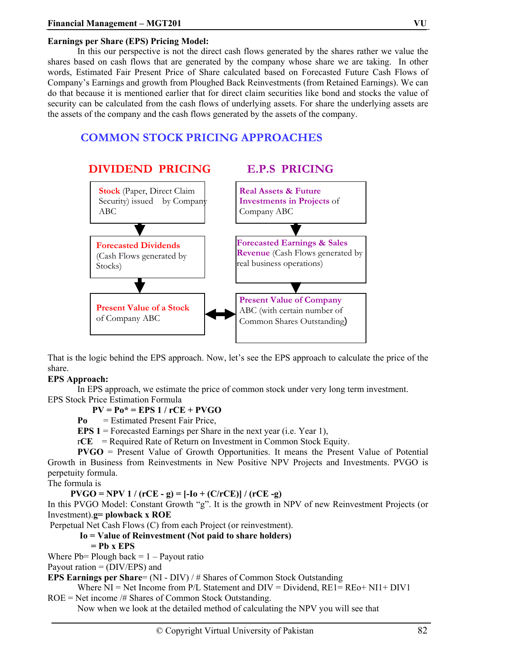## **Earnings per Share (EPS) Pricing Model:**

In this our perspective is not the direct cash flows generated by the shares rather we value the shares based on cash flows that are generated by the company whose share we are taking. In other words, Estimated Fair Present Price of Share calculated based on Forecasted Future Cash Flows of Company's Earnings and growth from Ploughed Back Reinvestments (from Retained Earnings). We can do that because it is mentioned earlier that for direct claim securities like bond and stocks the value of security can be calculated from the cash flows of underlying assets. For share the underlying assets are the assets of the company and the cash flows generated by the assets of the company.

# **COMMON STOCK PRICING APPROACHES**



That is the logic behind the EPS approach. Now, let's see the EPS approach to calculate the price of the share.

## **EPS Approach:**

In EPS approach, we estimate the price of common stock under very long term investment. EPS Stock Price Estimation Formula

## **PV = Po\* = EPS 1 / rCE + PVGO**

**Po** = Estimated Present Fair Price,

**EPS 1** = Forecasted Earnings per Share in the next year (i.e. Year 1),

 $rCE$  = Required Rate of Return on Investment in Common Stock Equity.

**PVGO** = Present Value of Growth Opportunities. It means the Present Value of Potential Growth in Business from Reinvestments in New Positive NPV Projects and Investments. PVGO is perpetuity formula.

The formula is

 **PVGO = NPV 1 / (rCE - g) = [-Io + (C/rCE)] / (rCE -g)**

In this PVGO Model: Constant Growth "g". It is the growth in NPV of new Reinvestment Projects (or Investment).**g= plowback x ROE** 

Perpetual Net Cash Flows (C) from each Project (or reinvestment).

## **Io = Value of Reinvestment (Not paid to share holders)**

 **= Pb x EPS** 

Where  $Pb = Plough back = 1 - Payout ratio$ 

Payout ration  $=$  (DIV/EPS) and

**EPS Earnings per Share=** (NI - DIV) / # Shares of Common Stock Outstanding

Where  $NI = Net$  Income from P/L Statement and  $DIV = Dividend$ ,  $RE1 = RE0 + NI1 + DIV1$ 

ROE = Net income /# Shares of Common Stock Outstanding.

Now when we look at the detailed method of calculating the NPV you will see that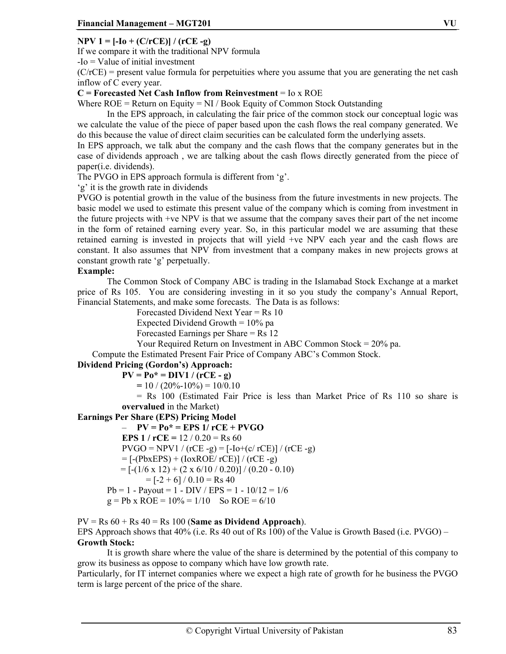## **NPV 1 = [-Io + (C/rCE)] / (rCE -g)**

If we compare it with the traditional NPV formula

-Io = Value of initial investment

 $(C/rcE)$  = present value formula for perpetuities where you assume that you are generating the net cash inflow of C every year.

**C = Forecasted Net Cash Inflow from Reinvestment** = Io x ROE

Where  $ROE = Return$  on Equity = NI / Book Equity of Common Stock Outstanding

In the EPS approach, in calculating the fair price of the common stock our conceptual logic was we calculate the value of the piece of paper based upon the cash flows the real company generated. We do this because the value of direct claim securities can be calculated form the underlying assets.

In EPS approach, we talk abut the company and the cash flows that the company generates but in the case of dividends approach , we are talking about the cash flows directly generated from the piece of paper(i.e. dividends).

The PVGO in EPS approach formula is different from 'g'.

'g' it is the growth rate in dividends

PVGO is potential growth in the value of the business from the future investments in new projects. The basic model we used to estimate this present value of the company which is coming from investment in the future projects with +ve NPV is that we assume that the company saves their part of the net income in the form of retained earning every year. So, in this particular model we are assuming that these retained earning is invested in projects that will yield +ve NPV each year and the cash flows are constant. It also assumes that NPV from investment that a company makes in new projects grows at constant growth rate 'g' perpetually.

## **Example:**

The Common Stock of Company ABC is trading in the Islamabad Stock Exchange at a market price of Rs 105. You are considering investing in it so you study the company's Annual Report, Financial Statements, and make some forecasts. The Data is as follows:

Forecasted Dividend Next Year = Rs 10

Expected Dividend Growth  $= 10\%$  pa

Forecasted Earnings per Share = Rs 12

Your Required Return on Investment in ABC Common Stock = 20% pa.

Compute the Estimated Present Fair Price of Company ABC's Common Stock.

## **Dividend Pricing (Gordon's) Approach:**

 $PV = Po^* = DIV1 / (rCE - g)$ 

 $= 10 / (20\% - 10\%) = 10/0.10$ 

= Rs 100 (Estimated Fair Price is less than Market Price of Rs 110 so share is **overvalued** in the Market)

## **Earnings Per Share (EPS) Pricing Model**

 $- PV = Po^* = EPS$  1/ rCE + PVGO **EPS 1 /**  $rCE = 12 / 0.20 = Rs 60$  $PVGO = NPV1 / (rCE - g) = [-Io+(c/ rCE)] / (rCE - g)$  $= [-(\text{PbxEPS}) + (\text{loxROE}/\text{rCE})]/(\text{rCE} - \text{g})$  $= [-(1/6 \times 12) + (2 \times 6/10 / 0.20)] / (0.20 - 0.10)$  $=$  [-2 + 6] / 0.10 = Rs 40  $Pb = 1 - Payout = 1 - DIV / EPS = 1 - 10/12 = 1/6$  $g = Pb \times ROE = 10\% = 1/10$  So ROE = 6/10

 $PV = Rs 60 + Rs 40 = Rs 100$  (Same as Dividend Approach). EPS Approach shows that 40% (i.e. Rs 40 out of Rs 100) of the Value is Growth Based (i.e. PVGO) – **Growth Stock:**

It is growth share where the value of the share is determined by the potential of this company to grow its business as oppose to company which have low growth rate.

Particularly, for IT internet companies where we expect a high rate of growth for he business the PVGO term is large percent of the price of the share.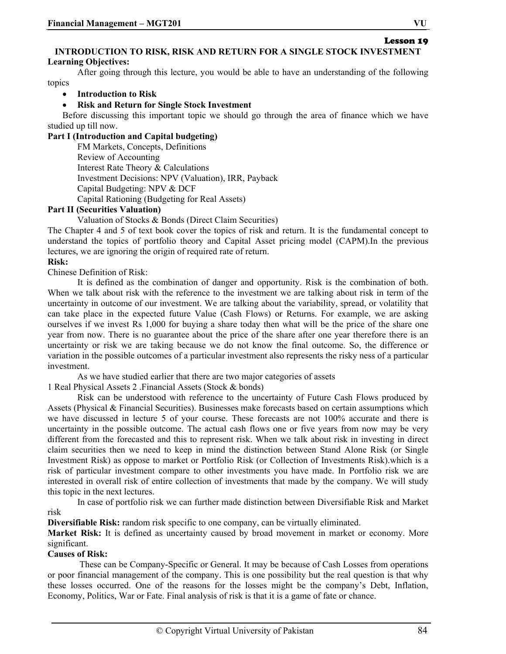# Lesson 19

## **INTRODUCTION TO RISK, RISK AND RETURN FOR A SINGLE STOCK INVESTMENT Learning Objectives:**

After going through this lecture, you would be able to have an understanding of the following topics

## • **Introduction to Risk**

## • **Risk and Return for Single Stock Investment**

Before discussing this important topic we should go through the area of finance which we have studied up till now.

## **Part I (Introduction and Capital budgeting)**

FM Markets, Concepts, Definitions Review of Accounting Interest Rate Theory & Calculations Investment Decisions: NPV (Valuation), IRR, Payback Capital Budgeting: NPV & DCF Capital Rationing (Budgeting for Real Assets)

## **Part II (Securities Valuation)**

Valuation of Stocks & Bonds (Direct Claim Securities)

The Chapter 4 and 5 of text book cover the topics of risk and return. It is the fundamental concept to understand the topics of portfolio theory and Capital Asset pricing model (CAPM).In the previous lectures, we are ignoring the origin of required rate of return.

## **Risk:**

Chinese Definition of Risk:

It is defined as the combination of danger and opportunity. Risk is the combination of both. When we talk about risk with the reference to the investment we are talking about risk in term of the uncertainty in outcome of our investment. We are talking about the variability, spread, or volatility that can take place in the expected future Value (Cash Flows) or Returns. For example, we are asking ourselves if we invest Rs 1,000 for buying a share today then what will be the price of the share one year from now. There is no guarantee about the price of the share after one year therefore there is an uncertainty or risk we are taking because we do not know the final outcome. So, the difference or variation in the possible outcomes of a particular investment also represents the risky ness of a particular investment.

As we have studied earlier that there are two major categories of assets

1 Real Physical Assets 2 .Financial Assets (Stock & bonds)

Risk can be understood with reference to the uncertainty of Future Cash Flows produced by Assets (Physical & Financial Securities). Businesses make forecasts based on certain assumptions which we have discussed in lecture 5 of your course. These forecasts are not 100% accurate and there is uncertainty in the possible outcome. The actual cash flows one or five years from now may be very different from the forecasted and this to represent risk. When we talk about risk in investing in direct claim securities then we need to keep in mind the distinction between Stand Alone Risk (or Single Investment Risk) as oppose to market or Portfolio Risk (or Collection of Investments Risk).which is a risk of particular investment compare to other investments you have made. In Portfolio risk we are interested in overall risk of entire collection of investments that made by the company. We will study this topic in the next lectures.

In case of portfolio risk we can further made distinction between Diversifiable Risk and Market risk

**Diversifiable Risk:** random risk specific to one company, can be virtually eliminated.

**Market Risk:** It is defined as uncertainty caused by broad movement in market or economy. More significant.

## **Causes of Risk:**

 These can be Company-Specific or General. It may be because of Cash Losses from operations or poor financial management of the company. This is one possibility but the real question is that why these losses occurred. One of the reasons for the losses might be the company's Debt, Inflation, Economy, Politics, War or Fate. Final analysis of risk is that it is a game of fate or chance.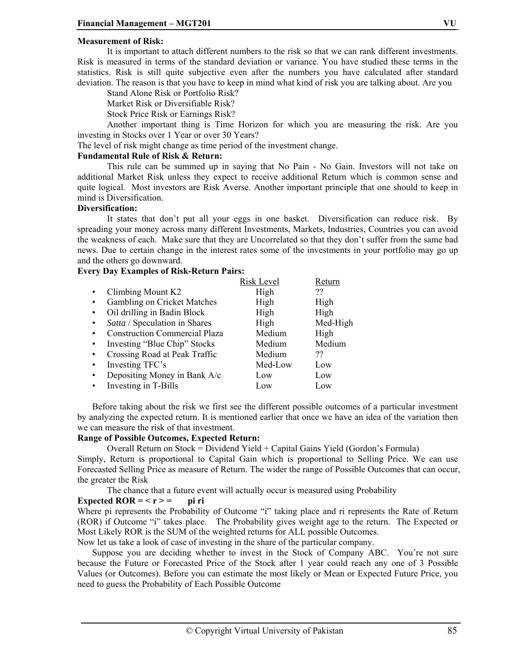## **Measurement of Risk:**

It is important to attach different numbers to the risk so that we can rank different investments. Risk is measured in terms of the standard deviation or variance. You have studied these terms in the statistics. Risk is still quite subjective even after the numbers you have calculated after standard deviation. The reason is that you have to keep in mind what kind of risk you are talking about. Are you

Stand Alone Risk or Portfolio Risk?

Market Risk or Diversifiable Risk?

Stock Price Risk or Earnings Risk?

Another important thing is Time Horizon for which you are measuring the risk. Are you investing in Stocks over 1 Year or over 30 Years?

The level of risk might change as time period of the investment change.

## **Fundamental Rule of Risk & Return:**

This rule can be summed up in saying that No Pain - No Gain. Investors will not take on additional Market Risk unless they expect to receive additional Return which is common sense and quite logical. Most investors are Risk Averse. Another important principle that one should to keep in mind is Diversification.

#### **Diversification:**

It states that don't put all your eggs in one basket. Diversification can reduce risk. By spreading your money across many different Investments, Markets, Industries, Countries you can avoid the weakness of each. Make sure that they are Uncorrelated so that they don't suffer from the same bad news. Due to certain change in the interest rates some of the investments in your portfolio may go up and the others go downward.

#### **Every Day Examples of Risk-Return Pairs:**

|           |                                      | <b>Risk Level</b> | Return   |
|-----------|--------------------------------------|-------------------|----------|
| $\bullet$ | Climbing Mount K2                    | High              | ??       |
|           | Gambling on Cricket Matches          | High              | High     |
| $\bullet$ | Oil drilling in Badin Block          | High              | High     |
| $\bullet$ | Satta / Speculation in Shares        | High              | Med-High |
| $\bullet$ | <b>Construction Commercial Plaza</b> | Medium            | High     |
| $\bullet$ | Investing "Blue Chip" Stocks         | Medium            | Medium   |
| $\bullet$ | Crossing Road at Peak Traffic        | Medium            | ??       |
| $\bullet$ | Investing TFC's                      | Med-Low           | Low      |
| $\bullet$ | Depositing Money in Bank A/c         | Low               | Low      |
|           | Investing in T-Bills                 | Low               | Low      |

Before taking about the risk we first see the different possible outcomes of a particular investment by analyzing the expected return. It is mentioned earlier that once we have an idea of the variation then we can measure the risk of that investment.

#### **Range of Possible Outcomes, Expected Return:**

Overall Return on Stock = Dividend Yield + Capital Gains Yield (Gordon's Formula) Simply, Return is proportional to Capital Gain which is proportional to Selling Price. We can use Forecasted Selling Price as measure of Return. The wider the range of Possible Outcomes that can occur, the greater the Risk

The chance that a future event will actually occur is measured using Probability

## Expected  $ROR = < r> =$  pi ri

Where pi represents the Probability of Outcome "i" taking place and ri represents the Rate of Return (ROR) if Outcome "i" takes place. The Probability gives weight age to the return. The Expected or Most Likely ROR is the SUM of the weighted returns for ALL possible Outcomes.

Now let us take a look of case of investing in the share of the particular company.

Suppose you are deciding whether to invest in the Stock of Company ABC. You're not sure because the Future or Forecasted Price of the Stock after 1 year could reach any one of 3 Possible Values (or Outcomes). Before you can estimate the most likely or Mean or Expected Future Price, you need to guess the Probability of Each Possible Outcome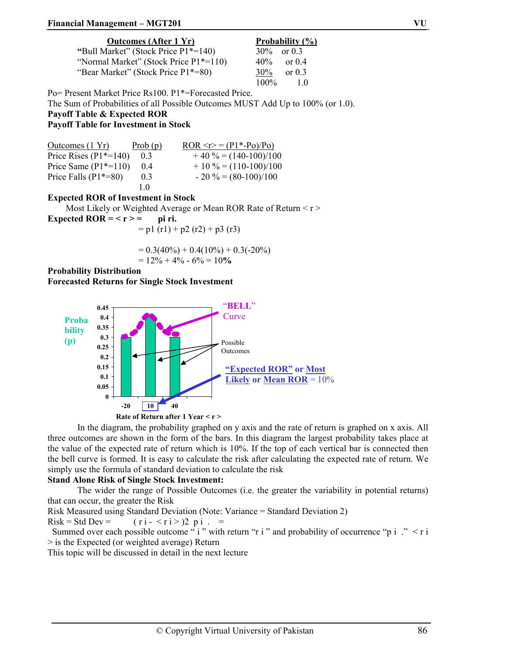## **Financial Management – MGT201 VU**

|--|

| <b>Outcomes (After 1 Yr)</b>          | Probability (%) |
|---------------------------------------|-----------------|
| "Bull Market" (Stock Price P1*=140)   | $30\%$ or 0.3   |
| "Normal Market" (Stock Price P1*=110) | $40\%$ or 0.4   |
| "Bear Market" (Stock Price P1*=80)    | $30\%$ or 0.3   |
|                                       | $100\%$<br>10   |

Po= Present Market Price Rs100. P1\*=Forecasted Price.

The Sum of Probabilities of all Possible Outcomes MUST Add Up to 100% (or 1.0).

#### **Payoff Table & Expected ROR Payoff Table for Investment in Stock**

| Outcomes $(1 \text{ Yr})$ | Prob(p) | ROR $\leq r$ = $(P1*-P_0)/P_0$ |
|---------------------------|---------|--------------------------------|
| Price Rises $(P1*=140)$   | 0.3     | $+40\% = (140-100)/100$        |
| Price Same $(P1*=110)$    | (14)    | $+10\% = (110-100)/100$        |
| Price Falls $(P1*=80)$    | 0.3     | $-20\% = (80-100)/100$         |
|                           | 10      |                                |

## **Expected ROR of Investment in Stock**

Most Likely or Weighted Average or Mean ROR Rate of Return  $\langle r \rangle$ 

Expected  $ROR = < r> =$  pi ri.

$$
= p1 (r1) + p2 (r2) + p3 (r3)
$$

 $= 0.3(40\%) + 0.4(10\%) + 0.3(-20\%)$  $= 12\% + 4\% - 6\% = 10\%$ 

**Probability Distribution Forecasted Returns for Single Stock Investment** 



In the diagram, the probability graphed on y axis and the rate of return is graphed on x axis. All three outcomes are shown in the form of the bars. In this diagram the largest probability takes place at the value of the expected rate of return which is 10%. If the top of each vertical bar is connected then the bell curve is formed. It is easy to calculate the risk after calculating the expected rate of return. We simply use the formula of standard deviation to calculate the risk

#### **Stand Alone Risk of Single Stock Investment:**

The wider the range of Possible Outcomes (i.e. the greater the variability in potential returns) that can occur, the greater the Risk

Risk Measured using Standard Deviation (Note: Variance = Standard Deviation 2)

 $Risk = Std Dev =$   $(ri - *ri*)2 pi$ . =

Summed over each possible outcome " i " with return "r i " and probability of occurrence "p i ." < r i > is the Expected (or weighted average) Return

This topic will be discussed in detail in the next lecture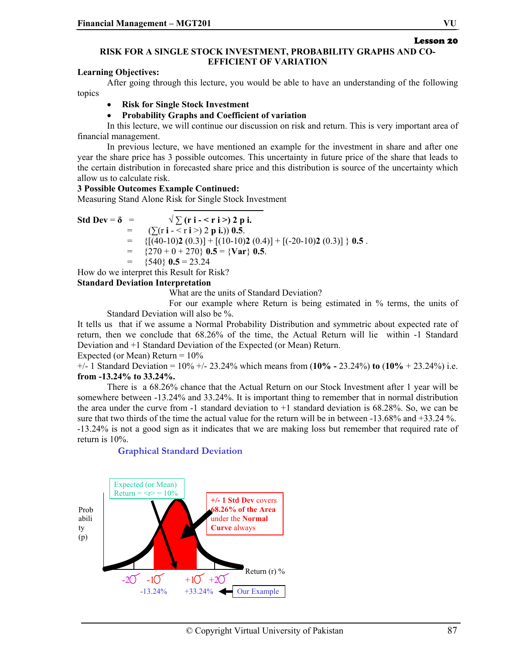## Lesson 20

## **RISK FOR A SINGLE STOCK INVESTMENT, PROBABILITY GRAPHS AND CO-EFFICIENT OF VARIATION**

## **Learning Objectives:**

After going through this lecture, you would be able to have an understanding of the following topics

## • **Risk for Single Stock Investment**

## • **Probability Graphs and Coefficient of variation**

In this lecture, we will continue our discussion on risk and return. This is very important area of financial management.

In previous lecture, we have mentioned an example for the investment in share and after one year the share price has 3 possible outcomes. This uncertainty in future price of the share that leads to the certain distribution in forecasted share price and this distribution is source of the uncertainty which allow us to calculate risk.

## **3 Possible Outcomes Example Continued:**

Measuring Stand Alone Risk for Single Stock Investment

$$
\text{Std Dev} = \delta = \sqrt{\sum_{i=1}^{n} (r_i - r_i >) 2 p_i}.
$$

 $=$  ( $\sum$ (**r i** - < **r i** >) 2 **p i.**)) 0.5.

 $=$  {[(40-10)**2** (0.3)] + [(10-10)**2** (0.4)] + [(-20-10)**2** (0.3)] } **0.5**.

 ${270 + 0 + 270}$  **0.5** = {**Var**} **0.5**.

 $=$  {540} **0.5** = 23.24

How do we interpret this Result for Risk?

## **Standard Deviation Interpretation**

What are the units of Standard Deviation?

 For our example where Return is being estimated in % terms, the units of Standard Deviation will also be %.

It tells us that if we assume a Normal Probability Distribution and symmetric about expected rate of return, then we conclude that 68.26% of the time, the Actual Return will lie within -1 Standard Deviation and +1 Standard Deviation of the Expected (or Mean) Return.

Expected (or Mean) Return  $= 10\%$ 

+/- 1 Standard Deviation = 10% +/- 23.24% which means from (**10% -** 23.24%) **to** (**10%** + 23.24%) i.e. **from -13.24% to 33.24%.** 

 There is a 68.26% chance that the Actual Return on our Stock Investment after 1 year will be somewhere between -13.24% and 33.24%. It is important thing to remember that in normal distribution the area under the curve from -1 standard deviation to +1 standard deviation is 68.28%. So, we can be sure that two thirds of the time the actual value for the return will be in between -13.68% and +33.24 %. -13.24% is not a good sign as it indicates that we are making loss but remember that required rate of

return is 10%.

## **Graphical Standard Deviation**

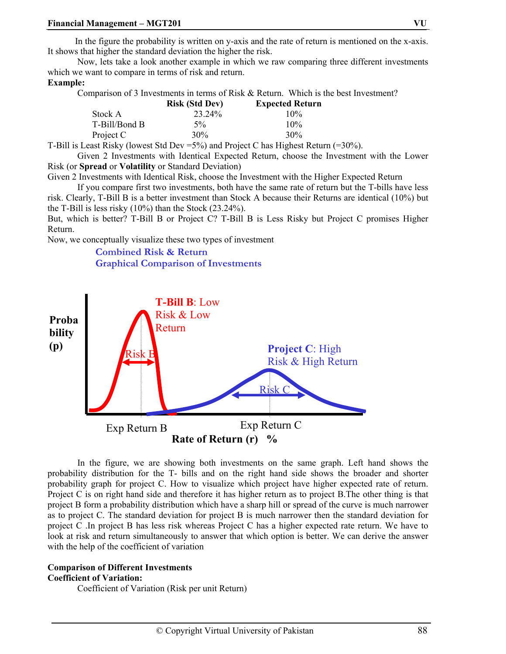In the figure the probability is written on y-axis and the rate of return is mentioned on the x-axis. It shows that higher the standard deviation the higher the risk.

 Now, lets take a look another example in which we raw comparing three different investments which we want to compare in terms of risk and return.

#### **Example:**

Comparison of 3 Investments in terms of Risk & Return. Which is the best Investment?

|               | <b>Risk (Std Dev)</b>                  | <b>Expected Return</b> |
|---------------|----------------------------------------|------------------------|
| Stock A       | 23.24%                                 | 10%                    |
| T-Bill/Bond B | $5\%$                                  | 10%                    |
| Project C     | 30%                                    | 30%                    |
|               | $-\sim$ $\sim$<br>$\sim$ $\sim$ $\sim$ | $\sim$ 1               |

T-Bill is Least Risky (lowest Std Dev =5%) and Project C has Highest Return (=30%).

 Given 2 Investments with Identical Expected Return, choose the Investment with the Lower Risk (or **Spread** or **Volatility** or Standard Deviation)

Given 2 Investments with Identical Risk, choose the Investment with the Higher Expected Return

 If you compare first two investments, both have the same rate of return but the T-bills have less risk. Clearly, T-Bill B is a better investment than Stock A because their Returns are identical (10%) but the T-Bill is less risky (10%) than the Stock (23.24%).

But, which is better? T-Bill B or Project C? T-Bill B is Less Risky but Project C promises Higher Return.

Now, we conceptually visualize these two types of investment

## **Combined Risk & Return Graphical Comparison of Investments**



In the figure, we are showing both investments on the same graph. Left hand shows the probability distribution for the T- bills and on the right hand side shows the broader and shorter probability graph for project C. How to visualize which project have higher expected rate of return. Project C is on right hand side and therefore it has higher return as to project B.The other thing is that project B form a probability distribution which have a sharp hill or spread of the curve is much narrower as to project C. The standard deviation for project B is much narrower then the standard deviation for project C .In project B has less risk whereas Project C has a higher expected rate return. We have to look at risk and return simultaneously to answer that which option is better. We can derive the answer with the help of the coefficient of variation

#### **Comparison of Different Investments Coefficient of Variation:**

Coefficient of Variation (Risk per unit Return)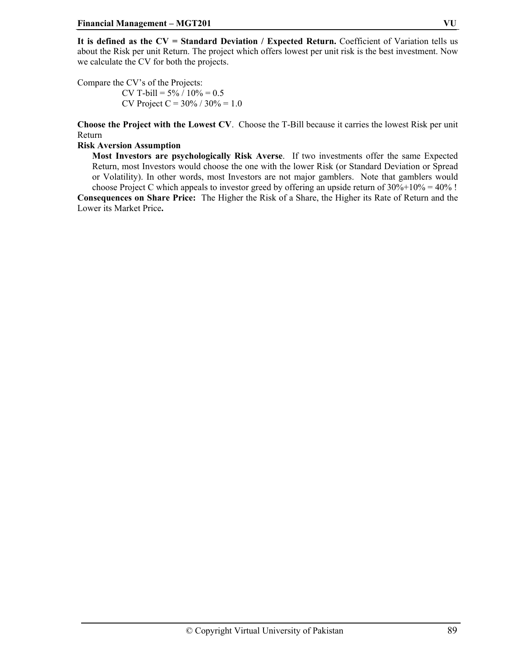**It is defined as the CV = Standard Deviation / Expected Return.** Coefficient of Variation tells us about the Risk per unit Return. The project which offers lowest per unit risk is the best investment. Now we calculate the CV for both the projects.

Compare the CV's of the Projects: CV T-bill =  $5\% / 10\% = 0.5$ CV Project C =  $30\%$  /  $30\%$  = 1.0

**Choose the Project with the Lowest CV**. Choose the T-Bill because it carries the lowest Risk per unit Return

#### **Risk Aversion Assumption**

**Most Investors are psychologically Risk Averse**. If two investments offer the same Expected Return, most Investors would choose the one with the lower Risk (or Standard Deviation or Spread or Volatility). In other words, most Investors are not major gamblers. Note that gamblers would choose Project C which appeals to investor greed by offering an upside return of  $30\% + 10\% = 40\%$ ! **Consequences on Share Price:** The Higher the Risk of a Share, the Higher its Rate of Return and the Lower its Market Price**.**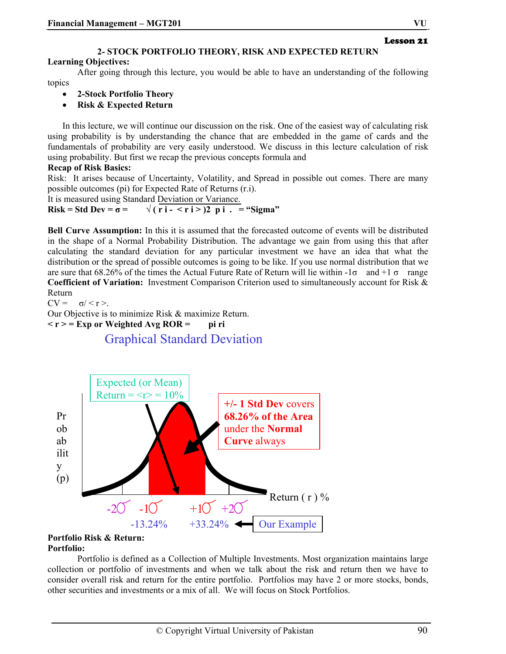Lesson 21

#### **2- STOCK PORTFOLIO THEORY, RISK AND EXPECTED RETURN**

#### **Learning Objectives:**

After going through this lecture, you would be able to have an understanding of the following topics

- **2-Stock Portfolio Theory**
- **Risk & Expected Return**

In this lecture, we will continue our discussion on the risk. One of the easiest way of calculating risk using probability is by understanding the chance that are embedded in the game of cards and the fundamentals of probability are very easily understood. We discuss in this lecture calculation of risk using probability. But first we recap the previous concepts formula and

## **Recap of Risk Basics:**

Risk: It arises because of Uncertainty, Volatility, and Spread in possible out comes. There are many possible outcomes (pi) for Expected Rate of Returns (r.i).

It is measured using Standard Deviation or Variance.

**Risk** = Std Dev =  $\sigma$  =  $\sqrt{(ri - \frac{\pi i}{2})^2 pi}$ . = "Sigma"

**Bell Curve Assumption:** In this it is assumed that the forecasted outcome of events will be distributed in the shape of a Normal Probability Distribution. The advantage we gain from using this that after calculating the standard deviation for any particular investment we have an idea that what the distribution or the spread of possible outcomes is going to be like. If you use normal distribution that we are sure that 68.26% of the times the Actual Future Rate of Return will lie within  $-1\sigma$  and  $+1\sigma$  range **Coefficient of Variation:** Investment Comparison Criterion used to simultaneously account for Risk & Return

 $CV = \sigma / \langle r \rangle$ 

Our Objective is to minimize Risk & maximize Return.

 $\langle r \rangle = \text{Exp or Weighted Avg ROR} =$  **pi ri** 

## Graphical Standard Deviation



#### **Portfolio Risk & Return: Portfolio:**

 Portfolio is defined as a Collection of Multiple Investments. Most organization maintains large collection or portfolio of investments and when we talk about the risk and return then we have to consider overall risk and return for the entire portfolio. Portfolios may have 2 or more stocks, bonds, other securities and investments or a mix of all. We will focus on Stock Portfolios.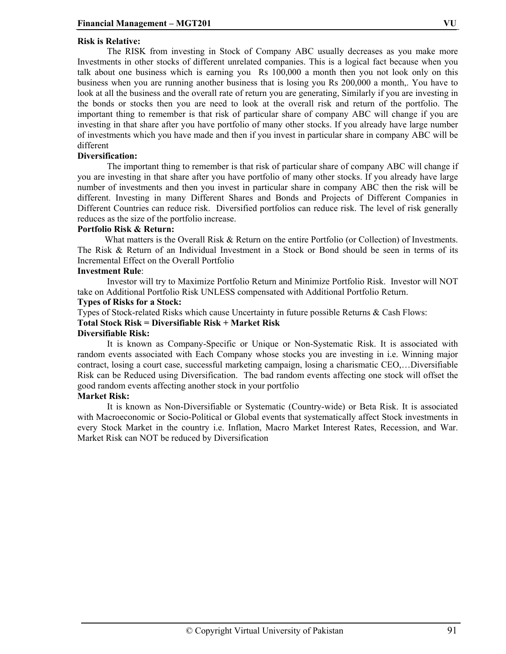## **Risk is Relative:**

 The RISK from investing in Stock of Company ABC usually decreases as you make more Investments in other stocks of different unrelated companies. This is a logical fact because when you talk about one business which is earning you Rs 100,000 a month then you not look only on this business when you are running another business that is losing you Rs 200,000 a month,. You have to look at all the business and the overall rate of return you are generating, Similarly if you are investing in the bonds or stocks then you are need to look at the overall risk and return of the portfolio. The important thing to remember is that risk of particular share of company ABC will change if you are investing in that share after you have portfolio of many other stocks. If you already have large number of investments which you have made and then if you invest in particular share in company ABC will be different

#### **Diversification:**

The important thing to remember is that risk of particular share of company ABC will change if you are investing in that share after you have portfolio of many other stocks. If you already have large number of investments and then you invest in particular share in company ABC then the risk will be different. Investing in many Different Shares and Bonds and Projects of Different Companies in Different Countries can reduce risk. Diversified portfolios can reduce risk. The level of risk generally reduces as the size of the portfolio increase.

#### **Portfolio Risk & Return:**

What matters is the Overall Risk & Return on the entire Portfolio (or Collection) of Investments. The Risk & Return of an Individual Investment in a Stock or Bond should be seen in terms of its Incremental Effect on the Overall Portfolio

#### **Investment Rule**:

 Investor will try to Maximize Portfolio Return and Minimize Portfolio Risk. Investor will NOT take on Additional Portfolio Risk UNLESS compensated with Additional Portfolio Return.

#### **Types of Risks for a Stock:**

Types of Stock-related Risks which cause Uncertainty in future possible Returns & Cash Flows:

## **Total Stock Risk = Diversifiable Risk + Market Risk**

#### **Diversifiable Risk:**

 It is known as Company-Specific or Unique or Non-Systematic Risk. It is associated with random events associated with Each Company whose stocks you are investing in i.e. Winning major contract, losing a court case, successful marketing campaign, losing a charismatic CEO,…Diversifiable Risk can be Reduced using Diversification. The bad random events affecting one stock will offset the good random events affecting another stock in your portfolio

#### **Market Risk:**

 It is known as Non-Diversifiable or Systematic (Country-wide) or Beta Risk. It is associated with Macroeconomic or Socio-Political or Global events that systematically affect Stock investments in every Stock Market in the country i.e. Inflation, Macro Market Interest Rates, Recession, and War. Market Risk can NOT be reduced by Diversification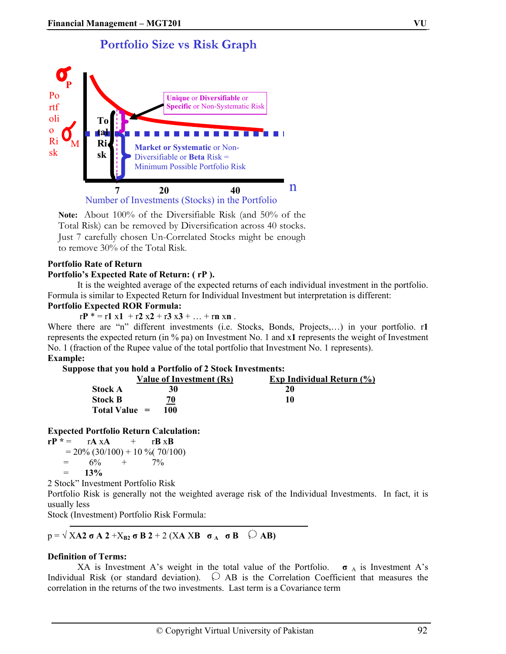# **Portfolio Size vs Risk Graph**



**Note:** About 100% of the Diversifiable Risk (and 50% of the Total Risk) can be removed by Diversification across 40 stocks. Just 7 carefully chosen Un-Correlated Stocks might be enough to remove 30% of the Total Risk.

## **Portfolio Rate of Return**

#### **Portfolio's Expected Rate of Return: ( rP ).**

It is the weighted average of the expected returns of each individual investment in the portfolio. Formula is similar to Expected Return for Individual Investment but interpretation is different:

## **Portfolio Expected ROR Formula:**

 $rP^* = r1 x1 + r2 x2 + r3 x3 + ... + rn xn$ .

Where there are "n" different investments (i.e. Stocks, Bonds, Projects,…) in your portfolio. r**1** represents the expected return (in % pa) on Investment No. 1 and x**1** represents the weight of Investment No. 1 (fraction of the Rupee value of the total portfolio that Investment No. 1 represents).

## **Example:**

#### **Suppose that you hold a Portfolio of 2 Stock Investments:**

|                 | Value of Investment (Rs) | <b>Exp Individual Return (%)</b> |
|-----------------|--------------------------|----------------------------------|
| <b>Stock A</b>  | 30                       | 20                               |
| <b>Stock B</b>  | 70                       | 10                               |
| Total Value $=$ | 100                      |                                  |

#### **Expected Portfolio Return Calculation:**

 $rP^* = rA \times A + rB \times B$  $= 20\% (30/100) + 10\% (70/100)$  $= 6\% + 7\%$  $=$  13%

2 Stock" Investment Portfolio Risk

Portfolio Risk is generally not the weighted average risk of the Individual Investments. In fact, it is usually less

Stock (Investment) Portfolio Risk Formula:

 $p = \sqrt{XA2} \sigma A 2 + X_{B2} \sigma B 2 + 2 (XA XB \sigma_A \sigma B \n\quad) AB$ 

## **Definition of Terms:**

XA is Investment A's weight in the total value of the Portfolio.  $\sigma_A$  is Investment A's Individual Risk (or standard deviation).  $\bigcirc$  AB is the Correlation Coefficient that measures the correlation in the returns of the two investments. Last term is a Covariance term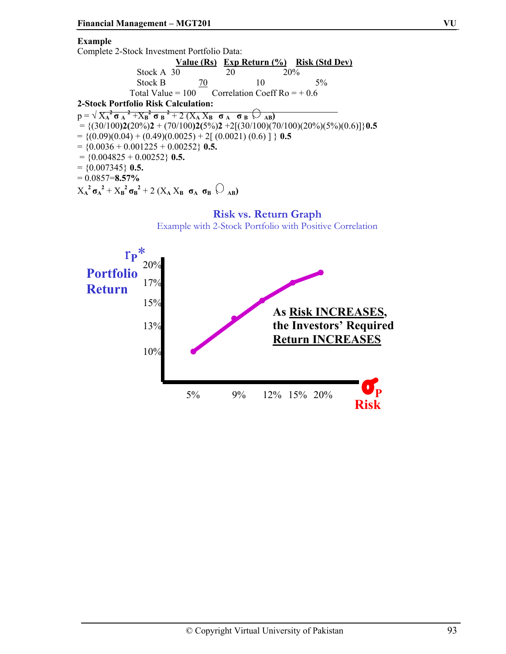## **Example**

Complete 2-Stock Investment Portfolio Data:

|                                     |    |                                                   | Value (Rs) Exp Return (%) Risk (Std Dev) |  |
|-------------------------------------|----|---------------------------------------------------|------------------------------------------|--|
| Stock A 30                          |    | 20                                                | 20%                                      |  |
| Stock B                             | 70 | 10                                                | $5\%$                                    |  |
|                                     |    | Total Value = $100$ Correlation Coeff Ro = $+0.6$ |                                          |  |
| 2-Stock Portfolio Risk Calculation: |    |                                                   |                                          |  |
|                                     |    |                                                   |                                          |  |

 $p = \sqrt{X_A^2 \sigma_A^2 + X_B^2 \sigma_B^2 + 2(X_A X_B \sigma_A \sigma_B \sigma_A)}$  $= \{(30/100)2(20\%)2 + (70/100)2(5\%)2 +2[(30/100)(70/100)(20\%)(5\%)(0.6)]\}$ **0.5**  $= \{(0.09)(0.04) + (0.49)(0.0025) + 2[(0.0021)(0.6)]\}$  0.5  $= \{0.0036 + 0.001225 + 0.00252\}$  **0.5.**  $=$  {0.004825 + 0.00252} **0.5.** = {0.007345} **0.5.** = 0.0857=**8.57%**   $X_A^2 \sigma_A^2 + X_B^2 \sigma_B^2 + 2 (X_A X_B \sigma_A \sigma_B)$ 

## **Risk vs. Return Graph**

Example with 2-Stock Portfolio with Positive Correlation

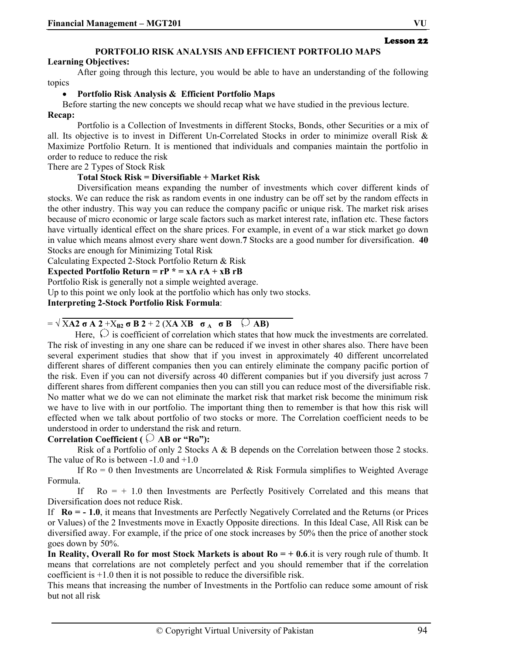## Lesson 22

## **PORTFOLIO RISK ANALYSIS AND EFFICIENT PORTFOLIO MAPS**

#### **Learning Objectives:**

After going through this lecture, you would be able to have an understanding of the following topics

## • **Portfolio Risk Analysis & Efficient Portfolio Maps**

Before starting the new concepts we should recap what we have studied in the previous lecture.

## **Recap:**

Portfolio is a Collection of Investments in different Stocks, Bonds, other Securities or a mix of all. Its objective is to invest in Different Un-Correlated Stocks in order to minimize overall Risk & Maximize Portfolio Return. It is mentioned that individuals and companies maintain the portfolio in order to reduce to reduce the risk

There are 2 Types of Stock Risk

## **Total Stock Risk = Diversifiable + Market Risk**

Diversification means expanding the number of investments which cover different kinds of stocks. We can reduce the risk as random events in one industry can be off set by the random effects in the other industry. This way you can reduce the company pacific or unique risk. The market risk arises because of micro economic or large scale factors such as market interest rate, inflation etc. These factors have virtually identical effect on the share prices. For example, in event of a war stick market go down in value which means almost every share went down.**7** Stocks are a good number for diversification. **40** Stocks are enough for Minimizing Total Risk

Calculating Expected 2-Stock Portfolio Return & Risk

**Expected Portfolio Return =**  $rP^* = xA rA + xB rB$ 

Portfolio Risk is generally not a simple weighted average.

Up to this point we only look at the portfolio which has only two stocks.

## **Interpreting 2-Stock Portfolio Risk Formula**:

## $= \sqrt{X}A2 \sigma A 2 + X_{B2} \sigma B 2 + 2 (XA X B \sigma_A \sigma_B)$   $\bigcirc$  AB)

Here,  $\bigcirc$  is coefficient of correlation which states that how muck the investments are correlated. The risk of investing in any one share can be reduced if we invest in other shares also. There have been several experiment studies that show that if you invest in approximately 40 different uncorrelated different shares of different companies then you can entirely eliminate the company pacific portion of the risk. Even if you can not diversify across 40 different companies but if you diversify just across 7 different shares from different companies then you can still you can reduce most of the diversifiable risk. No matter what we do we can not eliminate the market risk that market risk become the minimum risk we have to live with in our portfolio. The important thing then to remember is that how this risk will effected when we talk about portfolio of two stocks or more. The Correlation coefficient needs to be understood in order to understand the risk and return.

## **Correlation Coefficient (**  $\heartsuit$  **AB** or "Ro"):

Risk of a Portfolio of only 2 Stocks A & B depends on the Correlation between those 2 stocks. The value of Ro is between -1.0 and +1.0

If  $Ro = 0$  then Investments are Uncorrelated & Risk Formula simplifies to Weighted Average Formula.

If  $Ro = + 1.0$  then Investments are Perfectly Positively Correlated and this means that Diversification does not reduce Risk.

If **Ro = - 1.0**, it means that Investments are Perfectly Negatively Correlated and the Returns (or Prices or Values) of the 2 Investments move in Exactly Opposite directions. In this Ideal Case, All Risk can be diversified away. For example, if the price of one stock increases by 50% then the price of another stock goes down by 50%.

**In Reality, Overall Ro for most Stock Markets is about Ro = + 0.6**.it is very rough rule of thumb. It means that correlations are not completely perfect and you should remember that if the correlation coefficient is +1.0 then it is not possible to reduce the diversifible risk.

This means that increasing the number of Investments in the Portfolio can reduce some amount of risk but not all risk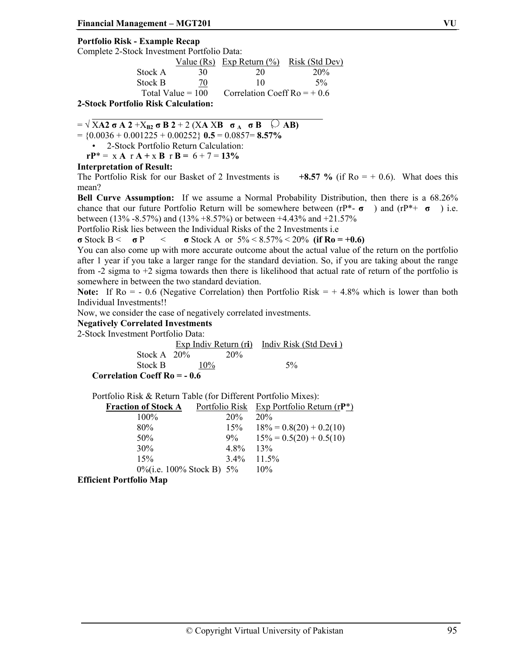## **Portfolio Risk - Example Recap**

Complete 2-Stock Investment Portfolio Data:

|                  |                     | Value $(Rs)$ Exp Return $(\% )$ | Risk (Std Dev) |
|------------------|---------------------|---------------------------------|----------------|
| Stock A          | 30                  | 20                              | 20%            |
| Stock B          | 70                  | 10                              | $5\%$          |
|                  | Total Value $= 100$ | Correlation Coeff Ro = $+0.6$   |                |
| י יוראים יחים ממ |                     |                                 |                |

**2-Stock Portfolio Risk Calculation:** 

 $= \sqrt{XA2} \sigma A 2 + X_{B2} \sigma B 2 + 2 (XA XB \sigma_A \sigma_B \Box)$ 

 $=$  {0.0036 + 0.001225 + 0.00252} **0.5** = 0.0857= **8.57%** 

• 2-Stock Portfolio Return Calculation:

 $rP^* = xA rA + xB rB = 6 + 7 = 13%$ 

## **Interpretation of Result:**

The Portfolio Risk for our Basket of 2 Investments is  $+8.57 \%$  (if Ro = + 0.6). What does this mean?

**Bell Curve Assumption:** If we assume a Normal Probability Distribution, then there is a 68.26% chance that our future Portfolio Return will be somewhere between (rP\*- **σ** ) and (rP\*+ **σ** ) i.e. between (13% -8.57%) and (13% +8.57%) or between +4.43% and +21.57%

Portfolio Risk lies between the Individual Risks of the 2 Investments i.e

**σ** Stock B < **σ** P < **σ** Stock A or  $5\% < 8.57\% < 20\%$  (if Ro = +0.6)

You can also come up with more accurate outcome about the actual value of the return on the portfolio after 1 year if you take a larger range for the standard deviation. So, if you are taking about the range from -2 sigma to +2 sigma towards then there is likelihood that actual rate of return of the portfolio is somewhere in between the two standard deviation.

**Note:** If  $Ro = -0.6$  (Negative Correlation) then Portfolio Risk  $= +4.8\%$  which is lower than both Individual Investments!!

Now, we consider the case of negatively correlated investments.

#### **Negatively Correlated Investments**

2-Stock Investment Portfolio Data:

 Exp Indiv Return (r**i**) Indiv Risk (Std Dev**i** ) Stock A  $20%$ Stock B  $10\%$  5% **Correlation Coeff Ro = - 0.6** 

Portfolio Risk & Return Table (for Different Portfolio Mixes):

| <b>Fraction of Stock A</b>     |         | <u>Portfolio Risk Exp Portfolio Return (r<math>P^*</math>)</u> |
|--------------------------------|---------|----------------------------------------------------------------|
| 100%                           | 20%     | 20%                                                            |
| 80%                            |         | $15\%$ $18\% = 0.8(20) + 0.2(10)$                              |
| 50%                            |         | $9\%$ $15\% = 0.5(20) + 0.5(10)$                               |
| 30%                            | 4.8%    | 13%                                                            |
| 15%                            | $3.4\%$ | $11.5\%$                                                       |
| $0\%$ (i.e. 100% Stock B) 5%   |         | 10%                                                            |
| <b>Efficient Portfolio Map</b> |         |                                                                |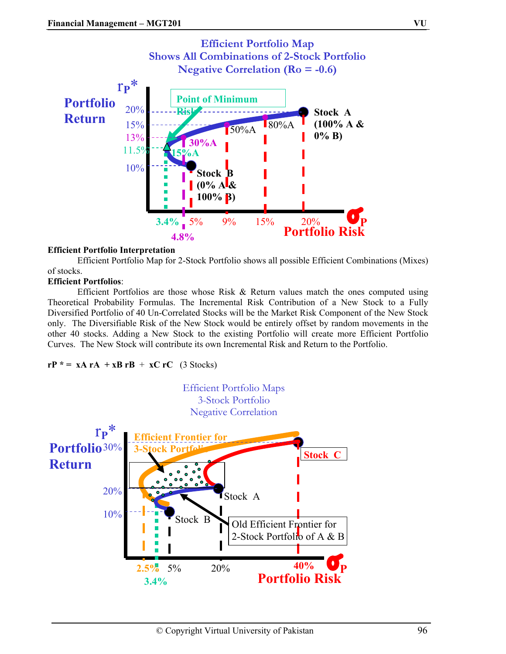

## **Efficient Portfolio Interpretation**

Efficient Portfolio Map for 2-Stock Portfolio shows all possible Efficient Combinations (Mixes) of stocks.

## **Efficient Portfolios**:

Efficient Portfolios are those whose Risk & Return values match the ones computed using Theoretical Probability Formulas. The Incremental Risk Contribution of a New Stock to a Fully Diversified Portfolio of 40 Un-Correlated Stocks will be the Market Risk Component of the New Stock only. The Diversifiable Risk of the New Stock would be entirely offset by random movements in the other 40 stocks. Adding a New Stock to the existing Portfolio will create more Efficient Portfolio Curves. The New Stock will contribute its own Incremental Risk and Return to the Portfolio.

 $rP^* = xA rA + xB rB + xC rC$  (3 Stocks)

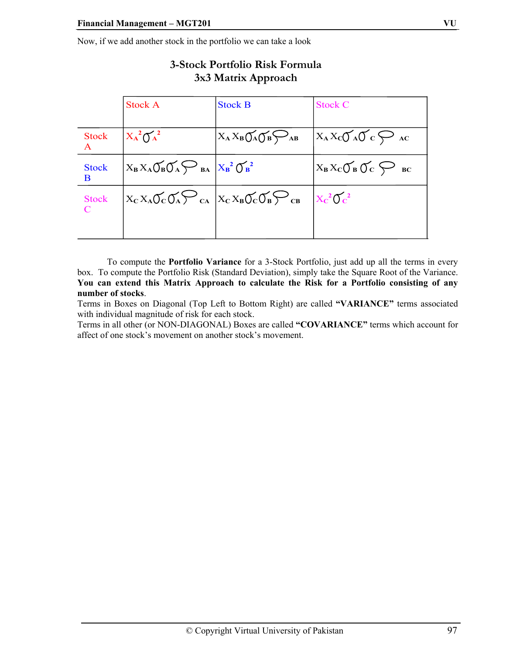Now, if we add another stock in the portfolio we can take a look

|                    | <b>Stock A</b>                                                                                                                   | <b>Stock B</b>             | <b>Stock C</b>                                    |
|--------------------|----------------------------------------------------------------------------------------------------------------------------------|----------------------------|---------------------------------------------------|
| <b>Stock</b>       | $X_A^2 O_A^2$                                                                                                                    | $X_A X_B O_A O_B \bigodot$ | $X_A X_C \sigma_A \sigma_C \leftrightarrow$       |
| <b>Stock</b><br>B. | $X_B X_A \widetilde{\bigcup}_B \widetilde{\bigcup}_A \underset{BA}{\longleftrightarrow} B_A \Big  X_B^2 \widetilde{\bigcup}_B^2$ |                            | $X_B X_C \bigcup_{B} \bigcup_{C} \bigotimes_{BC}$ |
| <b>Stock</b>       | $X_{\rm C} X_{\rm A} O_{\rm C} O_{\rm A} \sum_{\rm CA}  X_{\rm C} X_{\rm B} O_{\rm C} O_{\rm B} \sum_{\rm CB}$                   |                            | $X_C^2O_C^2$                                      |
|                    |                                                                                                                                  |                            |                                                   |

## **3-Stock Portfolio Risk Formula 3x3 Matrix Approach**

To compute the **Portfolio Variance** for a 3-Stock Portfolio, just add up all the terms in every box. To compute the Portfolio Risk (Standard Deviation), simply take the Square Root of the Variance. **You can extend this Matrix Approach to calculate the Risk for a Portfolio consisting of any number of stocks**.

Terms in Boxes on Diagonal (Top Left to Bottom Right) are called **"VARIANCE"** terms associated with individual magnitude of risk for each stock.

Terms in all other (or NON-DIAGONAL) Boxes are called **"COVARIANCE"** terms which account for affect of one stock's movement on another stock's movement.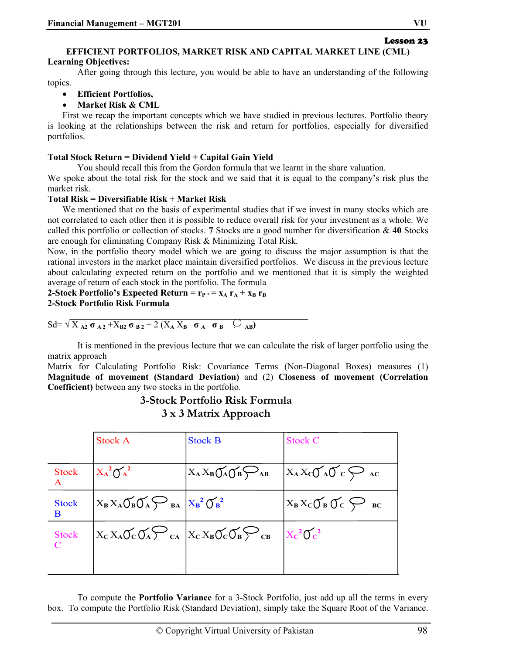#### **EFFICIENT PORTFOLIOS, MARKET RISK AND CAPITAL MARKET LINE (CML) Learning Objectives:**

After going through this lecture, you would be able to have an understanding of the following topics.

- **Efficient Portfolios,**
- **Market Risk & CML**

First we recap the important concepts which we have studied in previous lectures. Portfolio theory is looking at the relationships between the risk and return for portfolios, especially for diversified portfolios.

## **Total Stock Return = Dividend Yield + Capital Gain Yield**

You should recall this from the Gordon formula that we learnt in the share valuation.

We spoke about the total risk for the stock and we said that it is equal to the company's risk plus the market risk.

## **Total Risk = Diversifiable Risk + Market Risk**

We mentioned that on the basis of experimental studies that if we invest in many stocks which are not correlated to each other then it is possible to reduce overall risk for your investment as a whole. We called this portfolio or collection of stocks. **7** Stocks are a good number for diversification & **40** Stocks are enough for eliminating Company Risk & Minimizing Total Risk.

Now, in the portfolio theory model which we are going to discuss the major assumption is that the rational investors in the market place maintain diversified portfolios. We discuss in the previous lecture about calculating expected return on the portfolio and we mentioned that it is simply the weighted average of return of each stock in the portfolio. The formula

## **2-Stock Portfolio's Expected Return =**  $r_P * = x_A r_A + x_B r_B$ **2-Stock Portfolio Risk Formula**

$$
Sd = \sqrt{X_{A2} \sigma_{A2} + X_{B2} \sigma_{B2} + 2(X_A X_B \sigma_A \sigma_B \cup_{AB})}
$$

It is mentioned in the previous lecture that we can calculate the risk of larger portfolio using the matrix approach

Matrix for Calculating Portfolio Risk: Covariance Terms (Non-Diagonal Boxes) measures (1) **Magnitude of movement (Standard Deviation)** and (2) **Closeness of movement (Correlation Coefficient)** between any two stocks in the portfolio.

## **3-Stock Portfolio Risk Formula 3 x 3 Matrix Approach**

|                                             | <b>Stock A</b>                                                                                                                     | <b>Stock B</b>                        | <b>Stock C</b>                                                  |
|---------------------------------------------|------------------------------------------------------------------------------------------------------------------------------------|---------------------------------------|-----------------------------------------------------------------|
| <b>Stock</b><br>$\mathbf{A}$                | $X_A^2 O_A^2$                                                                                                                      | $X_A X_B O_A O_B \bigotimes_{AB} X_B$ | $X_A X_C \sigma_A \sigma_C \leftrightarrow$                     |
| <b>Stock</b><br>B.                          | $X_B X_A \widetilde{\bigcup}_B \widetilde{\bigcup}_A \widetilde{\bigvee}_{BA} \Big  X_B^2 \widetilde{\bigcup}_B^2$                 |                                       | $X_B X_C \widetilde{\bigcup}_B \widetilde{\bigcup}_C \sum_{BC}$ |
| <b>Stock</b><br>$\mathcal{C}_{\mathcal{C}}$ | $X_{\rm C}X_{\rm A}\sigma_{\rm C}\sigma_{\rm A}\sum_{\rm Ca}\big X_{\rm C}X_{\rm B}\sigma_{\rm C}\sigma_{\rm B}\sum_{\rm CB}\big $ |                                       | $X_C^2O_C^2$                                                    |
|                                             |                                                                                                                                    |                                       |                                                                 |

To compute the **Portfolio Variance** for a 3-Stock Portfolio, just add up all the terms in every box. To compute the Portfolio Risk (Standard Deviation), simply take the Square Root of the Variance.

Lesson 23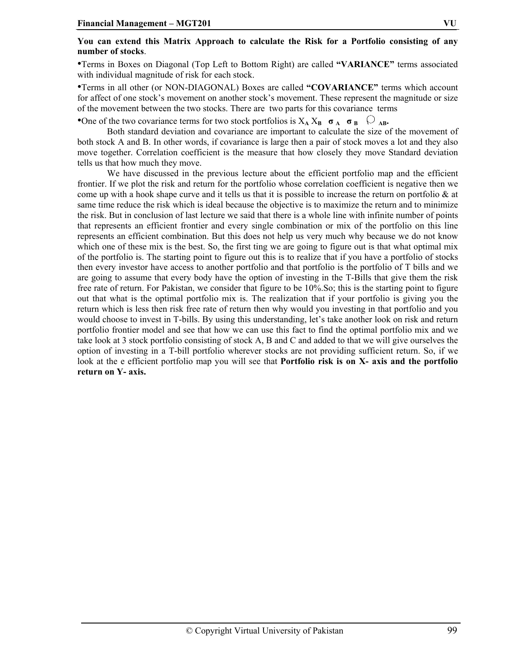## **You can extend this Matrix Approach to calculate the Risk for a Portfolio consisting of any number of stocks**.

•Terms in Boxes on Diagonal (Top Left to Bottom Right) are called **"VARIANCE"** terms associated with individual magnitude of risk for each stock.

•Terms in all other (or NON-DIAGONAL) Boxes are called **"COVARIANCE"** terms which account for affect of one stock's movement on another stock's movement. These represent the magnitude or size of the movement between the two stocks. There are two parts for this covariance terms

•One of the two covariance terms for two stock portfolios is  $X_A X_B \sigma_A \sigma_B$ 

Both standard deviation and covariance are important to calculate the size of the movement of both stock A and B. In other words, if covariance is large then a pair of stock moves a lot and they also move together. Correlation coefficient is the measure that how closely they move Standard deviation tells us that how much they move.

We have discussed in the previous lecture about the efficient portfolio map and the efficient frontier. If we plot the risk and return for the portfolio whose correlation coefficient is negative then we come up with a hook shape curve and it tells us that it is possible to increase the return on portfolio  $\&$  at same time reduce the risk which is ideal because the objective is to maximize the return and to minimize the risk. But in conclusion of last lecture we said that there is a whole line with infinite number of points that represents an efficient frontier and every single combination or mix of the portfolio on this line represents an efficient combination. But this does not help us very much why because we do not know which one of these mix is the best. So, the first ting we are going to figure out is that what optimal mix of the portfolio is. The starting point to figure out this is to realize that if you have a portfolio of stocks then every investor have access to another portfolio and that portfolio is the portfolio of T bills and we are going to assume that every body have the option of investing in the T-Bills that give them the risk free rate of return. For Pakistan, we consider that figure to be 10%.So; this is the starting point to figure out that what is the optimal portfolio mix is. The realization that if your portfolio is giving you the return which is less then risk free rate of return then why would you investing in that portfolio and you would choose to invest in T-bills. By using this understanding, let's take another look on risk and return portfolio frontier model and see that how we can use this fact to find the optimal portfolio mix and we take look at 3 stock portfolio consisting of stock A, B and C and added to that we will give ourselves the option of investing in a T-bill portfolio wherever stocks are not providing sufficient return. So, if we look at the e efficient portfolio map you will see that **Portfolio risk is on X- axis and the portfolio return on Y- axis.**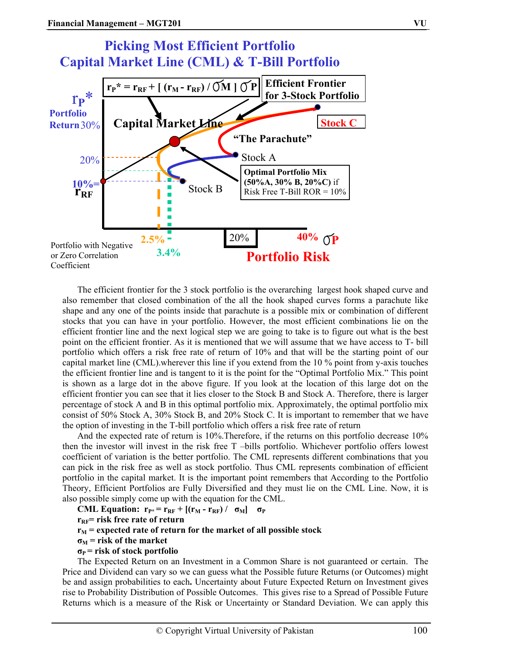

The efficient frontier for the 3 stock portfolio is the overarching largest hook shaped curve and also remember that closed combination of the all the hook shaped curves forms a parachute like shape and any one of the points inside that parachute is a possible mix or combination of different stocks that you can have in your portfolio. However, the most efficient combinations lie on the efficient frontier line and the next logical step we are going to take is to figure out what is the best point on the efficient frontier. As it is mentioned that we will assume that we have access to T- bill portfolio which offers a risk free rate of return of 10% and that will be the starting point of our capital market line (CML).wherever this line if you extend from the 10 % point from y-axis touches the efficient frontier line and is tangent to it is the point for the "Optimal Portfolio Mix." This point is shown as a large dot in the above figure. If you look at the location of this large dot on the efficient frontier you can see that it lies closer to the Stock B and Stock A. Therefore, there is larger percentage of stock A and B in this optimal portfolio mix. Approximately, the optimal portfolio mix consist of 50% Stock A, 30% Stock B, and 20% Stock C. It is important to remember that we have the option of investing in the T-bill portfolio which offers a risk free rate of return

And the expected rate of return is 10%. Therefore, if the returns on this portfolio decrease 10% then the investor will invest in the risk free T –bills portfolio. Whichever portfolio offers lowest coefficient of variation is the better portfolio. The CML represents different combinations that you can pick in the risk free as well as stock portfolio. Thus CML represents combination of efficient portfolio in the capital market. It is the important point remembers that According to the Portfolio Theory, Efficient Portfolios are Fully Diversified and they must lie on the CML Line. Now, it is also possible simply come up with the equation for the CML.

```
CML Equation: \mathbf{r}_{\mathbf{P}^*} = \mathbf{r}_{\mathbf{RF}} + [(\mathbf{r}_{\mathbf{M}} - \mathbf{r}_{\mathbf{RF}}) / \sigma_{\mathbf{M}}] \quad \sigma_{\mathbf{P}}r<sub>RF</sub>= risk free rate of return
r_M = expected rate of return for the market of all possible stock
\sigma_M = risk of the market
σP = risk of stock portfolio
```
The Expected Return on an Investment in a Common Share is not guaranteed or certain. The Price and Dividend can vary so we can guess what the Possible future Returns (or Outcomes) might be and assign probabilities to each**.** Uncertainty about Future Expected Return on Investment gives rise to Probability Distribution of Possible Outcomes. This gives rise to a Spread of Possible Future Returns which is a measure of the Risk or Uncertainty or Standard Deviation. We can apply this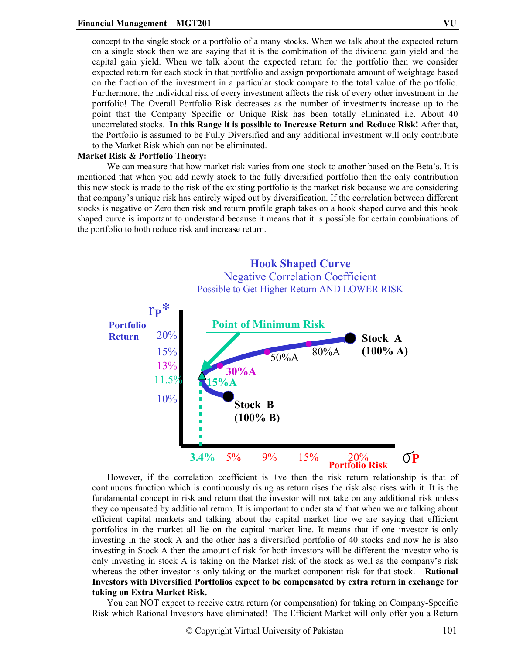concept to the single stock or a portfolio of a many stocks. When we talk about the expected return on a single stock then we are saying that it is the combination of the dividend gain yield and the capital gain yield. When we talk about the expected return for the portfolio then we consider expected return for each stock in that portfolio and assign proportionate amount of weightage based on the fraction of the investment in a particular stock compare to the total value of the portfolio. Furthermore, the individual risk of every investment affects the risk of every other investment in the portfolio! The Overall Portfolio Risk decreases as the number of investments increase up to the point that the Company Specific or Unique Risk has been totally eliminated i.e. About 40 uncorrelated stocks. **In this Range it is possible to Increase Return and Reduce Risk!** After that, the Portfolio is assumed to be Fully Diversified and any additional investment will only contribute to the Market Risk which can not be eliminated.

#### **Market Risk & Portfolio Theory:**

We can measure that how market risk varies from one stock to another based on the Beta's. It is mentioned that when you add newly stock to the fully diversified portfolio then the only contribution this new stock is made to the risk of the existing portfolio is the market risk because we are considering that company's unique risk has entirely wiped out by diversification. If the correlation between different stocks is negative or Zero then risk and return profile graph takes on a hook shaped curve and this hook shaped curve is important to understand because it means that it is possible for certain combinations of the portfolio to both reduce risk and increase return.



However, if the correlation coefficient is +ve then the risk return relationship is that of continuous function which is continuously rising as return rises the risk also rises with it. It is the fundamental concept in risk and return that the investor will not take on any additional risk unless they compensated by additional return. It is important to under stand that when we are talking about efficient capital markets and talking about the capital market line we are saying that efficient portfolios in the market all lie on the capital market line. It means that if one investor is only investing in the stock A and the other has a diversified portfolio of 40 stocks and now he is also investing in Stock A then the amount of risk for both investors will be different the investor who is only investing in stock A is taking on the Market risk of the stock as well as the company's risk whereas the other investor is only taking on the market component risk for that stock. **Rational Investors with Diversified Portfolios expect to be compensated by extra return in exchange for taking on Extra Market Risk.** 

You can NOT expect to receive extra return (or compensation) for taking on Company-Specific Risk which Rational Investors have eliminated! The Efficient Market will only offer you a Return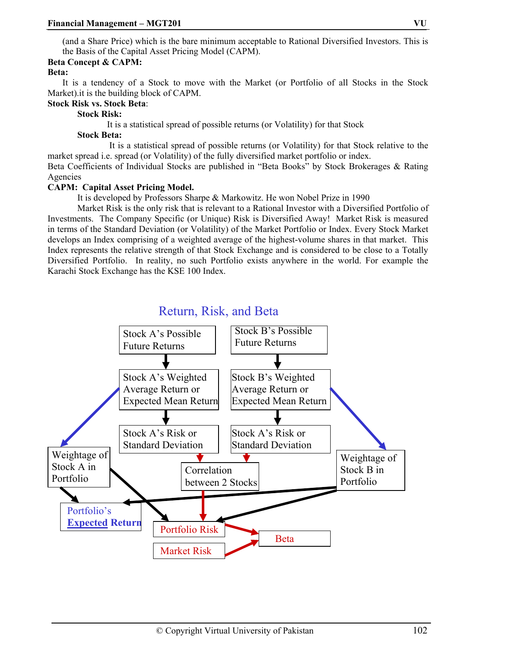(and a Share Price) which is the bare minimum acceptable to Rational Diversified Investors. This is the Basis of the Capital Asset Pricing Model (CAPM).

## **Beta Concept & CAPM:**

## **Beta:**

It is a tendency of a Stock to move with the Market (or Portfolio of all Stocks in the Stock Market).it is the building block of CAPM.

#### **Stock Risk vs. Stock Beta**:

## **Stock Risk:**

It is a statistical spread of possible returns (or Volatility) for that Stock

## **Stock Beta:**

 It is a statistical spread of possible returns (or Volatility) for that Stock relative to the market spread i.e. spread (or Volatility) of the fully diversified market portfolio or index.

Beta Coefficients of Individual Stocks are published in "Beta Books" by Stock Brokerages & Rating Agencies

## **CAPM: Capital Asset Pricing Model.**

It is developed by Professors Sharpe & Markowitz. He won Nobel Prize in 1990

Market Risk is the only risk that is relevant to a Rational Investor with a Diversified Portfolio of Investments. The Company Specific (or Unique) Risk is Diversified Away! Market Risk is measured in terms of the Standard Deviation (or Volatility) of the Market Portfolio or Index. Every Stock Market develops an Index comprising of a weighted average of the highest-volume shares in that market. This Index represents the relative strength of that Stock Exchange and is considered to be close to a Totally Diversified Portfolio. In reality, no such Portfolio exists anywhere in the world. For example the Karachi Stock Exchange has the KSE 100 Index.

## Return, Risk, and Beta

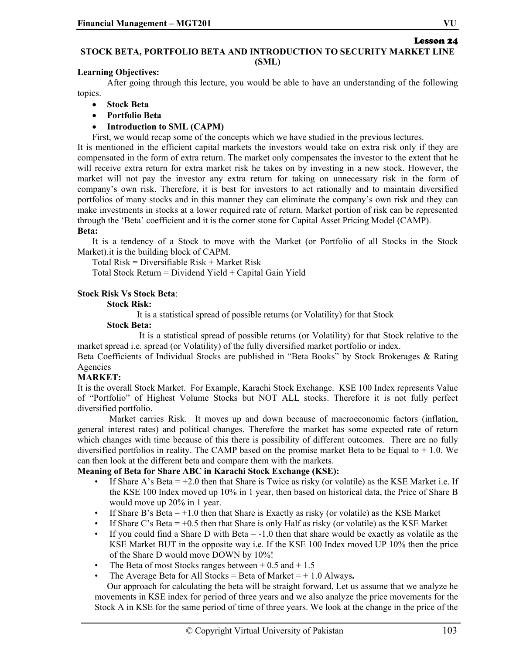# Lesson 24

## **STOCK BETA, PORTFOLIO BETA AND INTRODUCTION TO SECURITY MARKET LINE (SML)**

## **Learning Objectives:**

After going through this lecture, you would be able to have an understanding of the following topics.

- **Stock Beta**
- **Portfolio Beta**
- **Introduction to SML (CAPM)**

First, we would recap some of the concepts which we have studied in the previous lectures.

It is mentioned in the efficient capital markets the investors would take on extra risk only if they are compensated in the form of extra return. The market only compensates the investor to the extent that he will receive extra return for extra market risk he takes on by investing in a new stock. However, the market will not pay the investor any extra return for taking on unnecessary risk in the form of company's own risk. Therefore, it is best for investors to act rationally and to maintain diversified portfolios of many stocks and in this manner they can eliminate the company's own risk and they can make investments in stocks at a lower required rate of return. Market portion of risk can be represented through the 'Beta' coefficient and it is the corner stone for Capital Asset Pricing Model (CAMP).

## **Beta:**

It is a tendency of a Stock to move with the Market (or Portfolio of all Stocks in the Stock Market).it is the building block of CAPM.

Total Risk = Diversifiable Risk + Market Risk

Total Stock Return = Dividend Yield + Capital Gain Yield

## **Stock Risk Vs Stock Beta**:

## **Stock Risk:**

It is a statistical spread of possible returns (or Volatility) for that Stock

#### **Stock Beta:**

 It is a statistical spread of possible returns (or Volatility) for that Stock relative to the market spread i.e. spread (or Volatility) of the fully diversified market portfolio or index.

Beta Coefficients of Individual Stocks are published in "Beta Books" by Stock Brokerages & Rating Agencies

## **MARKET:**

It is the overall Stock Market. For Example, Karachi Stock Exchange. KSE 100 Index represents Value of "Portfolio" of Highest Volume Stocks but NOT ALL stocks. Therefore it is not fully perfect diversified portfolio.

 Market carries Risk. It moves up and down because of macroeconomic factors (inflation, general interest rates) and political changes. Therefore the market has some expected rate of return which changes with time because of this there is possibility of different outcomes. There are no fully diversified portfolios in reality. The CAMP based on the promise market Beta to be Equal to  $+1.0$ . We can then look at the different beta and compare them with the markets.

#### **Meaning of Beta for Share ABC in Karachi Stock Exchange (KSE):**

- If Share A's Beta  $= +2.0$  then that Share is Twice as risky (or volatile) as the KSE Market i.e. If the KSE 100 Index moved up 10% in 1 year, then based on historical data, the Price of Share B would move up 20% in 1 year.
- If Share B's Beta  $= +1.0$  then that Share is Exactly as risky (or volatile) as the KSE Market
- If Share C's Beta  $= +0.5$  then that Share is only Half as risky (or volatile) as the KSE Market
- If you could find a Share D with Beta  $= -1.0$  then that share would be exactly as volatile as the KSE Market BUT in the opposite way i.e. If the KSE 100 Index moved UP 10% then the price of the Share D would move DOWN by 10%!
- The Beta of most Stocks ranges between  $+ 0.5$  and  $+ 1.5$
- The Average Beta for All Stocks = Beta of Market  $= +1.0$  Always.

Our approach for calculating the beta will be straight forward. Let us assume that we analyze he movements in KSE index for period of three years and we also analyze the price movements for the Stock A in KSE for the same period of time of three years. We look at the change in the price of the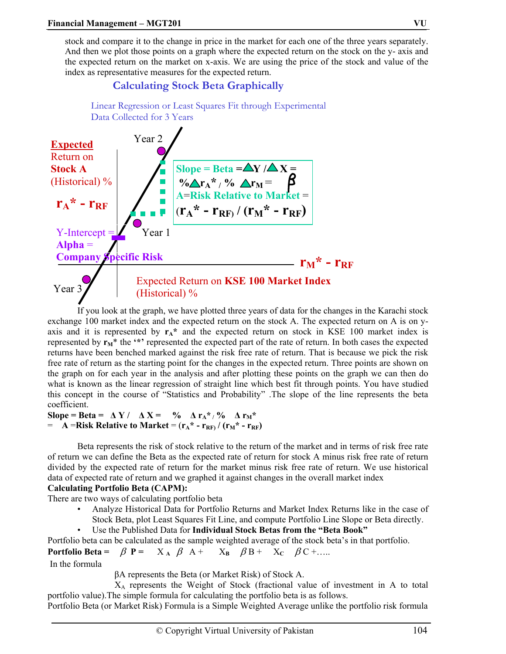stock and compare it to the change in price in the market for each one of the three years separately. And then we plot those points on a graph where the expected return on the stock on the y- axis and the expected return on the market on x-axis. We are using the price of the stock and value of the index as representative measures for the expected return.

## **Calculating Stock Beta Graphically**

Linear Regression or Least Squares Fit through Experimental



If you look at the graph, we have plotted three years of data for the changes in the Karachi stock exchange 100 market index and the expected return on the stock A. The expected return on A is on yaxis and it is represented by  $r_A^*$  and the expected return on stock in KSE 100 market index is represented by  $r_M^*$  the '\*' represented the expected part of the rate of return. In both cases the expected returns have been benched marked against the risk free rate of return. That is because we pick the risk free rate of return as the starting point for the changes in the expected return. Three points are shown on the graph on for each year in the analysis and after plotting these points on the graph we can then do what is known as the linear regression of straight line which best fit through points. You have studied this concept in the course of "Statistics and Probability" .The slope of the line represents the beta coefficient.

 $\text{Slope} = \text{Beta} = \Delta Y / \Delta X = % \text{Slope} = \frac{1}{2} \Delta Y / \Delta X = % \text{Slope} = \frac{1}{2} \Delta Y / \Delta X = % \text{Slope} = \frac{1}{2} \Delta Y / \Delta X = % \text{Slope} = \frac{1}{2} \Delta Y / \Delta X = % \text{Slope} = \frac{1}{2} \Delta Y / \Delta X = % \text{Slope} = \frac{1}{2} \Delta Y / \Delta X = % \text{Slope} = \frac{1}{2} \Delta Y / \Delta X = % \text{Slope} = \frac{1}{2} \Delta Y / \Delta X = % \text{Slope} = \frac{1}{2}$  $=$  **A** =Risk Relative to Market =  $(r_A^* - r_{RF})/(r_M^* - r_{RF})$ 

 Beta represents the risk of stock relative to the return of the market and in terms of risk free rate of return we can define the Beta as the expected rate of return for stock A minus risk free rate of return divided by the expected rate of return for the market minus risk free rate of return. We use historical data of expected rate of return and we graphed it against changes in the overall market index

## **Calculating Portfolio Beta (CAPM):**

There are two ways of calculating portfolio beta

- Analyze Historical Data for Portfolio Returns and Market Index Returns like in the case of Stock Beta, plot Least Squares Fit Line, and compute Portfolio Line Slope or Beta directly.
- Use the Published Data for **Individual Stock Betas from the "Beta Book"**

Portfolio beta can be calculated as the sample weighted average of the stock beta's in that portfolio.

**Portfolio Beta =**  $\beta$  **P** =  $X_A$   $\beta$  A +  $X_B$   $\beta$  B +  $X_C$   $\beta$  C +…..

In the formula

βA represents the Beta (or Market Risk) of Stock A.

 XA represents the Weight of Stock (fractional value of investment in A to total portfolio value).The simple formula for calculating the portfolio beta is as follows.

Portfolio Beta (or Market Risk) Formula is a Simple Weighted Average unlike the portfolio risk formula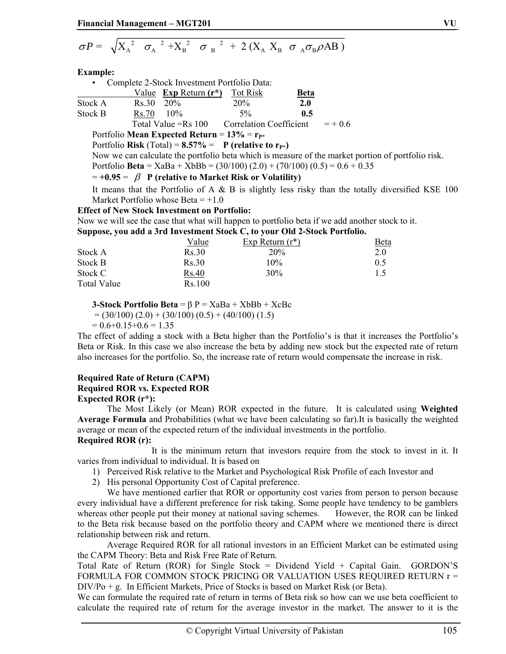$$
\sigma P = \sqrt{X_{A}^{2} \sigma_{A}^{2} + X_{B}^{2} \sigma_{B}^{2} + 2(X_{A} X_{B} \sigma_{A} \sigma_{B} \rho AB)}
$$

#### **Example:**

|                                                    | • Complete 2-Stock Investment Portfolio Data: |                                                    |                                |             |           |  |
|----------------------------------------------------|-----------------------------------------------|----------------------------------------------------|--------------------------------|-------------|-----------|--|
|                                                    |                                               | Value $\overline{\text{Exp Return (r*)}}$ Tot Risk |                                | <u>Beta</u> |           |  |
| Stock A                                            | $Rs.30$ 20%                                   |                                                    | 20%                            | 2.0         |           |  |
| Stock B                                            | $Rs.70$ 10%                                   |                                                    | $5\%$                          | 0.5         |           |  |
|                                                    |                                               | Total Value = $Rs 100$                             | <b>Correlation Coefficient</b> |             | $= + 0.6$ |  |
| Portfolio Mean Expected Return = $13\%$ = $r_{P*}$ |                                               |                                                    |                                |             |           |  |

Portfolio **Risk** (Total) =  $8.57\%$  = **P** (relative to  $r_{P*}$ )

Now we can calculate the portfolio beta which is measure of the market portion of portfolio risk.

Portfolio **Beta** = XaBa + XbBb = (30/100) (2.0) + (70/100) (0.5) = 0.6 + 0.35

## $= +0.95 = \beta$  P (relative to Market Risk or Volatility)

It means that the Portfolio of A  $\&$  B is slightly less risky than the totally diversified KSE 100 Market Portfolio whose Beta  $= +1.0$ 

## **Effect of New Stock Investment on Portfolio:**

Now we will see the case that what will happen to portfolio beta if we add another stock to it.

**Suppose, you add a 3rd Investment Stock C, to your Old 2-Stock Portfolio.** 

|             | Value  | Exp Return $(r^*)$ | <u>Beta</u> |
|-------------|--------|--------------------|-------------|
| Stock A     | Rs.30  | 20%                | 2.0         |
| Stock B     | Rs.30  | 10%                | 0.5         |
| Stock C     | Rs.40  | 30%                |             |
| Total Value | Rs.100 |                    |             |

**3-Stock Portfolio Beta** =  $\beta$  P =  $XaBa + XbBb + XcBc$ 

$$
= (30/100) (2.0) + (30/100) (0.5) + (40/100) (1.5)
$$

 $= 0.6 + 0.15 + 0.6 = 1.35$ 

The effect of adding a stock with a Beta higher than the Portfolio's is that it increases the Portfolio's Beta or Risk. In this case we also increase the beta by adding new stock but the expected rate of return also increases for the portfolio. So, the increase rate of return would compensate the increase in risk.

## **Required Rate of Return (CAPM)**

## **Required ROR vs. Expected ROR**

**Expected ROR (r\*):**

The Most Likely (or Mean) ROR expected in the future. It is calculated using **Weighted Average Formula** and Probabilities (what we have been calculating so far).It is basically the weighted average or mean of the expected return of the individual investments in the portfolio.

## **Required ROR (r):**

 It is the minimum return that investors require from the stock to invest in it. It varies from individual to individual. It is based on

- 1) Perceived Risk relative to the Market and Psychological Risk Profile of each Investor and
- 2) His personal Opportunity Cost of Capital preference.

 We have mentioned earlier that ROR or opportunity cost varies from person to person because every individual have a different preference for risk taking. Some people have tendency to be gamblers whereas other people put their money at national saving schemes. However, the ROR can be linked to the Beta risk because based on the portfolio theory and CAPM where we mentioned there is direct relationship between risk and return.

 Average Required ROR for all rational investors in an Efficient Market can be estimated using the CAPM Theory: Beta and Risk Free Rate of Return.

Total Rate of Return (ROR) for Single Stock = Dividend Yield + Capital Gain. GORDON'S FORMULA FOR COMMON STOCK PRICING OR VALUATION USES REQUIRED RETURN r = DIV/Po + g. In Efficient Markets, Price of Stocks is based on Market Risk (or Beta).

We can formulate the required rate of return in terms of Beta risk so how can we use beta coefficient to calculate the required rate of return for the average investor in the market. The answer to it is the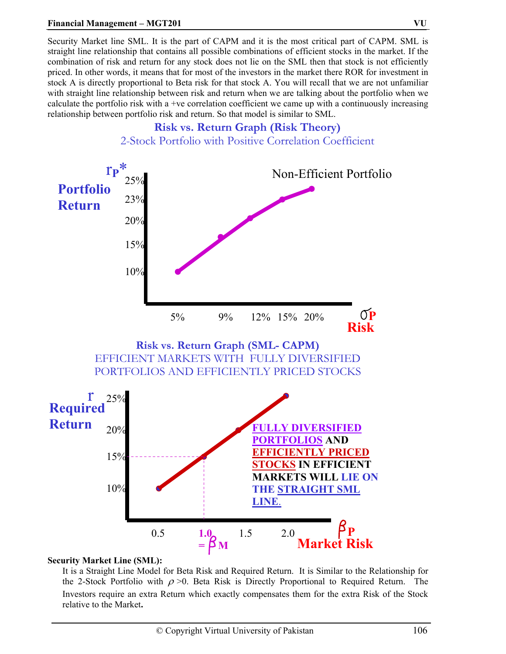## **Financial Management – MGT201 VU**

Security Market line SML. It is the part of CAPM and it is the most critical part of CAPM. SML is straight line relationship that contains all possible combinations of efficient stocks in the market. If the combination of risk and return for any stock does not lie on the SML then that stock is not efficiently priced. In other words, it means that for most of the investors in the market there ROR for investment in stock A is directly proportional to Beta risk for that stock A. You will recall that we are not unfamiliar with straight line relationship between risk and return when we are talking about the portfolio when we calculate the portfolio risk with a +ve correlation coefficient we came up with a continuously increasing relationship between portfolio risk and return. So that model is similar to SML.



#### **Security Market Line (SML):**

It is a Straight Line Model for Beta Risk and Required Return. It is Similar to the Relationship for the 2-Stock Portfolio with  $\rho > 0$ . Beta Risk is Directly Proportional to Required Return. The Investors require an extra Return which exactly compensates them for the extra Risk of the Stock relative to the Market**.**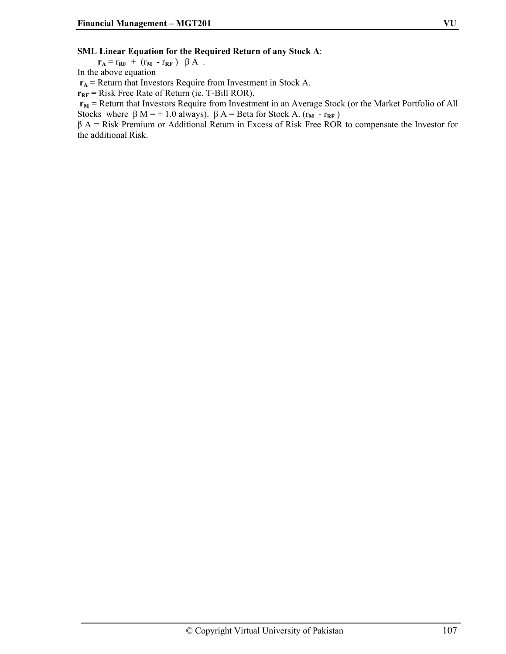#### **SML Linear Equation for the Required Return of any Stock A**:

 $\mathbf{r}_A = \mathbf{r}_{RF} + (\mathbf{r}_M - \mathbf{r}_{RF}) \beta A$ .

In the above equation

 $r_A$  = Return that Investors Require from Investment in Stock A.

 $r_{RF}$  = Risk Free Rate of Return (ie. T-Bill ROR).

 $r_M$  = Return that Investors Require from Investment in an Average Stock (or the Market Portfolio of All Stocks where  $\beta$  M = + 1.0 always).  $\beta$  A = Beta for Stock A. ( $r_M$  -  $r_{RF}$ )

β A = Risk Premium or Additional Return in Excess of Risk Free ROR to compensate the Investor for the additional Risk.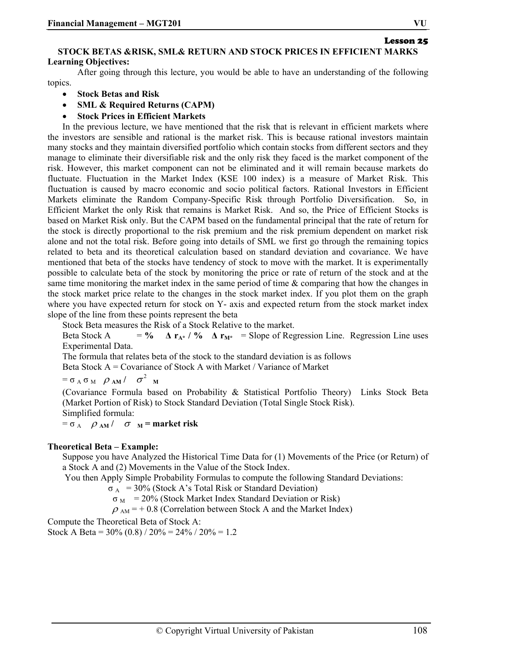## **STOCK BETAS &RISK, SML& RETURN AND STOCK PRICES IN EFFICIENT MARKS Learning Objectives:**

After going through this lecture, you would be able to have an understanding of the following topics.

- **Stock Betas and Risk**
- **SML & Required Returns (CAPM)**
- **Stock Prices in Efficient Markets**

In the previous lecture, we have mentioned that the risk that is relevant in efficient markets where the investors are sensible and rational is the market risk. This is because rational investors maintain many stocks and they maintain diversified portfolio which contain stocks from different sectors and they manage to eliminate their diversifiable risk and the only risk they faced is the market component of the risk. However, this market component can not be eliminated and it will remain because markets do fluctuate. Fluctuation in the Market Index (KSE 100 index) is a measure of Market Risk. This fluctuation is caused by macro economic and socio political factors. Rational Investors in Efficient Markets eliminate the Random Company-Specific Risk through Portfolio Diversification. So, in Efficient Market the only Risk that remains is Market Risk. And so, the Price of Efficient Stocks is based on Market Risk only. But the CAPM based on the fundamental principal that the rate of return for the stock is directly proportional to the risk premium and the risk premium dependent on market risk alone and not the total risk. Before going into details of SML we first go through the remaining topics related to beta and its theoretical calculation based on standard deviation and covariance. We have mentioned that beta of the stocks have tendency of stock to move with the market. It is experimentally possible to calculate beta of the stock by monitoring the price or rate of return of the stock and at the same time monitoring the market index in the same period of time & comparing that how the changes in the stock market price relate to the changes in the stock market index. If you plot them on the graph where you have expected return for stock on Y- axis and expected return from the stock market index slope of the line from these points represent the beta

Stock Beta measures the Risk of a Stock Relative to the market.

Beta Stock A  $= \frac{9}{4}$   $\Delta \mathbf{r}_{A^*}$  **/ %**  $\Delta \mathbf{r}_{M^*}$  **= Slope of Regression Line. Regression Line uses** Experimental Data.

The formula that relates beta of the stock to the standard deviation is as follows

Beta Stock A = Covariance of Stock A with Market / Variance of Market

 $= \sigma_A \sigma_M \rho_{AM} / \sigma^2_{M}$ 

(Covariance Formula based on Probability & Statistical Portfolio Theory) Links Stock Beta (Market Portion of Risk) to Stock Standard Deviation (Total Single Stock Risk). Simplified formula:

 $= \sigma_A$   $\rho_{AM}$  /  $\sigma_{M}$  = market risk

## **Theoretical Beta – Example:**

Suppose you have Analyzed the Historical Time Data for (1) Movements of the Price (or Return) of a Stock A and (2) Movements in the Value of the Stock Index.

You then Apply Simple Probability Formulas to compute the following Standard Deviations:

 $\sigma_A$  = 30% (Stock A's Total Risk or Standard Deviation)

 $\sigma_{\text{M}}$  = 20% (Stock Market Index Standard Deviation or Risk)

 $\rho_{AM}$  = + 0.8 (Correlation between Stock A and the Market Index)

Compute the Theoretical Beta of Stock A:

Stock A Beta =  $30\%$  (0.8) /  $20\%$  =  $24\%$  /  $20\%$  = 1.2

Lesson 25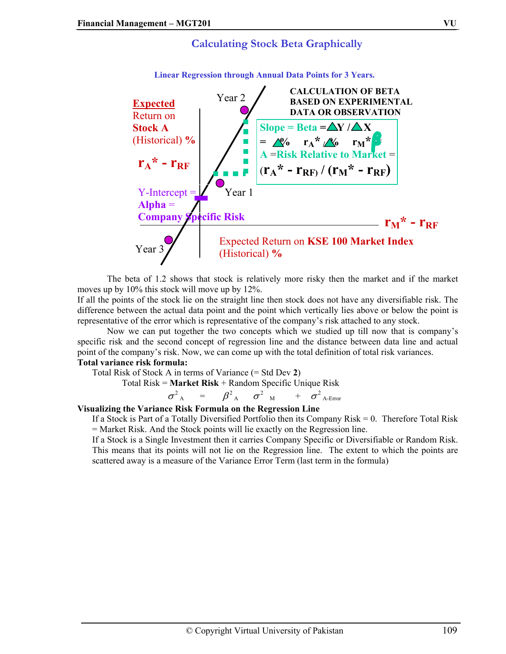



**Linear Regression through Annual Data Points for 3 Years.** 

The beta of 1.2 shows that stock is relatively more risky then the market and if the market moves up by 10% this stock will move up by 12%.

If all the points of the stock lie on the straight line then stock does not have any diversifiable risk. The difference between the actual data point and the point which vertically lies above or below the point is representative of the error which is representative of the company's risk attached to any stock.

Now we can put together the two concepts which we studied up till now that is company's specific risk and the second concept of regression line and the distance between data line and actual point of the company's risk. Now, we can come up with the total definition of total risk variances.

#### **Total variance risk formula:**

Total Risk of Stock A in terms of Variance (= Std Dev **2**)

$$
Total Risk = Market Risk + Random Specific Unique Risk
$$

 $\sigma^2$ <sub>A</sub> =  $\beta^2$ <sub>A</sub>  $\sigma^2$ <sub>M</sub> +  $\sigma^2$ <sub>A-Error</sub>

#### **Visualizing the Variance Risk Formula on the Regression Line**

If a Stock is Part of a Totally Diversified Portfolio then its Company Risk = 0. Therefore Total Risk = Market Risk. And the Stock points will lie exactly on the Regression line.

If a Stock is a Single Investment then it carries Company Specific or Diversifiable or Random Risk. This means that its points will not lie on the Regression line. The extent to which the points are scattered away is a measure of the Variance Error Term (last term in the formula)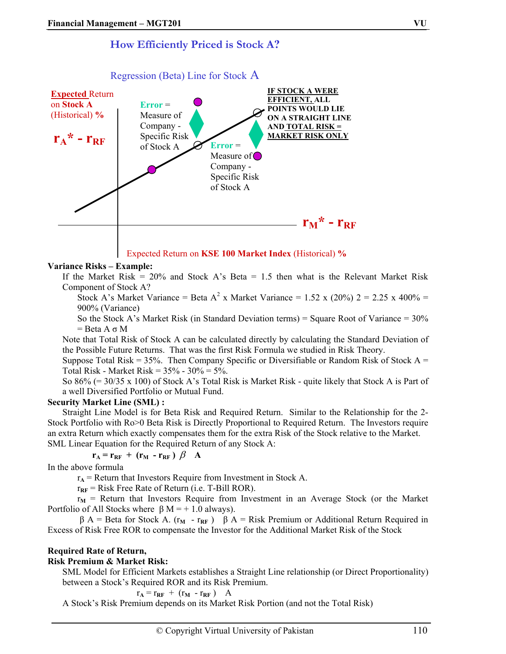# **How Efficiently Priced is Stock A?**



#### Regression (Beta) Line for Stock A

#### Expected Return on **KSE 100 Market Index** (Historical) **%**

#### **Variance Risks – Example:**

If the Market Risk =  $20\%$  and Stock A's Beta = 1.5 then what is the Relevant Market Risk Component of Stock A?

Stock A's Market Variance = Beta A<sup>2</sup> x Market Variance = 1.52 x (20%) 2 = 2.25 x 400% = 900% (Variance)

So the Stock A's Market Risk (in Standard Deviation terms) = Square Root of Variance =  $30\%$  $=$  Beta A  $\sigma$  M

Note that Total Risk of Stock A can be calculated directly by calculating the Standard Deviation of the Possible Future Returns. That was the first Risk Formula we studied in Risk Theory.

Suppose Total Risk =  $35\%$ . Then Company Specific or Diversifiable or Random Risk of Stock A = Total Risk - Market Risk =  $35% - 30% = 5%$ .

So 86% (= 30/35 x 100) of Stock A's Total Risk is Market Risk - quite likely that Stock A is Part of a well Diversified Portfolio or Mutual Fund.

#### **Security Market Line (SML) :**

Straight Line Model is for Beta Risk and Required Return. Similar to the Relationship for the 2- Stock Portfolio with Ro>0 Beta Risk is Directly Proportional to Required Return. The Investors require an extra Return which exactly compensates them for the extra Risk of the Stock relative to the Market. SML Linear Equation for the Required Return of any Stock A:

$$
\mathbf{r}_{A} = \mathbf{r}_{RF} + (\mathbf{r}_{M} - \mathbf{r}_{RF}) \beta A
$$

In the above formula

 $r_A$  = Return that Investors Require from Investment in Stock A.

 $r_{RF}$  = Risk Free Rate of Return (i.e. T-Bill ROR).

 $r_M$  = Return that Investors Require from Investment in an Average Stock (or the Market Portfolio of All Stocks where  $\beta$  M = + 1.0 always).

 $β A = Beta for Stock A. (r<sub>M</sub> - r<sub>RF</sub>) β A = Risk Premium or Additional Return Required in$ Excess of Risk Free ROR to compensate the Investor for the Additional Market Risk of the Stock

#### **Required Rate of Return,**

#### **Risk Premium & Market Risk:**

SML Model for Efficient Markets establishes a Straight Line relationship (or Direct Proportionality) between a Stock's Required ROR and its Risk Premium.

 $r_A = r_{RF} + (r_M - r_{RF})$  A

A Stock's Risk Premium depends on its Market Risk Portion (and not the Total Risk)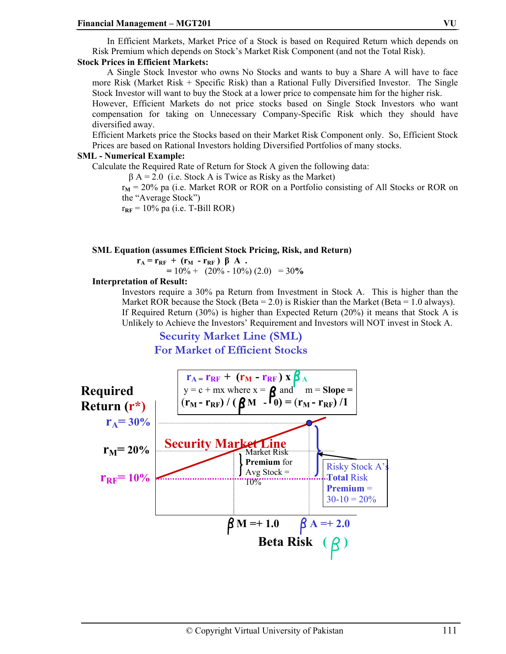In Efficient Markets, Market Price of a Stock is based on Required Return which depends on Risk Premium which depends on Stock's Market Risk Component (and not the Total Risk).

#### **Stock Prices in Efficient Markets:**

A Single Stock Investor who owns No Stocks and wants to buy a Share A will have to face more Risk (Market Risk + Specific Risk) than a Rational Fully Diversified Investor. The Single Stock Investor will want to buy the Stock at a lower price to compensate him for the higher risk.

However, Efficient Markets do not price stocks based on Single Stock Investors who want compensation for taking on Unnecessary Company-Specific Risk which they should have diversified away.

Efficient Markets price the Stocks based on their Market Risk Component only. So, Efficient Stock Prices are based on Rational Investors holding Diversified Portfolios of many stocks.

#### **SML - Numerical Example:**

Calculate the Required Rate of Return for Stock A given the following data:

 $\beta$  A = 2.0 (i.e. Stock A is Twice as Risky as the Market)

 $r_M$  = 20% pa (i.e. Market ROR or ROR on a Portfolio consisting of All Stocks or ROR on the "Average Stock")

 $r_{RF}$  = 10% pa (i.e. T-Bill ROR)

#### **SML Equation (assumes Efficient Stock Pricing, Risk, and Return)**

 $r_A = r_{RF} + (r_M - r_{RF}) \beta A$ .  $= 10\% + (20\% - 10\%) (2.0) = 30\%$ 

#### **Interpretation of Result:**

Investors require a 30% pa Return from Investment in Stock A. This is higher than the Market ROR because the Stock (Beta = 2.0) is Riskier than the Market (Beta = 1.0 always). If Required Return (30%) is higher than Expected Return (20%) it means that Stock A is Unlikely to Achieve the Investors' Requirement and Investors will NOT invest in Stock A.

### **Security Market Line (SML) For Market of Efficient Stocks**

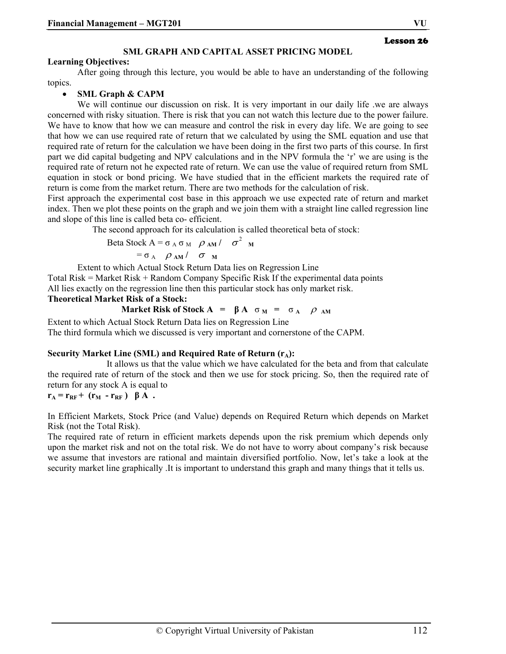#### **SML GRAPH AND CAPITAL ASSET PRICING MODEL**

#### **Learning Objectives:**

After going through this lecture, you would be able to have an understanding of the following topics.

#### • **SML Graph & CAPM**

We will continue our discussion on risk. It is very important in our daily life we are always concerned with risky situation. There is risk that you can not watch this lecture due to the power failure. We have to know that how we can measure and control the risk in every day life. We are going to see that how we can use required rate of return that we calculated by using the SML equation and use that required rate of return for the calculation we have been doing in the first two parts of this course. In first part we did capital budgeting and NPV calculations and in the NPV formula the 'r' we are using is the required rate of return not he expected rate of return. We can use the value of required return from SML equation in stock or bond pricing. We have studied that in the efficient markets the required rate of return is come from the market return. There are two methods for the calculation of risk.

First approach the experimental cost base in this approach we use expected rate of return and market index. Then we plot these points on the graph and we join them with a straight line called regression line and slope of this line is called beta co- efficient.

The second approach for its calculation is called theoretical beta of stock:

Beta Stock  $A = σ_A σ_M$  *Q AM* /  $σ^2$  M

$$
= \sigma_A \quad \rho_{AM} / \quad \sigma_{M}
$$

Extent to which Actual Stock Return Data lies on Regression Line

Total Risk = Market Risk + Random Company Specific Risk If the experimental data points All lies exactly on the regression line then this particular stock has only market risk.

# **Theoretical Market Risk of a Stock:**

**Market Risk of Stock A** = 
$$
\beta
$$
 A  $\sigma$ <sub>M</sub> =  $\sigma$ <sub>A</sub>  $\rho$ <sub>AM</sub>

Extent to which Actual Stock Return Data lies on Regression Line The third formula which we discussed is very important and cornerstone of the CAPM.

#### Security Market Line (SML) and Required Rate of Return (r<sub>A</sub>):

 It allows us that the value which we have calculated for the beta and from that calculate the required rate of return of the stock and then we use for stock pricing. So, then the required rate of return for any stock A is equal to

 $r_A = r_{RF} + (r_M - r_{RF}) \beta A$ .

In Efficient Markets, Stock Price (and Value) depends on Required Return which depends on Market Risk (not the Total Risk).

The required rate of return in efficient markets depends upon the risk premium which depends only upon the market risk and not on the total risk. We do not have to worry about company's risk because we assume that investors are rational and maintain diversified portfolio. Now, let's take a look at the security market line graphically .It is important to understand this graph and many things that it tells us.

Lesson 26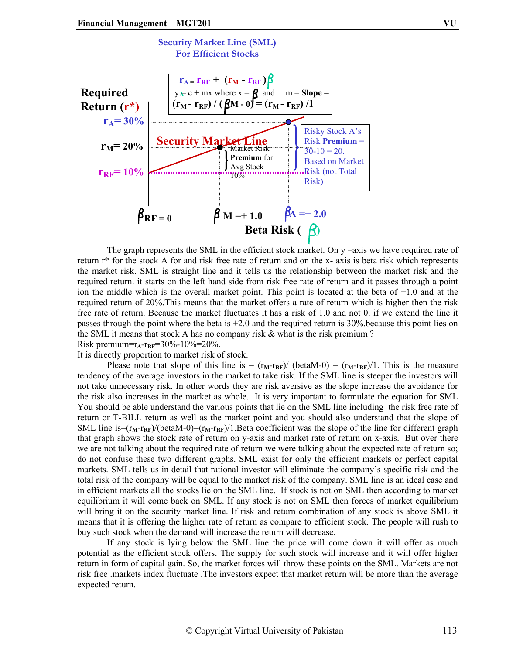

The graph represents the SML in the efficient stock market. On y –axis we have required rate of return r\* for the stock A for and risk free rate of return and on the x- axis is beta risk which represents the market risk. SML is straight line and it tells us the relationship between the market risk and the required return. it starts on the left hand side from risk free rate of return and it passes through a point ion the middle which is the overall market point. This point is located at the beta of +1.0 and at the required return of 20%.This means that the market offers a rate of return which is higher then the risk free rate of return. Because the market fluctuates it has a risk of 1.0 and not 0. if we extend the line it passes through the point where the beta is  $+2.0$  and the required return is 30% because this point lies on the SML it means that stock A has no company risk & what is the risk premium ? Risk premium= $r_A$ - $r_{RF}$ =30%-10%=20%.

It is directly proportion to market risk of stock.

Please note that slope of this line is  $=$   $(r_M-r_{RF})/$  (betaM-0)  $=$   $(r_M-r_{RF})/1$ . This is the measure tendency of the average investors in the market to take risk. If the SML line is steeper the investors will not take unnecessary risk. In other words they are risk aversive as the slope increase the avoidance for the risk also increases in the market as whole. It is very important to formulate the equation for SML You should be able understand the various points that lie on the SML line including the risk free rate of return or T-BILL return as well as the market point and you should also understand that the slope of SML line is= $(r_M - r_{RF})/(betaM - 0) = (r_M - r_{RF})/1$ . Beta coefficient was the slope of the line for different graph that graph shows the stock rate of return on y-axis and market rate of return on x-axis. But over there we are not talking about the required rate of return we were talking about the expected rate of return so; do not confuse these two different graphs. SML exist for only the efficient markets or perfect capital markets. SML tells us in detail that rational investor will eliminate the company's specific risk and the total risk of the company will be equal to the market risk of the company. SML line is an ideal case and in efficient markets all the stocks lie on the SML line. If stock is not on SML then according to market equilibrium it will come back on SML. If any stock is not on SML then forces of market equilibrium will bring it on the security market line. If risk and return combination of any stock is above SML it means that it is offering the higher rate of return as compare to efficient stock. The people will rush to buy such stock when the demand will increase the return will decrease.

 If any stock is lying below the SML line the price will come down it will offer as much potential as the efficient stock offers. The supply for such stock will increase and it will offer higher return in form of capital gain. So, the market forces will throw these points on the SML. Markets are not risk free .markets index fluctuate .The investors expect that market return will be more than the average expected return.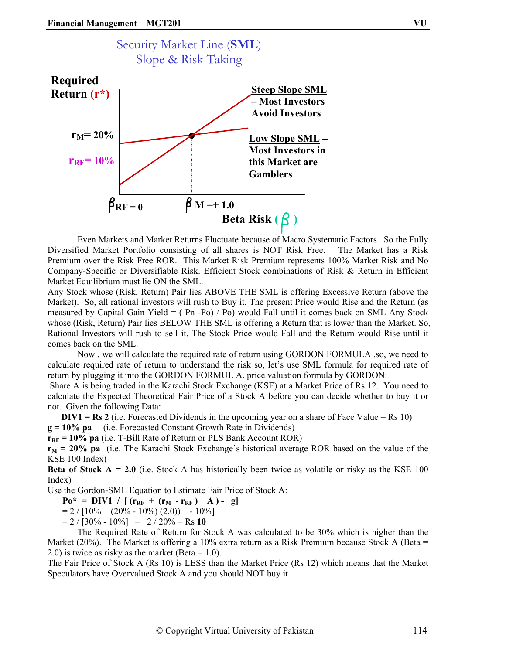

 Even Markets and Market Returns Fluctuate because of Macro Systematic Factors. So the Fully Diversified Market Portfolio consisting of all shares is NOT Risk Free. The Market has a Risk Premium over the Risk Free ROR. This Market Risk Premium represents 100% Market Risk and No Company-Specific or Diversifiable Risk. Efficient Stock combinations of Risk & Return in Efficient Market Equilibrium must lie ON the SML.

Any Stock whose (Risk, Return) Pair lies ABOVE THE SML is offering Excessive Return (above the Market). So, all rational investors will rush to Buy it. The present Price would Rise and the Return (as measured by Capital Gain Yield = ( Pn -Po) / Po) would Fall until it comes back on SML Any Stock whose (Risk, Return) Pair lies BELOW THE SML is offering a Return that is lower than the Market. So, Rational Investors will rush to sell it. The Stock Price would Fall and the Return would Rise until it comes back on the SML.

 Now , we will calculate the required rate of return using GORDON FORMULA .so, we need to calculate required rate of return to understand the risk so, let's use SML formula for required rate of return by plugging it into the GORDON FORMUL A. price valuation formula by GORDON:

 Share A is being traded in the Karachi Stock Exchange (KSE) at a Market Price of Rs 12. You need to calculate the Expected Theoretical Fair Price of a Stock A before you can decide whether to buy it or not. Given the following Data:

**DIV1 = Rs 2** (i.e. Forecasted Dividends in the upcoming year on a share of Face Value = Rs 10)

**g = 10% pa** (i.e. Forecasted Constant Growth Rate in Dividends)

 $r_{RF}$  = 10% pa (i.e. T-Bill Rate of Return or PLS Bank Account ROR)

 $r_M$  = 20% pa (i.e. The Karachi Stock Exchange's historical average ROR based on the value of the KSE 100 Index)

**Beta of Stock A = 2.0** (i.e. Stock A has historically been twice as volatile or risky as the KSE 100 Index)

Use the Gordon-SML Equation to Estimate Fair Price of Stock A:

 $Po^* = DIV1 / [(r_{RF} + (r_M - r_{RF}) A) - g]$ 

 $= 2 / [10\% + (20\% - 10\%) (2.0)) - 10\%]$ 

 $= 2 / [30\% - 10\%] = 2 / 20\% = \text{Rs } 10$ 

 The Required Rate of Return for Stock A was calculated to be 30% which is higher than the Market (20%). The Market is offering a 10% extra return as a Risk Premium because Stock A (Beta  $=$  $(2.0)$  is twice as risky as the market (Beta = 1.0).

The Fair Price of Stock A (Rs 10) is LESS than the Market Price (Rs 12) which means that the Market Speculators have Overvalued Stock A and you should NOT buy it.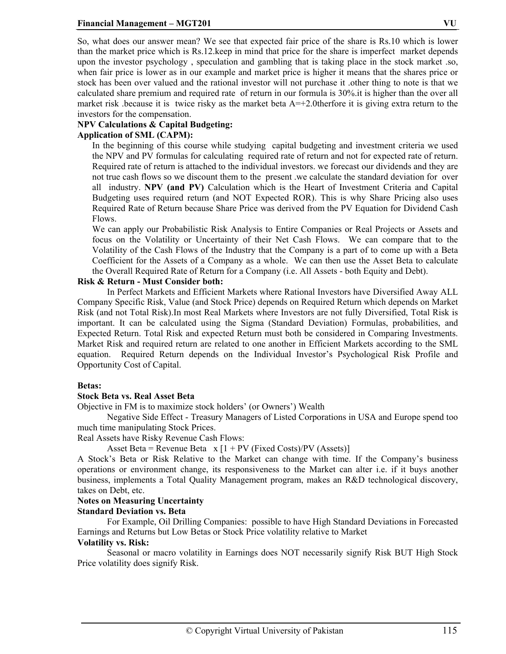So, what does our answer mean? We see that expected fair price of the share is Rs.10 which is lower than the market price which is Rs.12.keep in mind that price for the share is imperfect market depends upon the investor psychology , speculation and gambling that is taking place in the stock market .so, when fair price is lower as in our example and market price is higher it means that the shares price or stock has been over valued and the rational investor will not purchase it .other thing to note is that we calculated share premium and required rate of return in our formula is 30%.it is higher than the over all

market risk .because it is twice risky as the market beta  $A = +2.0$  therfore it is giving extra return to the investors for the compensation.

### **NPV Calculations & Capital Budgeting:**

### **Application of SML (CAPM):**

In the beginning of this course while studying capital budgeting and investment criteria we used the NPV and PV formulas for calculating required rate of return and not for expected rate of return. Required rate of return is attached to the individual investors. we forecast our dividends and they are not true cash flows so we discount them to the present .we calculate the standard deviation for over all industry. **NPV (and PV)** Calculation which is the Heart of Investment Criteria and Capital Budgeting uses required return (and NOT Expected ROR). This is why Share Pricing also uses Required Rate of Return because Share Price was derived from the PV Equation for Dividend Cash Flows.

We can apply our Probabilistic Risk Analysis to Entire Companies or Real Projects or Assets and focus on the Volatility or Uncertainty of their Net Cash Flows. We can compare that to the Volatility of the Cash Flows of the Industry that the Company is a part of to come up with a Beta Coefficient for the Assets of a Company as a whole. We can then use the Asset Beta to calculate the Overall Required Rate of Return for a Company (i.e. All Assets - both Equity and Debt).

### **Risk & Return - Must Consider both:**

In Perfect Markets and Efficient Markets where Rational Investors have Diversified Away ALL Company Specific Risk, Value (and Stock Price) depends on Required Return which depends on Market Risk (and not Total Risk).In most Real Markets where Investors are not fully Diversified, Total Risk is important. It can be calculated using the Sigma (Standard Deviation) Formulas, probabilities, and Expected Return. Total Risk and expected Return must both be considered in Comparing Investments. Market Risk and required return are related to one another in Efficient Markets according to the SML equation. Required Return depends on the Individual Investor's Psychological Risk Profile and Opportunity Cost of Capital.

### **Betas:**

### **Stock Beta vs. Real Asset Beta**

Objective in FM is to maximize stock holders' (or Owners') Wealth

Negative Side Effect - Treasury Managers of Listed Corporations in USA and Europe spend too much time manipulating Stock Prices.

Real Assets have Risky Revenue Cash Flows:

Asset Beta = Revenue Beta  $x [1 + PV$  (Fixed Costs)/PV (Assets)]

A Stock's Beta or Risk Relative to the Market can change with time. If the Company's business operations or environment change, its responsiveness to the Market can alter i.e. if it buys another business, implements a Total Quality Management program, makes an R&D technological discovery, takes on Debt, etc.

### **Notes on Measuring Uncertainty**

### **Standard Deviation vs. Beta**

For Example, Oil Drilling Companies: possible to have High Standard Deviations in Forecasted Earnings and Returns but Low Betas or Stock Price volatility relative to Market

#### **Volatility vs. Risk:**

Seasonal or macro volatility in Earnings does NOT necessarily signify Risk BUT High Stock Price volatility does signify Risk.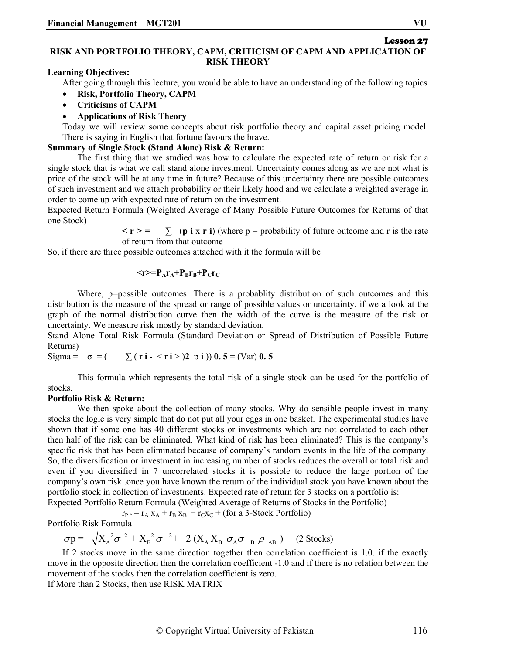#### Lesson 27 **RISK AND PORTFOLIO THEORY, CAPM, CRITICISM OF CAPM AND APPLICATION OF RISK THEORY**

**Learning Objectives:** 

After going through this lecture, you would be able to have an understanding of the following topics

- **Risk, Portfolio Theory, CAPM**
- **Criticisms of CAPM**
- **Applications of Risk Theory**

Today we will review some concepts about risk portfolio theory and capital asset pricing model. There is saying in English that fortune favours the brave.

#### **Summary of Single Stock (Stand Alone) Risk & Return:**

The first thing that we studied was how to calculate the expected rate of return or risk for a single stock that is what we call stand alone investment. Uncertainty comes along as we are not what is price of the stock will be at any time in future? Because of this uncertainty there are possible outcomes of such investment and we attach probability or their likely hood and we calculate a weighted average in order to come up with expected rate of return on the investment.

Expected Return Formula (Weighted Average of Many Possible Future Outcomes for Returns of that one Stock)

 $\leq r \geq$   $\leq$   $\leq$   $\left(\mathbf{p} \text{ i } \mathbf{x} \text{ r i}\right)$  (where p = probability of future outcome and r is the rate of return from that outcome

So, if there are three possible outcomes attached with it the formula will be

#### $\langle r \rangle = P_A r_A + P_B r_B + P_C r_C$

Where, p=possible outcomes. There is a probablity distribution of such outcomes and this distribution is the measure of the spread or range of possible values or uncertainty. if we a look at the graph of the normal distribution curve then the width of the curve is the measure of the risk or uncertainty. We measure risk mostly by standard deviation.

Stand Alone Total Risk Formula (Standard Deviation or Spread of Distribution of Possible Future Returns)

Sigma =  $\sigma = (\sum (ri - \langle ri \rangle)2 \pi i)$  **0. 5** = (Var) **0. 5** 

This formula which represents the total risk of a single stock can be used for the portfolio of stocks.

#### **Portfolio Risk & Return:**

We then spoke about the collection of many stocks. Why do sensible people invest in many stocks the logic is very simple that do not put all your eggs in one basket. The experimental studies have shown that if some one has 40 different stocks or investments which are not correlated to each other then half of the risk can be eliminated. What kind of risk has been eliminated? This is the company's specific risk that has been eliminated because of company's random events in the life of the company. So, the diversification or investment in increasing number of stocks reduces the overall or total risk and even if you diversified in 7 uncorrelated stocks it is possible to reduce the large portion of the company's own risk .once you have known the return of the individual stock you have known about the portfolio stock in collection of investments. Expected rate of return for 3 stocks on a portfolio is: Expected Portfolio Return Formula (Weighted Average of Returns of Stocks in the Portfolio)

$$
r_{P*} = r_A x_A + r_B x_B + r_C x_C + \text{(for a 3-Stock Portfolio)}
$$

Portfolio Risk Formula

 $\sigma p = \sqrt{X_A^2 \sigma^2 + X_B^2 \sigma^2 + 2 (X_A X_B \sigma_A \sigma_B \rho_{AB})}$  (2 Stocks)

If 2 stocks move in the same direction together then correlation coefficient is 1.0. if the exactly move in the opposite direction then the correlation coefficient -1.0 and if there is no relation between the movement of the stocks then the correlation coefficient is zero.

If More than 2 Stocks, then use RISK MATRIX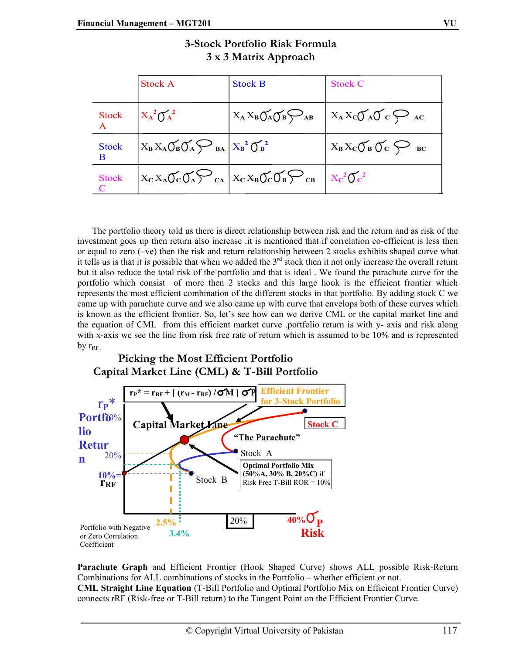|                   | <b>Stock A</b>                                                                                                                                                                                                | <b>Stock B</b>                    | <b>Stock C</b>                                                  |
|-------------------|---------------------------------------------------------------------------------------------------------------------------------------------------------------------------------------------------------------|-----------------------------------|-----------------------------------------------------------------|
| Stock             | $X_A^2 O_A^2$                                                                                                                                                                                                 | $X_A X_B O_A O_B \bigotimes_{AB}$ | $X_A X_C \bigcup A \bigcup C_C \bigcup A C$                     |
| <b>Stock</b><br>B | $X_B X_A \widetilde{\bigcup}_B \widetilde{\bigcup}_A \widetilde{\bigvee}_{BA} \Big  X_B^2 \widetilde{\bigcup}_B^2$                                                                                            |                                   | $X_B X_C \widetilde{\bigcup}_B \widetilde{\bigcup}_C \sum_{BC}$ |
| <b>Stock</b>      | $\Big  X_{\rm C} X_{\rm A} \widetilde{\rm O}_{{\rm C}} \widetilde{\rm O}_{{\rm A}} \sum_{{\rm C}\rm A} \Big  X_{\rm C} X_{\rm B} \widetilde{\rm O}_{{\rm C}} \widetilde{\rm O}_{{\rm B}} \sum_{{\rm C}\rm B}$ |                                   | $X_C^2O_C^2$                                                    |

| 3-Stock Portfolio Risk Formula |  |
|--------------------------------|--|
| 3 x 3 Matrix Approach          |  |

The portfolio theory told us there is direct relationship between risk and the return and as risk of the investment goes up then return also increase .it is mentioned that if correlation co-efficient is less then or equal to zero (–ve) then the risk and return relationship between 2 stocks exhibits shaped curve what it tells us is that it is possible that when we added the  $3^{rd}$  stock then it not only increase the overall return but it also reduce the total risk of the portfolio and that is ideal . We found the parachute curve for the portfolio which consist of more then 2 stocks and this large hook is the efficient frontier which represents the most efficient combination of the different stocks in that portfolio. By adding stock C we came up with parachute curve and we also came up with curve that envelops both of these curves which is known as the efficient frontier. So, let's see how can we derive CML or the capital market line and the equation of CML from this efficient market curve .portfolio return is with y- axis and risk along with x-axis we see the line from risk free rate of return which is assumed to be 10% and is represented by  $r_{RF}$ 

# **Picking the Most Efficient Portfolio Capital Market Line (CML) & T-Bill Portfolio**



**Parachute Graph** and Efficient Frontier (Hook Shaped Curve) shows ALL possible Risk-Return Combinations for ALL combinations of stocks in the Portfolio – whether efficient or not. **CML Straight Line Equation** (T-Bill Portfolio and Optimal Portfolio Mix on Efficient Frontier Curve) connects rRF (Risk-free or T-Bill return) to the Tangent Point on the Efficient Frontier Curve.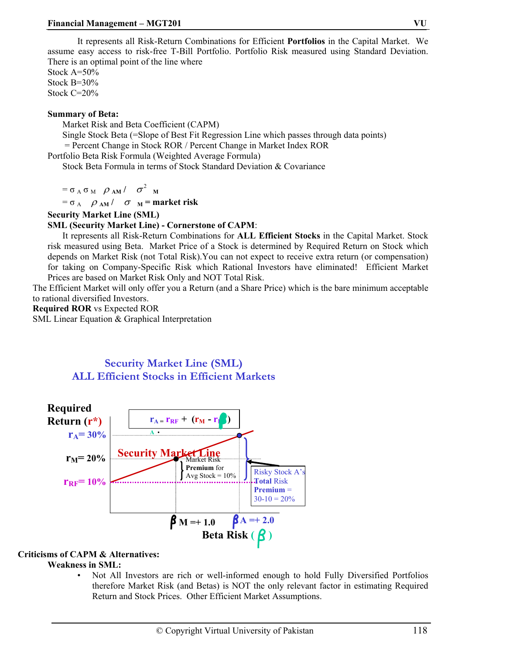It represents all Risk-Return Combinations for Efficient **Portfolios** in the Capital Market. We assume easy access to risk-free T-Bill Portfolio. Portfolio Risk measured using Standard Deviation. There is an optimal point of the line where

Stock A=50% Stock B=30% Stock C=20%

#### **Summary of Beta:**

Market Risk and Beta Coefficient (CAPM)

Single Stock Beta (=Slope of Best Fit Regression Line which passes through data points) = Percent Change in Stock ROR / Percent Change in Market Index ROR

Portfolio Beta Risk Formula (Weighted Average Formula)

Stock Beta Formula in terms of Stock Standard Deviation & Covariance

 $= \sigma_A \sigma_M \rho_{AM} / \sigma^2_{M}$ 

 $= \sigma_A$   $\rho_{AM}$  /  $\sigma_{M}$  = market risk

#### **Security Market Line (SML)**

#### **SML (Security Market Line) - Cornerstone of CAPM**:

It represents all Risk-Return Combinations for **ALL Efficient Stocks** in the Capital Market. Stock risk measured using Beta. Market Price of a Stock is determined by Required Return on Stock which depends on Market Risk (not Total Risk).You can not expect to receive extra return (or compensation) for taking on Company-Specific Risk which Rational Investors have eliminated! Efficient Market Prices are based on Market Risk Only and NOT Total Risk.

The Efficient Market will only offer you a Return (and a Share Price) which is the bare minimum acceptable to rational diversified Investors.

**Required ROR** vs Expected ROR

SML Linear Equation & Graphical Interpretation

# **Security Market Line (SML) ALL Efficient Stocks in Efficient Markets**



### **Criticisms of CAPM & Alternatives:**

### **Weakness in SML:**

• Not All Investors are rich or well-informed enough to hold Fully Diversified Portfolios therefore Market Risk (and Betas) is NOT the only relevant factor in estimating Required Return and Stock Prices. Other Efficient Market Assumptions.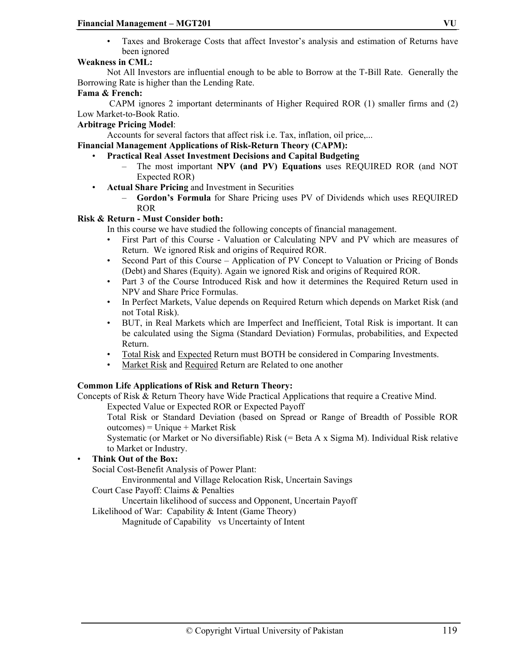• Taxes and Brokerage Costs that affect Investor's analysis and estimation of Returns have been ignored

# **Weakness in CML:**

Not All Investors are influential enough to be able to Borrow at the T-Bill Rate. Generally the Borrowing Rate is higher than the Lending Rate.

#### **Fama & French:**

CAPM ignores 2 important determinants of Higher Required ROR (1) smaller firms and (2) Low Market-to-Book Ratio.

#### **Arbitrage Pricing Model**:

Accounts for several factors that affect risk i.e. Tax, inflation, oil price,...

**Financial Management Applications of Risk-Return Theory (CAPM):** 

- **Practical Real Asset Investment Decisions and Capital Budgeting**
	- The most important **NPV (and PV) Equations** uses REQUIRED ROR (and NOT Expected ROR)
- **Actual Share Pricing** and Investment in Securities
	- **Gordon's Formula** for Share Pricing uses PV of Dividends which uses REQUIRED ROR

#### **Risk & Return - Must Consider both:**

In this course we have studied the following concepts of financial management.

- First Part of this Course Valuation or Calculating NPV and PV which are measures of Return. We ignored Risk and origins of Required ROR.
- Second Part of this Course Application of PV Concept to Valuation or Pricing of Bonds (Debt) and Shares (Equity). Again we ignored Risk and origins of Required ROR.
- Part 3 of the Course Introduced Risk and how it determines the Required Return used in NPV and Share Price Formulas.
- In Perfect Markets, Value depends on Required Return which depends on Market Risk (and not Total Risk).
- BUT, in Real Markets which are Imperfect and Inefficient, Total Risk is important. It can be calculated using the Sigma (Standard Deviation) Formulas, probabilities, and Expected Return.
- Total Risk and Expected Return must BOTH be considered in Comparing Investments.
- Market Risk and Required Return are Related to one another

### **Common Life Applications of Risk and Return Theory:**

Concepts of Risk & Return Theory have Wide Practical Applications that require a Creative Mind.

Expected Value or Expected ROR or Expected Payoff

Total Risk or Standard Deviation (based on Spread or Range of Breadth of Possible ROR outcomes) = Unique + Market Risk

Systematic (or Market or No diversifiable) Risk (= Beta A x Sigma M). Individual Risk relative to Market or Industry.

#### • **Think Out of the Box:**

Social Cost-Benefit Analysis of Power Plant:

Environmental and Village Relocation Risk, Uncertain Savings

#### Court Case Payoff: Claims & Penalties

Uncertain likelihood of success and Opponent, Uncertain Payoff

Likelihood of War: Capability & Intent (Game Theory)

Magnitude of Capability vs Uncertainty of Intent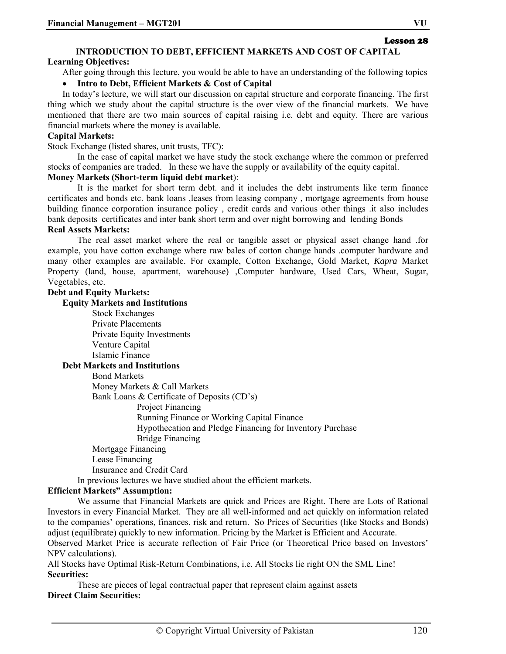#### **INTRODUCTION TO DEBT, EFFICIENT MARKETS AND COST OF CAPITAL Learning Objectives:**

After going through this lecture, you would be able to have an understanding of the following topics

#### • **Intro to Debt, Efficient Markets & Cost of Capital**

In today's lecture, we will start our discussion on capital structure and corporate financing. The first thing which we study about the capital structure is the over view of the financial markets. We have mentioned that there are two main sources of capital raising i.e. debt and equity. There are various financial markets where the money is available.

#### **Capital Markets:**

Stock Exchange (listed shares, unit trusts, TFC):

In the case of capital market we have study the stock exchange where the common or preferred stocks of companies are traded. In these we have the supply or availability of the equity capital.

#### **Money Markets (Short-term liquid debt market**):

It is the market for short term debt. and it includes the debt instruments like term finance certificates and bonds etc. bank loans ,leases from leasing company , mortgage agreements from house building finance corporation insurance policy , credit cards and various other things .it also includes bank deposits certificates and inter bank short term and over night borrowing and lending Bonds

#### **Real Assets Markets:**

The real asset market where the real or tangible asset or physical asset change hand .for example, you have cotton exchange where raw bales of cotton change hands .computer hardware and many other examples are available. For example, Cotton Exchange, Gold Market, *Kapra* Market Property (land, house, apartment, warehouse) ,Computer hardware, Used Cars, Wheat, Sugar, Vegetables, etc.

#### **Debt and Equity Markets:**

#### **Equity Markets and Institutions**

Stock Exchanges Private Placements Private Equity Investments Venture Capital Islamic Finance **Debt Markets and Institutions**  Bond Markets Money Markets & Call Markets Bank Loans & Certificate of Deposits (CD's) Project Financing Running Finance or Working Capital Finance Hypothecation and Pledge Financing for Inventory Purchase Bridge Financing Mortgage Financing Lease Financing Insurance and Credit Card In previous lectures we have studied about the efficient markets.

#### **Efficient Markets" Assumption:**

We assume that Financial Markets are quick and Prices are Right. There are Lots of Rational Investors in every Financial Market. They are all well-informed and act quickly on information related to the companies' operations, finances, risk and return. So Prices of Securities (like Stocks and Bonds) adjust (equilibrate) quickly to new information. Pricing by the Market is Efficient and Accurate.

Observed Market Price is accurate reflection of Fair Price (or Theoretical Price based on Investors' NPV calculations).

All Stocks have Optimal Risk-Return Combinations, i.e. All Stocks lie right ON the SML Line! **Securities:** 

These are pieces of legal contractual paper that represent claim against assets **Direct Claim Securities:** 

Lesson 28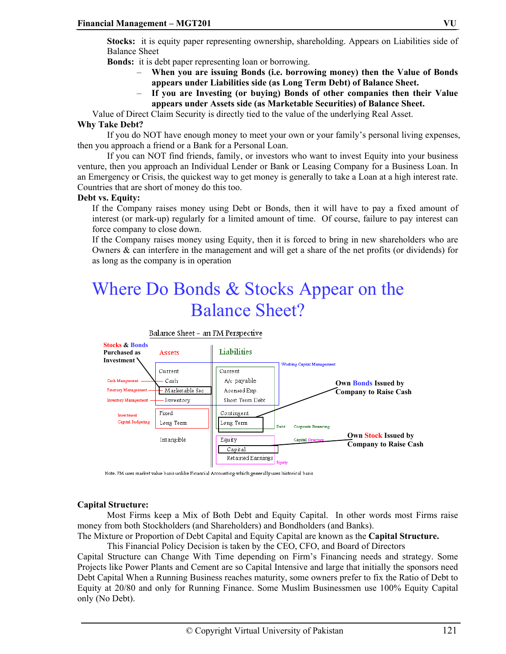**Stocks:** it is equity paper representing ownership, shareholding. Appears on Liabilities side of Balance Sheet

**Bonds:** it is debt paper representing loan or borrowing.

- **When you are issuing Bonds (i.e. borrowing money) then the Value of Bonds appears under Liabilities side (as Long Term Debt) of Balance Sheet.**
- **If you are Investing (or buying) Bonds of other companies then their Value appears under Assets side (as Marketable Securities) of Balance Sheet.**

Value of Direct Claim Security is directly tied to the value of the underlying Real Asset.

#### **Why Take Debt?**

If you do NOT have enough money to meet your own or your family's personal living expenses, then you approach a friend or a Bank for a Personal Loan.

If you can NOT find friends, family, or investors who want to invest Equity into your business venture, then you approach an Individual Lender or Bank or Leasing Company for a Business Loan. In an Emergency or Crisis, the quickest way to get money is generally to take a Loan at a high interest rate. Countries that are short of money do this too.

#### **Debt vs. Equity:**

If the Company raises money using Debt or Bonds, then it will have to pay a fixed amount of interest (or mark-up) regularly for a limited amount of time. Of course, failure to pay interest can force company to close down.

If the Company raises money using Equity, then it is forced to bring in new shareholders who are Owners  $\&$  can interfere in the management and will get a share of the net profits (or dividends) for as long as the company is in operation

# Where Do Bonds & Stocks Appear on the Balance Sheet?



Note. FM uses market value basis unlike Financial Accounting which generally uses historical basis

#### **Capital Structure:**

Most Firms keep a Mix of Both Debt and Equity Capital. In other words most Firms raise money from both Stockholders (and Shareholders) and Bondholders (and Banks).

The Mixture or Proportion of Debt Capital and Equity Capital are known as the **Capital Structure.**  This Financial Policy Decision is taken by the CEO, CFO, and Board of Directors

Capital Structure can Change With Time depending on Firm's Financing needs and strategy. Some Projects like Power Plants and Cement are so Capital Intensive and large that initially the sponsors need Debt Capital When a Running Business reaches maturity, some owners prefer to fix the Ratio of Debt to Equity at 20/80 and only for Running Finance. Some Muslim Businessmen use 100% Equity Capital only (No Debt).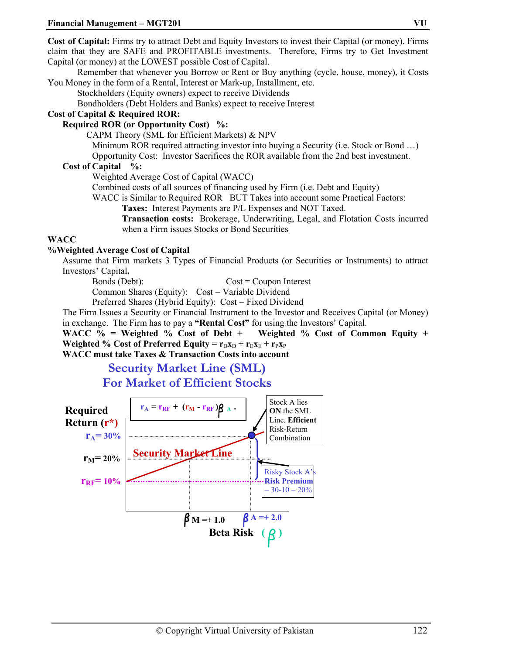**Cost of Capital:** Firms try to attract Debt and Equity Investors to invest their Capital (or money). Firms claim that they are SAFE and PROFITABLE investments. Therefore, Firms try to Get Investment Capital (or money) at the LOWEST possible Cost of Capital.

Remember that whenever you Borrow or Rent or Buy anything (cycle, house, money), it Costs You Money in the form of a Rental, Interest or Mark-up, Installment, etc.

Stockholders (Equity owners) expect to receive Dividends

Bondholders (Debt Holders and Banks) expect to receive Interest

#### **Cost of Capital & Required ROR:**

#### **Required ROR (or Opportunity Cost) %:**

CAPM Theory (SML for Efficient Markets) & NPV

Minimum ROR required attracting investor into buying a Security (i.e. Stock or Bond …)

Opportunity Cost: Investor Sacrifices the ROR available from the 2nd best investment.

#### **Cost of Capital %:**

Weighted Average Cost of Capital (WACC)

Combined costs of all sources of financing used by Firm (i.e. Debt and Equity)

WACC is Similar to Required ROR BUT Takes into account some Practical Factors:

**Taxes:** Interest Payments are P/L Expenses and NOT Taxed.

**Transaction costs:** Brokerage, Underwriting, Legal, and Flotation Costs incurred when a Firm issues Stocks or Bond Securities

#### **WACC**

#### **%Weighted Average Cost of Capital**

Assume that Firm markets 3 Types of Financial Products (or Securities or Instruments) to attract Investors' Capital**.**

Bonds (Debt): Cost = Coupon Interest Common Shares (Equity): Cost = Variable Dividend

Preferred Shares (Hybrid Equity): Cost = Fixed Dividend

The Firm Issues a Security or Financial Instrument to the Investor and Receives Capital (or Money) in exchange. The Firm has to pay a **"Rental Cost"** for using the Investors' Capital.

**WACC % = Weighted % Cost of Debt + Weighted % Cost of Common Equity + Weighted % Cost of Preferred Equity =**  $\mathbf{r}_D \mathbf{x}_D + \mathbf{r}_E \mathbf{x}_E + \mathbf{r}_P \mathbf{x}_P$ 

**WACC must take Taxes & Transaction Costs into account** 

# **Security Market Line (SML) For Market of Efficient Stocks**

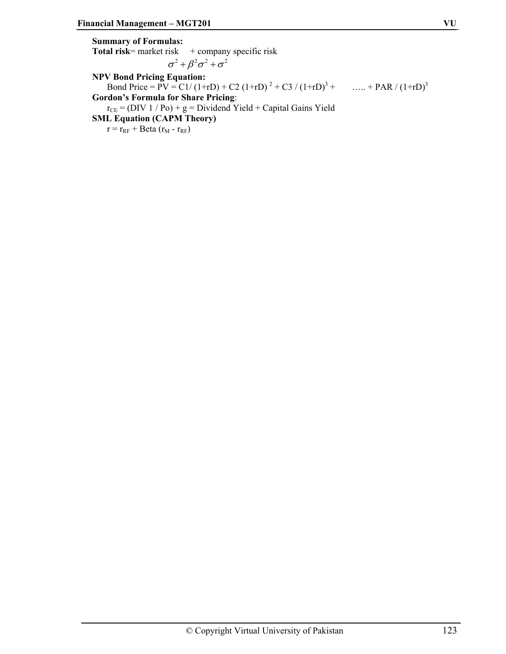**Summary of Formulas:**  Total risk= market risk + company specific risk  $\sigma^2 + \beta^2 \sigma^2 + \sigma^2$ **NPV Bond Pricing Equation:**  Bond Price =  $\overline{PV} = \frac{C1}{(1+rD)} + \frac{C2}{(1+rD)^2} + \frac{C3}{(1+rD)^3} + \dots + \frac{PAR}{(1+rD)^3}$ **Gordon's Formula for Share Pricing**:  $r_{CE}$  = (DIV 1 / Po) + g = Dividend Yield + Capital Gains Yield **SML Equation (CAPM Theory)**   $r = r_{RF} + \text{Beta}(r_M - r_{RF})$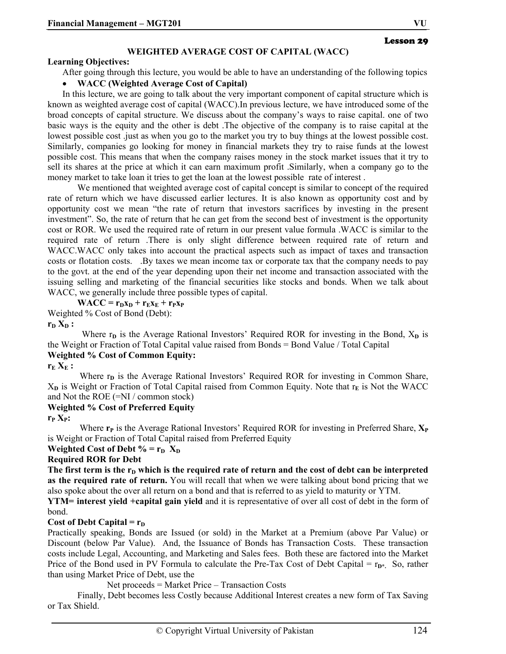#### **WEIGHTED AVERAGE COST OF CAPITAL (WACC)**

#### **Learning Objectives:**

After going through this lecture, you would be able to have an understanding of the following topics

#### • **WACC (Weighted Average Cost of Capital)**

In this lecture, we are going to talk about the very important component of capital structure which is known as weighted average cost of capital (WACC).In previous lecture, we have introduced some of the broad concepts of capital structure. We discuss about the company's ways to raise capital. one of two basic ways is the equity and the other is debt .The objective of the company is to raise capital at the lowest possible cost .just as when you go to the market you try to buy things at the lowest possible cost. Similarly, companies go looking for money in financial markets they try to raise funds at the lowest possible cost. This means that when the company raises money in the stock market issues that it try to sell its shares at the price at which it can earn maximum profit .Similarly, when a company go to the money market to take loan it tries to get the loan at the lowest possible rate of interest .

We mentioned that weighted average cost of capital concept is similar to concept of the required rate of return which we have discussed earlier lectures. It is also known as opportunity cost and by opportunity cost we mean "the rate of return that investors sacrifices by investing in the present investment". So, the rate of return that he can get from the second best of investment is the opportunity cost or ROR. We used the required rate of return in our present value formula .WACC is similar to the required rate of return .There is only slight difference between required rate of return and WACC.WACC only takes into account the practical aspects such as impact of taxes and transaction costs or flotation costs. .By taxes we mean income tax or corporate tax that the company needs to pay to the govt. at the end of the year depending upon their net income and transaction associated with the issuing selling and marketing of the financial securities like stocks and bonds. When we talk about WACC, we generally include three possible types of capital.

 $WACC = r_Dx_D + r_Ex_E + r_Px_P$ 

Weighted % Cost of Bond (Debt):

 $r_D X_D$ :

Where  $r_p$  is the Average Rational Investors' Required ROR for investing in the Bond,  $X_p$  is the Weight or Fraction of Total Capital value raised from Bonds = Bond Value / Total Capital **Weighted % Cost of Common Equity:** 

#### $r_{\rm E} X_{\rm E}$ :

Where r<sub>p</sub> is the Average Rational Investors' Required ROR for investing in Common Share,  $X<sub>D</sub>$  is Weight or Fraction of Total Capital raised from Common Equity. Note that  $r<sub>E</sub>$  is Not the WACC and Not the ROE (=NI / common stock)

#### **Weighted % Cost of Preferred Equity**

 $r_{P} X_{P}$ :

Where  $\mathbf{r}_P$  is the Average Rational Investors' Required ROR for investing in Preferred Share,  $\mathbf{X}_P$ is Weight or Fraction of Total Capital raised from Preferred Equity

# **Weighted Cost of Debt % =**  $r_p$  **X<sub>D</sub>**

#### **Required ROR for Debt**

The first term is the r<sub>D</sub> which is the required rate of return and the cost of debt can be interpreted **as the required rate of return.** You will recall that when we were talking about bond pricing that we also spoke about the over all return on a bond and that is referred to as yield to maturity or YTM.

**YTM= interest yield +capital gain yield** and it is representative of over all cost of debt in the form of bond.

#### **Cost of Debt Capital =**  $r<sub>D</sub>$

Practically speaking, Bonds are Issued (or sold) in the Market at a Premium (above Par Value) or Discount (below Par Value). And, the Issuance of Bonds has Transaction Costs. These transaction costs include Legal, Accounting, and Marketing and Sales fees. Both these are factored into the Market Price of the Bond used in PV Formula to calculate the Pre-Tax Cost of Debt Capital  $= r_{D^*}$ . So, rather than using Market Price of Debt, use the

Net proceeds = Market Price – Transaction Costs

Finally, Debt becomes less Costly because Additional Interest creates a new form of Tax Saving or Tax Shield.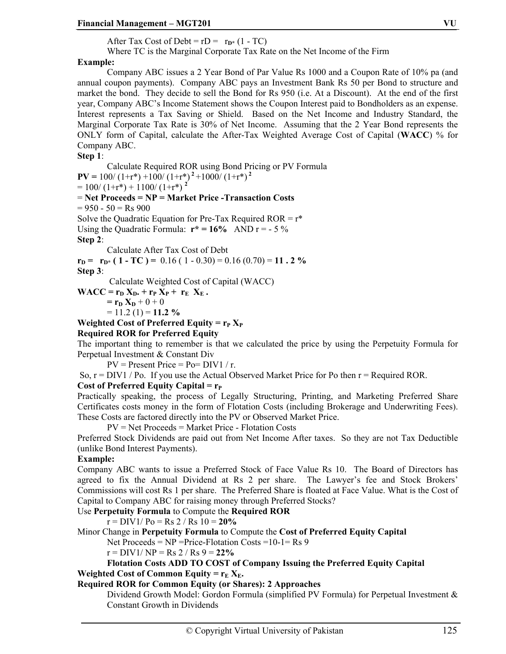After Tax Cost of Debt =  $rD = r_{D*}(1 - TC)$ 

Where TC is the Marginal Corporate Tax Rate on the Net Income of the Firm

### **Example:**

Company ABC issues a 2 Year Bond of Par Value Rs 1000 and a Coupon Rate of 10% pa (and annual coupon payments). Company ABC pays an Investment Bank Rs 50 per Bond to structure and market the bond. They decide to sell the Bond for Rs 950 (i.e. At a Discount). At the end of the first year, Company ABC's Income Statement shows the Coupon Interest paid to Bondholders as an expense. Interest represents a Tax Saving or Shield. Based on the Net Income and Industry Standard, the Marginal Corporate Tax Rate is 30% of Net Income. Assuming that the 2 Year Bond represents the ONLY form of Capital, calculate the After-Tax Weighted Average Cost of Capital (**WACC**) % for Company ABC.

**Step 1**:

Calculate Required ROR using Bond Pricing or PV Formula  $PV = 100/(1+r^*) + 100/(1+r^*)^2 + 1000/(1+r^*)^2$  $= 100/(1+r^*) + 1100/(1+r^*)^2$ = **Net Proceeds = NP = Market Price -Transaction Costs**  $= 950 - 50 = \text{Rs } 900$ Solve the Quadratic Equation for Pre-Tax Required  $ROR = r^*$ Using the Quadratic Formula:  $r^* = 16\%$  AND  $r = -5\%$ **Step 2**:

Calculate After Tax Cost of Debt

 $r_{\text{D}} = r_{\text{D}^*} (1 - \text{TC}) = 0.16 (1 - 0.30) = 0.16 (0.70) = 11.2 \%$ **Step 3**:

Calculate Weighted Cost of Capital (WACC)

 $WACC = r_D X_D + r_P X_P + r_E X_E$ .

$$
= \mathbf{r}_{\mathbf{D}} \mathbf{X}_{\mathbf{D}} + 0 + 0
$$

 $= 11.2$  (1)  $= 11.2$  %

**Weighted Cost of Preferred Equity =**  $r_{P} X_{P}$ 

**Required ROR for Preferred Equity** 

The important thing to remember is that we calculated the price by using the Perpetuity Formula for Perpetual Investment & Constant Div

 $PV = Present Price = Po = DIV1 / r.$ 

So,  $r = DIV1 / Po$ . If you use the Actual Observed Market Price for Po then  $r = Required ROR$ .

#### **Cost of Preferred Equity Capital =**  $r_{P}$

Practically speaking, the process of Legally Structuring, Printing, and Marketing Preferred Share Certificates costs money in the form of Flotation Costs (including Brokerage and Underwriting Fees). These Costs are factored directly into the PV or Observed Market Price.

PV = Net Proceeds = Market Price - Flotation Costs

Preferred Stock Dividends are paid out from Net Income After taxes. So they are not Tax Deductible (unlike Bond Interest Payments).

#### **Example:**

Company ABC wants to issue a Preferred Stock of Face Value Rs 10. The Board of Directors has agreed to fix the Annual Dividend at Rs 2 per share. The Lawyer's fee and Stock Brokers' Commissions will cost Rs 1 per share. The Preferred Share is floated at Face Value. What is the Cost of Capital to Company ABC for raising money through Preferred Stocks?

Use **Perpetuity Formula** to Compute the **Required ROR**

 $r = DIV1/Po = Rs 2/Rs 10 = 20%$ 

Minor Change in **Perpetuity Formula** to Compute the **Cost of Preferred Equity Capital**

Net Proceeds =  $NP$  =Price-Flotation Costs = 10-1 = Rs 9

 $r = DIV1/NP = Rs 2 / Rs 9 = 22%$ 

**Flotation Costs ADD TO COST of Company Issuing the Preferred Equity Capital Weighted Cost of Common Equity =**  $r_E X_E$ **.** 

#### **Required ROR for Common Equity (or Shares): 2 Approaches**

Dividend Growth Model: Gordon Formula (simplified PV Formula) for Perpetual Investment & Constant Growth in Dividends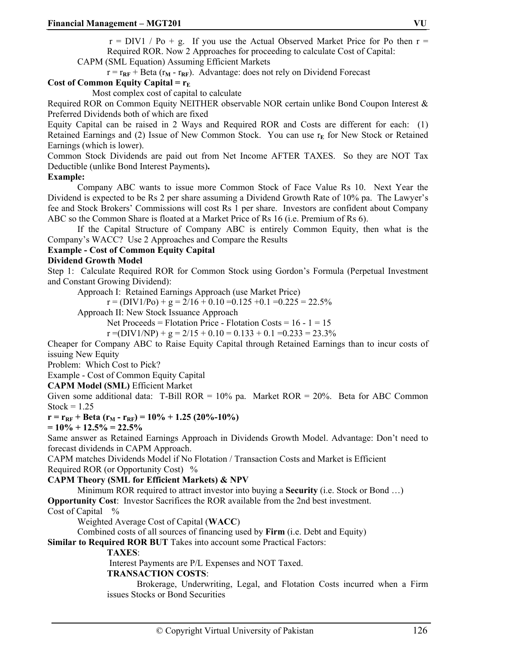$r = DIV1 / Po + g$ . If you use the Actual Observed Market Price for Po then  $r =$ Required ROR. Now 2 Approaches for proceeding to calculate Cost of Capital:

CAPM (SML Equation) Assuming Efficient Markets

 $r = r_{RF} + Beta (r_M - r_{RF})$ . Advantage: does not rely on Dividend Forecast

#### **Cost of Common Equity Capital =**  $r_E$

Most complex cost of capital to calculate

Required ROR on Common Equity NEITHER observable NOR certain unlike Bond Coupon Interest & Preferred Dividends both of which are fixed

Equity Capital can be raised in 2 Ways and Required ROR and Costs are different for each: (1) Retained Earnings and (2) Issue of New Common Stock. You can use r<sub>E</sub> for New Stock or Retained Earnings (which is lower).

Common Stock Dividends are paid out from Net Income AFTER TAXES. So they are NOT Tax Deductible (unlike Bond Interest Payments)**.** 

#### **Example:**

Company ABC wants to issue more Common Stock of Face Value Rs 10. Next Year the Dividend is expected to be Rs 2 per share assuming a Dividend Growth Rate of 10% pa. The Lawyer's fee and Stock Brokers' Commissions will cost Rs 1 per share. Investors are confident about Company ABC so the Common Share is floated at a Market Price of Rs 16 (i.e. Premium of Rs 6).

If the Capital Structure of Company ABC is entirely Common Equity, then what is the Company's WACC? Use 2 Approaches and Compare the Results

#### **Example - Cost of Common Equity Capital**

#### **Dividend Growth Model**

Step 1: Calculate Required ROR for Common Stock using Gordon's Formula (Perpetual Investment and Constant Growing Dividend):

Approach I: Retained Earnings Approach (use Market Price)

$$
r = (DIV1/Po) + g = 2/16 + 0.10 = 0.125 + 0.1 = 0.225 = 22.5\%
$$

Approach II: New Stock Issuance Approach

Net Proceeds = Flotation Price - Flotation Costs =  $16 - 1 = 15$ 

 $r = (DIV1/NP) + g = 2/15 + 0.10 = 0.133 + 0.1 = 0.233 = 23.3\%$ 

Cheaper for Company ABC to Raise Equity Capital through Retained Earnings than to incur costs of issuing New Equity

Problem: Which Cost to Pick?

Example - Cost of Common Equity Capital

**CAPM Model (SML)** Efficient Market

Given some additional data: T-Bill ROR =  $10\%$  pa. Market ROR =  $20\%$ . Beta for ABC Common Stock =  $1.25$ 

 $r = r_{RF} + \text{Beta}(r_M - r_{RF}) = 10\% + 1.25 (20\% - 10\%)$ 

 $= 10\% + 12.5\% = 22.5\%$ 

Same answer as Retained Earnings Approach in Dividends Growth Model. Advantage: Don't need to forecast dividends in CAPM Approach.

CAPM matches Dividends Model if No Flotation / Transaction Costs and Market is Efficient Required ROR (or Opportunity Cost) %

#### **CAPM Theory (SML for Efficient Markets) & NPV**

Minimum ROR required to attract investor into buying a **Security** (i.e. Stock or Bond …)

**Opportunity Cost**: Investor Sacrifices the ROR available from the 2nd best investment.

Cost of Capital %

Weighted Average Cost of Capital (**WACC**)

Combined costs of all sources of financing used by **Firm** (i.e. Debt and Equity)

**Similar to Required ROR BUT** Takes into account some Practical Factors:

#### **TAXES**:

Interest Payments are P/L Expenses and NOT Taxed.

#### **TRANSACTION COSTS**:

Brokerage, Underwriting, Legal, and Flotation Costs incurred when a Firm issues Stocks or Bond Securities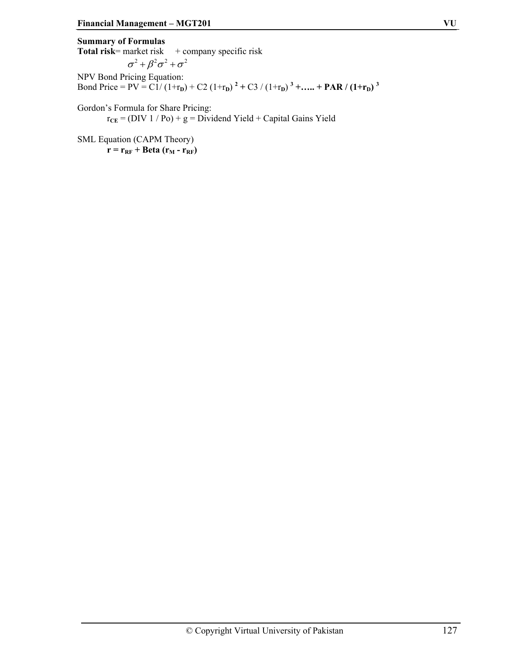**Summary of Formulas Total risk**= market risk  $+$  company specific risk  $\sigma^2 + \beta^2 \sigma^2 + \sigma^2$ NPV Bond Pricing Equation: Bond Price = PV =  $\widehat{\text{C1}}/(\text{1+r}_{\text{D}}) + \text{C2}(\text{1+r}_{\text{D}})^{2} + \text{C3}/(\text{1+r}_{\text{D}})^{3} + \dots + \text{PAR}/(\text{1+r}_{\text{D}})^{3}$ 

Gordon's Formula for Share Pricing:  $r_{CE}$  = (DIV 1 / Po) + g = Dividend Yield + Capital Gains Yield

SML Equation (CAPM Theory)  $\mathbf{r} = \mathbf{r}_{\text{RF}} + \text{Beta}(\mathbf{r}_{\text{M}} - \mathbf{r}_{\text{RF}})$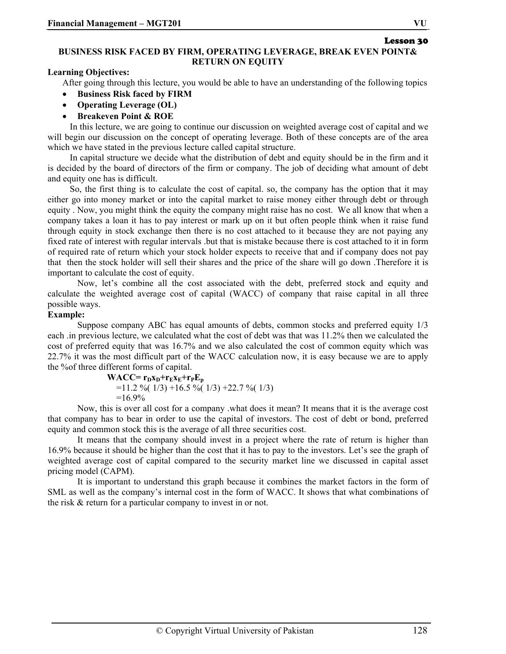Lesson 30

#### **BUSINESS RISK FACED BY FIRM, OPERATING LEVERAGE, BREAK EVEN POINT& RETURN ON EQUITY**

#### **Learning Objectives:**

After going through this lecture, you would be able to have an understanding of the following topics

- **Business Risk faced by FIRM**
- **Operating Leverage (OL)**
- **Breakeven Point & ROE**

 In this lecture, we are going to continue our discussion on weighted average cost of capital and we will begin our discussion on the concept of operating leverage. Both of these concepts are of the area which we have stated in the previous lecture called capital structure.

 In capital structure we decide what the distribution of debt and equity should be in the firm and it is decided by the board of directors of the firm or company. The job of deciding what amount of debt and equity one has is difficult.

 So, the first thing is to calculate the cost of capital. so, the company has the option that it may either go into money market or into the capital market to raise money either through debt or through equity . Now, you might think the equity the company might raise has no cost. We all know that when a company takes a loan it has to pay interest or mark up on it but often people think when it raise fund through equity in stock exchange then there is no cost attached to it because they are not paying any fixed rate of interest with regular intervals .but that is mistake because there is cost attached to it in form of required rate of return which your stock holder expects to receive that and if company does not pay that then the stock holder will sell their shares and the price of the share will go down .Therefore it is important to calculate the cost of equity.

Now, let's combine all the cost associated with the debt, preferred stock and equity and calculate the weighted average cost of capital (WACC) of company that raise capital in all three possible ways.

#### **Example:**

Suppose company ABC has equal amounts of debts, common stocks and preferred equity 1/3 each .in previous lecture, we calculated what the cost of debt was that was 11.2% then we calculated the cost of preferred equity that was 16.7% and we also calculated the cost of common equity which was 22.7% it was the most difficult part of the WACC calculation now, it is easy because we are to apply the %of three different forms of capital.

> $WACC=r_Dx_D+r_Ex_E+r_PE_p$  $=$ 11.2 %(1/3) +16.5 %(1/3) +22.7 %(1/3)  $=16.9\%$

 Now, this is over all cost for a company .what does it mean? It means that it is the average cost that company has to bear in order to use the capital of investors. The cost of debt or bond, preferred equity and common stock this is the average of all three securities cost.

 It means that the company should invest in a project where the rate of return is higher than 16.9% because it should be higher than the cost that it has to pay to the investors. Let's see the graph of weighted average cost of capital compared to the security market line we discussed in capital asset pricing model (CAPM).

 It is important to understand this graph because it combines the market factors in the form of SML as well as the company's internal cost in the form of WACC. It shows that what combinations of the risk & return for a particular company to invest in or not.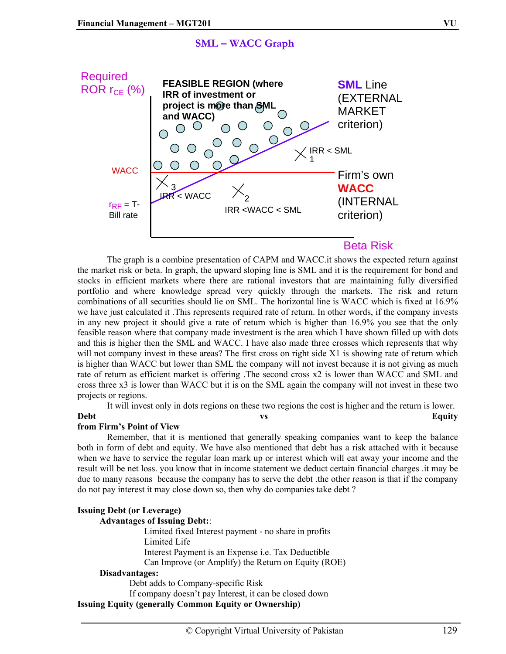### **SML – WACC Graph**



 The graph is a combine presentation of CAPM and WACC.it shows the expected return against the market risk or beta. In graph, the upward sloping line is SML and it is the requirement for bond and stocks in efficient markets where there are rational investors that are maintaining fully diversified portfolio and where knowledge spread very quickly through the markets. The risk and return combinations of all securities should lie on SML. The horizontal line is WACC which is fixed at 16.9% we have just calculated it .This represents required rate of return. In other words, if the company invests in any new project it should give a rate of return which is higher than 16.9% you see that the only feasible reason where that company made investment is the area which I have shown filled up with dots and this is higher then the SML and WACC. I have also made three crosses which represents that why will not company invest in these areas? The first cross on right side X1 is showing rate of return which is higher than WACC but lower than SML the company will not invest because it is not giving as much rate of return as efficient market is offering .The second cross x2 is lower than WACC and SML and cross three x3 is lower than WACC but it is on the SML again the company will not invest in these two projects or regions.

It will invest only in dots regions on these two regions the cost is higher and the return is lower.

#### Debt vs **Equity**

#### **from Firm's Point of View**

Remember, that it is mentioned that generally speaking companies want to keep the balance both in form of debt and equity. We have also mentioned that debt has a risk attached with it because when we have to service the regular loan mark up or interest which will eat away your income and the result will be net loss. you know that in income statement we deduct certain financial charges .it may be due to many reasons because the company has to serve the debt .the other reason is that if the company do not pay interest it may close down so, then why do companies take debt ?

#### **Issuing Debt (or Leverage) Advantages of Issuing Debt:**:

Limited fixed Interest payment - no share in profits Limited Life Interest Payment is an Expense i.e. Tax Deductible Can Improve (or Amplify) the Return on Equity (ROE)

#### **Disadvantages:**

Debt adds to Company-specific Risk

If company doesn't pay Interest, it can be closed down **Issuing Equity (generally Common Equity or Ownership)**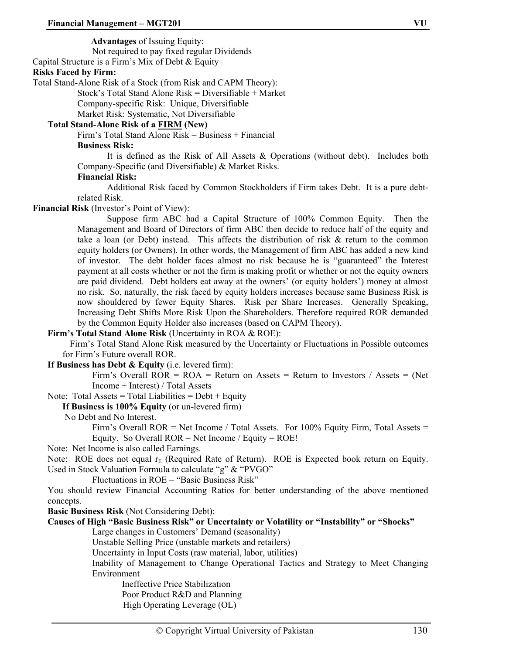**Advantages** of Issuing Equity:

Not required to pay fixed regular Dividends

Capital Structure is a Firm's Mix of Debt & Equity

#### **Risks Faced by Firm:**

Total Stand-Alone Risk of a Stock (from Risk and CAPM Theory):

Stock's Total Stand Alone Risk = Diversifiable + Market

Company-specific Risk: Unique, Diversifiable

Market Risk: Systematic, Not Diversifiable

#### **Total Stand-Alone Risk of a FIRM (New)**

Firm's Total Stand Alone Risk = Business + Financial

#### **Business Risk:**

 It is defined as the Risk of All Assets & Operations (without debt). Includes both Company-Specific (and Diversifiable) & Market Risks.

#### **Financial Risk:**

 Additional Risk faced by Common Stockholders if Firm takes Debt. It is a pure debtrelated Risk.

**Financial Risk** (Investor's Point of View):

 Suppose firm ABC had a Capital Structure of 100% Common Equity. Then the Management and Board of Directors of firm ABC then decide to reduce half of the equity and take a loan (or Debt) instead. This affects the distribution of risk & return to the common equity holders (or Owners). In other words, the Management of firm ABC has added a new kind of investor. The debt holder faces almost no risk because he is "guaranteed" the Interest payment at all costs whether or not the firm is making profit or whether or not the equity owners are paid dividend. Debt holders eat away at the owners' (or equity holders') money at almost no risk. So, naturally, the risk faced by equity holders increases because same Business Risk is now shouldered by fewer Equity Shares. Risk per Share Increases. Generally Speaking, Increasing Debt Shifts More Risk Upon the Shareholders. Therefore required ROR demanded by the Common Equity Holder also increases (based on CAPM Theory).

#### **Firm's Total Stand Alone Risk** (Uncertainty in ROA & ROE):

 Firm's Total Stand Alone Risk measured by the Uncertainty or Fluctuations in Possible outcomes for Firm's Future overall ROR.

**If Business has Debt & Equity** (i.e. levered firm):

Firm's Overall  $ROR = ROA = Return$  on Assets = Return to Investors / Assets = (Net Income + Interest) / Total Assets

Note: Total Assets = Total Liabilities =  $Debt + Equity$ 

**If Business is 100% Equity** (or un-levered firm)

#### No Debt and No Interest.

Firm's Overall ROR = Net Income / Total Assets. For 100% Equity Firm, Total Assets = Equity. So Overall  $ROR = Net Income / Equity = ROE!$ 

Note: Net Income is also called Earnings.

Note: ROE does not equal  $r_E$  (Required Rate of Return). ROE is Expected book return on Equity. Used in Stock Valuation Formula to calculate "g" & "PVGO"

Fluctuations in ROE = "Basic Business Risk"

You should review Financial Accounting Ratios for better understanding of the above mentioned concepts.

**Basic Business Risk** (Not Considering Debt):

#### **Causes of High "Basic Business Risk" or Uncertainty or Volatility or "Instability" or "Shocks"**

Large changes in Customers' Demand (seasonality)

Unstable Selling Price (unstable markets and retailers)

Uncertainty in Input Costs (raw material, labor, utilities)

Inability of Management to Change Operational Tactics and Strategy to Meet Changing Environment

Ineffective Price Stabilization Poor Product R&D and Planning High Operating Leverage (OL)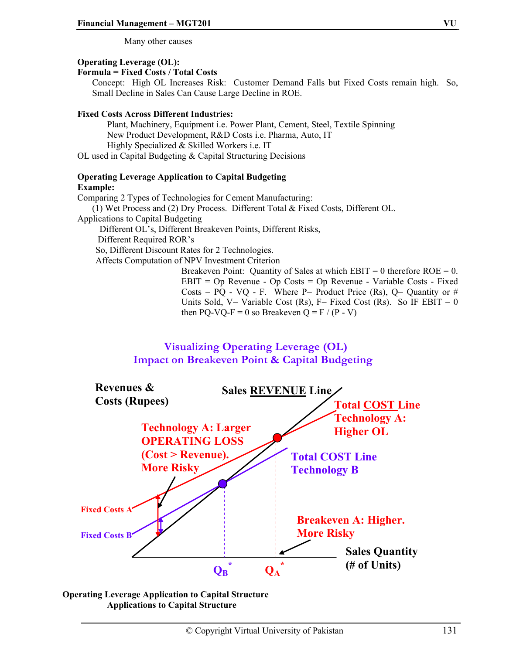Many other causes

#### **Operating Leverage (OL):**

#### **Formula = Fixed Costs / Total Costs**

Concept: High OL Increases Risk: Customer Demand Falls but Fixed Costs remain high. So, Small Decline in Sales Can Cause Large Decline in ROE.

#### **Fixed Costs Across Different Industries:**

Plant, Machinery, Equipment i.e. Power Plant, Cement, Steel, Textile Spinning New Product Development, R&D Costs i.e. Pharma, Auto, IT Highly Specialized & Skilled Workers i.e. IT OL used in Capital Budgeting & Capital Structuring Decisions

#### **Operating Leverage Application to Capital Budgeting Example:**

Comparing 2 Types of Technologies for Cement Manufacturing: (1) Wet Process and (2) Dry Process. Different Total & Fixed Costs, Different OL. Applications to Capital Budgeting Different OL's, Different Breakeven Points, Different Risks, Different Required ROR's So, Different Discount Rates for 2 Technologies. Affects Computation of NPV Investment Criterion Breakeven Point: Quantity of Sales at which  $EBIT = 0$  therefore  $ROE = 0$ .

EBIT = Op Revenue - Op Costs = Op Revenue - Variable Costs - Fixed Costs =  $PQ - VQ - F$ . Where P= Product Price (Rs), Q= Quantity or # Units Sold, V= Variable Cost (Rs), F= Fixed Cost (Rs). So IF EBIT = 0 then PQ-VQ-F = 0 so Breakeven Q = F / (P - V)





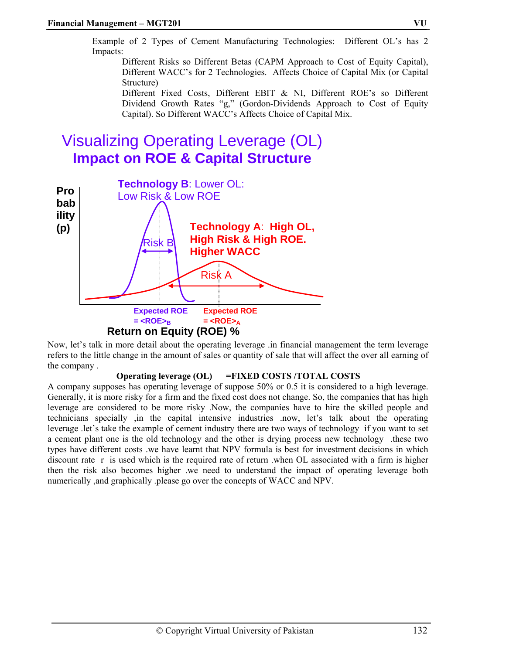Example of 2 Types of Cement Manufacturing Technologies: Different OL's has 2 Impacts:

Different Risks so Different Betas (CAPM Approach to Cost of Equity Capital), Different WACC's for 2 Technologies. Affects Choice of Capital Mix (or Capital Structure)

Different Fixed Costs, Different EBIT & NI, Different ROE's so Different Dividend Growth Rates "g," (Gordon-Dividends Approach to Cost of Equity Capital). So Different WACC's Affects Choice of Capital Mix.

# Visualizing Operating Leverage (OL) **Impact on ROE & Capital Structure**



Now, let's talk in more detail about the operating leverage .in financial management the term leverage refers to the little change in the amount of sales or quantity of sale that will affect the over all earning of the company .

#### **Operating leverage (OL) =FIXED COSTS /TOTAL COSTS**

A company supposes has operating leverage of suppose 50% or 0.5 it is considered to a high leverage. Generally, it is more risky for a firm and the fixed cost does not change. So, the companies that has high leverage are considered to be more risky .Now, the companies have to hire the skilled people and technicians specially ,in the capital intensive industries .now, let's talk about the operating leverage .let's take the example of cement industry there are two ways of technology if you want to set a cement plant one is the old technology and the other is drying process new technology .these two types have different costs .we have learnt that NPV formula is best for investment decisions in which discount rate r is used which is the required rate of return .when OL associated with a firm is higher then the risk also becomes higher .we need to understand the impact of operating leverage both numerically ,and graphically .please go over the concepts of WACC and NPV.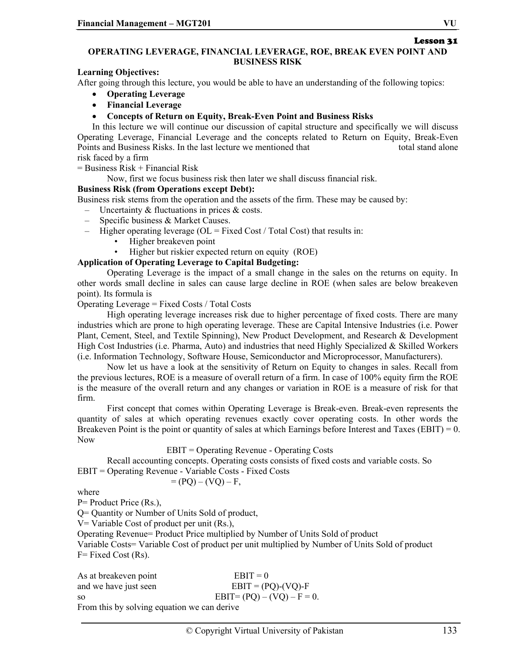Lesson 31

#### **OPERATING LEVERAGE, FINANCIAL LEVERAGE, ROE, BREAK EVEN POINT AND BUSINESS RISK**

**Learning Objectives:** 

After going through this lecture, you would be able to have an understanding of the following topics:

- **Operating Leverage**
- **Financial Leverage**
- **Concepts of Return on Equity, Break-Even Point and Business Risks**

In this lecture we will continue our discussion of capital structure and specifically we will discuss Operating Leverage, Financial Leverage and the concepts related to Return on Equity, Break-Even Points and Business Risks. In the last lecture we mentioned that the total stand alone risk faced by a firm

 $=$  Business Risk + Financial Risk

Now, first we focus business risk then later we shall discuss financial risk.

#### **Business Risk (from Operations except Debt):**

Business risk stems from the operation and the assets of the firm. These may be caused by:

– Uncertainty & fluctuations in prices & costs.

- Specific business & Market Causes.
- Higher operating leverage ( $OL = Fixed Cost / Total Cost$ ) that results in:
	- Higher breakeven point
	- Higher but riskier expected return on equity (ROE)

#### **Application of Operating Leverage to Capital Budgeting:**

Operating Leverage is the impact of a small change in the sales on the returns on equity. In other words small decline in sales can cause large decline in ROE (when sales are below breakeven point). Its formula is

Operating Leverage = Fixed Costs / Total Costs

High operating leverage increases risk due to higher percentage of fixed costs. There are many industries which are prone to high operating leverage. These are Capital Intensive Industries (i.e. Power Plant, Cement, Steel, and Textile Spinning), New Product Development, and Research & Development High Cost Industries (i.e. Pharma, Auto) and industries that need Highly Specialized & Skilled Workers (i.e. Information Technology, Software House, Semiconductor and Microprocessor, Manufacturers).

Now let us have a look at the sensitivity of Return on Equity to changes in sales. Recall from the previous lectures, ROE is a measure of overall return of a firm. In case of 100% equity firm the ROE is the measure of the overall return and any changes or variation in ROE is a measure of risk for that firm.

First concept that comes within Operating Leverage is Break-even. Break-even represents the quantity of sales at which operating revenues exactly cover operating costs. In other words the Breakeven Point is the point or quantity of sales at which Earnings before Interest and Taxes (EBIT) = 0. Now

EBIT = Operating Revenue - Operating Costs

Recall accounting concepts. Operating costs consists of fixed costs and variable costs. So EBIT = Operating Revenue - Variable Costs - Fixed Costs

$$
= (PQ) - (VQ) - F,
$$

where

P= Product Price (Rs.),

Q= Quantity or Number of Units Sold of product,

V= Variable Cost of product per unit (Rs.),

Operating Revenue= Product Price multiplied by Number of Units Sold of product

Variable Costs= Variable Cost of product per unit multiplied by Number of Units Sold of product  $F=$  Fixed Cost (Rs).

| As at breakeven point                       | $EBIT = 0$                    |
|---------------------------------------------|-------------------------------|
| and we have just seen                       | $EBIT = (PQ) - (VQ) - F$      |
| SO.                                         | $EBIT = (PQ) - (VQ) - F = 0.$ |
| From this by solving equation we can derive |                               |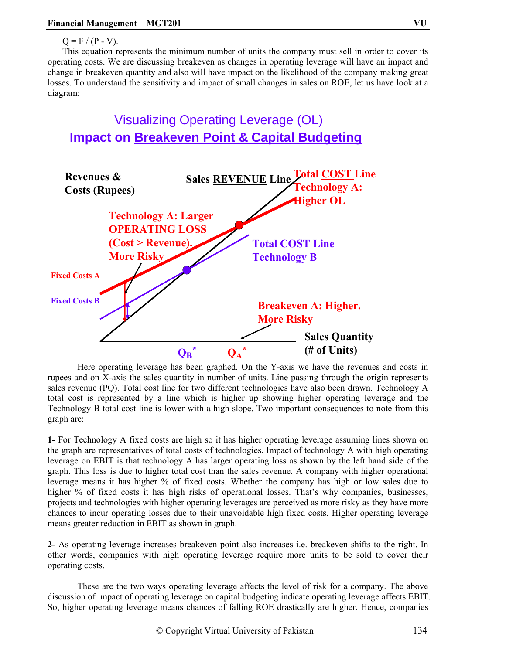$Q = F / (P - V)$ .

This equation represents the minimum number of units the company must sell in order to cover its operating costs. We are discussing breakeven as changes in operating leverage will have an impact and change in breakeven quantity and also will have impact on the likelihood of the company making great losses. To understand the sensitivity and impact of small changes in sales on ROE, let us have look at a diagram:

Visualizing Operating Leverage (OL) **Impact on Breakeven Point & Capital Budgeting**



Here operating leverage has been graphed. On the Y-axis we have the revenues and costs in rupees and on X-axis the sales quantity in number of units. Line passing through the origin represents sales revenue (PQ). Total cost line for two different technologies have also been drawn. Technology A total cost is represented by a line which is higher up showing higher operating leverage and the Technology B total cost line is lower with a high slope. Two important consequences to note from this graph are:

**1-** For Technology A fixed costs are high so it has higher operating leverage assuming lines shown on the graph are representatives of total costs of technologies. Impact of technology A with high operating leverage on EBIT is that technology A has larger operating loss as shown by the left hand side of the graph. This loss is due to higher total cost than the sales revenue. A company with higher operational leverage means it has higher % of fixed costs. Whether the company has high or low sales due to higher % of fixed costs it has high risks of operational losses. That's why companies, businesses, projects and technologies with higher operating leverages are perceived as more risky as they have more chances to incur operating losses due to their unavoidable high fixed costs. Higher operating leverage means greater reduction in EBIT as shown in graph.

**2-** As operating leverage increases breakeven point also increases i.e. breakeven shifts to the right. In other words, companies with high operating leverage require more units to be sold to cover their operating costs.

These are the two ways operating leverage affects the level of risk for a company. The above discussion of impact of operating leverage on capital budgeting indicate operating leverage affects EBIT. So, higher operating leverage means chances of falling ROE drastically are higher. Hence, companies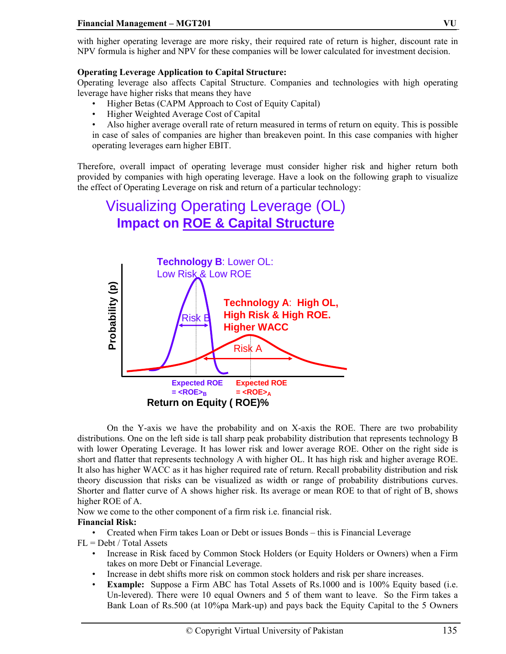with higher operating leverage are more risky, their required rate of return is higher, discount rate in NPV formula is higher and NPV for these companies will be lower calculated for investment decision.

#### **Operating Leverage Application to Capital Structure:**

Operating leverage also affects Capital Structure. Companies and technologies with high operating leverage have higher risks that means they have

- Higher Betas (CAPM Approach to Cost of Equity Capital)
- Higher Weighted Average Cost of Capital
- Also higher average overall rate of return measured in terms of return on equity. This is possible in case of sales of companies are higher than breakeven point. In this case companies with higher operating leverages earn higher EBIT.

Therefore, overall impact of operating leverage must consider higher risk and higher return both provided by companies with high operating leverage. Have a look on the following graph to visualize the effect of Operating Leverage on risk and return of a particular technology:



On the Y-axis we have the probability and on X-axis the ROE. There are two probability distributions. One on the left side is tall sharp peak probability distribution that represents technology B with lower Operating Leverage. It has lower risk and lower average ROE. Other on the right side is short and flatter that represents technology A with higher OL. It has high risk and higher average ROE. It also has higher WACC as it has higher required rate of return. Recall probability distribution and risk theory discussion that risks can be visualized as width or range of probability distributions curves. Shorter and flatter curve of A shows higher risk. Its average or mean ROE to that of right of B, shows higher ROE of A.

Now we come to the other component of a firm risk i.e. financial risk.

#### **Financial Risk:**

• Created when Firm takes Loan or Debt or issues Bonds – this is Financial Leverage  $FL = Debt / Total Assets$ 

- Increase in Risk faced by Common Stock Holders (or Equity Holders or Owners) when a Firm takes on more Debt or Financial Leverage.
- Increase in debt shifts more risk on common stock holders and risk per share increases.
- **Example:** Suppose a Firm ABC has Total Assets of Rs.1000 and is 100% Equity based (i.e. Un-levered). There were 10 equal Owners and 5 of them want to leave. So the Firm takes a Bank Loan of Rs.500 (at 10%pa Mark-up) and pays back the Equity Capital to the 5 Owners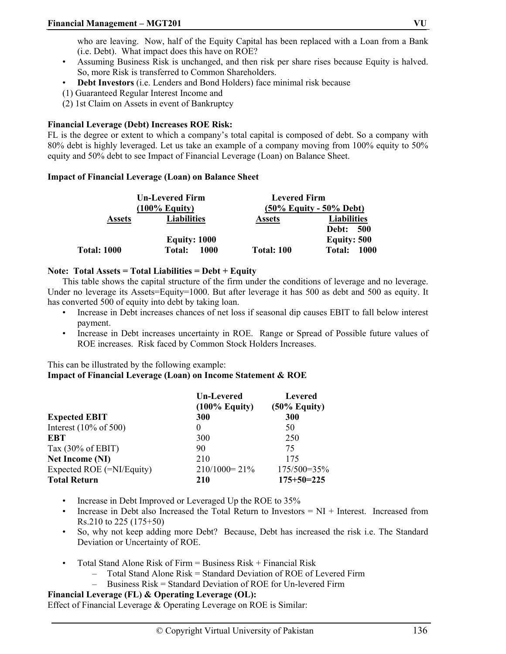who are leaving. Now, half of the Equity Capital has been replaced with a Loan from a Bank (i.e. Debt). What impact does this have on ROE?

- Assuming Business Risk is unchanged, and then risk per share rises because Equity is halved. So, more Risk is transferred to Common Shareholders.
- **Debt Investors** (i.e. Lenders and Bond Holders) face minimal risk because
- (1) Guaranteed Regular Interest Income and
- (2) 1st Claim on Assets in event of Bankruptcy

#### **Financial Leverage (Debt) Increases ROE Risk:**

FL is the degree or extent to which a company's total capital is composed of debt. So a company with 80% debt is highly leveraged. Let us take an example of a company moving from 100% equity to 50% equity and 50% debt to see Impact of Financial Leverage (Loan) on Balance Sheet.

#### **Impact of Financial Leverage (Loan) on Balance Sheet**

|                    | <b>Un-Levered Firm</b> |                            | <b>Levered Firm</b> |  |  |
|--------------------|------------------------|----------------------------|---------------------|--|--|
|                    | $(100\%$ Equity)       | $(50\%$ Equity - 50% Debt) |                     |  |  |
| <b>Assets</b>      | <b>Liabilities</b>     | <b>Assets</b>              | <b>Liabilities</b>  |  |  |
|                    |                        |                            | <b>Debt: 500</b>    |  |  |
|                    | <b>Equity: 1000</b>    |                            | <b>Equity: 500</b>  |  |  |
| <b>Total: 1000</b> | 1000<br><b>Total:</b>  | <b>Total: 100</b>          | 1000<br>Total:      |  |  |

#### **Note: Total Assets = Total Liabilities = Debt + Equity**

This table shows the capital structure of the firm under the conditions of leverage and no leverage. Under no leverage its Assets=Equity=1000. But after leverage it has 500 as debt and 500 as equity. It has converted 500 of equity into debt by taking loan.

- Increase in Debt increases chances of net loss if seasonal dip causes EBIT to fall below interest payment.
- Increase in Debt increases uncertainty in ROE. Range or Spread of Possible future values of ROE increases. Risk faced by Common Stock Holders Increases.

This can be illustrated by the following example:

#### **Impact of Financial Leverage (Loan) on Income Statement & ROE**

|                                   | <b>Un-Levered</b><br>$(100\%$ Equity) | <b>Levered</b><br>$(50\%$ Equity) |
|-----------------------------------|---------------------------------------|-----------------------------------|
| <b>Expected EBIT</b>              | 300                                   | 300                               |
| Interest $(10\% \text{ of } 500)$ | $\theta$                              | 50                                |
| EBT                               | 300                                   | 250                               |
| Tax $(30\% \text{ of EBIT})$      | 90                                    | 75                                |
| <b>Net Income (NI)</b>            | 210                                   | 175                               |
| Expected ROE (=NI/Equity)         | $210/1000 = 21\%$                     | $175/500=35%$                     |
| <b>Total Return</b>               | 210                                   | $175+50=225$                      |

- Increase in Debt Improved or Leveraged Up the ROE to 35%
- Increase in Debt also Increased the Total Return to Investors  $= NI + Interest$ . Increased from Rs.210 to 225 (175+50)
- So, why not keep adding more Debt? Because, Debt has increased the risk i.e. The Standard Deviation or Uncertainty of ROE.
- Total Stand Alone Risk of Firm  $=$  Business Risk  $+$  Financial Risk
	- Total Stand Alone Risk = Standard Deviation of ROE of Levered Firm<br>
	Business Risk = Standard Deviation of ROE for Un-levered Firm
	- Business Risk = Standard Deviation of ROE for Un-levered Firm

### **Financial Leverage (FL) & Operating Leverage (OL):**

Effect of Financial Leverage & Operating Leverage on ROE is Similar: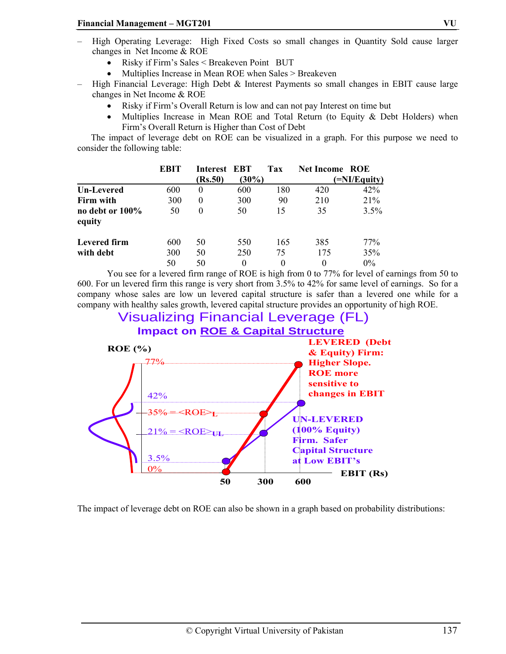- High Operating Leverage: High Fixed Costs so small changes in Quantity Sold cause larger changes in Net Income & ROE
	- Risky if Firm's Sales < Breakeven Point BUT
	- Multiplies Increase in Mean ROE when Sales > Breakeven
- High Financial Leverage: High Debt & Interest Payments so small changes in EBIT cause large changes in Net Income & ROE
	- Risky if Firm's Overall Return is low and can not pay Interest on time but
	- Multiplies Increase in Mean ROE and Total Return (to Equity  $\&$  Debt Holders) when Firm's Overall Return is Higher than Cost of Debt

 The impact of leverage debt on ROE can be visualized in a graph. For this purpose we need to consider the following table:

|                           | EBIT | Interest EBT |          | Tax | <b>Net Income ROE</b> |       |  |
|---------------------------|------|--------------|----------|-----|-----------------------|-------|--|
|                           |      | (Rs.50)      | $(30\%)$ |     | $=$ NI/Equity)        |       |  |
| <b>Un-Levered</b>         | 600  | $\theta$     | 600      | 180 | 420                   | 42%   |  |
| Firm with                 | 300  | $\theta$     | 300      | 90  | 210                   | 21%   |  |
| no debt or 100%<br>equity | 50   | $\theta$     | 50       | 15  | 35                    | 3.5%  |  |
| Levered firm              | 600  | 50           | 550      | 165 | 385                   | 77%   |  |
| with debt                 | 300  | 50           | 250      | 75  | 175                   | 35%   |  |
|                           | 50   | 50           | 0        | 0   | $\Omega$              | $0\%$ |  |

You see for a levered firm range of ROE is high from 0 to 77% for level of earnings from 50 to 600. For un levered firm this range is very short from 3.5% to 42% for same level of earnings. So for a company whose sales are low un levered capital structure is safer than a levered one while for a company with healthy sales growth, levered capital structure provides an opportunity of high ROE.



The impact of leverage debt on ROE can also be shown in a graph based on probability distributions: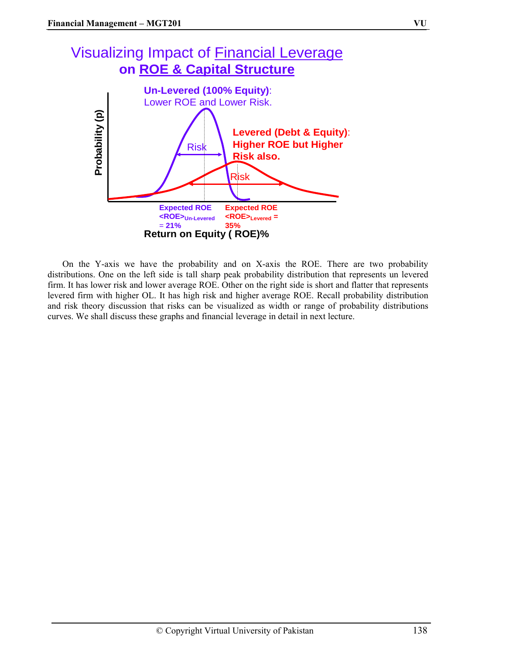# Visualizing Impact of Financial Leverage **on ROE & Capital Structure**



On the Y-axis we have the probability and on X-axis the ROE. There are two probability distributions. One on the left side is tall sharp peak probability distribution that represents un levered firm. It has lower risk and lower average ROE. Other on the right side is short and flatter that represents levered firm with higher OL. It has high risk and higher average ROE. Recall probability distribution and risk theory discussion that risks can be visualized as width or range of probability distributions curves. We shall discuss these graphs and financial leverage in detail in next lecture.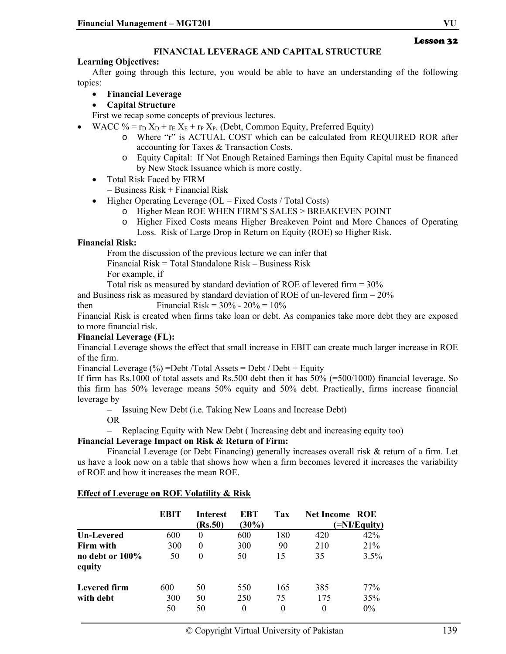#### **FINANCIAL LEVERAGE AND CAPITAL STRUCTURE**

#### **Learning Objectives:**

After going through this lecture, you would be able to have an understanding of the following topics:

• **Financial Leverage** 

• **Capital Structure** 

First we recap some concepts of previous lectures.

- WACC % =  $r_D X_D + r_E X_E + r_P X_P$ . (Debt, Common Equity, Preferred Equity)
	- o Where "r" is ACTUAL COST which can be calculated from REQUIRED ROR after accounting for Taxes & Transaction Costs.
	- o Equity Capital: If Not Enough Retained Earnings then Equity Capital must be financed by New Stock Issuance which is more costly.
	- Total Risk Faced by FIRM

 $=$  Business Risk + Financial Risk

- Higher Operating Leverage ( $OL = Fixed Costs / Total Costs$ )
	- o Higher Mean ROE WHEN FIRM'S SALES > BREAKEVEN POINT
	- o Higher Fixed Costs means Higher Breakeven Point and More Chances of Operating
	- Loss. Risk of Large Drop in Return on Equity (ROE) so Higher Risk.

#### **Financial Risk:**

From the discussion of the previous lecture we can infer that

Financial Risk = Total Standalone Risk – Business Risk

For example, if

Total risk as measured by standard deviation of ROE of levered firm = 30%

and Business risk as measured by standard deviation of ROE of un-levered firm = 20%

then Financial Risk =  $30\% - 20\% = 10\%$ 

Financial Risk is created when firms take loan or debt. As companies take more debt they are exposed to more financial risk.

#### **Financial Leverage (FL):**

Financial Leverage shows the effect that small increase in EBIT can create much larger increase in ROE of the firm.

Financial Leverage  $(\% )$  = Debt / Total Assets = Debt / Debt + Equity

If firm has Rs.1000 of total assets and Rs.500 debt then it has 50% (=500/1000) financial leverage. So this firm has 50% leverage means 50% equity and 50% debt. Practically, firms increase financial leverage by

– Issuing New Debt (i.e. Taking New Loans and Increase Debt)

OR

– Replacing Equity with New Debt ( Increasing debt and increasing equity too)

#### **Financial Leverage Impact on Risk & Return of Firm:**

Financial Leverage (or Debt Financing) generally increases overall risk & return of a firm. Let us have a look now on a table that shows how when a firm becomes levered it increases the variability of ROE and how it increases the mean ROE.

|                           | <b>EBIT</b>      | <b>Interest</b><br>(Rs.50) | EBT<br>$(30\%)$ | Tax                   | <b>Net Income ROE</b> | (=NI/Equity)        |
|---------------------------|------------------|----------------------------|-----------------|-----------------------|-----------------------|---------------------|
| Un-Levered                | 600              | $\theta$                   | 600             | 180                   | 420                   | 42%                 |
| Firm with                 | 300              | $\theta$                   | 300             | 90                    | 210                   | 21%                 |
| no debt or 100%<br>equity | 50               | 0                          | 50              | 15                    | 35                    | 3.5%                |
| Levered firm<br>with debt | 600<br>300<br>50 | 50<br>50<br>50             | 550<br>250<br>0 | 165<br>75<br>$^{(1)}$ | 385<br>175<br>0       | 77%<br>35%<br>$0\%$ |

#### **Effect of Leverage on ROE Volatility & Risk**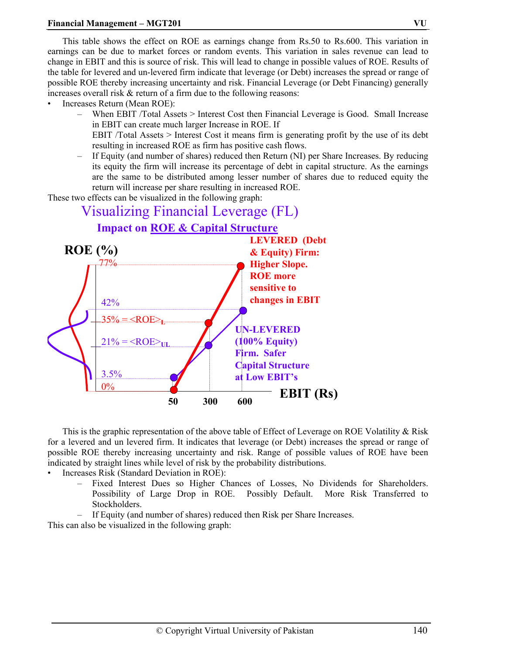This table shows the effect on ROE as earnings change from Rs.50 to Rs.600. This variation in earnings can be due to market forces or random events. This variation in sales revenue can lead to change in EBIT and this is source of risk. This will lead to change in possible values of ROE. Results of the table for levered and un-levered firm indicate that leverage (or Debt) increases the spread or range of possible ROE thereby increasing uncertainty and risk. Financial Leverage (or Debt Financing) generally increases overall risk & return of a firm due to the following reasons:

- Increases Return (Mean ROE):
	- When EBIT /Total Assets > Interest Cost then Financial Leverage is Good. Small Increase in EBIT can create much larger Increase in ROE. If EBIT /Total Assets > Interest Cost it means firm is generating profit by the use of its debt
	- resulting in increased ROE as firm has positive cash flows. – If Equity (and number of shares) reduced then Return (NI) per Share Increases. By reducing its equity the firm will increase its percentage of debt in capital structure. As the earnings are the same to be distributed among lesser number of shares due to reduced equity the return will increase per share resulting in increased ROE.

These two effects can be visualized in the following graph:



This is the graphic representation of the above table of Effect of Leverage on ROE Volatility & Risk for a levered and un levered firm. It indicates that leverage (or Debt) increases the spread or range of possible ROE thereby increasing uncertainty and risk. Range of possible values of ROE have been indicated by straight lines while level of risk by the probability distributions.

• Increases Risk (Standard Deviation in ROE):

- Fixed Interest Dues so Higher Chances of Losses, No Dividends for Shareholders. Possibility of Large Drop in ROE. Possibly Default. More Risk Transferred to Stockholders.
- If Equity (and number of shares) reduced then Risk per Share Increases.

This can also be visualized in the following graph: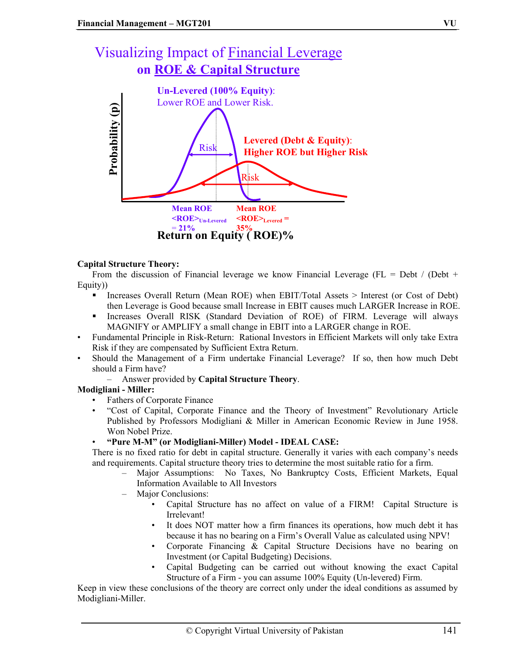# Visualizing Impact of Financial Leverage **on ROE & Capital Structure**



#### **Capital Structure Theory:**

From the discussion of Financial leverage we know Financial Leverage (FL = Debt / (Debt + Equity))

- Increases Overall Return (Mean ROE) when EBIT/Total Assets > Interest (or Cost of Debt) then Leverage is Good because small Increase in EBIT causes much LARGER Increase in ROE.
- Increases Overall RISK (Standard Deviation of ROE) of FIRM. Leverage will always MAGNIFY or AMPLIFY a small change in EBIT into a LARGER change in ROE.
- Fundamental Principle in Risk-Return: Rational Investors in Efficient Markets will only take Extra Risk if they are compensated by Sufficient Extra Return.
- Should the Management of a Firm undertake Financial Leverage? If so, then how much Debt should a Firm have?
	- Answer provided by **Capital Structure Theory**.

#### **Modigliani - Miller:**

- Fathers of Corporate Finance
- "Cost of Capital, Corporate Finance and the Theory of Investment" Revolutionary Article Published by Professors Modigliani & Miller in American Economic Review in June 1958. Won Nobel Prize.
- **"Pure M-M" (or Modigliani-Miller) Model IDEAL CASE:**

There is no fixed ratio for debt in capital structure. Generally it varies with each company's needs and requirements. Capital structure theory tries to determine the most suitable ratio for a firm.

- Major Assumptions: No Taxes, No Bankruptcy Costs, Efficient Markets, Equal Information Available to All Investors
- Major Conclusions:
	- Capital Structure has no affect on value of a FIRM! Capital Structure is Irrelevant!
	- It does NOT matter how a firm finances its operations, how much debt it has because it has no bearing on a Firm's Overall Value as calculated using NPV!
	- Corporate Financing & Capital Structure Decisions have no bearing on Investment (or Capital Budgeting) Decisions.
	- Capital Budgeting can be carried out without knowing the exact Capital Structure of a Firm - you can assume 100% Equity (Un-levered) Firm.

Keep in view these conclusions of the theory are correct only under the ideal conditions as assumed by Modigliani-Miller.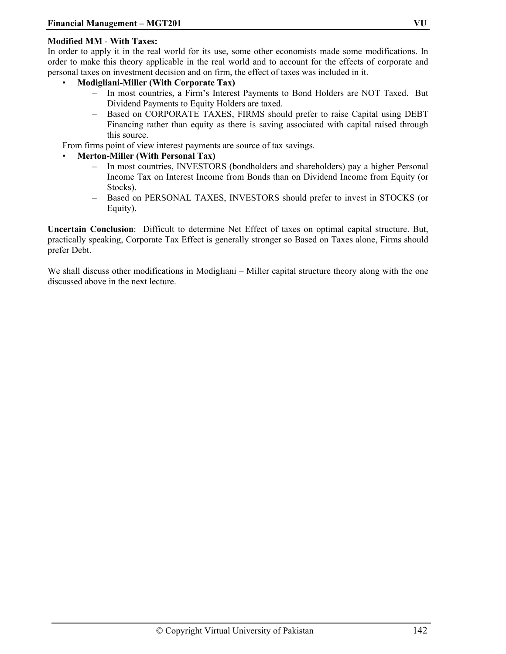#### **Modified MM** - **With Taxes:**

In order to apply it in the real world for its use, some other economists made some modifications. In order to make this theory applicable in the real world and to account for the effects of corporate and personal taxes on investment decision and on firm, the effect of taxes was included in it.

- **Modigliani-Miller (With Corporate Tax)**
	- In most countries, a Firm's Interest Payments to Bond Holders are NOT Taxed. But Dividend Payments to Equity Holders are taxed.
	- Based on CORPORATE TAXES, FIRMS should prefer to raise Capital using DEBT Financing rather than equity as there is saving associated with capital raised through this source.

From firms point of view interest payments are source of tax savings.

- **Merton-Miller (With Personal Tax)**
	- In most countries, INVESTORS (bondholders and shareholders) pay a higher Personal Income Tax on Interest Income from Bonds than on Dividend Income from Equity (or Stocks).
	- Based on PERSONAL TAXES, INVESTORS should prefer to invest in STOCKS (or Equity).

**Uncertain Conclusion**: Difficult to determine Net Effect of taxes on optimal capital structure. But, practically speaking, Corporate Tax Effect is generally stronger so Based on Taxes alone, Firms should prefer Debt.

We shall discuss other modifications in Modigliani – Miller capital structure theory along with the one discussed above in the next lecture.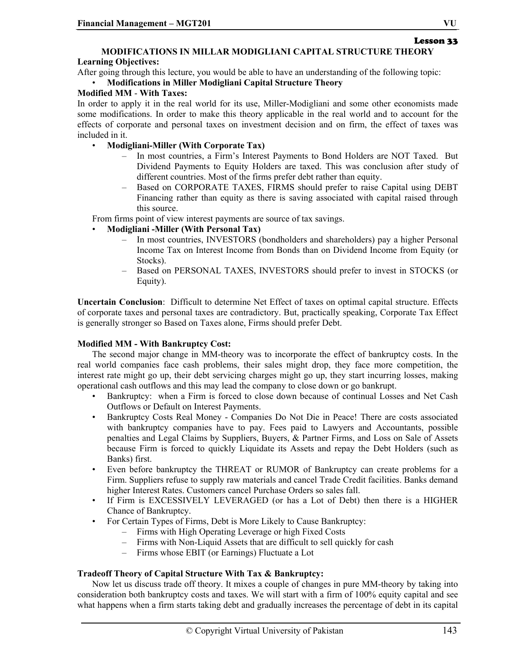# Lesson 33 **MODIFICATIONS IN MILLAR MODIGLIANI CAPITAL STRUCTURE THEORY**

#### **Learning Objectives:**

After going through this lecture, you would be able to have an understanding of the following topic:

#### • **Modifications in Miller Modigliani Capital Structure Theory**

#### **Modified MM** - **With Taxes:**

In order to apply it in the real world for its use, Miller-Modigliani and some other economists made some modifications. In order to make this theory applicable in the real world and to account for the effects of corporate and personal taxes on investment decision and on firm, the effect of taxes was included in it.

- **Modigliani-Miller (With Corporate Tax)**
	- In most countries, a Firm's Interest Payments to Bond Holders are NOT Taxed. But Dividend Payments to Equity Holders are taxed. This was conclusion after study of different countries. Most of the firms prefer debt rather than equity.
	- Based on CORPORATE TAXES, FIRMS should prefer to raise Capital using DEBT Financing rather than equity as there is saving associated with capital raised through this source.

From firms point of view interest payments are source of tax savings.

#### • **Modigliani -Miller (With Personal Tax)**

- In most countries, INVESTORS (bondholders and shareholders) pay a higher Personal Income Tax on Interest Income from Bonds than on Dividend Income from Equity (or Stocks).
- Based on PERSONAL TAXES, INVESTORS should prefer to invest in STOCKS (or Equity).

**Uncertain Conclusion**: Difficult to determine Net Effect of taxes on optimal capital structure. Effects of corporate taxes and personal taxes are contradictory. But, practically speaking, Corporate Tax Effect is generally stronger so Based on Taxes alone, Firms should prefer Debt.

### **Modified MM - With Bankruptcy Cost:**

The second major change in MM-theory was to incorporate the effect of bankruptcy costs. In the real world companies face cash problems, their sales might drop, they face more competition, the interest rate might go up, their debt servicing charges might go up, they start incurring losses, making operational cash outflows and this may lead the company to close down or go bankrupt.

- Bankruptcy: when a Firm is forced to close down because of continual Losses and Net Cash Outflows or Default on Interest Payments.
- Bankruptcy Costs Real Money Companies Do Not Die in Peace! There are costs associated with bankruptcy companies have to pay. Fees paid to Lawyers and Accountants, possible penalties and Legal Claims by Suppliers, Buyers, & Partner Firms, and Loss on Sale of Assets because Firm is forced to quickly Liquidate its Assets and repay the Debt Holders (such as Banks) first.
- Even before bankruptcy the THREAT or RUMOR of Bankruptcy can create problems for a Firm. Suppliers refuse to supply raw materials and cancel Trade Credit facilities. Banks demand higher Interest Rates. Customers cancel Purchase Orders so sales fall.
- If Firm is EXCESSIVELY LEVERAGED (or has a Lot of Debt) then there is a HIGHER Chance of Bankruptcy.
- For Certain Types of Firms, Debt is More Likely to Cause Bankruptcy:
	- Firms with High Operating Leverage or high Fixed Costs
	- Firms with Non-Liquid Assets that are difficult to sell quickly for cash
	- Firms whose EBIT (or Earnings) Fluctuate a Lot

#### **Tradeoff Theory of Capital Structure With Tax & Bankruptcy:**

Now let us discuss trade off theory. It mixes a couple of changes in pure MM-theory by taking into consideration both bankruptcy costs and taxes. We will start with a firm of 100% equity capital and see what happens when a firm starts taking debt and gradually increases the percentage of debt in its capital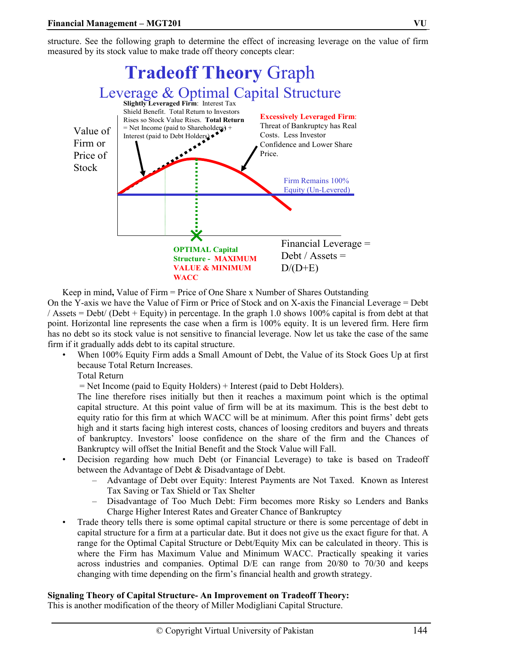structure. See the following graph to determine the effect of increasing leverage on the value of firm measured by its stock value to make trade off theory concepts clear:



Keep in mind**,** Value of Firm = Price of One Share x Number of Shares Outstanding On the Y-axis we have the Value of Firm or Price of Stock and on X-axis the Financial Leverage = Debt

/ Assets = Debt/ (Debt + Equity) in percentage. In the graph 1.0 shows 100% capital is from debt at that point. Horizontal line represents the case when a firm is 100% equity. It is un levered firm. Here firm has no debt so its stock value is not sensitive to financial leverage. Now let us take the case of the same firm if it gradually adds debt to its capital structure.

• When 100% Equity Firm adds a Small Amount of Debt, the Value of its Stock Goes Up at first because Total Return Increases.

Total Return

= Net Income (paid to Equity Holders) + Interest (paid to Debt Holders).

The line therefore rises initially but then it reaches a maximum point which is the optimal capital structure. At this point value of firm will be at its maximum. This is the best debt to equity ratio for this firm at which WACC will be at minimum. After this point firms' debt gets high and it starts facing high interest costs, chances of loosing creditors and buyers and threats of bankruptcy. Investors' loose confidence on the share of the firm and the Chances of Bankruptcy will offset the Initial Benefit and the Stock Value will Fall.

- Decision regarding how much Debt (or Financial Leverage) to take is based on Tradeoff between the Advantage of Debt & Disadvantage of Debt.
	- Advantage of Debt over Equity: Interest Payments are Not Taxed. Known as Interest Tax Saving or Tax Shield or Tax Shelter
	- Disadvantage of Too Much Debt: Firm becomes more Risky so Lenders and Banks Charge Higher Interest Rates and Greater Chance of Bankruptcy
- Trade theory tells there is some optimal capital structure or there is some percentage of debt in capital structure for a firm at a particular date. But it does not give us the exact figure for that. A range for the Optimal Capital Structure or Debt/Equity Mix can be calculated in theory. This is where the Firm has Maximum Value and Minimum WACC. Practically speaking it varies across industries and companies. Optimal D/E can range from 20/80 to 70/30 and keeps changing with time depending on the firm's financial health and growth strategy.

#### **Signaling Theory of Capital Structure- An Improvement on Tradeoff Theory:**

This is another modification of the theory of Miller Modigliani Capital Structure.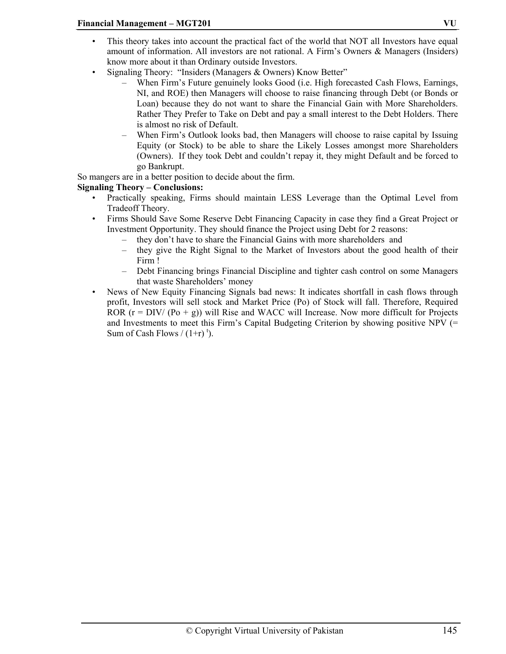- This theory takes into account the practical fact of the world that NOT all Investors have equal amount of information. All investors are not rational. A Firm's Owners & Managers (Insiders) know more about it than Ordinary outside Investors.
- Signaling Theory: "Insiders (Managers & Owners) Know Better"
	- When Firm's Future genuinely looks Good (i.e. High forecasted Cash Flows, Earnings, NI, and ROE) then Managers will choose to raise financing through Debt (or Bonds or Loan) because they do not want to share the Financial Gain with More Shareholders. Rather They Prefer to Take on Debt and pay a small interest to the Debt Holders. There is almost no risk of Default.
	- When Firm's Outlook looks bad, then Managers will choose to raise capital by Issuing Equity (or Stock) to be able to share the Likely Losses amongst more Shareholders (Owners). If they took Debt and couldn't repay it, they might Default and be forced to go Bankrupt.

So mangers are in a better position to decide about the firm.

# **Signaling Theory – Conclusions:**

- Practically speaking, Firms should maintain LESS Leverage than the Optimal Level from Tradeoff Theory.
- Firms Should Save Some Reserve Debt Financing Capacity in case they find a Great Project or Investment Opportunity. They should finance the Project using Debt for 2 reasons:
	- they don't have to share the Financial Gains with more shareholders and
	- they give the Right Signal to the Market of Investors about the good health of their Firm !
	- Debt Financing brings Financial Discipline and tighter cash control on some Managers that waste Shareholders' money
- News of New Equity Financing Signals bad news: It indicates shortfall in cash flows through profit, Investors will sell stock and Market Price (Po) of Stock will fall. Therefore, Required ROR  $(r = DIV/(Po + g))$  will Rise and WACC will Increase. Now more difficult for Projects and Investments to meet this Firm's Capital Budgeting Criterion by showing positive NPV (= Sum of Cash Flows  $/(1+r)^t$ .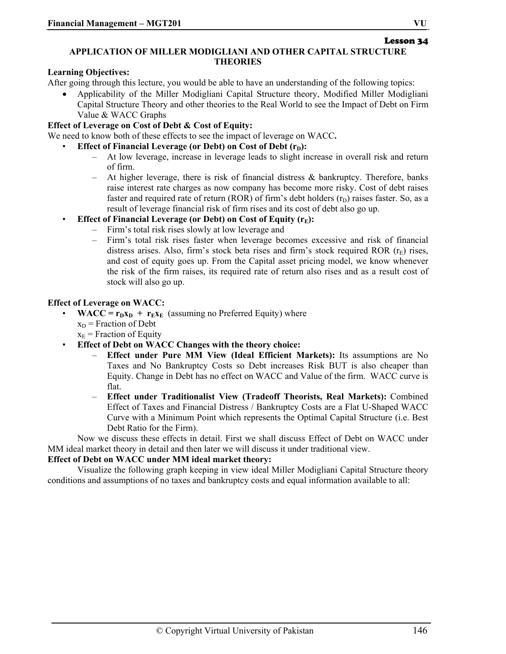# **APPLICATION OF MILLER MODIGLIANI AND OTHER CAPITAL STRUCTURE THEORIES**

#### **Learning Objectives:**

After going through this lecture, you would be able to have an understanding of the following topics:

• Applicability of the Miller Modigliani Capital Structure theory, Modified Miller Modigliani Capital Structure Theory and other theories to the Real World to see the Impact of Debt on Firm Value & WACC Graphs

#### **Effect of Leverage on Cost of Debt & Cost of Equity:**

We need to know both of these effects to see the impact of leverage on WACC**.** 

- **Effect of Financial Leverage (or Debt) on Cost of Debt (r<sub>D</sub>):** 
	- At low leverage, increase in leverage leads to slight increase in overall risk and return of firm.
	- At higher leverage, there is risk of financial distress  $\&$  bankruptcy. Therefore, banks raise interest rate charges as now company has become more risky. Cost of debt raises faster and required rate of return (ROR) of firm's debt holders  $(r_D)$  raises faster. So, as a result of leverage financial risk of firm rises and its cost of debt also go up.
- **Effect of Financial Leverage (or Debt) on Cost of Equity (r<sub>E</sub>):** 
	- Firm's total risk rises slowly at low leverage and
	- Firm's total risk rises faster when leverage becomes excessive and risk of financial distress arises. Also, firm's stock beta rises and firm's stock required ROR  $(r_F)$  rises, and cost of equity goes up. From the Capital asset pricing model, we know whenever the risk of the firm raises, its required rate of return also rises and as a result cost of stock will also go up.

#### **Effect of Leverage on WACC:**

- $WACC = r_Dx_D + r_Ex_E$  (assuming no Preferred Equity) where  $x_D$  = Fraction of Debt
	- $x<sub>E</sub>$  = Fraction of Equity
- **Effect of Debt on WACC Changes with the theory choice:** 
	- **Effect under Pure MM View (Ideal Efficient Markets):** Its assumptions are No Taxes and No Bankruptcy Costs so Debt increases Risk BUT is also cheaper than Equity. Change in Debt has no effect on WACC and Value of the firm. WACC curve is flat.
	- **Effect under Traditionalist View (Tradeoff Theorists, Real Markets):** Combined Effect of Taxes and Financial Distress / Bankruptcy Costs are a Flat U-Shaped WACC Curve with a Minimum Point which represents the Optimal Capital Structure (i.e. Best Debt Ratio for the Firm).

Now we discuss these effects in detail. First we shall discuss Effect of Debt on WACC under MM ideal market theory in detail and then later we will discuss it under traditional view.

#### **Effect of Debt on WACC under MM ideal market theory:**

Visualize the following graph keeping in view ideal Miller Modigliani Capital Structure theory conditions and assumptions of no taxes and bankruptcy costs and equal information available to all:

Lesson 34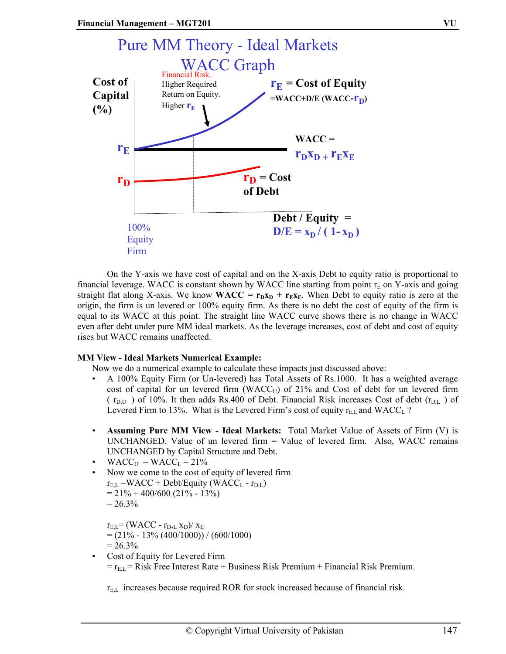

On the Y-axis we have cost of capital and on the X-axis Debt to equity ratio is proportional to financial leverage. WACC is constant shown by WACC line starting from point  $r_E$  on Y-axis and going straight flat along X-axis. We know **WACC** =  $\mathbf{r}_D \mathbf{x}_D + \mathbf{r}_E \mathbf{x}_E$ . When Debt to equity ratio is zero at the origin, the firm is un levered or 100% equity firm. As there is no debt the cost of equity of the firm is equal to its WACC at this point. The straight line WACC curve shows there is no change in WACC even after debt under pure MM ideal markets. As the leverage increases, cost of debt and cost of equity rises but WACC remains unaffected.

#### **MM View - Ideal Markets Numerical Example:**

Now we do a numerical example to calculate these impacts just discussed above:

- A 100% Equity Firm (or Un-levered) has Total Assets of Rs.1000. It has a weighted average cost of capital for un levered firm (WACC $_U$ ) of 21% and Cost of debt for un levered firm ( $r_{\text{D,U}}$ ) of 10%. It then adds Rs.400 of Debt. Financial Risk increases Cost of debt ( $r_{\text{D,L}}$ ) of Levered Firm to 13%. What is the Levered Firm's cost of equity  $r_{EL}$  and WACC<sub>L</sub> ?
- **Assuming Pure MM View Ideal Markets:** Total Market Value of Assets of Firm (V) is UNCHANGED. Value of un levered firm = Value of levered firm. Also, WACC remains UNCHANGED by Capital Structure and Debt.
- $WACC_U = WACC_L = 21\%$
- Now we come to the cost of equity of levered firm  $r_{EL}$  =WACC + Debt/Equity (WACC<sub>L</sub> -  $r_{DL}$ )  $= 21\% + 400/600 (21\% - 13\%)$  $= 26.3\%$

 $r_{E,L}$ = (WACC -  $r_{D,L}$  x<sub>D</sub>)/ x<sub>E</sub>  $= (21\% - 13\% (400/1000)) / (600/1000)$  $= 26.3\%$ 

Cost of Equity for Levered Firm  $r_{E,L}$  = Risk Free Interest Rate + Business Risk Premium + Financial Risk Premium.

 $r_{EL}$  increases because required ROR for stock increased because of financial risk.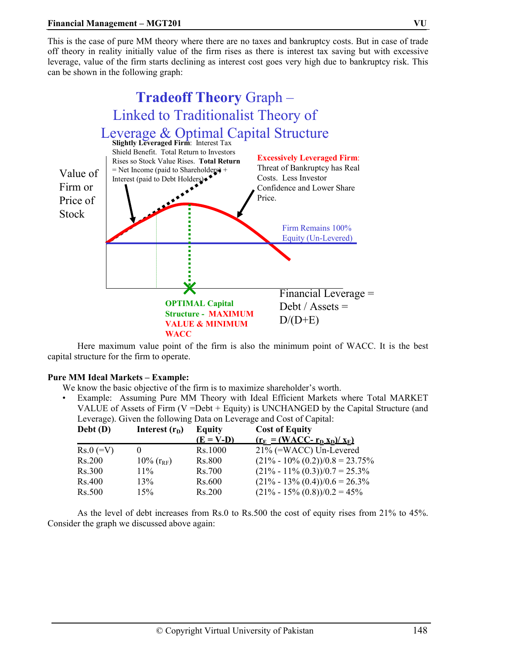#### **Financial Management – MGT201 VU**

This is the case of pure MM theory where there are no taxes and bankruptcy costs. But in case of trade off theory in reality initially value of the firm rises as there is interest tax saving but with excessive leverage, value of the firm starts declining as interest cost goes very high due to bankruptcy risk. This can be shown in the following graph:



Here maximum value point of the firm is also the minimum point of WACC. It is the best capital structure for the firm to operate.

#### **Pure MM Ideal Markets – Example:**

We know the basic objective of the firm is to maximize shareholder's worth.

• Example: Assuming Pure MM Theory with Ideal Efficient Markets where Total MARKET VALUE of Assets of Firm (V =Debt + Equity) is UNCHANGED by the Capital Structure (and Leverage). Given the following Data on Leverage and Cost of Capital:

| Debt (D)    | Interest $(rD)$     | <b>Equity</b> | <b>Cost of Equity</b>               |
|-------------|---------------------|---------------|-------------------------------------|
|             |                     | $(E = V-D)$   | $(r_E = (WACC - r_D x_D)/x_E)$      |
| $Rs.0 (=V)$ |                     | Rs.1000       | 21% (=WACC) Un-Levered              |
| Rs.200      | $10\%$ ( $r_{RF}$ ) | <b>Rs.800</b> | $(21\% - 10\% (0.2))/0.8 = 23.75\%$ |
| Rs.300      | $11\%$              | Rs. 700       | $(21\% - 11\% (0.3))/0.7 = 25.3\%$  |
| Rs.400      | 13%                 | Rs.600        | $(21\% - 13\% (0.4))/0.6 = 26.3\%$  |
| Rs.500      | 15%                 | Rs.200        | $(21\% - 15\% (0.8))/0.2 = 45\%$    |

As the level of debt increases from Rs.0 to Rs.500 the cost of equity rises from 21% to 45%. Consider the graph we discussed above again: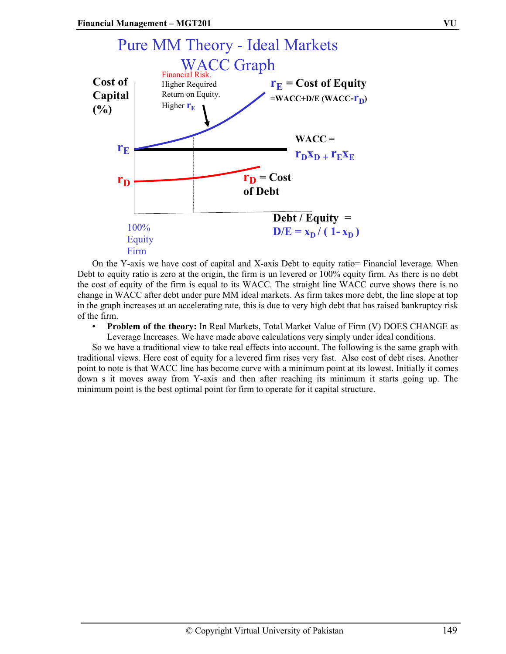

On the Y-axis we have cost of capital and X-axis Debt to equity ratio= Financial leverage. When Debt to equity ratio is zero at the origin, the firm is un levered or 100% equity firm. As there is no debt the cost of equity of the firm is equal to its WACC. The straight line WACC curve shows there is no change in WACC after debt under pure MM ideal markets. As firm takes more debt, the line slope at top in the graph increases at an accelerating rate, this is due to very high debt that has raised bankruptcy risk of the firm.

• **Problem of the theory:** In Real Markets, Total Market Value of Firm (V) DOES CHANGE as Leverage Increases. We have made above calculations very simply under ideal conditions.

So we have a traditional view to take real effects into account. The following is the same graph with traditional views. Here cost of equity for a levered firm rises very fast. Also cost of debt rises. Another point to note is that WACC line has become curve with a minimum point at its lowest. Initially it comes down s it moves away from Y-axis and then after reaching its minimum it starts going up. The minimum point is the best optimal point for firm to operate for it capital structure.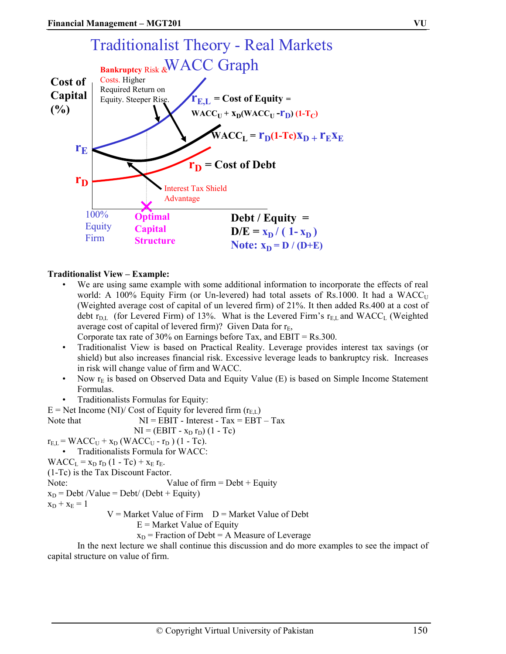

#### **Traditionalist View – Example:**

We are using same example with some additional information to incorporate the effects of real world: A 100% Equity Firm (or Un-levered) had total assets of Rs.1000. It had a  $WACC_U$ (Weighted average cost of capital of un levered firm) of 21%. It then added Rs.400 at a cost of debt  $r_{\text{DL}}$  (for Levered Firm) of 13%. What is the Levered Firm's  $r_{\text{EL}}$  and WACC<sub>L</sub> (Weighted average cost of capital of levered firm)? Given Data for  $r_E$ ,

Corporate tax rate of 30% on Earnings before Tax, and  $EBIT = Rs.300$ .

- Traditionalist View is based on Practical Reality. Leverage provides interest tax savings (or shield) but also increases financial risk. Excessive leverage leads to bankruptcy risk. Increases in risk will change value of firm and WACC.
- Now  $r_E$  is based on Observed Data and Equity Value (E) is based on Simple Income Statement Formulas.
- Traditionalists Formulas for Equity:

 $E = Net Income (NI)/ Cost of Equity for levered firm (r<sub>ET</sub>)$ 

Let 
$$
M = EBIT - Interest - Tax = EBT - Tax
$$

\nLet  $MI = EBIT - Interest - Tax = EBT - Tax$ 

\nwhere  $N = (EBIT - x_D r_D)(1 - Tc)$ 

\nand  $r_{E,L} = WACC_U + x_D (WACC_U - r_D)(1 - Tc)$ .

\nand  $r_{E,L} = WACC_U + x_D (WACC_U - r_D)(1 - Tc)$ .

\nTherefore,  $WACC$ .

\nwhere  $WACC$ .

\nwhere  $VACC$  is the  $Tax$   $D$  is the  $Tax$   $D$  is the  $Tax$   $D$  is the  $Tax$   $D$  is the  $Tax$   $D$  is the  $Tax$   $D$  is the  $Tax$   $D$  is the  $Tax$   $D$  is the  $Tax$   $D$  is the  $Tax$   $D$  is the  $Tax$   $D$  is the  $Tax$   $D$  is the  $Tax$   $D$   $D$  is the  $Tax$   $D$   $D$  is the  $Tax$   $D$   $D$  is the  $Tax$   $D$   $D$  is the  $Tax$   $D$   $D$   $D$  is the  $Tax$   $D$   $D$   $D$   $D$   $D$   $D$   $D$   $D$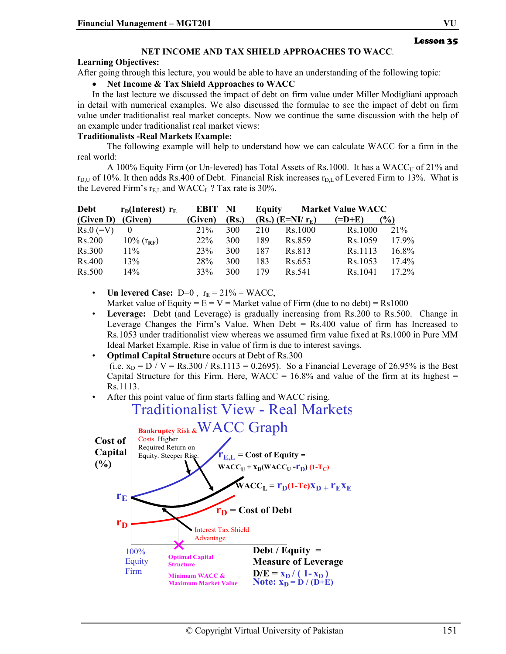# Lesson 35

#### **NET INCOME AND TAX SHIELD APPROACHES TO WACC**.

#### **Learning Objectives:**

After going through this lecture, you would be able to have an understanding of the following topic:

#### • **Net Income & Tax Shield Approaches to WACC**

In the last lecture we discussed the impact of debt on firm value under Miller Modigliani approach in detail with numerical examples. We also discussed the formulae to see the impact of debt on firm value under traditionalist real market concepts. Now we continue the same discussion with the help of an example under traditionalist real market views:

#### **Traditionalists -Real Markets Example:**

The following example will help to understand how we can calculate WACC for a firm in the real world:

A 100% Equity Firm (or Un-levered) has Total Assets of Rs.1000. It has a WACC $_U$  of 21% and  $r<sub>DU</sub>$  of 10%. It then adds Rs.400 of Debt. Financial Risk increases  $r<sub>DU</sub>$  of Levered Firm to 13%. What is the Levered Firm's  $r_{E,L}$  and WACC<sub>L</sub> ? Tax rate is 30%.

| Debt               | $r_{\rm D}$ (Interest) $r_{\rm E}$ | EBIT NI |            | Equity |                      | <b>Market Value WACC</b>   |          |
|--------------------|------------------------------------|---------|------------|--------|----------------------|----------------------------|----------|
| (Given D) (Given)  |                                    | (Given) | (Rs.)      |        | $(Rs.)$ $(E=NI/r_E)$ | $(=\mathbf{D}+\mathbf{E})$ | $($ %)   |
| $\text{Rs.0} (=V)$ |                                    | 21%     | <b>300</b> | 210    | Rs.1000              | Rs.1000                    | 21%      |
| Rs.200             | $10\%$ ( $r_{RF}$ )                | $22\%$  | 300        | 189    | Rs.859               | Rs.1059                    | 17.9%    |
| <b>Rs.300</b>      | $11\%$                             | 23%     | 300        | 187    | Rs.813               | Rs.1113                    | 16.8%    |
| Rs.400             | 13%                                | 28%     | 300        | 183    | Rs.653               | Rs.1053                    | 17.4%    |
| Rs.500             | 14%                                | 33%     | 300        | 179    | R <sub>s</sub> 541   | Rs. 1041                   | $17.2\%$ |

• **Un levered Case:** D=0,  $r_E = 21\% = WACC$ ,

Market value of Equity =  $E = V =$  Market value of Firm (due to no debt) = Rs1000

- **Leverage:** Debt (and Leverage) is gradually increasing from Rs.200 to Rs.500. Change in Leverage Changes the Firm's Value. When Debt = Rs.400 value of firm has Increased to Rs.1053 under traditionalist view whereas we assumed firm value fixed at Rs.1000 in Pure MM Ideal Market Example. Rise in value of firm is due to interest savings.
- **Optimal Capital Structure** occurs at Debt of Rs.300 (i.e.  $x_D = D / V = Rs.300 / Rs.1113 = 0.2695$ ). So a Financial Leverage of 26.95% is the Best Capital Structure for this Firm. Here,  $WACC = 16.8\%$  and value of the firm at its highest = Rs.1113.
- After this point value of firm starts falling and WACC rising.



Traditionalist View - Real Markets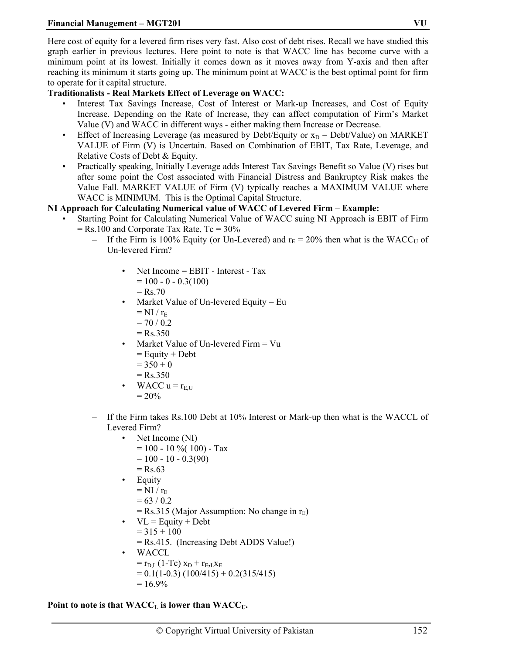Here cost of equity for a levered firm rises very fast. Also cost of debt rises. Recall we have studied this graph earlier in previous lectures. Here point to note is that WACC line has become curve with a minimum point at its lowest. Initially it comes down as it moves away from Y-axis and then after reaching its minimum it starts going up. The minimum point at WACC is the best optimal point for firm to operate for it capital structure.

# **Traditionalists - Real Markets Effect of Leverage on WACC:**

- Interest Tax Savings Increase, Cost of Interest or Mark-up Increases, and Cost of Equity Increase. Depending on the Rate of Increase, they can affect computation of Firm's Market Value (V) and WACC in different ways - either making them Increase or Decrease.
- Effect of Increasing Leverage (as measured by Debt/Equity or  $x_D$  = Debt/Value) on MARKET VALUE of Firm (V) is Uncertain. Based on Combination of EBIT, Tax Rate, Leverage, and Relative Costs of Debt & Equity.
- Practically speaking, Initially Leverage adds Interest Tax Savings Benefit so Value (V) rises but after some point the Cost associated with Financial Distress and Bankruptcy Risk makes the Value Fall. MARKET VALUE of Firm (V) typically reaches a MAXIMUM VALUE where WACC is MINIMUM. This is the Optimal Capital Structure.

# **NI Approach for Calculating Numerical value of WACC of Levered Firm – Example:**

- Starting Point for Calculating Numerical Value of WACC suing NI Approach is EBIT of Firm  $=$  Rs.100 and Corporate Tax Rate, Tc  $=$  30%
	- If the Firm is 100% Equity (or Un-Levered) and  $r_E = 20\%$  then what is the WACC<sub>U</sub> of Un-levered Firm?
		- Net Income = EBIT Interest Tax  $= 100 - 0 - 0.3(100)$ 
			- $=$  Rs.70
		- Market Value of Un-levered Equity = Eu  $=$  NI /  $r_{E}$ 
			- $= 70 / 0.2$
			- $=$  Rs. 350
		- Market Value of Un-levered Firm = Vu
			- $=$  Equity  $+$  Debt
			- $= 350 + 0$
			- $=$  Rs.350
		- WACC  $u = r_{E,U}$  $= 20\%$
	- If the Firm takes Rs.100 Debt at 10% Interest or Mark-up then what is the WACCL of Levered Firm?
		- Net Income (NI)
			- $= 100 10 \% (100) Tax$
			- $= 100 10 0.3(90)$
			- $=$  Rs.63
		- Equity
		- $=$  NI /  $r_E$
		- $= 63 / 0.2$
		- $=$  Rs.315 (Major Assumption: No change in  $r_E$ )
		- $VL =$  Equity + Debt
			- $= 315 + 100$
			- = Rs.415. (Increasing Debt ADDS Value!)
		- WACCL
			- $=$  r<sub>D,L</sub> (1-Tc)  $x_D + r_{E,L}x_E$ 
				- $= 0.1(1-0.3) (100/415) + 0.2(315/415)$  $= 16.9\%$

Point to note is that  $WACC<sub>L</sub>$  is lower than  $WACC<sub>U</sub>$ .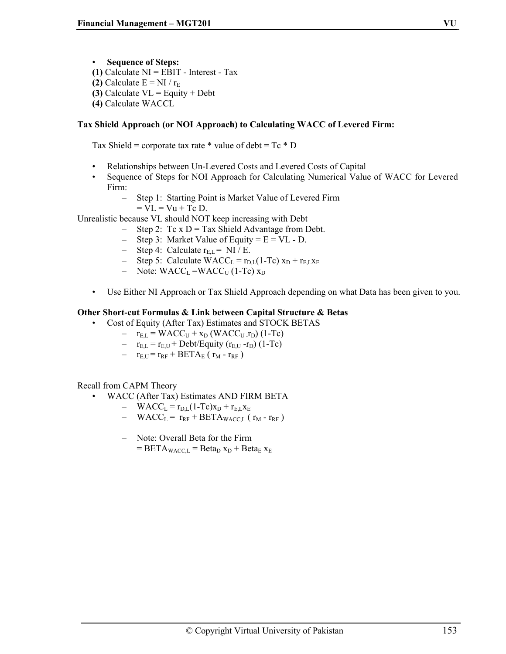• **Sequence of Steps:** 

- **(1)** Calculate NI = EBIT Interest Tax
- **(2)** Calculate  $E = NI / r_E$
- **(3)** Calculate VL = Equity + Debt
- **(4)** Calculate WACCL

# **Tax Shield Approach (or NOI Approach) to Calculating WACC of Levered Firm:**

Tax Shield = corporate tax rate  $*$  value of debt = Tc  $*$  D

- Relationships between Un-Levered Costs and Levered Costs of Capital
- Sequence of Steps for NOI Approach for Calculating Numerical Value of WACC for Levered Firm:
	- Step 1: Starting Point is Market Value of Levered Firm
		- $=$  VL  $=$  Vu  $+$  Tc D.

Unrealistic because VL should NOT keep increasing with Debt

- Step 2: Tc  $x D = Tax Shield Advantage from Debt.$
- Step 3: Market Value of Equity =  $E = VL D$ .
- Step 4: Calculate  $r_{EL} = NI / E$ .
- Step 5: Calculate WACC<sub>L</sub> =  $r_{\text{DL}}(1-\text{Tc})$  x<sub>D</sub> +  $r_{\text{EL}}$ x<sub>E</sub>
- Note:  $WACC<sub>L</sub> = WACC<sub>U</sub> (1-Te) x<sub>D</sub>$
- Use Either NI Approach or Tax Shield Approach depending on what Data has been given to you.

# **Other Short-cut Formulas & Link between Capital Structure & Betas**

- Cost of Equity (After Tax) Estimates and STOCK BETAS
	- $r<sub>EL</sub>$  = WACC<sub>U</sub> + x<sub>D</sub> (WACC<sub>U</sub>  $r<sub>D</sub>$ ) (1-Tc)
	- $r_{E,L} = r_{E,U} + \text{Debt/Equity} (r_{E,U} r_D) (1 T_c)$
	- $r_{\text{EU}} = r_{\text{RF}} + \text{BETA}_{\text{E}} (r_{\text{M}} r_{\text{RF}})$

# Recall from CAPM Theory

- WACC (After Tax) Estimates AND FIRM BETA
	- $-$  WACC<sub>L</sub> =  $r_{\text{DL}}(1-\text{Te})x_{\text{D}} + r_{\text{EL}}x_{\text{E}}$
	- $-$  WACC<sub>L</sub> =  $r_{RF}$  + BETA<sub>WACCL</sub> ( $r_M$   $r_{RF}$ )
	- Note: Overall Beta for the Firm
		- $= \text{BETA}_{\text{WACC.L}} = \text{Beta}_{\text{D}} x_{\text{D}} + \text{Beta}_{\text{E}} x_{\text{E}}$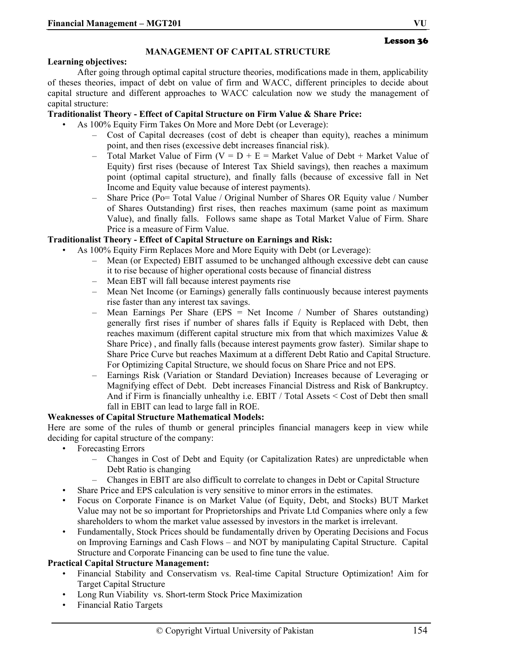# **MANAGEMENT OF CAPITAL STRUCTURE**

#### **Learning objectives:**

After going through optimal capital structure theories, modifications made in them, applicability of theses theories, impact of debt on value of firm and WACC, different principles to decide about capital structure and different approaches to WACC calculation now we study the management of capital structure:

#### **Traditionalist Theory - Effect of Capital Structure on Firm Value & Share Price:**

- As 100% Equity Firm Takes On More and More Debt (or Leverage):
	- Cost of Capital decreases (cost of debt is cheaper than equity), reaches a minimum point, and then rises (excessive debt increases financial risk).
	- Total Market Value of Firm ( $V = D + E =$  Market Value of Debt + Market Value of Equity) first rises (because of Interest Tax Shield savings), then reaches a maximum point (optimal capital structure), and finally falls (because of excessive fall in Net Income and Equity value because of interest payments).
	- Share Price (Po= Total Value / Original Number of Shares OR Equity value / Number of Shares Outstanding) first rises, then reaches maximum (same point as maximum Value), and finally falls. Follows same shape as Total Market Value of Firm. Share Price is a measure of Firm Value.

#### **Traditionalist Theory - Effect of Capital Structure on Earnings and Risk:**

- As 100% Equity Firm Replaces More and More Equity with Debt (or Leverage):
	- Mean (or Expected) EBIT assumed to be unchanged although excessive debt can cause it to rise because of higher operational costs because of financial distress
	- Mean EBT will fall because interest payments rise
	- Mean Net Income (or Earnings) generally falls continuously because interest payments rise faster than any interest tax savings.
	- Mean Earnings Per Share (EPS = Net Income / Number of Shares outstanding) generally first rises if number of shares falls if Equity is Replaced with Debt, then reaches maximum (different capital structure mix from that which maximizes Value & Share Price) , and finally falls (because interest payments grow faster). Similar shape to Share Price Curve but reaches Maximum at a different Debt Ratio and Capital Structure. For Optimizing Capital Structure, we should focus on Share Price and not EPS.
	- Earnings Risk (Variation or Standard Deviation) Increases because of Leveraging or Magnifying effect of Debt. Debt increases Financial Distress and Risk of Bankruptcy. And if Firm is financially unhealthy i.e. EBIT / Total Assets < Cost of Debt then small fall in EBIT can lead to large fall in ROE.

#### **Weaknesses of Capital Structure Mathematical Models:**

Here are some of the rules of thumb or general principles financial managers keep in view while deciding for capital structure of the company:

- Forecasting Errors
	- Changes in Cost of Debt and Equity (or Capitalization Rates) are unpredictable when Debt Ratio is changing
	- Changes in EBIT are also difficult to correlate to changes in Debt or Capital Structure
- Share Price and EPS calculation is very sensitive to minor errors in the estimates.
- Focus on Corporate Finance is on Market Value (of Equity, Debt, and Stocks) BUT Market Value may not be so important for Proprietorships and Private Ltd Companies where only a few shareholders to whom the market value assessed by investors in the market is irrelevant.
- Fundamentally, Stock Prices should be fundamentally driven by Operating Decisions and Focus on Improving Earnings and Cash Flows – and NOT by manipulating Capital Structure. Capital Structure and Corporate Financing can be used to fine tune the value.

#### **Practical Capital Structure Management:**

- Financial Stability and Conservatism vs. Real-time Capital Structure Optimization! Aim for Target Capital Structure
- Long Run Viability vs. Short-term Stock Price Maximization
- Financial Ratio Targets

Lesson 36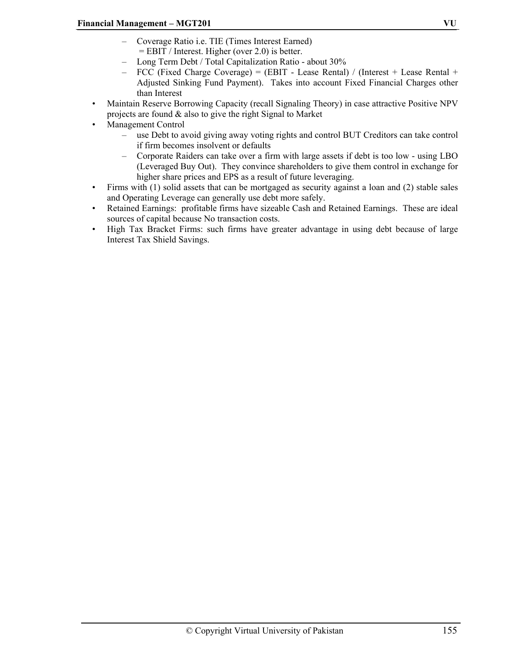- Coverage Ratio i.e. TIE (Times Interest Earned) = EBIT / Interest. Higher (over 2.0) is better.
- Long Term Debt / Total Capitalization Ratio about 30%
- FCC (Fixed Charge Coverage) = (EBIT Lease Rental) / (Interest + Lease Rental + Adjusted Sinking Fund Payment). Takes into account Fixed Financial Charges other than Interest
- Maintain Reserve Borrowing Capacity (recall Signaling Theory) in case attractive Positive NPV projects are found & also to give the right Signal to Market
- Management Control
	- use Debt to avoid giving away voting rights and control BUT Creditors can take control if firm becomes insolvent or defaults
	- Corporate Raiders can take over a firm with large assets if debt is too low using LBO (Leveraged Buy Out). They convince shareholders to give them control in exchange for higher share prices and EPS as a result of future leveraging.
- Firms with (1) solid assets that can be mortgaged as security against a loan and (2) stable sales and Operating Leverage can generally use debt more safely.
- Retained Earnings: profitable firms have sizeable Cash and Retained Earnings. These are ideal sources of capital because No transaction costs.
- High Tax Bracket Firms: such firms have greater advantage in using debt because of large Interest Tax Shield Savings.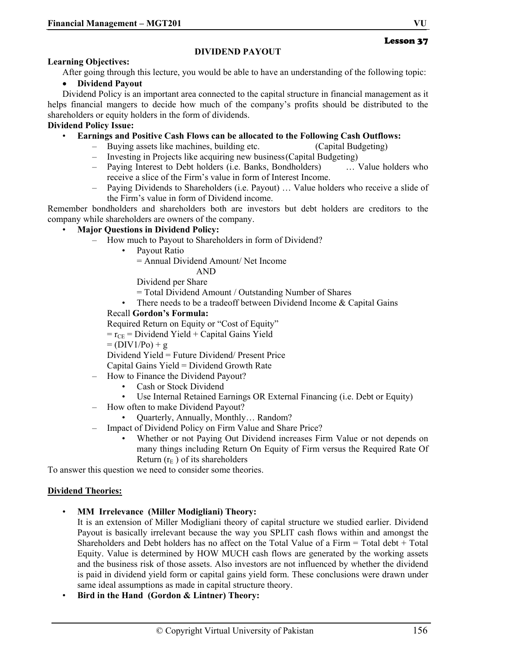#### Lesson 37

#### **DIVIDEND PAYOUT**

#### **Learning Objectives:**

After going through this lecture, you would be able to have an understanding of the following topic:

#### • **Dividend Payout**

Dividend Policy is an important area connected to the capital structure in financial management as it helps financial mangers to decide how much of the company's profits should be distributed to the shareholders or equity holders in the form of dividends.

#### **Dividend Policy Issue:**

#### • **Earnings and Positive Cash Flows can be allocated to the Following Cash Outflows:**

- Buying assets like machines, building etc. (Capital Budgeting)
- Investing in Projects like acquiring new business (Capital Budgeting)
- Paying Interest to Debt holders (i.e. Banks, Bondholders) … Value holders who receive a slice of the Firm's value in form of Interest Income.
- Paying Dividends to Shareholders (i.e. Payout) … Value holders who receive a slide of the Firm's value in form of Dividend income.

Remember bondholders and shareholders both are investors but debt holders are creditors to the company while shareholders are owners of the company.

#### • **Major Questions in Dividend Policy:**

- How much to Payout to Shareholders in form of Dividend?
	- Payout Ratio

= Annual Dividend Amount/ Net Income

AND

Dividend per Share

- = Total Dividend Amount / Outstanding Number of Shares
- There needs to be a tradeoff between Dividend Income & Capital Gains

# Recall **Gordon's Formula:**

Required Return on Equity or "Cost of Equity"

 $r_{\text{CE}}$  = Dividend Yield + Capital Gains Yield

 $= (DIV1/P<sub>0</sub>) + g$ 

Dividend Yield = Future Dividend/ Present Price

Capital Gains Yield = Dividend Growth Rate

- How to Finance the Dividend Payout?
	- Cash or Stock Dividend
	- Use Internal Retained Earnings OR External Financing (i.e. Debt or Equity)
	- How often to make Dividend Payout?
		- Quarterly, Annually, Monthly… Random?
- Impact of Dividend Policy on Firm Value and Share Price?
	- Whether or not Paying Out Dividend increases Firm Value or not depends on many things including Return On Equity of Firm versus the Required Rate Of Return  $(r_E)$  of its shareholders

To answer this question we need to consider some theories.

#### **Dividend Theories:**

• **MM Irrelevance (Miller Modigliani) Theory:** 

It is an extension of Miller Modigliani theory of capital structure we studied earlier. Dividend Payout is basically irrelevant because the way you SPLIT cash flows within and amongst the Shareholders and Debt holders has no affect on the Total Value of a Firm = Total debt + Total Equity. Value is determined by HOW MUCH cash flows are generated by the working assets and the business risk of those assets. Also investors are not influenced by whether the dividend is paid in dividend yield form or capital gains yield form. These conclusions were drawn under same ideal assumptions as made in capital structure theory.

• **Bird in the Hand (Gordon & Lintner) Theory:**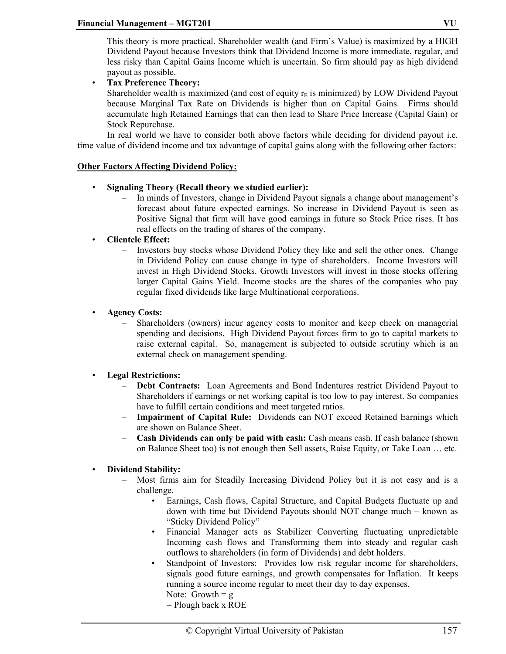This theory is more practical. Shareholder wealth (and Firm's Value) is maximized by a HIGH Dividend Payout because Investors think that Dividend Income is more immediate, regular, and less risky than Capital Gains Income which is uncertain. So firm should pay as high dividend payout as possible.

• **Tax Preference Theory:** 

Shareholder wealth is maximized (and cost of equity  $r<sub>F</sub>$  is minimized) by LOW Dividend Payout because Marginal Tax Rate on Dividends is higher than on Capital Gains. Firms should accumulate high Retained Earnings that can then lead to Share Price Increase (Capital Gain) or Stock Repurchase.

In real world we have to consider both above factors while deciding for dividend payout i.e. time value of dividend income and tax advantage of capital gains along with the following other factors:

# **Other Factors Affecting Dividend Policy:**

- **Signaling Theory (Recall theory we studied earlier):** 
	- In minds of Investors, change in Dividend Payout signals a change about management's forecast about future expected earnings. So increase in Dividend Payout is seen as Positive Signal that firm will have good earnings in future so Stock Price rises. It has real effects on the trading of shares of the company.
- **Clientele Effect:** 
	- Investors buy stocks whose Dividend Policy they like and sell the other ones. Change in Dividend Policy can cause change in type of shareholders. Income Investors will invest in High Dividend Stocks. Growth Investors will invest in those stocks offering larger Capital Gains Yield. Income stocks are the shares of the companies who pay regular fixed dividends like large Multinational corporations.

# • **Agency Costs:**

– Shareholders (owners) incur agency costs to monitor and keep check on managerial spending and decisions. High Dividend Payout forces firm to go to capital markets to raise external capital. So, management is subjected to outside scrutiny which is an external check on management spending.

# • **Legal Restrictions:**

- **Debt Contracts:** Loan Agreements and Bond Indentures restrict Dividend Payout to Shareholders if earnings or net working capital is too low to pay interest. So companies have to fulfill certain conditions and meet targeted ratios.
- **Impairment of Capital Rule:** Dividends can NOT exceed Retained Earnings which are shown on Balance Sheet.
- **Cash Dividends can only be paid with cash:** Cash means cash. If cash balance (shown on Balance Sheet too) is not enough then Sell assets, Raise Equity, or Take Loan … etc.

# • **Dividend Stability:**

- Most firms aim for Steadily Increasing Dividend Policy but it is not easy and is a challenge.
	- Earnings, Cash flows, Capital Structure, and Capital Budgets fluctuate up and down with time but Dividend Payouts should NOT change much – known as "Sticky Dividend Policy"
	- Financial Manager acts as Stabilizer Converting fluctuating unpredictable Incoming cash flows and Transforming them into steady and regular cash outflows to shareholders (in form of Dividends) and debt holders.
	- Standpoint of Investors: Provides low risk regular income for shareholders, signals good future earnings, and growth compensates for Inflation. It keeps running a source income regular to meet their day to day expenses.
		- Note: Growth  $= g$
		- = Plough back x ROE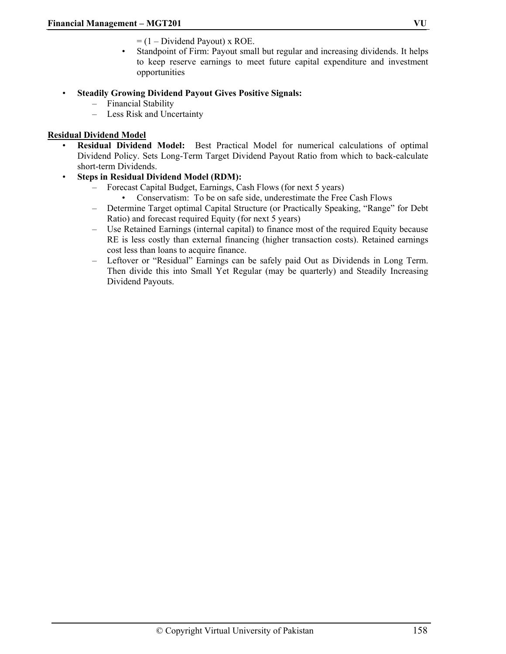- $= (1 Dividend \; Payout) \times ROE.$
- Standpoint of Firm: Payout small but regular and increasing dividends. It helps to keep reserve earnings to meet future capital expenditure and investment opportunities

# • **Steadily Growing Dividend Payout Gives Positive Signals:**

- Financial Stability
- Less Risk and Uncertainty

# **Residual Dividend Model**

• **Residual Dividend Model:** Best Practical Model for numerical calculations of optimal Dividend Policy. Sets Long-Term Target Dividend Payout Ratio from which to back-calculate short-term Dividends.

# • **Steps in Residual Dividend Model (RDM):**

- Forecast Capital Budget, Earnings, Cash Flows (for next 5 years)
	- Conservatism: To be on safe side, underestimate the Free Cash Flows
- Determine Target optimal Capital Structure (or Practically Speaking, "Range" for Debt Ratio) and forecast required Equity (for next 5 years)
- Use Retained Earnings (internal capital) to finance most of the required Equity because RE is less costly than external financing (higher transaction costs). Retained earnings cost less than loans to acquire finance.
- Leftover or "Residual" Earnings can be safely paid Out as Dividends in Long Term. Then divide this into Small Yet Regular (may be quarterly) and Steadily Increasing Dividend Payouts.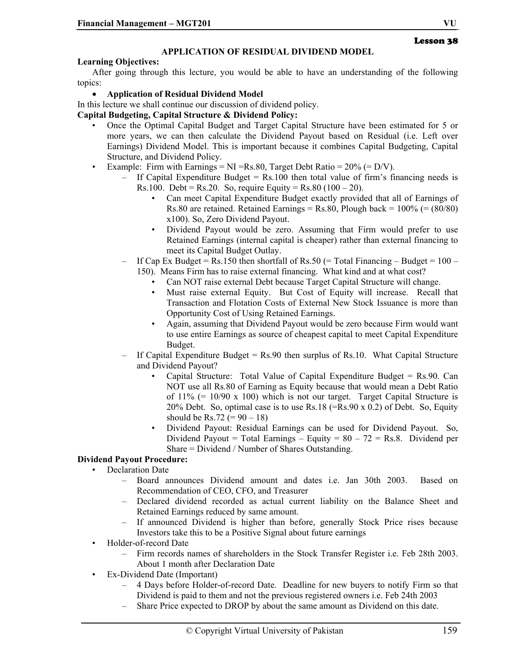#### **APPLICATION OF RESIDUAL DIVIDEND MODEL**

#### **Learning Objectives:**

After going through this lecture, you would be able to have an understanding of the following topics:

#### • **Application of Residual Dividend Model**

In this lecture we shall continue our discussion of dividend policy.

#### **Capital Budgeting, Capital Structure & Dividend Policy:**

- Once the Optimal Capital Budget and Target Capital Structure have been estimated for 5 or more years, we can then calculate the Dividend Payout based on Residual (i.e. Left over Earnings) Dividend Model. This is important because it combines Capital Budgeting, Capital Structure, and Dividend Policy.
- Example: Firm with Earnings = NI = Rs.80, Target Debt Ratio =  $20\%$  (= D/V).
	- $-$  If Capital Expenditure Budget = Rs.100 then total value of firm's financing needs is Rs.100. Debt = Rs.20. So, require Equity = Rs.80 (100 – 20).
		- Can meet Capital Expenditure Budget exactly provided that all of Earnings of Rs.80 are retained. Retained Earnings = Rs.80, Plough back =  $100\%$  (=  $(80/80)$ ) x100). So, Zero Dividend Payout.
		- Dividend Payout would be zero. Assuming that Firm would prefer to use Retained Earnings (internal capital is cheaper) rather than external financing to meet its Capital Budget Outlay.
	- If Cap Ex Budget = Rs.150 then shortfall of Rs.50 (= Total Financing Budget =  $100 -$ 150). Means Firm has to raise external financing. What kind and at what cost?
		- Can NOT raise external Debt because Target Capital Structure will change.
		- Must raise external Equity. But Cost of Equity will increase. Recall that Transaction and Flotation Costs of External New Stock Issuance is more than Opportunity Cost of Using Retained Earnings.
		- Again, assuming that Dividend Payout would be zero because Firm would want to use entire Earnings as source of cheapest capital to meet Capital Expenditure Budget.
	- $-$  If Capital Expenditure Budget  $=$  Rs.90 then surplus of Rs.10. What Capital Structure and Dividend Payout?
		- Capital Structure: Total Value of Capital Expenditure Budget = Rs.90. Can NOT use all Rs.80 of Earning as Equity because that would mean a Debt Ratio of  $11\%$  (= 10/90 x 100) which is not our target. Target Capital Structure is 20% Debt. So, optimal case is to use Rs.18 (=Rs.90 x 0.2) of Debt. So, Equity should be Rs.72 ( $= 90 - 18$ )
		- Dividend Payout: Residual Earnings can be used for Dividend Payout. So, Dividend Payout = Total Earnings – Equity =  $80 - 72 =$  Rs.8. Dividend per Share = Dividend / Number of Shares Outstanding.

#### **Dividend Payout Procedure:**

- Declaration Date
	- Board announces Dividend amount and dates i.e. Jan 30th 2003. Based on Recommendation of CEO, CFO, and Treasurer
	- Declared dividend recorded as actual current liability on the Balance Sheet and Retained Earnings reduced by same amount.
	- If announced Dividend is higher than before, generally Stock Price rises because Investors take this to be a Positive Signal about future earnings
- Holder-of-record Date
	- Firm records names of shareholders in the Stock Transfer Register i.e. Feb 28th 2003. About 1 month after Declaration Date
- Ex-Dividend Date (Important)
	- 4 Days before Holder-of-record Date. Deadline for new buyers to notify Firm so that Dividend is paid to them and not the previous registered owners i.e. Feb 24th 2003
	- Share Price expected to DROP by about the same amount as Dividend on this date.

Lesson 38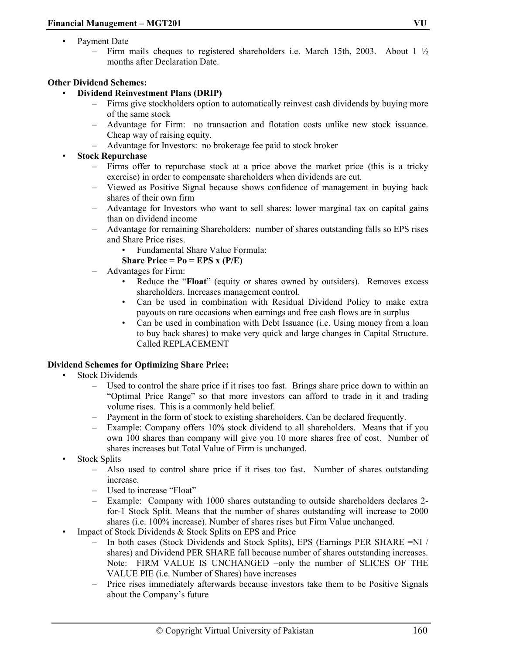- Payment Date
	- Firm mails cheques to registered shareholders i.e. March 15th, 2003. About 1  $\frac{1}{2}$ months after Declaration Date.

#### **Other Dividend Schemes:**

- **Dividend Reinvestment Plans (DRIP)** 
	- Firms give stockholders option to automatically reinvest cash dividends by buying more of the same stock
	- Advantage for Firm: no transaction and flotation costs unlike new stock issuance. Cheap way of raising equity.
	- Advantage for Investors: no brokerage fee paid to stock broker

# • **Stock Repurchase**

- Firms offer to repurchase stock at a price above the market price (this is a tricky exercise) in order to compensate shareholders when dividends are cut.
- Viewed as Positive Signal because shows confidence of management in buying back shares of their own firm
- Advantage for Investors who want to sell shares: lower marginal tax on capital gains than on dividend income
- Advantage for remaining Shareholders: number of shares outstanding falls so EPS rises and Share Price rises.
	- Fundamental Share Value Formula:
	- **Share Price = Po = EPS x (P/E)**
- Advantages for Firm:
	- Reduce the "**Float**" (equity or shares owned by outsiders). Removes excess shareholders. Increases management control.
	- Can be used in combination with Residual Dividend Policy to make extra payouts on rare occasions when earnings and free cash flows are in surplus
	- Can be used in combination with Debt Issuance (i.e. Using money from a loan to buy back shares) to make very quick and large changes in Capital Structure. Called REPLACEMENT

# **Dividend Schemes for Optimizing Share Price:**

- **Stock Dividends** 
	- Used to control the share price if it rises too fast. Brings share price down to within an "Optimal Price Range" so that more investors can afford to trade in it and trading volume rises. This is a commonly held belief.
	- Payment in the form of stock to existing shareholders. Can be declared frequently.
	- Example: Company offers 10% stock dividend to all shareholders. Means that if you own 100 shares than company will give you 10 more shares free of cost. Number of shares increases but Total Value of Firm is unchanged.
- Stock Splits
	- Also used to control share price if it rises too fast. Number of shares outstanding increase.
	- Used to increase "Float"
	- Example: Company with 1000 shares outstanding to outside shareholders declares 2 for-1 Stock Split. Means that the number of shares outstanding will increase to 2000 shares (i.e. 100% increase). Number of shares rises but Firm Value unchanged.
- Impact of Stock Dividends & Stock Splits on EPS and Price
	- In both cases (Stock Dividends and Stock Splits), EPS (Earnings PER SHARE =NI / shares) and Dividend PER SHARE fall because number of shares outstanding increases. Note: FIRM VALUE IS UNCHANGED –only the number of SLICES OF THE VALUE PIE (i.e. Number of Shares) have increases
	- Price rises immediately afterwards because investors take them to be Positive Signals about the Company's future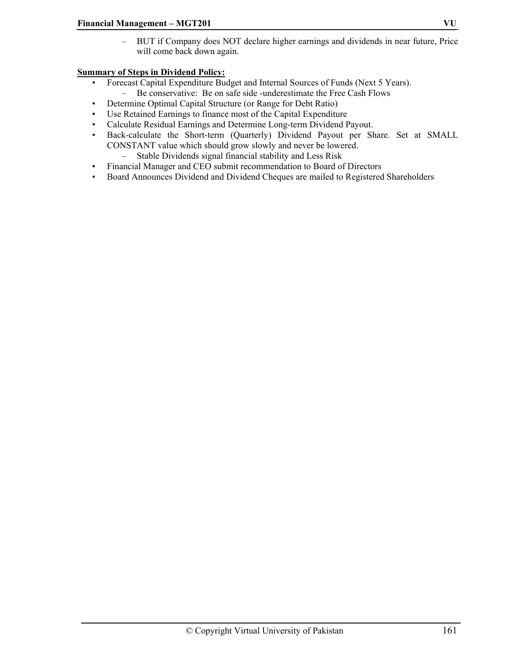– BUT if Company does NOT declare higher earnings and dividends in near future, Price will come back down again.

# **Summary of Steps in Dividend Policy:**

- Forecast Capital Expenditure Budget and Internal Sources of Funds (Next 5 Years). – Be conservative: Be on safe side -underestimate the Free Cash Flows
- Determine Optimal Capital Structure (or Range for Debt Ratio)
- Use Retained Earnings to finance most of the Capital Expenditure
- Calculate Residual Earnings and Determine Long-term Dividend Payout.
- Back-calculate the Short-term (Quarterly) Dividend Payout per Share. Set at SMALL CONSTANT value which should grow slowly and never be lowered.
	- Stable Dividends signal financial stability and Less Risk
- Financial Manager and CEO submit recommendation to Board of Directors
- Board Announces Dividend and Dividend Cheques are mailed to Registered Shareholders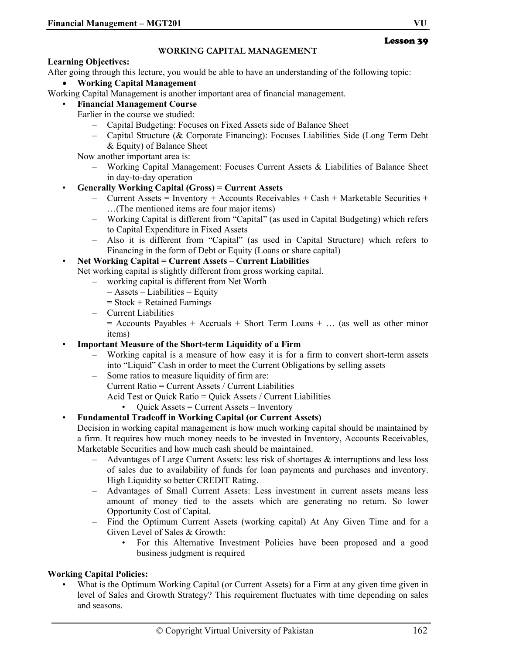#### **WORKING CAPITAL MANAGEMENT**

#### **Learning Objectives:**

After going through this lecture, you would be able to have an understanding of the following topic:

• **Working Capital Management** 

Working Capital Management is another important area of financial management.

• **Financial Management Course** 

Earlier in the course we studied:

- Capital Budgeting: Focuses on Fixed Assets side of Balance Sheet
- Capital Structure (& Corporate Financing): Focuses Liabilities Side (Long Term Debt & Equity) of Balance Sheet

Now another important area is:

– Working Capital Management: Focuses Current Assets & Liabilities of Balance Sheet in day-to-day operation

# • **Generally Working Capital (Gross) = Current Assets**

- Current Assets = Inventory + Accounts Receivables + Cash + Marketable Securities + …(The mentioned items are four major items)
- Working Capital is different from "Capital" (as used in Capital Budgeting) which refers to Capital Expenditure in Fixed Assets
- Also it is different from "Capital" (as used in Capital Structure) which refers to Financing in the form of Debt or Equity (Loans or share capital)

# • **Net Working Capital = Current Assets – Current Liabilities**

Net working capital is slightly different from gross working capital.

- working capital is different from Net Worth
	- $=$  Assets Liabilities  $=$  Equity
	- $=$  Stock + Retained Earnings
- Current Liabilities

 $=$  Accounts Payables + Accruals + Short Term Loans + ... (as well as other minor items)

#### • **Important Measure of the Short-term Liquidity of a Firm**

- Working capital is a measure of how easy it is for a firm to convert short-term assets into "Liquid" Cash in order to meet the Current Obligations by selling assets
- Some ratios to measure liquidity of firm are:
	- Current Ratio = Current Assets / Current Liabilities
		- Acid Test or Quick Ratio = Quick Assets / Current Liabilities
			- Quick Assets = Current Assets Inventory

#### • **Fundamental Tradeoff in Working Capital (or Current Assets)**

Decision in working capital management is how much working capital should be maintained by a firm. It requires how much money needs to be invested in Inventory, Accounts Receivables, Marketable Securities and how much cash should be maintained.

- Advantages of Large Current Assets: less risk of shortages & interruptions and less loss of sales due to availability of funds for loan payments and purchases and inventory. High Liquidity so better CREDIT Rating.
- Advantages of Small Current Assets: Less investment in current assets means less amount of money tied to the assets which are generating no return. So lower Opportunity Cost of Capital.
- Find the Optimum Current Assets (working capital) At Any Given Time and for a Given Level of Sales & Growth:
	- For this Alternative Investment Policies have been proposed and a good business judgment is required

# **Working Capital Policies:**

• What is the Optimum Working Capital (or Current Assets) for a Firm at any given time given in level of Sales and Growth Strategy? This requirement fluctuates with time depending on sales and seasons.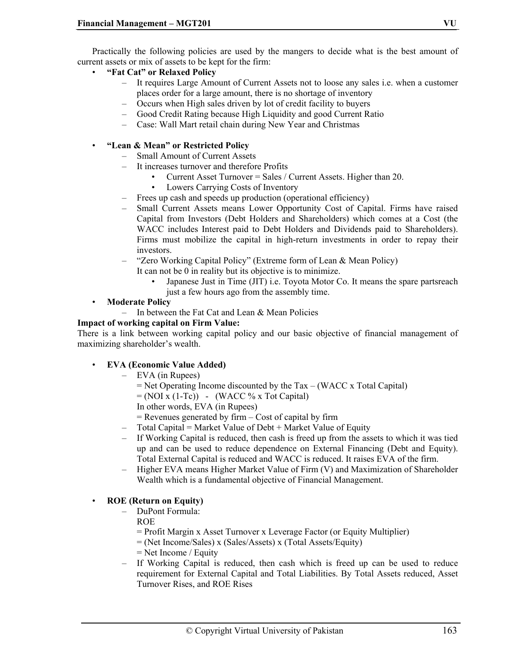Practically the following policies are used by the mangers to decide what is the best amount of current assets or mix of assets to be kept for the firm:

- **"Fat Cat" or Relaxed Policy** 
	- It requires Large Amount of Current Assets not to loose any sales i.e. when a customer places order for a large amount, there is no shortage of inventory
	- Occurs when High sales driven by lot of credit facility to buyers
	- Good Credit Rating because High Liquidity and good Current Ratio
	- Case: Wall Mart retail chain during New Year and Christmas

# • **"Lean & Mean" or Restricted Policy**

- Small Amount of Current Assets
- It increases turnover and therefore Profits
	- Current Asset Turnover = Sales / Current Assets. Higher than 20.
	- Lowers Carrying Costs of Inventory
- Frees up cash and speeds up production (operational efficiency)
- Small Current Assets means Lower Opportunity Cost of Capital. Firms have raised Capital from Investors (Debt Holders and Shareholders) which comes at a Cost (the WACC includes Interest paid to Debt Holders and Dividends paid to Shareholders). Firms must mobilize the capital in high-return investments in order to repay their investors.
- "Zero Working Capital Policy" (Extreme form of Lean & Mean Policy)
	- It can not be 0 in reality but its objective is to minimize.
		- Japanese Just in Time (JIT) i.e. Toyota Motor Co. It means the spare partsreach just a few hours ago from the assembly time.
- **Moderate Policy** 
	- In between the Fat Cat and Lean & Mean Policies

#### **Impact of working capital on Firm Value:**

There is a link between working capital policy and our basic objective of financial management of maximizing shareholder's wealth.

#### • **EVA (Economic Value Added)**

- EVA (in Rupees)
	- $=$  Net Operating Income discounted by the Tax (WACC x Total Capital)
	- $= (NOI x (1-Tc)) (WACC % x Tot Capital)$
	- In other words, EVA (in Rupees)
	- $=$  Revenues generated by firm  $-$  Cost of capital by firm
- $-$  Total Capital = Market Value of Debt + Market Value of Equity
- If Working Capital is reduced, then cash is freed up from the assets to which it was tied up and can be used to reduce dependence on External Financing (Debt and Equity). Total External Capital is reduced and WACC is reduced. It raises EVA of the firm.
- Higher EVA means Higher Market Value of Firm (V) and Maximization of Shareholder Wealth which is a fundamental objective of Financial Management.

# • **ROE (Return on Equity)**

- DuPont Formula:
	- ROE
		- = Profit Margin x Asset Turnover x Leverage Factor (or Equity Multiplier)
		- = (Net Income/Sales) x (Sales/Assets) x (Total Assets/Equity)
		- = Net Income / Equity
- If Working Capital is reduced, then cash which is freed up can be used to reduce requirement for External Capital and Total Liabilities. By Total Assets reduced, Asset Turnover Rises, and ROE Rises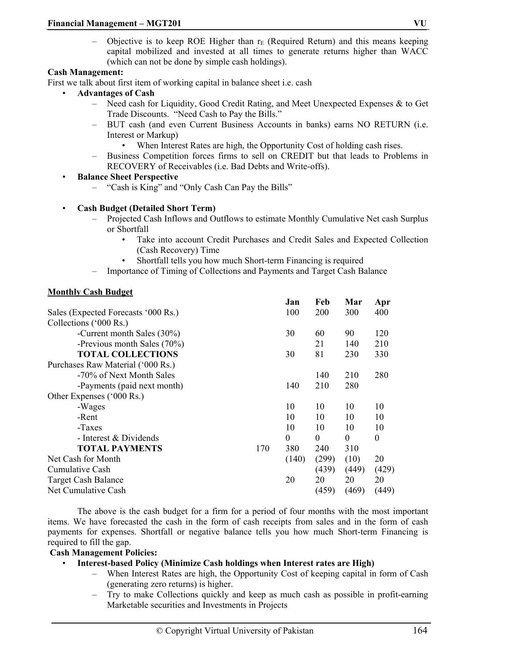Objective is to keep ROE Higher than  $r_E$  (Required Return) and this means keeping capital mobilized and invested at all times to generate returns higher than WACC (which can not be done by simple cash holdings).

#### **Cash Management:**

First we talk about first item of working capital in balance sheet i.e. cash

- **Advantages of Cash** 
	- Need cash for Liquidity, Good Credit Rating, and Meet Unexpected Expenses & to Get Trade Discounts. "Need Cash to Pay the Bills."
	- BUT cash (and even Current Business Accounts in banks) earns NO RETURN (i.e. Interest or Markup)
		- When Interest Rates are high, the Opportunity Cost of holding cash rises.
	- Business Competition forces firms to sell on CREDIT but that leads to Problems in RECOVERY of Receivables (i.e. Bad Debts and Write-offs).
- **Balance Sheet Perspective** 
	- "Cash is King" and "Only Cash Can Pay the Bills"

#### • **Cash Budget (Detailed Short Term)**

- Projected Cash Inflows and Outflows to estimate Monthly Cumulative Net cash Surplus or Shortfall
	- Take into account Credit Purchases and Credit Sales and Expected Collection (Cash Recovery) Time
	- Shortfall tells you how much Short-term Financing is required
	- Importance of Timing of Collections and Payments and Target Cash Balance

#### **Monthly Cash Budget**

|                                     |     | Jan      | Feb        | Mar              | Apr              |
|-------------------------------------|-----|----------|------------|------------------|------------------|
| Sales (Expected Forecasts '000 Rs.) |     |          | <b>200</b> | 300              | 400              |
| Collections ('000 Rs.)              |     |          |            |                  |                  |
| -Current month Sales (30%)          |     | 30       | 60         | 90               | 120              |
| -Previous month Sales (70%)         |     |          | 21         | 140              | 210              |
| <b>TOTAL COLLECTIONS</b>            |     | 30       | 81         | 230              | 330              |
| Purchases Raw Material ('000 Rs.)   |     |          |            |                  |                  |
| -70% of Next Month Sales            |     |          | 140        | 210              | 280              |
| -Payments (paid next month)         |     | 140      | 210        | 280              |                  |
| Other Expenses ('000 Rs.)           |     |          |            |                  |                  |
| -Wages                              |     | 10       | 10         | 10               | 10               |
| -Rent                               |     | 10       | 10         | 10               | 10               |
| -Taxes                              |     | 10       | 10         | 10               | 10               |
| - Interest & Dividends              |     | $\theta$ | $\theta$   | $\boldsymbol{0}$ | $\boldsymbol{0}$ |
| <b>TOTAL PAYMENTS</b>               | 170 | 380      | 240        | 310              |                  |
| Net Cash for Month                  |     | (140)    | (299)      | (10)             | 20               |
| Cumulative Cash                     |     |          | (439)      | (449)            | (429)            |
| <b>Target Cash Balance</b>          |     | 20       | 20         | 20               | 20               |
| Net Cumulative Cash                 |     |          | (459)      | (469)            | (449)            |

The above is the cash budget for a firm for a period of four months with the most important items. We have forecasted the cash in the form of cash receipts from sales and in the form of cash payments for expenses. Shortfall or negative balance tells you how much Short-term Financing is required to fill the gap.

#### **Cash Management Policies:**

- **Interest-based Policy (Minimize Cash holdings when Interest rates are High)** 
	- When Interest Rates are high, the Opportunity Cost of keeping capital in form of Cash (generating zero returns) is higher.
	- Try to make Collections quickly and keep as much cash as possible in profit-earning Marketable securities and Investments in Projects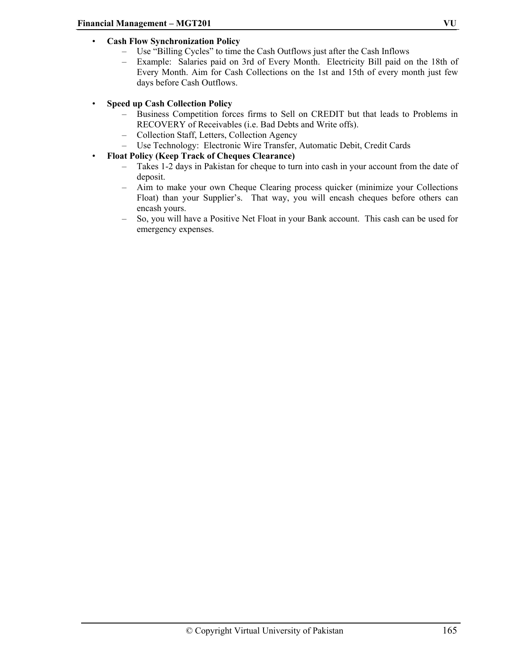# • **Cash Flow Synchronization Policy**

- Use "Billing Cycles" to time the Cash Outflows just after the Cash Inflows
- Example: Salaries paid on 3rd of Every Month. Electricity Bill paid on the 18th of Every Month. Aim for Cash Collections on the 1st and 15th of every month just few days before Cash Outflows.

# • **Speed up Cash Collection Policy**

- Business Competition forces firms to Sell on CREDIT but that leads to Problems in RECOVERY of Receivables (i.e. Bad Debts and Write offs).
- Collection Staff, Letters, Collection Agency
- Use Technology: Electronic Wire Transfer, Automatic Debit, Credit Cards
- **Float Policy (Keep Track of Cheques Clearance)** 
	- Takes 1-2 days in Pakistan for cheque to turn into cash in your account from the date of deposit.
	- Aim to make your own Cheque Clearing process quicker (minimize your Collections Float) than your Supplier's. That way, you will encash cheques before others can encash yours.
	- So, you will have a Positive Net Float in your Bank account. This cash can be used for emergency expenses.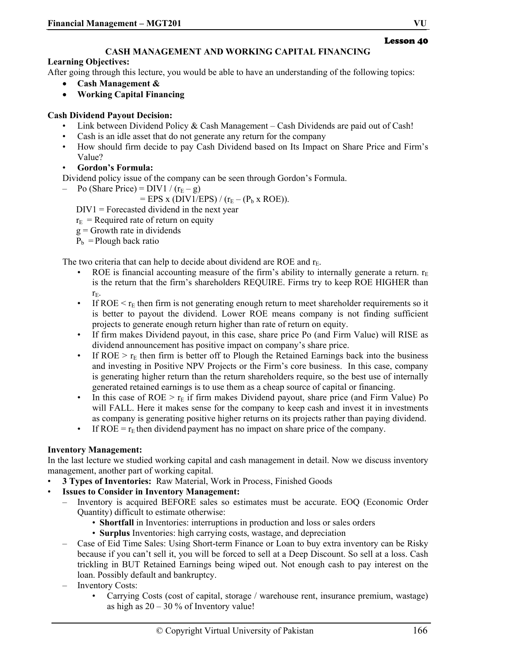# **CASH MANAGEMENT AND WORKING CAPITAL FINANCING**

# **Learning Objectives:**

After going through this lecture, you would be able to have an understanding of the following topics:

- **Cash Management &**
- **Working Capital Financing**

# **Cash Dividend Payout Decision:**

- Link between Dividend Policy & Cash Management Cash Dividends are paid out of Cash!
- Cash is an idle asset that do not generate any return for the company
- How should firm decide to pay Cash Dividend based on Its Impact on Share Price and Firm's Value?
- **Gordon's Formula:**

Dividend policy issue of the company can be seen through Gordon's Formula.

– Po (Share Price) =  $DIVI / (r_E - g)$ 

 $=$  EPS x (DIV1/EPS) / ( $r_E$  – ( $P_b$  x ROE)).

DIV1 = Forecasted dividend in the next year

 $r_{\rm E}$  = Required rate of return on equity

- $g =$  Growth rate in dividends
- $P_b$  = Plough back ratio

The two criteria that can help to decide about dividend are ROE and  $r_{E}$ .

- ROE is financial accounting measure of the firm's ability to internally generate a return.  $r_E$ is the return that the firm's shareholders REQUIRE. Firms try to keep ROE HIGHER than rE.
- If ROE  $\leq r_E$  then firm is not generating enough return to meet shareholder requirements so it is better to payout the dividend. Lower ROE means company is not finding sufficient projects to generate enough return higher than rate of return on equity.
- If firm makes Dividend payout, in this case, share price Po (and Firm Value) will RISE as dividend announcement has positive impact on company's share price.
- If ROE  $>$   $r_F$  then firm is better off to Plough the Retained Earnings back into the business and investing in Positive NPV Projects or the Firm's core business. In this case, company is generating higher return than the return shareholders require, so the best use of internally generated retained earnings is to use them as a cheap source of capital or financing.
- In this case of ROE  $> r_E$  if firm makes Dividend payout, share price (and Firm Value) Po will FALL. Here it makes sense for the company to keep cash and invest it in investments as company is generating positive higher returns on its projects rather than paying dividend.
- If ROE =  $r_E$  then dividend payment has no impact on share price of the company.

# **Inventory Management:**

In the last lecture we studied working capital and cash management in detail. Now we discuss inventory management, another part of working capital.

- **3 Types of Inventories:** Raw Material, Work in Process, Finished Goods
- **Issues to Consider in Inventory Management:** 
	- Inventory is acquired BEFORE sales so estimates must be accurate. EOQ (Economic Order Quantity) difficult to estimate otherwise:
		- **Shortfall** in Inventories: interruptions in production and loss or sales orders
		- **Surplus** Inventories: high carrying costs, wastage, and depreciation
	- Case of Eid Time Sales: Using Short-term Finance or Loan to buy extra inventory can be Risky because if you can't sell it, you will be forced to sell at a Deep Discount. So sell at a loss. Cash trickling in BUT Retained Earnings being wiped out. Not enough cash to pay interest on the loan. Possibly default and bankruptcy.
	- Inventory Costs:
		- Carrying Costs (cost of capital, storage / warehouse rent, insurance premium, wastage) as high as  $20 - 30\%$  of Inventory value!

Lesson 40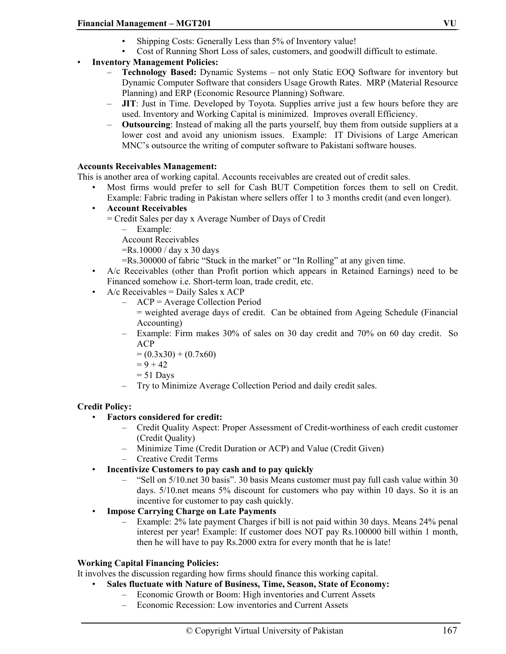- Shipping Costs: Generally Less than 5% of Inventory value!
- Cost of Running Short Loss of sales, customers, and goodwill difficult to estimate.
- **Inventory Management Policies:** 
	- **Technology Based:** Dynamic Systems not only Static EOQ Software for inventory but Dynamic Computer Software that considers Usage Growth Rates. MRP (Material Resource Planning) and ERP (Economic Resource Planning) Software.
	- **JIT**: Just in Time. Developed by Toyota. Supplies arrive just a few hours before they are used. Inventory and Working Capital is minimized. Improves overall Efficiency.
	- **Outsourcing**: Instead of making all the parts yourself, buy them from outside suppliers at a lower cost and avoid any unionism issues. Example: IT Divisions of Large American MNC's outsource the writing of computer software to Pakistani software houses.

# **Accounts Receivables Management:**

This is another area of working capital. Accounts receivables are created out of credit sales.

- Most firms would prefer to sell for Cash BUT Competition forces them to sell on Credit. Example: Fabric trading in Pakistan where sellers offer 1 to 3 months credit (and even longer).
- **Account Receivables** 
	- = Credit Sales per day x Average Number of Days of Credit
		- Example:

Account Receivables

- =Rs.10000 / day x 30 days
- =Rs.300000 of fabric "Stuck in the market" or "In Rolling" at any given time.
- A/c Receivables (other than Profit portion which appears in Retained Earnings) need to be Financed somehow i.e. Short-term loan, trade credit, etc.
- A/c Receivables = Daily Sales x ACP
	- ACP = Average Collection Period
		- = weighted average days of credit. Can be obtained from Ageing Schedule (Financial Accounting)
	- Example: Firm makes 30% of sales on 30 day credit and 70% on 60 day credit. So ACP
		- $= (0.3x30) + (0.7x60)$
		- $= 9 + 42$
		- $= 51$  Days
	- Try to Minimize Average Collection Period and daily credit sales.

#### **Credit Policy:**

- **Factors considered for credit:** 
	- Credit Quality Aspect: Proper Assessment of Credit-worthiness of each credit customer (Credit Quality)
	- Minimize Time (Credit Duration or ACP) and Value (Credit Given)
	- Creative Credit Terms
- **Incentivize Customers to pay cash and to pay quickly** 
	- "Sell on 5/10.net 30 basis". 30 basis Means customer must pay full cash value within 30 days. 5/10.net means 5% discount for customers who pay within 10 days. So it is an incentive for customer to pay cash quickly.
- **Impose Carrying Charge on Late Payments** 
	- Example: 2% late payment Charges if bill is not paid within 30 days. Means 24% penal interest per year! Example: If customer does NOT pay Rs.100000 bill within 1 month, then he will have to pay Rs.2000 extra for every month that he is late!

### **Working Capital Financing Policies:**

It involves the discussion regarding how firms should finance this working capital.

- **Sales fluctuate with Nature of Business, Time, Season, State of Economy:** 
	- Economic Growth or Boom: High inventories and Current Assets
	- Economic Recession: Low inventories and Current Assets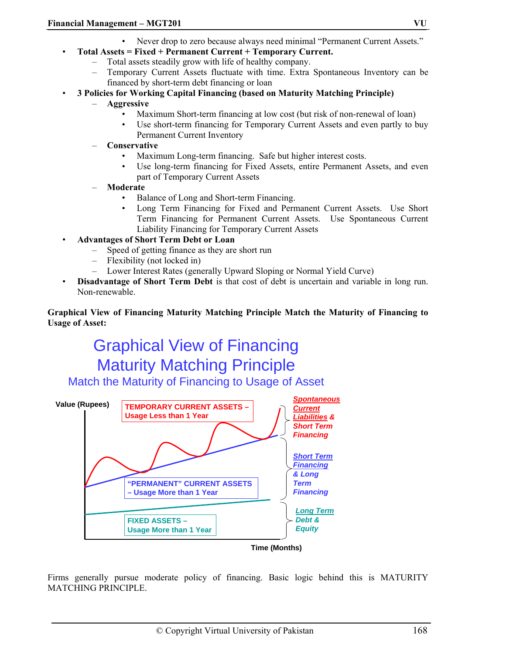- Never drop to zero because always need minimal "Permanent Current Assets."
- **Total Assets = Fixed + Permanent Current + Temporary Current.** 
	- Total assets steadily grow with life of healthy company.
	- Temporary Current Assets fluctuate with time. Extra Spontaneous Inventory can be financed by short-term debt financing or loan
- **3 Policies for Working Capital Financing (based on Maturity Matching Principle)** 
	- **Aggressive** 
		- Maximum Short-term financing at low cost (but risk of non-renewal of loan)
		- Use short-term financing for Temporary Current Assets and even partly to buy Permanent Current Inventory
	- **Conservative** 
		- Maximum Long-term financing. Safe but higher interest costs.
		- Use long-term financing for Fixed Assets, entire Permanent Assets, and even part of Temporary Current Assets
	- **Moderate** 
		- Balance of Long and Short-term Financing.
		- Long Term Financing for Fixed and Permanent Current Assets. Use Short Term Financing for Permanent Current Assets. Use Spontaneous Current Liability Financing for Temporary Current Assets
- **Advantages of Short Term Debt or Loan** 
	- Speed of getting finance as they are short run
	- Flexibility (not locked in)
	- Lower Interest Rates (generally Upward Sloping or Normal Yield Curve)
- **Disadvantage of Short Term Debt** is that cost of debt is uncertain and variable in long run. Non-renewable.

#### **Graphical View of Financing Maturity Matching Principle Match the Maturity of Financing to Usage of Asset:**

# Graphical View of Financing Maturity Matching Principle

Match the Maturity of Financing to Usage of Asset



Firms generally pursue moderate policy of financing. Basic logic behind this is MATURITY MATCHING PRINCIPLE.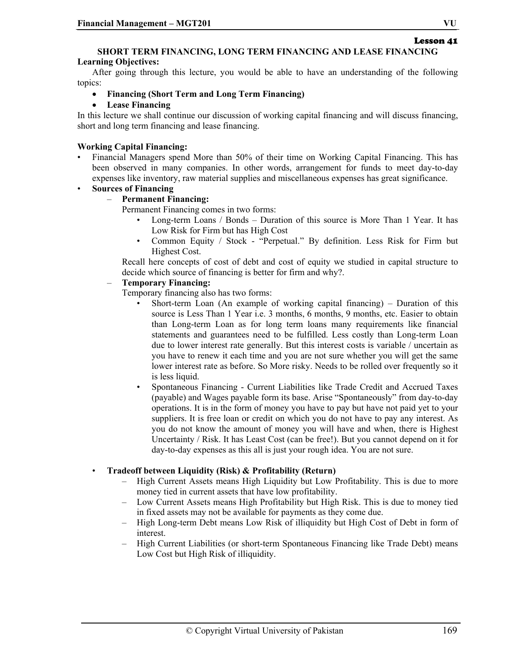# Lesson 41

# **SHORT TERM FINANCING, LONG TERM FINANCING AND LEASE FINANCING**

#### **Learning Objectives:**

After going through this lecture, you would be able to have an understanding of the following topics:

- **Financing (Short Term and Long Term Financing)**
- **Lease Financing**

In this lecture we shall continue our discussion of working capital financing and will discuss financing, short and long term financing and lease financing.

# **Working Capital Financing:**

- Financial Managers spend More than 50% of their time on Working Capital Financing. This has been observed in many companies. In other words, arrangement for funds to meet day-to-day expenses like inventory, raw material supplies and miscellaneous expenses has great significance.
- **Sources of Financing** 
	- **Permanent Financing:**

Permanent Financing comes in two forms:

- Long-term Loans / Bonds Duration of this source is More Than 1 Year. It has Low Risk for Firm but has High Cost
- Common Equity / Stock "Perpetual." By definition. Less Risk for Firm but Highest Cost.

Recall here concepts of cost of debt and cost of equity we studied in capital structure to decide which source of financing is better for firm and why?.

#### – **Temporary Financing:**

Temporary financing also has two forms:

- Short-term Loan (An example of working capital financing) Duration of this source is Less Than 1 Year i.e. 3 months, 6 months, 9 months, etc. Easier to obtain than Long-term Loan as for long term loans many requirements like financial statements and guarantees need to be fulfilled. Less costly than Long-term Loan due to lower interest rate generally. But this interest costs is variable / uncertain as you have to renew it each time and you are not sure whether you will get the same lower interest rate as before. So More risky. Needs to be rolled over frequently so it is less liquid.
- Spontaneous Financing Current Liabilities like Trade Credit and Accrued Taxes (payable) and Wages payable form its base. Arise "Spontaneously" from day-to-day operations. It is in the form of money you have to pay but have not paid yet to your suppliers. It is free loan or credit on which you do not have to pay any interest. As you do not know the amount of money you will have and when, there is Highest Uncertainty / Risk. It has Least Cost (can be free!). But you cannot depend on it for day-to-day expenses as this all is just your rough idea. You are not sure.

#### • **Tradeoff between Liquidity (Risk) & Profitability (Return)**

- High Current Assets means High Liquidity but Low Profitability. This is due to more money tied in current assets that have low profitability.
- Low Current Assets means High Profitability but High Risk. This is due to money tied in fixed assets may not be available for payments as they come due.
- High Long-term Debt means Low Risk of illiquidity but High Cost of Debt in form of interest.
- High Current Liabilities (or short-term Spontaneous Financing like Trade Debt) means Low Cost but High Risk of illiquidity.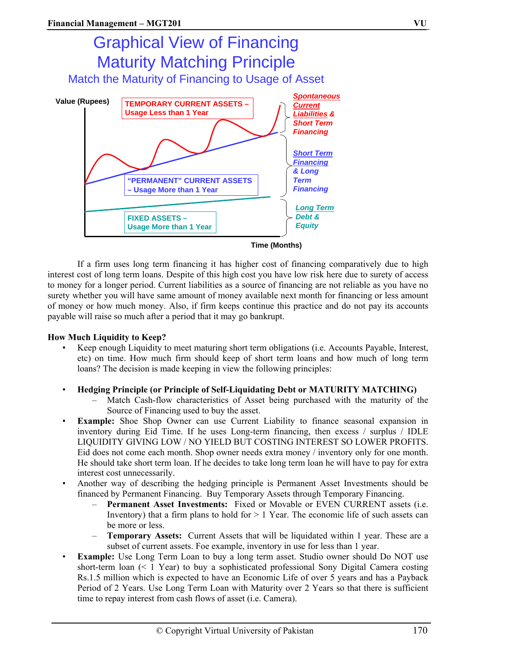

If a firm uses long term financing it has higher cost of financing comparatively due to high interest cost of long term loans. Despite of this high cost you have low risk here due to surety of access to money for a longer period. Current liabilities as a source of financing are not reliable as you have no surety whether you will have same amount of money available next month for financing or less amount of money or how much money. Also, if firm keeps continue this practice and do not pay its accounts payable will raise so much after a period that it may go bankrupt.

#### **How Much Liquidity to Keep?**

- Keep enough Liquidity to meet maturing short term obligations (i.e. Accounts Payable, Interest, etc) on time. How much firm should keep of short term loans and how much of long term loans? The decision is made keeping in view the following principles:
- **Hedging Principle (or Principle of Self-Liquidating Debt or MATURITY MATCHING)** 
	- Match Cash-flow characteristics of Asset being purchased with the maturity of the Source of Financing used to buy the asset.
- **Example:** Shoe Shop Owner can use Current Liability to finance seasonal expansion in inventory during Eid Time. If he uses Long-term financing, then excess / surplus / IDLE LIQUIDITY GIVING LOW / NO YIELD BUT COSTING INTEREST SO LOWER PROFITS. Eid does not come each month. Shop owner needs extra money / inventory only for one month. He should take short term loan. If he decides to take long term loan he will have to pay for extra interest cost unnecessarily.
- Another way of describing the hedging principle is Permanent Asset Investments should be financed by Permanent Financing. Buy Temporary Assets through Temporary Financing.
	- **Permanent Asset Investments:** Fixed or Movable or EVEN CURRENT assets (i.e. Inventory) that a firm plans to hold for  $> 1$  Year. The economic life of such assets can be more or less.
	- **Temporary Assets:** Current Assets that will be liquidated within 1 year. These are a subset of current assets. Foe example, inventory in use for less than 1 year.
- **Example:** Use Long Term Loan to buy a long term asset. Studio owner should Do NOT use short-term loan (< 1 Year) to buy a sophisticated professional Sony Digital Camera costing Rs.1.5 million which is expected to have an Economic Life of over 5 years and has a Payback Period of 2 Years. Use Long Term Loan with Maturity over 2 Years so that there is sufficient time to repay interest from cash flows of asset (i.e. Camera).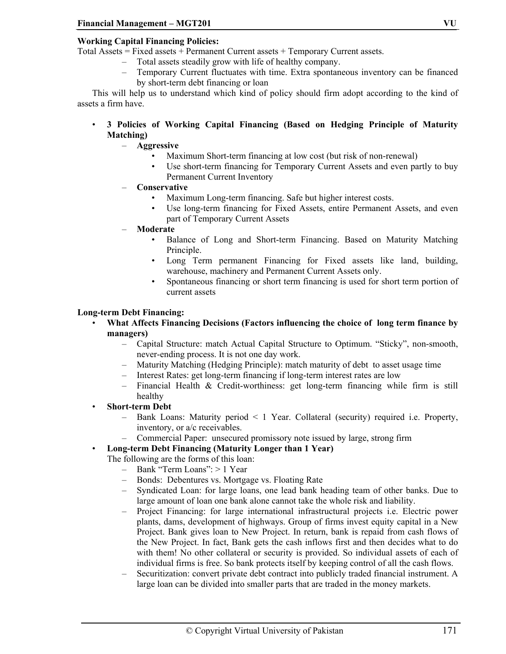# **Working Capital Financing Policies:**

Total Assets = Fixed assets + Permanent Current assets + Temporary Current assets.

- Total assets steadily grow with life of healthy company.
- Temporary Current fluctuates with time. Extra spontaneous inventory can be financed by short-term debt financing or loan

This will help us to understand which kind of policy should firm adopt according to the kind of assets a firm have.

- **3 Policies of Working Capital Financing (Based on Hedging Principle of Maturity Matching)** 
	- **Aggressive** 
		- Maximum Short-term financing at low cost (but risk of non-renewal)
		- Use short-term financing for Temporary Current Assets and even partly to buy Permanent Current Inventory
	- **Conservative** 
		- Maximum Long-term financing. Safe but higher interest costs.
		- Use long-term financing for Fixed Assets, entire Permanent Assets, and even part of Temporary Current Assets
	- **Moderate** 
		- Balance of Long and Short-term Financing. Based on Maturity Matching Principle.
		- Long Term permanent Financing for Fixed assets like land, building, warehouse, machinery and Permanent Current Assets only.
		- Spontaneous financing or short term financing is used for short term portion of current assets

#### **Long-term Debt Financing:**

- **What Affects Financing Decisions (Factors influencing the choice of long term finance by managers)** 
	- Capital Structure: match Actual Capital Structure to Optimum. "Sticky", non-smooth, never-ending process. It is not one day work.
	- Maturity Matching (Hedging Principle): match maturity of debt to asset usage time
	- Interest Rates: get long-term financing if long-term interest rates are low
	- Financial Health & Credit-worthiness: get long-term financing while firm is still healthy
- **Short-term Debt** 
	- Bank Loans: Maturity period < 1 Year. Collateral (security) required i.e. Property, inventory, or a/c receivables.
	- Commercial Paper: unsecured promissory note issued by large, strong firm
- **Long-term Debt Financing (Maturity Longer than 1 Year)**

The following are the forms of this loan:

- Bank "Term Loans": > 1 Year
- Bonds: Debentures vs. Mortgage vs. Floating Rate
- Syndicated Loan: for large loans, one lead bank heading team of other banks. Due to large amount of loan one bank alone cannot take the whole risk and liability.
- Project Financing: for large international infrastructural projects i.e. Electric power plants, dams, development of highways. Group of firms invest equity capital in a New Project. Bank gives loan to New Project. In return, bank is repaid from cash flows of the New Project. In fact, Bank gets the cash inflows first and then decides what to do with them! No other collateral or security is provided. So individual assets of each of individual firms is free. So bank protects itself by keeping control of all the cash flows.
- Securitization: convert private debt contract into publicly traded financial instrument. A large loan can be divided into smaller parts that are traded in the money markets.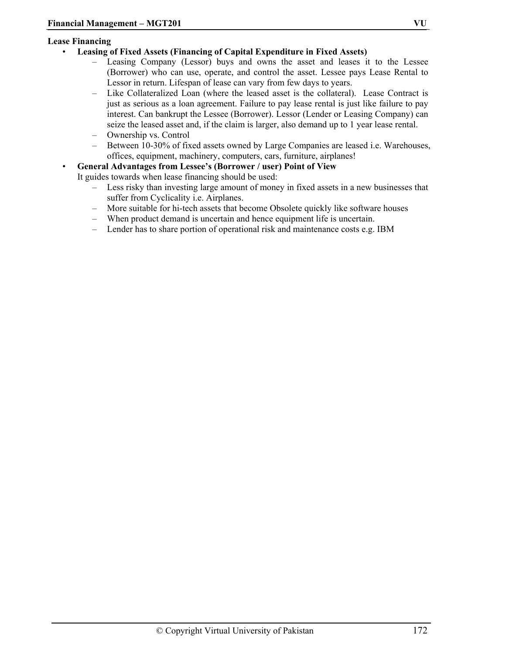#### **Lease Financing**

#### • **Leasing of Fixed Assets (Financing of Capital Expenditure in Fixed Assets)**

- Leasing Company (Lessor) buys and owns the asset and leases it to the Lessee (Borrower) who can use, operate, and control the asset. Lessee pays Lease Rental to Lessor in return. Lifespan of lease can vary from few days to years.
- Like Collateralized Loan (where the leased asset is the collateral). Lease Contract is just as serious as a loan agreement. Failure to pay lease rental is just like failure to pay interest. Can bankrupt the Lessee (Borrower). Lessor (Lender or Leasing Company) can seize the leased asset and, if the claim is larger, also demand up to 1 year lease rental.
- Ownership vs. Control
- Between 10-30% of fixed assets owned by Large Companies are leased i.e. Warehouses, offices, equipment, machinery, computers, cars, furniture, airplanes!
- **General Advantages from Lessee's (Borrower / user) Point of View**

It guides towards when lease financing should be used:

- Less risky than investing large amount of money in fixed assets in a new businesses that suffer from Cyclicality i.e. Airplanes.
- More suitable for hi-tech assets that become Obsolete quickly like software houses
- When product demand is uncertain and hence equipment life is uncertain.
- Lender has to share portion of operational risk and maintenance costs e.g. IBM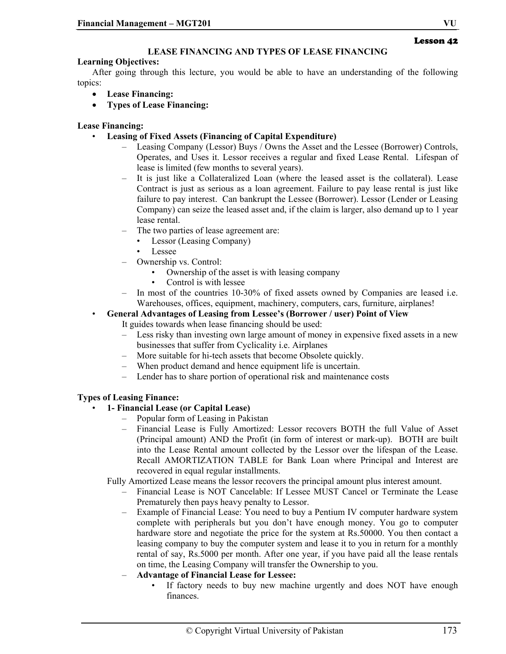# **LEASE FINANCING AND TYPES OF LEASE FINANCING**

# **Learning Objectives:**

After going through this lecture, you would be able to have an understanding of the following topics:

- **Lease Financing:**
- **Types of Lease Financing:**

#### **Lease Financing:**

- **Leasing of Fixed Assets (Financing of Capital Expenditure)** 
	- Leasing Company (Lessor) Buys / Owns the Asset and the Lessee (Borrower) Controls, Operates, and Uses it. Lessor receives a regular and fixed Lease Rental. Lifespan of lease is limited (few months to several years).
	- It is just like a Collateralized Loan (where the leased asset is the collateral). Lease Contract is just as serious as a loan agreement. Failure to pay lease rental is just like failure to pay interest. Can bankrupt the Lessee (Borrower). Lessor (Lender or Leasing Company) can seize the leased asset and, if the claim is larger, also demand up to 1 year lease rental.
		- The two parties of lease agreement are:
			- Lessor (Leasing Company)
			- Lessee
	- Ownership vs. Control:
		- Ownership of the asset is with leasing company
		- Control is with lessee
	- In most of the countries 10-30% of fixed assets owned by Companies are leased i.e. Warehouses, offices, equipment, machinery, computers, cars, furniture, airplanes!
- **General Advantages of Leasing from Lessee's (Borrower / user) Point of View**

It guides towards when lease financing should be used:

- Less risky than investing own large amount of money in expensive fixed assets in a new businesses that suffer from Cyclicality i.e. Airplanes
- More suitable for hi-tech assets that become Obsolete quickly.
- When product demand and hence equipment life is uncertain.
- Lender has to share portion of operational risk and maintenance costs

#### **Types of Leasing Finance:**

- **1- Financial Lease (or Capital Lease)** 
	- Popular form of Leasing in Pakistan
	- Financial Lease is Fully Amortized: Lessor recovers BOTH the full Value of Asset (Principal amount) AND the Profit (in form of interest or mark-up). BOTH are built into the Lease Rental amount collected by the Lessor over the lifespan of the Lease. Recall AMORTIZATION TABLE for Bank Loan where Principal and Interest are recovered in equal regular installments.

Fully Amortized Lease means the lessor recovers the principal amount plus interest amount.

- Financial Lease is NOT Cancelable: If Lessee MUST Cancel or Terminate the Lease Prematurely then pays heavy penalty to Lessor.
- Example of Financial Lease: You need to buy a Pentium IV computer hardware system complete with peripherals but you don't have enough money. You go to computer hardware store and negotiate the price for the system at Rs.50000. You then contact a leasing company to buy the computer system and lease it to you in return for a monthly rental of say, Rs.5000 per month. After one year, if you have paid all the lease rentals on time, the Leasing Company will transfer the Ownership to you.
- **Advantage of Financial Lease for Lessee:** 
	- If factory needs to buy new machine urgently and does NOT have enough finances.

Lesson 42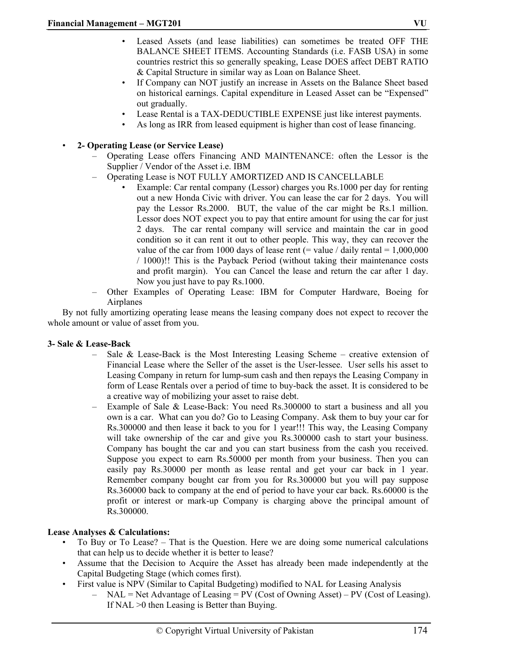- Leased Assets (and lease liabilities) can sometimes be treated OFF THE BALANCE SHEET ITEMS. Accounting Standards (i.e. FASB USA) in some countries restrict this so generally speaking, Lease DOES affect DEBT RATIO & Capital Structure in similar way as Loan on Balance Sheet.
- If Company can NOT justify an increase in Assets on the Balance Sheet based on historical earnings. Capital expenditure in Leased Asset can be "Expensed" out gradually.
- Lease Rental is a TAX-DEDUCTIBLE EXPENSE just like interest payments.
- As long as IRR from leased equipment is higher than cost of lease financing.

# • **2- Operating Lease (or Service Lease)**

- Operating Lease offers Financing AND MAINTENANCE: often the Lessor is the Supplier / Vendor of the Asset i.e. IBM
- Operating Lease is NOT FULLY AMORTIZED AND IS CANCELLABLE
	- Example: Car rental company (Lessor) charges you Rs.1000 per day for renting out a new Honda Civic with driver. You can lease the car for 2 days. You will pay the Lessor Rs.2000. BUT, the value of the car might be Rs.1 million. Lessor does NOT expect you to pay that entire amount for using the car for just 2 days. The car rental company will service and maintain the car in good condition so it can rent it out to other people. This way, they can recover the value of the car from 1000 days of lease rent (= value / daily rental =  $1,000,000$ / 1000)!! This is the Payback Period (without taking their maintenance costs and profit margin). You can Cancel the lease and return the car after 1 day. Now you just have to pay Rs.1000.
- Other Examples of Operating Lease: IBM for Computer Hardware, Boeing for Airplanes

By not fully amortizing operating lease means the leasing company does not expect to recover the whole amount or value of asset from you.

#### **3- Sale & Lease-Back**

- Sale & Lease-Back is the Most Interesting Leasing Scheme creative extension of Financial Lease where the Seller of the asset is the User-lessee. User sells his asset to Leasing Company in return for lump-sum cash and then repays the Leasing Company in form of Lease Rentals over a period of time to buy-back the asset. It is considered to be a creative way of mobilizing your asset to raise debt.
- Example of Sale & Lease-Back: You need Rs.300000 to start a business and all you own is a car. What can you do? Go to Leasing Company. Ask them to buy your car for Rs.300000 and then lease it back to you for 1 year!!! This way, the Leasing Company will take ownership of the car and give you Rs.300000 cash to start your business. Company has bought the car and you can start business from the cash you received. Suppose you expect to earn Rs.50000 per month from your business. Then you can easily pay Rs.30000 per month as lease rental and get your car back in 1 year. Remember company bought car from you for Rs.300000 but you will pay suppose Rs.360000 back to company at the end of period to have your car back. Rs.60000 is the profit or interest or mark-up Company is charging above the principal amount of Rs.300000.

#### **Lease Analyses & Calculations:**

- To Buy or To Lease? That is the Question. Here we are doing some numerical calculations that can help us to decide whether it is better to lease?
- Assume that the Decision to Acquire the Asset has already been made independently at the Capital Budgeting Stage (which comes first).
- First value is NPV (Similar to Capital Budgeting) modified to NAL for Leasing Analysis
	- NAL = Net Advantage of Leasing = PV (Cost of Owning Asset) PV (Cost of Leasing). If NAL >0 then Leasing is Better than Buying.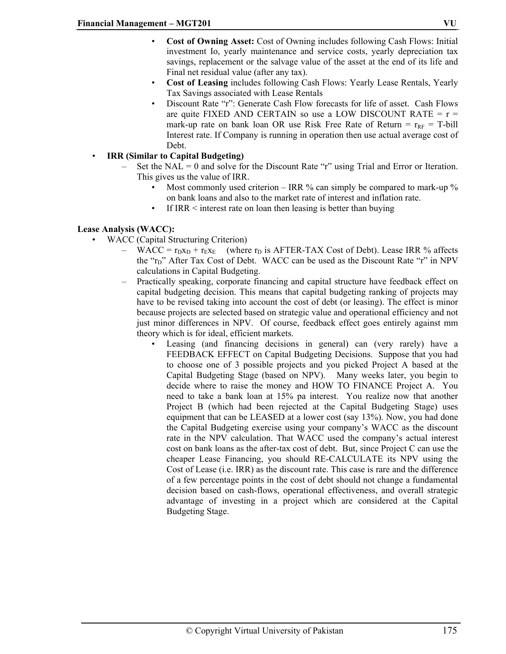- **Cost of Owning Asset:** Cost of Owning includes following Cash Flows: Initial investment Io, yearly maintenance and service costs, yearly depreciation tax savings, replacement or the salvage value of the asset at the end of its life and Final net residual value (after any tax).
- **Cost of Leasing** includes following Cash Flows: Yearly Lease Rentals, Yearly Tax Savings associated with Lease Rentals
- Discount Rate "r": Generate Cash Flow forecasts for life of asset. Cash Flows are quite FIXED AND CERTAIN so use a LOW DISCOUNT RATE  $= r =$ mark-up rate on bank loan OR use Risk Free Rate of Return =  $r_{RF}$  = T-bill Interest rate. If Company is running in operation then use actual average cost of Debt.

#### • **IRR (Similar to Capital Budgeting)**

- Set the NAL = 0 and solve for the Discount Rate "r" using Trial and Error or Iteration. This gives us the value of IRR.
	- Most commonly used criterion IRR  $%$  can simply be compared to mark-up  $%$ on bank loans and also to the market rate of interest and inflation rate.
	- If IRR < interest rate on loan then leasing is better than buying

# **Lease Analysis (WACC):**

- WACC (Capital Structuring Criterion)
	- WACC =  $r_{\text{D}X_D}$  +  $r_{\text{EX}_E}$  (where  $r_D$  is AFTER-TAX Cost of Debt). Lease IRR % affects the "r<sub>D</sub>" After Tax Cost of Debt. WACC can be used as the Discount Rate "r" in NPV calculations in Capital Budgeting.
	- Practically speaking, corporate financing and capital structure have feedback effect on capital budgeting decision. This means that capital budgeting ranking of projects may have to be revised taking into account the cost of debt (or leasing). The effect is minor because projects are selected based on strategic value and operational efficiency and not just minor differences in NPV. Of course, feedback effect goes entirely against mm theory which is for ideal, efficient markets.
		- Leasing (and financing decisions in general) can (very rarely) have a FEEDBACK EFFECT on Capital Budgeting Decisions. Suppose that you had to choose one of 3 possible projects and you picked Project A based at the Capital Budgeting Stage (based on NPV). Many weeks later, you begin to decide where to raise the money and HOW TO FINANCE Project A. You need to take a bank loan at 15% pa interest. You realize now that another Project B (which had been rejected at the Capital Budgeting Stage) uses equipment that can be LEASED at a lower cost (say 13%). Now, you had done the Capital Budgeting exercise using your company's WACC as the discount rate in the NPV calculation. That WACC used the company's actual interest cost on bank loans as the after-tax cost of debt. But, since Project C can use the cheaper Lease Financing, you should RE-CALCULATE its NPV using the Cost of Lease (i.e. IRR) as the discount rate. This case is rare and the difference of a few percentage points in the cost of debt should not change a fundamental decision based on cash-flows, operational effectiveness, and overall strategic advantage of investing in a project which are considered at the Capital Budgeting Stage.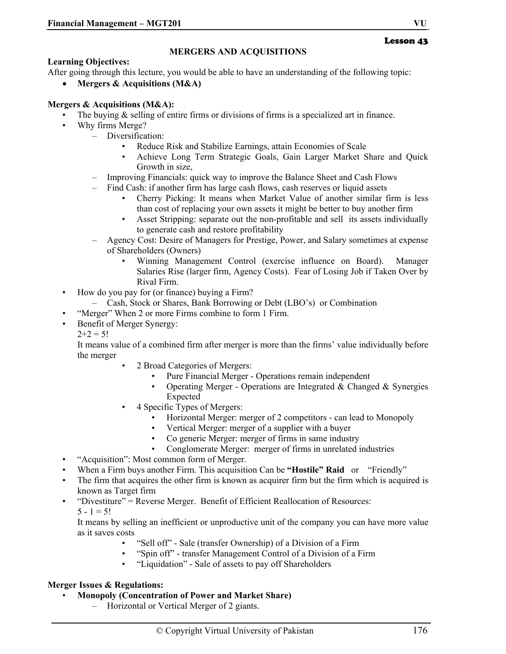#### **MERGERS AND ACQUISITIONS**

#### **Learning Objectives:**

After going through this lecture, you would be able to have an understanding of the following topic:

• **Mergers & Acquisitions (M&A)** 

#### **Mergers & Acquisitions (M&A):**

- The buying  $\&$  selling of entire firms or divisions of firms is a specialized art in finance.
- Why firms Merge?
	- Diversification:
		- Reduce Risk and Stabilize Earnings, attain Economies of Scale
		- Achieve Long Term Strategic Goals, Gain Larger Market Share and Quick Growth in size,
		- Improving Financials: quick way to improve the Balance Sheet and Cash Flows
			- Find Cash: if another firm has large cash flows, cash reserves or liquid assets
				- Cherry Picking: It means when Market Value of another similar firm is less than cost of replacing your own assets it might be better to buy another firm
				- Asset Stripping: separate out the non-profitable and sell its assets individually to generate cash and restore profitability
		- Agency Cost: Desire of Managers for Prestige, Power, and Salary sometimes at expense of Shareholders (Owners)
			- Winning Management Control (exercise influence on Board). Manager Salaries Rise (larger firm, Agency Costs). Fear of Losing Job if Taken Over by Rival Firm.
- How do you pay for (or finance) buying a Firm?
	- Cash, Stock or Shares, Bank Borrowing or Debt (LBO's) or Combination
- "Merger" When 2 or more Firms combine to form 1 Firm.
- Benefit of Merger Synergy:
	- $2+2=5!$

It means value of a combined firm after merger is more than the firms' value individually before the merger

- 2 Broad Categories of Mergers:
	- Pure Financial Merger Operations remain independent
	- Operating Merger Operations are Integrated  $&$  Changed  $&$  Synergies Expected
	- 4 Specific Types of Mergers:
		- Horizontal Merger: merger of 2 competitors can lead to Monopoly
		- Vertical Merger: merger of a supplier with a buyer
		- Co generic Merger: merger of firms in same industry
		- Conglomerate Merger: merger of firms in unrelated industries
- "Acquisition": Most common form of Merger.
- When a Firm buys another Firm. This acquisition Can be **"Hostile" Raid** or "Friendly"
- The firm that acquires the other firm is known as acquirer firm but the firm which is acquired is known as Target firm
- "Divestiture" = Reverse Merger. Benefit of Efficient Reallocation of Resources:  $5 - 1 = 5!$

It means by selling an inefficient or unproductive unit of the company you can have more value as it saves costs

- "Sell off" Sale (transfer Ownership) of a Division of a Firm
- "Spin off" transfer Management Control of a Division of a Firm
- "Liquidation" Sale of assets to pay off Shareholders

#### **Merger Issues & Regulations:**

- **Monopoly (Concentration of Power and Market Share)**
	- Horizontal or Vertical Merger of 2 giants.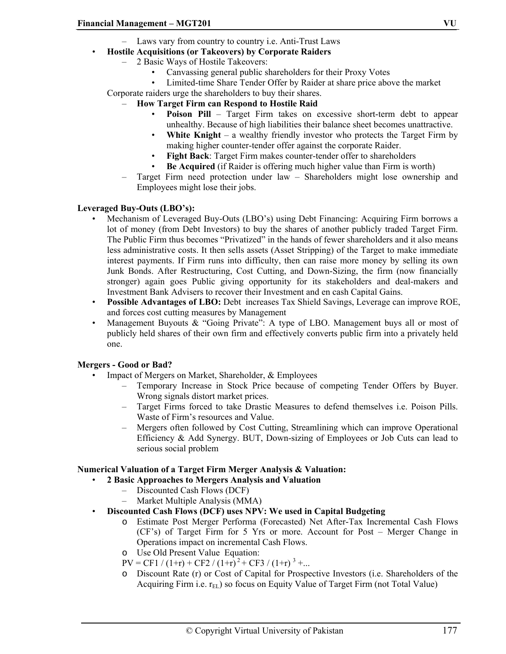- Laws vary from country to country i.e. Anti-Trust Laws
- **Hostile Acquisitions (or Takeovers) by Corporate Raiders**
	- 2 Basic Ways of Hostile Takeovers:
		- Canvassing general public shareholders for their Proxy Votes
		- Limited-time Share Tender Offer by Raider at share price above the market

Corporate raiders urge the shareholders to buy their shares.

- **How Target Firm can Respond to Hostile Raid** 
	- **Poison Pill** Target Firm takes on excessive short-term debt to appear unhealthy. Because of high liabilities their balance sheet becomes unattractive.
	- **White Knight** a wealthy friendly investor who protects the Target Firm by making higher counter-tender offer against the corporate Raider.
	- **Fight Back**: Target Firm makes counter-tender offer to shareholders
	- **Be Acquired** (if Raider is offering much higher value than Firm is worth)
- Target Firm need protection under law Shareholders might lose ownership and Employees might lose their jobs.

#### **Leveraged Buy-Outs (LBO's):**

- Mechanism of Leveraged Buy-Outs (LBO's) using Debt Financing: Acquiring Firm borrows a lot of money (from Debt Investors) to buy the shares of another publicly traded Target Firm. The Public Firm thus becomes "Privatized" in the hands of fewer shareholders and it also means less administrative costs. It then sells assets (Asset Stripping) of the Target to make immediate interest payments. If Firm runs into difficulty, then can raise more money by selling its own Junk Bonds. After Restructuring, Cost Cutting, and Down-Sizing, the firm (now financially stronger) again goes Public giving opportunity for its stakeholders and deal-makers and Investment Bank Advisers to recover their Investment and en cash Capital Gains.
- **Possible Advantages of LBO:** Debt increases Tax Shield Savings, Leverage can improve ROE, and forces cost cutting measures by Management
- Management Buyouts & "Going Private": A type of LBO. Management buys all or most of publicly held shares of their own firm and effectively converts public firm into a privately held one.

#### **Mergers - Good or Bad?**

- Impact of Mergers on Market, Shareholder, & Employees
	- Temporary Increase in Stock Price because of competing Tender Offers by Buyer. Wrong signals distort market prices.
	- Target Firms forced to take Drastic Measures to defend themselves i.e. Poison Pills. Waste of Firm's resources and Value.
	- Mergers often followed by Cost Cutting, Streamlining which can improve Operational Efficiency & Add Synergy. BUT, Down-sizing of Employees or Job Cuts can lead to serious social problem

# **Numerical Valuation of a Target Firm Merger Analysis & Valuation:**

- **2 Basic Approaches to Mergers Analysis and Valuation** 
	- Discounted Cash Flows (DCF)
	- Market Multiple Analysis (MMA)
- **Discounted Cash Flows (DCF) uses NPV: We used in Capital Budgeting** 
	- o Estimate Post Merger Performa (Forecasted) Net After-Tax Incremental Cash Flows (CF's) of Target Firm for 5 Yrs or more. Account for Post – Merger Change in Operations impact on incremental Cash Flows.
	- o Use Old Present Value Equation:
	- $PV = CF1 / (1+r) + CF2 / (1+r)^{2} + CF3 / (1+r)^{3} + ...$
	- o Discount Rate (r) or Cost of Capital for Prospective Investors (i.e. Shareholders of the Acquiring Firm i.e.  $r_{EL}$ ) so focus on Equity Value of Target Firm (not Total Value)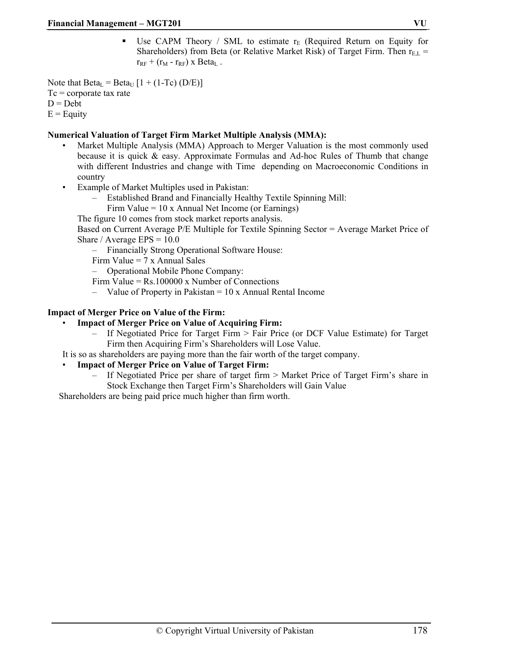Use CAPM Theory / SML to estimate  $r_E$  (Required Return on Equity for Shareholders) from Beta (or Relative Market Risk) of Target Firm. Then  $r_{E,L}$  =  $r_{RF}$  + ( $r_M$  -  $r_{RF}$ ) x Beta<sub>L</sub>.

Note that  $Beta<sub>L</sub> = Beta<sub>U</sub> [1 + (1-Te) (D/E)]$  $Tc$  = corporate tax rate  $D = Det$  $E =$ Equity

#### **Numerical Valuation of Target Firm Market Multiple Analysis (MMA):**

- Market Multiple Analysis (MMA) Approach to Merger Valuation is the most commonly used because it is quick & easy. Approximate Formulas and Ad-hoc Rules of Thumb that change with different Industries and change with Time depending on Macroeconomic Conditions in country
- Example of Market Multiples used in Pakistan:
	- Established Brand and Financially Healthy Textile Spinning Mill:
	- Firm Value = 10 x Annual Net Income (or Earnings)

The figure 10 comes from stock market reports analysis.

Based on Current Average P/E Multiple for Textile Spinning Sector = Average Market Price of Share / Average  $EPS = 10.0$ 

– Financially Strong Operational Software House:

Firm Value  $= 7 \times$  Annual Sales

– Operational Mobile Phone Company:

Firm Value = Rs.100000 x Number of Connections

 $-$  Value of Property in Pakistan  $= 10 \times$  Annual Rental Income

# **Impact of Merger Price on Value of the Firm:**

#### • **Impact of Merger Price on Value of Acquiring Firm:**

- If Negotiated Price for Target Firm > Fair Price (or DCF Value Estimate) for Target Firm then Acquiring Firm's Shareholders will Lose Value.
- It is so as shareholders are paying more than the fair worth of the target company.

#### • **Impact of Merger Price on Value of Target Firm:**

– If Negotiated Price per share of target firm > Market Price of Target Firm's share in Stock Exchange then Target Firm's Shareholders will Gain Value

Shareholders are being paid price much higher than firm worth.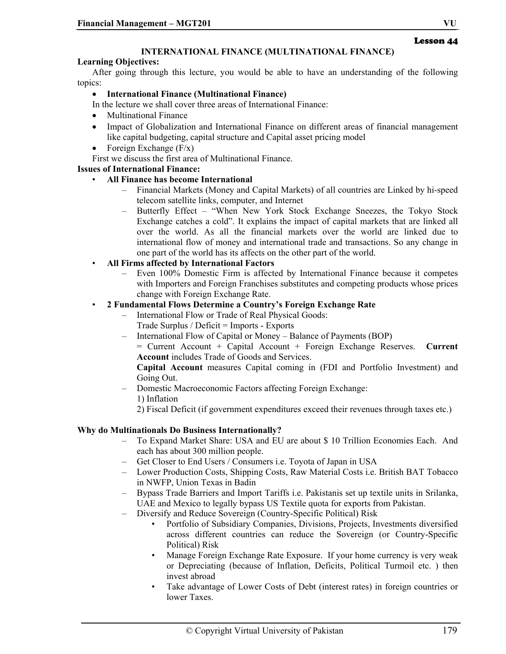# **INTERNATIONAL FINANCE (MULTINATIONAL FINANCE)**

#### **Learning Objectives:**

After going through this lecture, you would be able to have an understanding of the following topics:

# • **International Finance (Multinational Finance)**

- In the lecture we shall cover three areas of International Finance:
- Multinational Finance
- Impact of Globalization and International Finance on different areas of financial management like capital budgeting, capital structure and Capital asset pricing model
- Foreign Exchange  $(F/x)$

First we discuss the first area of Multinational Finance.

# **Issues of International Finance:**

- **All Finance has become International** 
	- Financial Markets (Money and Capital Markets) of all countries are Linked by hi-speed telecom satellite links, computer, and Internet
	- Butterfly Effect "When New York Stock Exchange Sneezes, the Tokyo Stock Exchange catches a cold". It explains the impact of capital markets that are linked all over the world. As all the financial markets over the world are linked due to international flow of money and international trade and transactions. So any change in one part of the world has its affects on the other part of the world.
- **All Firms affected by International Factors** 
	- Even 100% Domestic Firm is affected by International Finance because it competes with Importers and Foreign Franchises substitutes and competing products whose prices change with Foreign Exchange Rate.

# • **2 Fundamental Flows Determine a Country's Foreign Exchange Rate**

- International Flow or Trade of Real Physical Goods: Trade Surplus / Deficit = Imports - Exports
- International Flow of Capital or Money Balance of Payments (BOP)
	- = Current Account + Capital Account + Foreign Exchange Reserves. **Current Account** includes Trade of Goods and Services.

#### **Capital Account** measures Capital coming in (FDI and Portfolio Investment) and Going Out.

- Domestic Macroeconomic Factors affecting Foreign Exchange: 1) Inflation
	- 2) Fiscal Deficit (if government expenditures exceed their revenues through taxes etc.)

#### **Why do Multinationals Do Business Internationally?**

- To Expand Market Share: USA and EU are about \$ 10 Trillion Economies Each. And each has about 300 million people.
- Get Closer to End Users / Consumers i.e. Toyota of Japan in USA
- Lower Production Costs, Shipping Costs, Raw Material Costs i.e. British BAT Tobacco in NWFP, Union Texas in Badin
- Bypass Trade Barriers and Import Tariffs i.e. Pakistanis set up textile units in Srilanka, UAE and Mexico to legally bypass US Textile quota for exports from Pakistan.
- Diversify and Reduce Sovereign (Country-Specific Political) Risk
	- Portfolio of Subsidiary Companies, Divisions, Projects, Investments diversified across different countries can reduce the Sovereign (or Country-Specific Political) Risk
	- Manage Foreign Exchange Rate Exposure. If your home currency is very weak or Depreciating (because of Inflation, Deficits, Political Turmoil etc. ) then invest abroad
	- Take advantage of Lower Costs of Debt (interest rates) in foreign countries or lower Taxes.

Lesson 44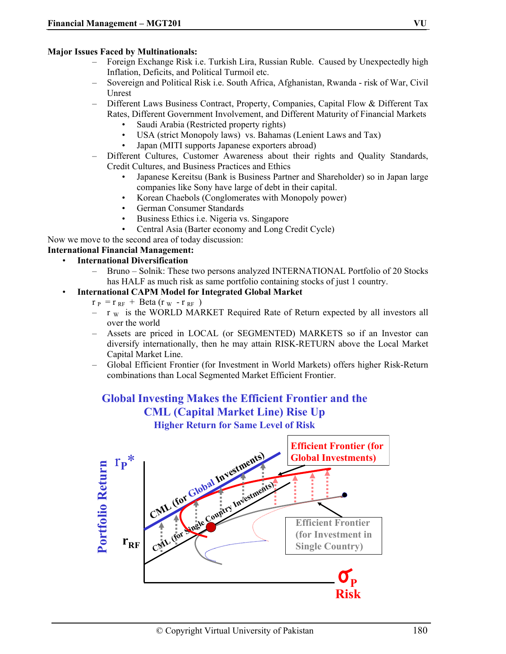#### **Major Issues Faced by Multinationals:**

- Foreign Exchange Risk i.e. Turkish Lira, Russian Ruble. Caused by Unexpectedly high Inflation, Deficits, and Political Turmoil etc.
- Sovereign and Political Risk i.e. South Africa, Afghanistan, Rwanda risk of War, Civil Unrest
- Different Laws Business Contract, Property, Companies, Capital Flow & Different Tax Rates, Different Government Involvement, and Different Maturity of Financial Markets
	- Saudi Arabia (Restricted property rights)
	- USA (strict Monopoly laws) vs. Bahamas (Lenient Laws and Tax)
	- Japan (MITI supports Japanese exporters abroad)
- Different Cultures, Customer Awareness about their rights and Quality Standards, Credit Cultures, and Business Practices and Ethics
	- Japanese Kereitsu (Bank is Business Partner and Shareholder) so in Japan large companies like Sony have large of debt in their capital.
	- Korean Chaebols (Conglomerates with Monopoly power)
	- German Consumer Standards
	- Business Ethics i.e. Nigeria vs. Singapore
	- Central Asia (Barter economy and Long Credit Cycle)

Now we move to the second area of today discussion:

# **International Financial Management:**

- **International Diversification** 
	- Bruno Solnik: These two persons analyzed INTERNATIONAL Portfolio of 20 Stocks has HALF as much risk as same portfolio containing stocks of just 1 country.
- **International CAPM Model for Integrated Global Market** 
	- $r_P = r_{RF} + \text{Beta}(r_W r_{RF})$
	- $-$  r w is the WORLD MARKET Required Rate of Return expected by all investors all over the world
	- Assets are priced in LOCAL (or SEGMENTED) MARKETS so if an Investor can diversify internationally, then he may attain RISK-RETURN above the Local Market Capital Market Line.
	- Global Efficient Frontier (for Investment in World Markets) offers higher Risk-Return combinations than Local Segmented Market Efficient Frontier.

# **Global Investing Makes the Efficient Frontier and the CML (Capital Market Line) Rise Up Higher Return for Same Level of Risk**

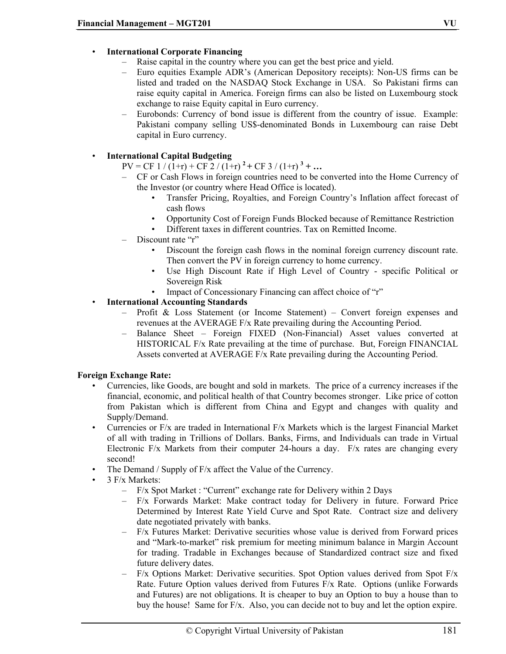#### • **International Corporate Financing**

- Raise capital in the country where you can get the best price and yield.
- Euro equities Example ADR's (American Depository receipts): Non-US firms can be listed and traded on the NASDAQ Stock Exchange in USA. So Pakistani firms can raise equity capital in America. Foreign firms can also be listed on Luxembourg stock exchange to raise Equity capital in Euro currency.
- Eurobonds: Currency of bond issue is different from the country of issue. Example: Pakistani company selling US\$-denominated Bonds in Luxembourg can raise Debt capital in Euro currency.

#### • **International Capital Budgeting**

 $PV = CF \frac{1}{(1+r)} + CF \frac{2}{(1+r)}^2 + CF \frac{3}{(1+r)}^3 + ...$ 

- CF or Cash Flows in foreign countries need to be converted into the Home Currency of the Investor (or country where Head Office is located).
	- Transfer Pricing, Royalties, and Foreign Country's Inflation affect forecast of cash flows
	- Opportunity Cost of Foreign Funds Blocked because of Remittance Restriction
	- Different taxes in different countries. Tax on Remitted Income.
- Discount rate "r"
	- Discount the foreign cash flows in the nominal foreign currency discount rate. Then convert the PV in foreign currency to home currency.
	- Use High Discount Rate if High Level of Country specific Political or Sovereign Risk
	- Impact of Concessionary Financing can affect choice of "r"

#### • **International Accounting Standards**

- Profit & Loss Statement (or Income Statement) Convert foreign expenses and revenues at the AVERAGE F/x Rate prevailing during the Accounting Period.
- Balance Sheet Foreign FIXED (Non-Financial) Asset values converted at HISTORICAL F/x Rate prevailing at the time of purchase. But, Foreign FINANCIAL Assets converted at AVERAGE F/x Rate prevailing during the Accounting Period.

#### **Foreign Exchange Rate:**

- Currencies, like Goods, are bought and sold in markets. The price of a currency increases if the financial, economic, and political health of that Country becomes stronger. Like price of cotton from Pakistan which is different from China and Egypt and changes with quality and Supply/Demand.
- Currencies or F/x are traded in International F/x Markets which is the largest Financial Market of all with trading in Trillions of Dollars. Banks, Firms, and Individuals can trade in Virtual Electronic F/x Markets from their computer 24-hours a day. F/x rates are changing every second!
- The Demand / Supply of F/x affect the Value of the Currency.
- 3 F/x Markets:
	- F/x Spot Market : "Current" exchange rate for Delivery within 2 Days
	- F/x Forwards Market: Make contract today for Delivery in future. Forward Price Determined by Interest Rate Yield Curve and Spot Rate. Contract size and delivery date negotiated privately with banks.
	- F/x Futures Market: Derivative securities whose value is derived from Forward prices and "Mark-to-market" risk premium for meeting minimum balance in Margin Account for trading. Tradable in Exchanges because of Standardized contract size and fixed future delivery dates.
	- $F/x$  Options Market: Derivative securities. Spot Option values derived from Spot  $F/x$ Rate. Future Option values derived from Futures F/x Rate. Options (unlike Forwards and Futures) are not obligations. It is cheaper to buy an Option to buy a house than to buy the house! Same for F/x. Also, you can decide not to buy and let the option expire.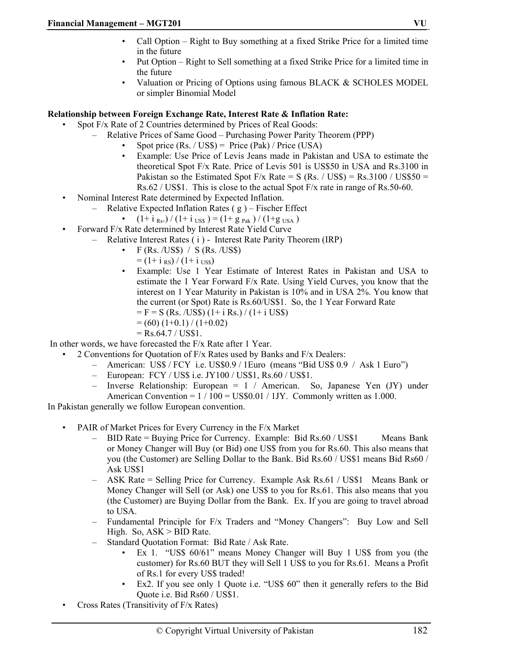- Call Option Right to Buy something at a fixed Strike Price for a limited time in the future
- Put Option Right to Sell something at a fixed Strike Price for a limited time in the future
- Valuation or Pricing of Options using famous BLACK & SCHOLES MODEL or simpler Binomial Model

#### **Relationship between Foreign Exchange Rate, Interest Rate & Inflation Rate:**

- Spot F/x Rate of 2 Countries determined by Prices of Real Goods:
	- Relative Prices of Same Good Purchasing Power Parity Theorem (PPP)
		- Spot price  $(Rs. / US\$ ) = Price (Pak) / Price (USA)
		- Example: Use Price of Levis Jeans made in Pakistan and USA to estimate the theoretical Spot F/x Rate. Price of Levis 501 is US\$50 in USA and Rs.3100 in Pakistan so the Estimated Spot F/x Rate = S (Rs. / US\$) = Rs.3100 / US\$50 = Rs.62 / US\$1. This is close to the actual Spot F/x rate in range of Rs.50-60.
- Nominal Interest Rate determined by Expected Inflation.
	- Relative Expected Inflation Rates  $(g)$  Fischer Effect
		- $(1+ i_{Rs.}) / (1+ i_{USS}) = (1+ g_{pak}) / (1+ g_{USA})$
- Forward F/x Rate determined by Interest Rate Yield Curve
	- Relative Interest Rates ( i ) Interest Rate Parity Theorem (IRP)
		- $F$  (Rs. /US\$) / S (Rs. /US\$)
			- $=$  (1+ i <sub>RS</sub>) / (1+ i <sub>USS</sub>)
		- Example: Use 1 Year Estimate of Interest Rates in Pakistan and USA to estimate the 1 Year Forward F/x Rate. Using Yield Curves, you know that the interest on 1 Year Maturity in Pakistan is 10% and in USA 2%. You know that the current (or Spot) Rate is Rs.60/US\$1. So, the 1 Year Forward Rate
			- $=$  F = S (Rs. /US\$) (1+ i Rs.) / (1+ i US\$)
			- $= (60) (1+0.1) / (1+0.02)$
			- $=$  Rs.64.7 / US\$1.

In other words, we have forecasted the F/x Rate after 1 Year.

- 2 Conventions for Quotation of F/x Rates used by Banks and F/x Dealers:
	- American: US\$ / FCY i.e. US\$0.9 / 1Euro (means "Bid US\$ 0.9 / Ask 1 Euro")
	- European: FCY / US\$ i.e. JY100 / US\$1, Rs.60 / US\$1.
	- Inverse Relationship: European = 1 / American. So, Japanese Yen (JY) under American Convention =  $1/100 = US$0.01 / 1JY$ . Commonly written as 1.000.

In Pakistan generally we follow European convention.

- PAIR of Market Prices for Every Currency in the F/x Market
	- BID Rate = Buying Price for Currency. Example: Bid Rs.60 / US\$1 Means Bank or Money Changer will Buy (or Bid) one US\$ from you for Rs.60. This also means that you (the Customer) are Selling Dollar to the Bank. Bid Rs.60 / US\$1 means Bid Rs60 / Ask US\$1
	- ASK Rate = Selling Price for Currency. Example Ask Rs.61 / US\$1 Means Bank or Money Changer will Sell (or Ask) one US\$ to you for Rs.61. This also means that you (the Customer) are Buying Dollar from the Bank. Ex. If you are going to travel abroad to USA.
	- Fundamental Principle for F/x Traders and "Money Changers": Buy Low and Sell High. So,  $ASK > BID Rate$ .
	- Standard Quotation Format: Bid Rate / Ask Rate.
		- Ex 1. "US\$ 60/61" means Money Changer will Buy 1 US\$ from you (the customer) for Rs.60 BUT they will Sell 1 US\$ to you for Rs.61. Means a Profit of Rs.1 for every US\$ traded!
		- Ex2. If you see only 1 Quote i.e. "US\$ 60" then it generally refers to the Bid Quote i.e. Bid Rs60 / US\$1.
- Cross Rates (Transitivity of F/x Rates)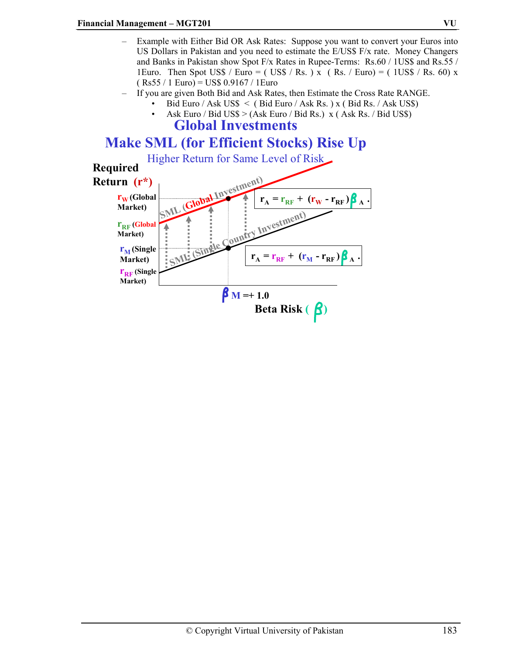- Example with Either Bid OR Ask Rates: Suppose you want to convert your Euros into US Dollars in Pakistan and you need to estimate the  $E/US\$   $F/x$  rate. Money Changers and Banks in Pakistan show Spot F/x Rates in Rupee-Terms: Rs.60 / 1US\$ and Rs.55 / 1Euro. Then Spot US\$ / Euro = ( US\$ / Rs. ) x ( Rs. / Euro) = (  $1US$$  / Rs. 60) x  $(Rs55 / 1)$  Euro) = US\$ 0.9167 / 1 Euro
	- If you are given Both Bid and Ask Rates, then Estimate the Cross Rate RANGE.
		- Bid Euro / Ask US\$ < ( Bid Euro / Ask Rs. ) x ( Bid Rs. / Ask US\$)
		- Ask Euro / Bid US\$ > (Ask Euro / Bid Rs.)  $x$  (Ask Rs. / Bid US\$) **Global Investments**

## **Make SML (for Efficient Stocks) Rise Up**

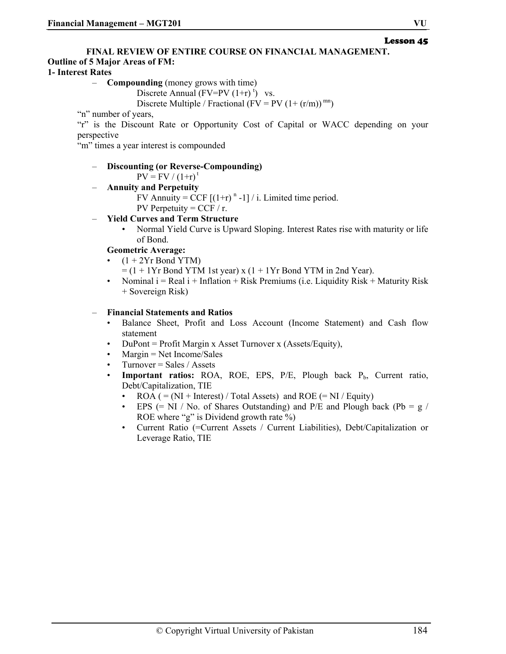#### Lesson 45

#### **FINAL REVIEW OF ENTIRE COURSE ON FINANCIAL MANAGEMENT.**

#### **Outline of 5 Major Areas of FM:**

#### **1- Interest Rates**

- **Compounding** (money grows with time)
	- Discrete Annual  $(FV=PV (1+r)^t)$  vs.

Discrete Multiple / Fractional (FV = PV  $(1+(r/m))^{mn}$ )

"n" number of years,

"r" is the Discount Rate or Opportunity Cost of Capital or WACC depending on your perspective

"m" times a year interest is compounded

#### – **Discounting (or Reverse-Compounding)**

 $PV = FV / (1+r)^{t}$ 

- **Annuity and Perpetuity**
	- FV Annuity =  $\text{CCF } [(1+r)^{n} -1] / i$ . Limited time period.

PV Perpetuity =  $CCF / r$ .

#### – **Yield Curves and Term Structure**

• Normal Yield Curve is Upward Sloping. Interest Rates rise with maturity or life of Bond.

#### **Geometric Average:**

- $(1 + 2<sup>Yr</sup>$  Bond YTM)
	- $=$  (1 + 1Yr Bond YTM 1st year) x (1 + 1Yr Bond YTM in 2nd Year).
- Nominal  $i = Real$  i + Inflation + Risk Premiums (i.e. Liquidity Risk + Maturity Risk + Sovereign Risk)

#### – **Financial Statements and Ratios**

- Balance Sheet, Profit and Loss Account (Income Statement) and Cash flow statement
- DuPont = Profit Margin x Asset Turnover x (Assets/Equity),
- Margin = Net Income/Sales
- $Turnover = Sales / Assets$
- Important ratios: ROA, ROE, EPS, P/E, Plough back P<sub>b</sub>, Current ratio, Debt/Capitalization, TIE
	- ROA ( =  $(NI + Interest) / Total Assets)$  and ROE ( = NI / Equity)
	- EPS  $(= NI / No. of Shares Outstanding)$  and P/E and Plough back  $(Pb = g /$ ROE where "g" is Dividend growth rate %)
	- Current Ratio (=Current Assets / Current Liabilities), Debt/Capitalization or Leverage Ratio, TIE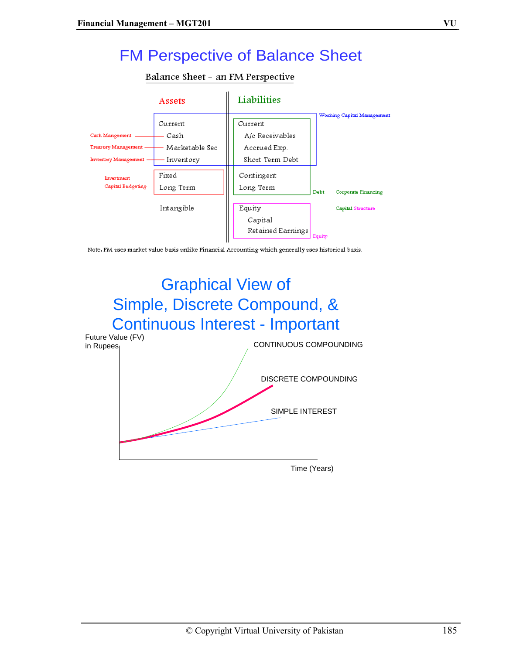## FM Perspective of Balance Sheet

#### Balance Sheet - an FM Perspective



Note. FM uses market value basis unlike Financial Accounting which generally uses historical basis.

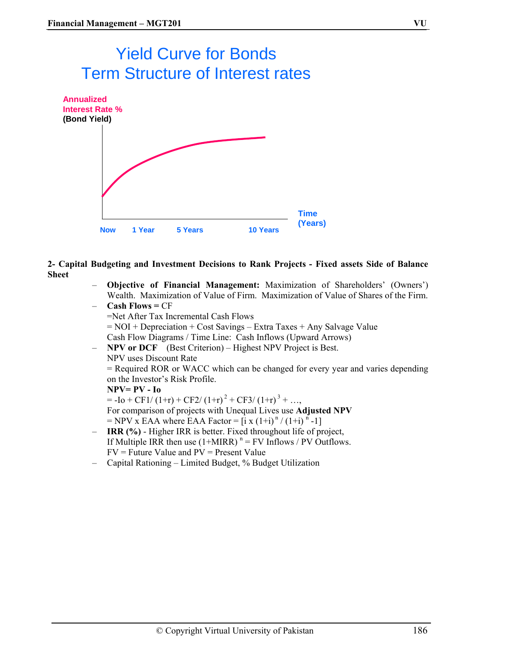# Yield Curve for Bonds Term Structure of Interest rates



**2- Capital Budgeting and Investment Decisions to Rank Projects - Fixed assets Side of Balance Sheet** 

- **Objective of Financial Management:** Maximization of Shareholders' (Owners') Wealth. Maximization of Value of Firm. Maximization of Value of Shares of the Firm. – **Cash Flows =** CF
- =Net After Tax Incremental Cash Flows = NOI + Depreciation + Cost Savings – Extra Taxes + Any Salvage Value Cash Flow Diagrams / Time Line: Cash Inflows (Upward Arrows) – **NPV or DCF** (Best Criterion) – Highest NPV Project is Best.

NPV uses Discount Rate = Required ROR or WACC which can be changed for every year and varies depending on the Investor's Risk Profile. **NPV= PV - Io**   $= -I_0 + CF1/(1+r) + CF2/(1+r)^{2} + CF3/(1+r)^{3} + ...$ For comparison of projects with Unequal Lives use **Adjusted NPV**  $=$  NPV x EAA where EAA Factor  $=$   $\int$  i x  $(1+i)^n / (1+i)^n -1$ – **IRR (%)** - Higher IRR is better. Fixed throughout life of project,

- If Multiple IRR then use  $(1+MIRR)^n = FV$  Inflows / PV Outflows.  $FV =$  Future Value and  $PV =$  Present Value
- Capital Rationing Limited Budget, % Budget Utilization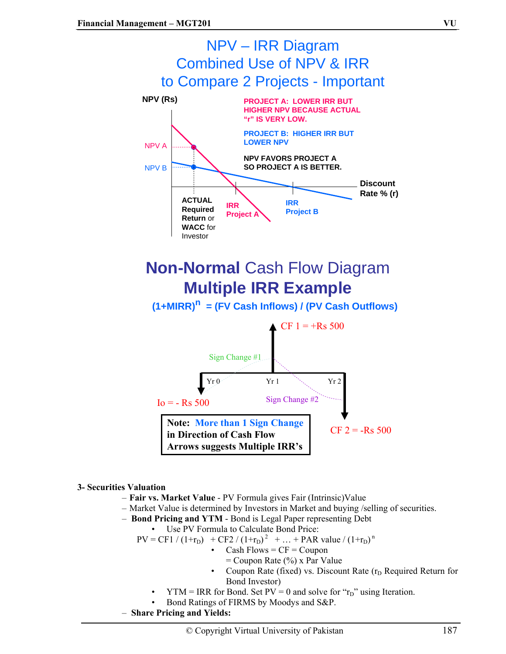

#### **3- Securities Valuation**

- **Fair vs. Market Value**  PV Formula gives Fair (Intrinsic)Value
- Market Value is determined by Investors in Market and buying /selling of securities.
- **Bond Pricing and YTM** Bond is Legal Paper representing Debt
- Use PV Formula to Calculate Bond Price:

 $PV = CF1 / (1 + r_D) + CF2 / (1 + r_D)^2 + ... + PAR value / (1 + r_D)^n$ 

- Cash Flows =  $CF = Coupon$ 
	- $=$  Coupon Rate (%) x Par Value
- Coupon Rate (fixed) vs. Discount Rate  $(r_D$  Required Return for Bond Investor)
- $YTM = IRR$  for Bond. Set  $PV = 0$  and solve for " $r_D$ " using Iteration.
- Bond Ratings of FIRMS by Moodys and S&P.
- **Share Pricing and Yields:**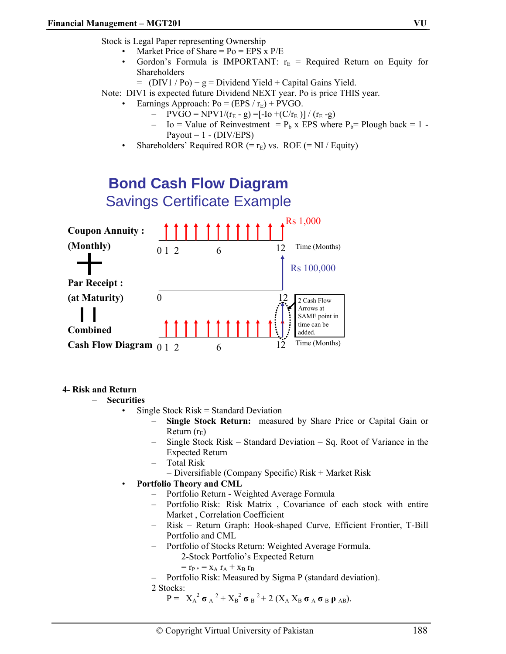Stock is Legal Paper representing Ownership

- Market Price of Share =  $Po = EPS \times P/E$
- Gordon's Formula is IMPORTANT:  $r_E$  = Required Return on Equity for Shareholders
	- $=$  (DIV1 / Po) + g = Dividend Yield + Capital Gains Yield.
- Note: DIV1 is expected future Dividend NEXT year. Po is price THIS year.
	- Earnings Approach:  $Po = (EPS / r_E) + PVGO$ .
		- PVGO = NPV1/( $r_E$  g) =[-Io +(C/ $r_E$ )] / ( $r_E$  -g)
		- Io = Value of Reinvestment =  $P_b$  x EPS where  $P_b$ = Plough back = 1 -Payout =  $1 - (DIV/EPS)$
		- Shareholders' Required ROR (=  $r_E$ ) vs. ROE (= NI / Equity)



#### **4- Risk and Return**

- **Securities** 
	- Single Stock Risk = Standard Deviation
		- **Single Stock Return:** measured by Share Price or Capital Gain or Return  $(r_E)$
		- Single Stock  $Risk = Standard Deviation = Sq$ . Root of Variance in the Expected Return
		- Total Risk
			- = Diversifiable (Company Specific) Risk + Market Risk
	- **Portfolio Theory and CML** 
		- Portfolio Return Weighted Average Formula
		- Portfolio Risk: Risk Matrix , Covariance of each stock with entire Market , Correlation Coefficient
		- Risk Return Graph: Hook-shaped Curve, Efficient Frontier, T-Bill Portfolio and CML
		- Portfolio of Stocks Return: Weighted Average Formula.
			- 2-Stock Portfolio's Expected Return
			- $=$   $r_{P}$   $*$   $=$   $x_{A}$   $r_{A}$   $+$   $x_{B}$   $r_{B}$
		- Portfolio Risk: Measured by Sigma P (standard deviation).

2 Stocks:

 $P = X_A^2 \sigma_A^2 + X_B^2 \sigma_B^2 + 2 (X_A X_B \sigma_A \sigma_B \rho_{AB}).$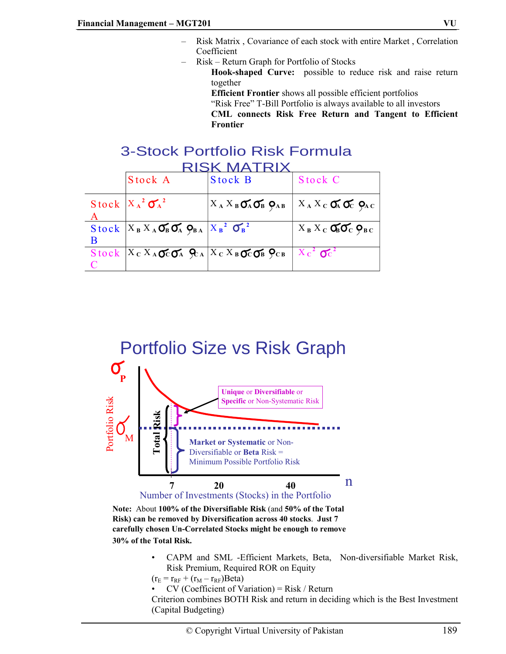- Risk Matrix , Covariance of each stock with entire Market , Correlation Coefficient
- Risk Return Graph for Portfolio of Stocks

**Hook-shaped Curve:** possible to reduce risk and raise return together

- **Efficient Frontier** shows all possible efficient portfolios
- "Risk Free" T-Bill Portfolio is always available to all investors
- **CML connects Risk Free Return and Tangent to Efficient Frontier**

### 3-Stock Portfolio Risk Formula RISK MATRIX

|   | Stock A                                                                          | <b>Stock B</b>                                        | Stock C                                 |
|---|----------------------------------------------------------------------------------|-------------------------------------------------------|-----------------------------------------|
|   |                                                                                  |                                                       |                                         |
|   | Stock $X_A^2 \sigma_A^2$                                                         | $X_A X_B \mathbf{O}_A \mathbf{O}_B$ $\mathbf{O}_{AB}$ | $X_A X_C \mathbf{A} \mathbf{C}$         |
|   |                                                                                  |                                                       |                                         |
|   | Stock $X_B X_A \mathbf{C}_B \mathbf{C}_A \mathbf{Q}_{BA}  X_B^2 \mathbf{C}_B ^2$ |                                                       | $X_B X_C$ $\sigma_6 \sigma_7 \rho_{BC}$ |
| B |                                                                                  |                                                       |                                         |
|   | Stock $X_C X_A$ $\sigma_C \sigma_A$ $\varphi_A X_C X_B \sigma_C \sigma_B$        |                                                       | $X_c^2$ $\sigma_c^2$                    |
|   |                                                                                  |                                                       |                                         |



**Note:** About **100% of the Diversifiable Risk** (and **50% of the Total Risk) can be removed by Diversification across 40 stocks**. **Just 7 carefully chosen Un-Correlated Stocks might be enough to remove** 

- **30% of the Total Risk.**
	- CAPM and SML -Efficient Markets, Beta, Non-diversifiable Market Risk, Risk Premium, Required ROR on Equity

 $(r_E = r_{RF} + (r_M - r_{RF})$ Beta)

 $CV$  (Coefficient of Variation) = Risk / Return

Criterion combines BOTH Risk and return in deciding which is the Best Investment (Capital Budgeting)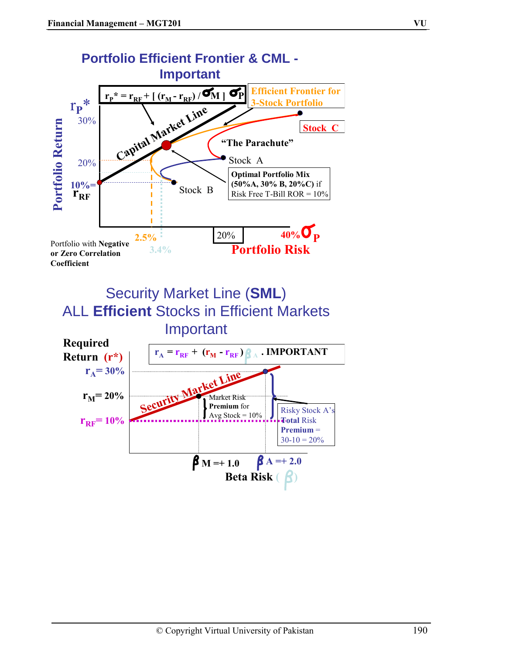

Security Market Line (**SML**) ALL **Efficient** Stocks in Efficient Markets Important

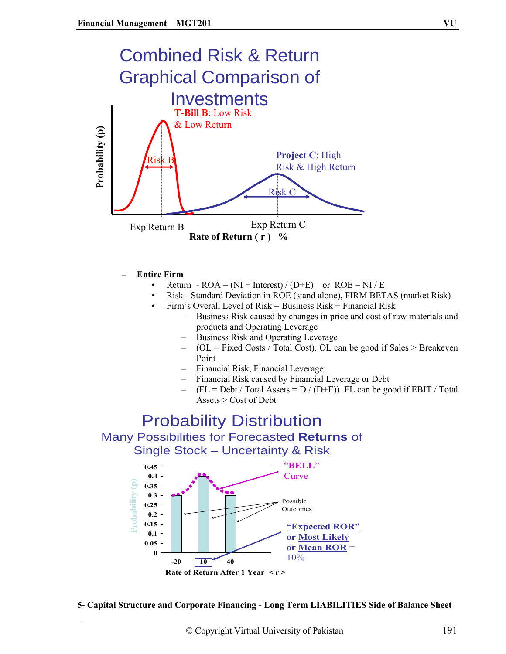

- **Entire Firm** 
	- Return  $ROA = (NI + Interest) / (D+E)$  or  $ROE = NI / E$
	- Risk Standard Deviation in ROE (stand alone), FIRM BETAS (market Risk)
	- Firm's Overall Level of Risk = Business Risk + Financial Risk
		- Business Risk caused by changes in price and cost of raw materials and products and Operating Leverage
		- Business Risk and Operating Leverage
		- $-$  (OL = Fixed Costs / Total Cost). OL can be good if Sales > Breakeven Point
		- Financial Risk, Financial Leverage:
		- Financial Risk caused by Financial Leverage or Debt
		- $(FL = Debt / Total Assets = D / (D+E)$ . FL can be good if EBIT / Total Assets > Cost of Debt

## Probability Distribution Many Possibilities for Forecasted **Returns** of Single Stock – Uncertainty & Risk



**5- Capital Structure and Corporate Financing - Long Term LIABILITIES Side of Balance Sheet**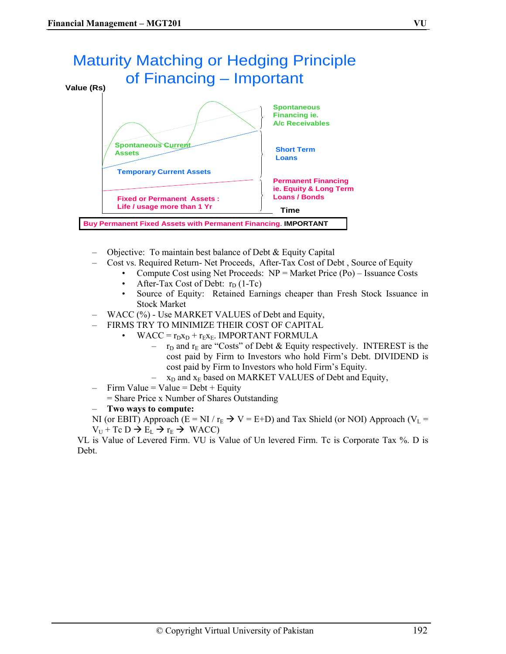

- Objective: To maintain best balance of Debt & Equity Capital
- Cost vs. Required Return- Net Proceeds, After-Tax Cost of Debt , Source of Equity
	- Compute Cost using Net Proceeds: NP = Market Price (Po) Issuance Costs
	- After-Tax Cost of Debt:  $r_D$  (1-Tc)
	- Source of Equity: Retained Earnings cheaper than Fresh Stock Issuance in Stock Market
- WACC (%) Use MARKET VALUES of Debt and Equity,
- FIRMS TRY TO MINIMIZE THEIR COST OF CAPITAL
	- WACC =  $r_Dx_D + r_Ex_E$ . IMPORTANT FORMULA
		- $r_D$  and  $r_E$  are "Costs" of Debt & Equity respectively. INTEREST is the cost paid by Firm to Investors who hold Firm's Debt. DIVIDEND is cost paid by Firm to Investors who hold Firm's Equity.
		- $-$  x<sub>D</sub> and x<sub>E</sub> based on MARKET VALUES of Debt and Equity,
- $-$  Firm Value = Value = Debt + Equity
	- = Share Price x Number of Shares Outstanding
- **Two ways to compute:**

NI (or EBIT) Approach (E = NI /  $r_E \rightarrow V = E+D$ ) and Tax Shield (or NOI) Approach (V<sub>L</sub> =  $V_U$  + Tc D  $\rightarrow$  E<sub>L</sub>  $\rightarrow$  r<sub>E</sub>  $\rightarrow$  WACC)

VL is Value of Levered Firm. VU is Value of Un levered Firm. Tc is Corporate Tax %. D is Debt.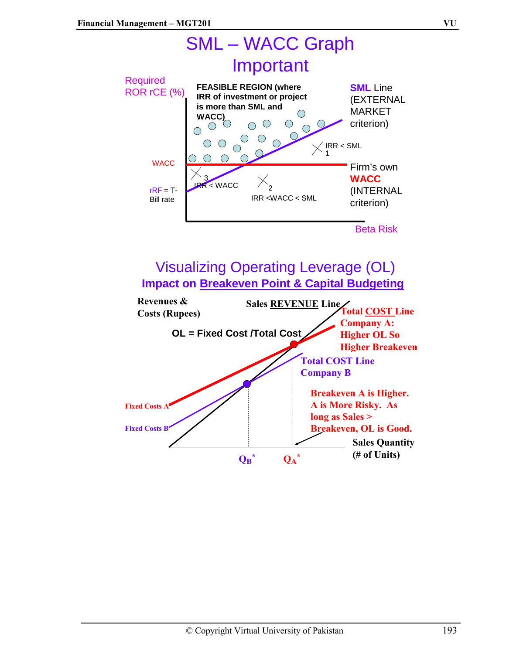

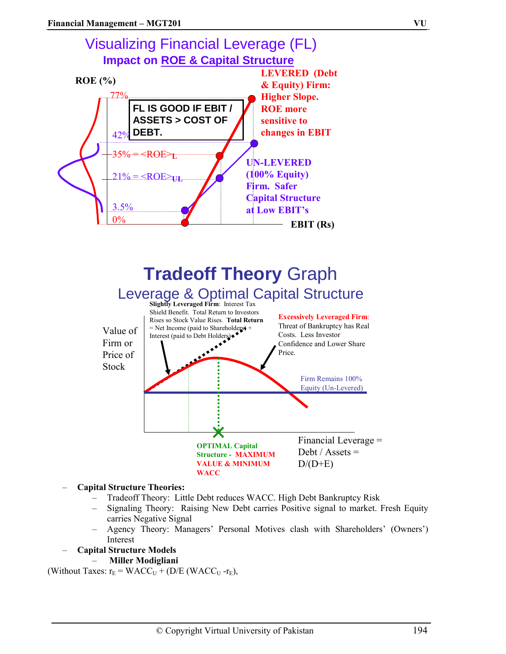



#### – **Capital Structure Theories:**

- Tradeoff Theory: Little Debt reduces WACC. High Debt Bankruptcy Risk
- Signaling Theory: Raising New Debt carries Positive signal to market. Fresh Equity carries Negative Signal
- Agency Theory: Managers' Personal Motives clash with Shareholders' (Owners') Interest

#### – **Capital Structure Models**

– **Miller Modigliani** 

(Without Taxes:  $r_E = WACC_U + (D/E (WACC_U - r_E))$ ,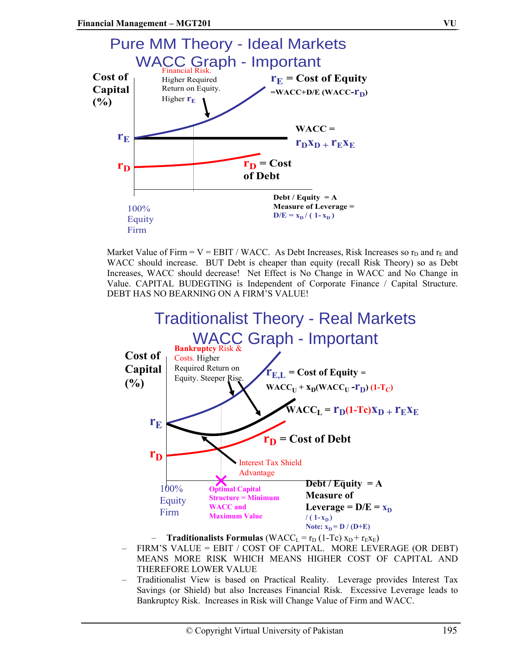

Market Value of Firm =  $V = EBIT / WACC$ . As Debt Increases, Risk Increases so  $r<sub>D</sub>$  and  $r<sub>E</sub>$  and WACC should increase. BUT Debt is cheaper than equity (recall Risk Theory) so as Debt Increases, WACC should decrease! Net Effect is No Change in WACC and No Change in Value. CAPITAL BUDEGTING is Independent of Corporate Finance / Capital Structure. DEBT HAS NO BEARNING ON A FIRM'S VALUE!



- FIRM'S VALUE = EBIT / COST OF CAPITAL. MORE LEVERAGE (OR DEBT) MEANS MORE RISK WHICH MEANS HIGHER COST OF CAPITAL AND THEREFORE LOWER VALUE
- Traditionalist View is based on Practical Reality. Leverage provides Interest Tax Savings (or Shield) but also Increases Financial Risk. Excessive Leverage leads to Bankruptcy Risk. Increases in Risk will Change Value of Firm and WACC.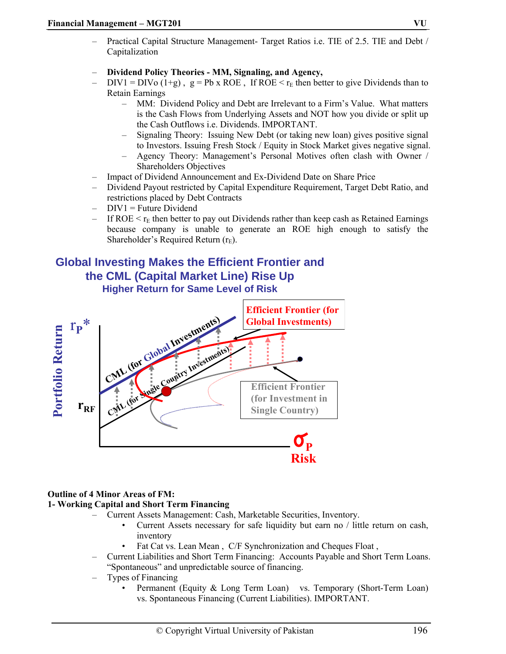- Practical Capital Structure Management- Target Ratios i.e. TIE of 2.5. TIE and Debt / Capitalization
- **Dividend Policy Theories MM, Signaling, and Agency,**
- DIV1 = DIV<sub>0</sub> (1+g),  $g = Pb \times ROE$ , If ROE  $\leq r_E$  then better to give Dividends than to Retain Earnings
	- MM: Dividend Policy and Debt are Irrelevant to a Firm's Value. What matters is the Cash Flows from Underlying Assets and NOT how you divide or split up the Cash Outflows i.e. Dividends. IMPORTANT.
	- Signaling Theory: Issuing New Debt (or taking new loan) gives positive signal to Investors. Issuing Fresh Stock / Equity in Stock Market gives negative signal.
	- Agency Theory: Management's Personal Motives often clash with Owner / Shareholders Objectives
- Impact of Dividend Announcement and Ex-Dividend Date on Share Price
- Dividend Payout restricted by Capital Expenditure Requirement, Target Debt Ratio, and restrictions placed by Debt Contracts
- $-$  DIV1 = Future Dividend
- If ROE  $\leq r_E$  then better to pay out Dividends rather than keep cash as Retained Earnings because company is unable to generate an ROE high enough to satisfy the Shareholder's Required Return  $(r_E)$ .

### **Global Investing Makes the Efficient Frontier and the CML (Capital Market Line) Rise Up Higher Return for Same Level of Risk**



#### **Outline of 4 Minor Areas of FM:**

#### **1- Working Capital and Short Term Financing**

- Current Assets Management: Cash, Marketable Securities, Inventory.
	- Current Assets necessary for safe liquidity but earn no / little return on cash, inventory
	- Fat Cat vs. Lean Mean, C/F Synchronization and Cheques Float,
- Current Liabilities and Short Term Financing: Accounts Payable and Short Term Loans. "Spontaneous" and unpredictable source of financing.
- Types of Financing
	- Permanent (Equity & Long Term Loan) vs. Temporary (Short-Term Loan) vs. Spontaneous Financing (Current Liabilities). IMPORTANT.